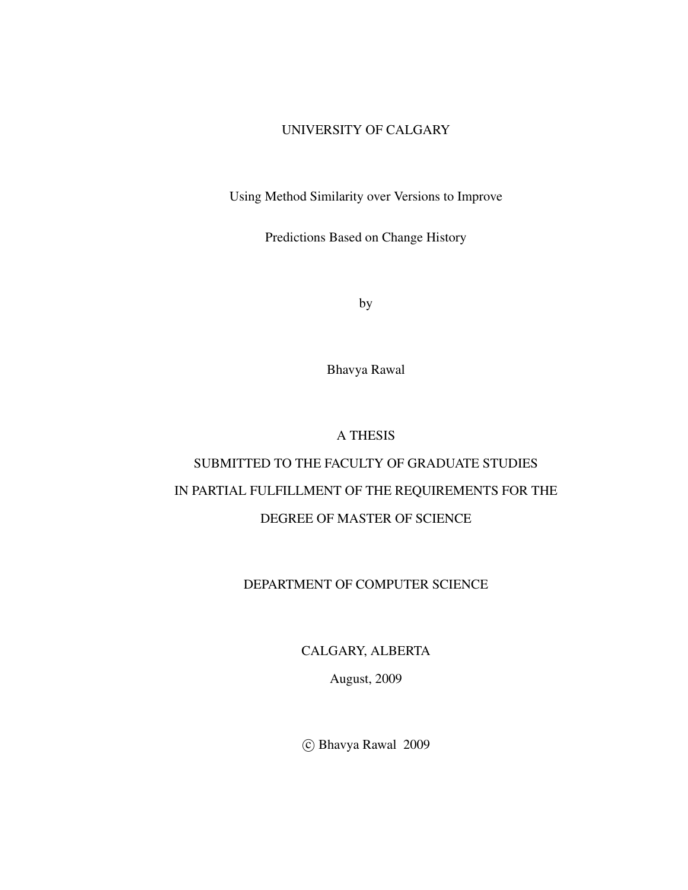#### UNIVERSITY OF CALGARY

Using Method Similarity over Versions to Improve

Predictions Based on Change History

by

Bhavya Rawal

A THESIS

# SUBMITTED TO THE FACULTY OF GRADUATE STUDIES IN PARTIAL FULFILLMENT OF THE REQUIREMENTS FOR THE DEGREE OF MASTER OF SCIENCE

### DEPARTMENT OF COMPUTER SCIENCE

CALGARY, ALBERTA

August, 2009

°c Bhavya Rawal 2009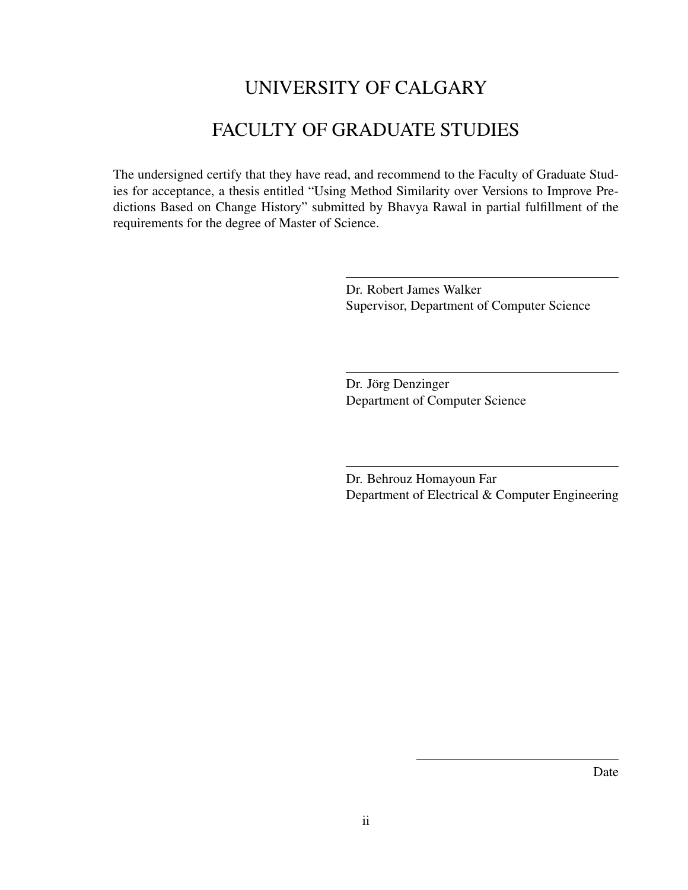# UNIVERSITY OF CALGARY

# FACULTY OF GRADUATE STUDIES

The undersigned certify that they have read, and recommend to the Faculty of Graduate Studies for acceptance, a thesis entitled "Using Method Similarity over Versions to Improve Predictions Based on Change History" submitted by Bhavya Rawal in partial fulfillment of the requirements for the degree of Master of Science.

> Dr. Robert James Walker Supervisor, Department of Computer Science

Dr. Jörg Denzinger Department of Computer Science

Dr. Behrouz Homayoun Far Department of Electrical & Computer Engineering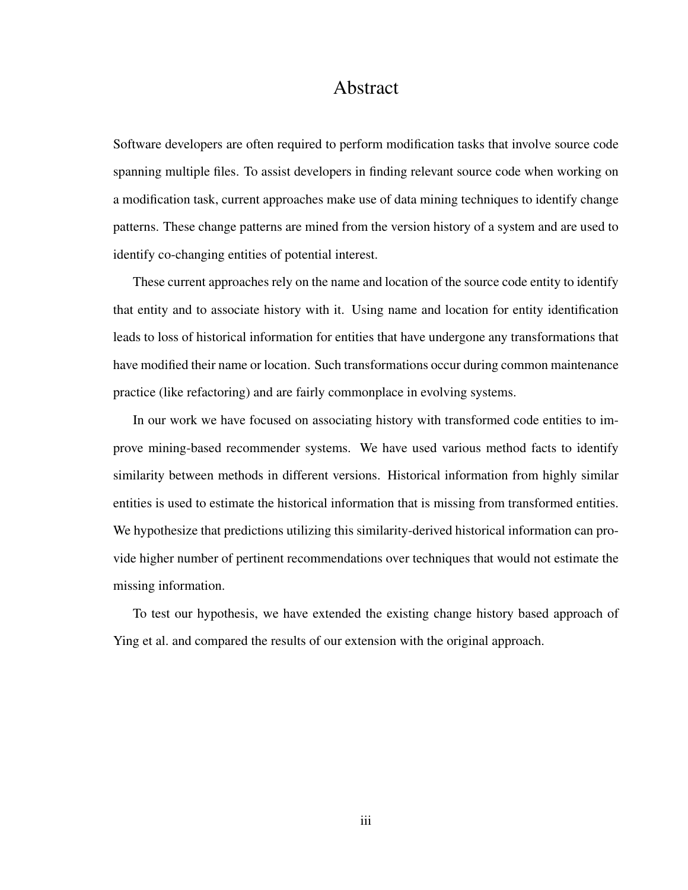### Abstract

Software developers are often required to perform modification tasks that involve source code spanning multiple files. To assist developers in finding relevant source code when working on a modification task, current approaches make use of data mining techniques to identify change patterns. These change patterns are mined from the version history of a system and are used to identify co-changing entities of potential interest.

These current approaches rely on the name and location of the source code entity to identify that entity and to associate history with it. Using name and location for entity identification leads to loss of historical information for entities that have undergone any transformations that have modified their name or location. Such transformations occur during common maintenance practice (like refactoring) and are fairly commonplace in evolving systems.

In our work we have focused on associating history with transformed code entities to improve mining-based recommender systems. We have used various method facts to identify similarity between methods in different versions. Historical information from highly similar entities is used to estimate the historical information that is missing from transformed entities. We hypothesize that predictions utilizing this similarity-derived historical information can provide higher number of pertinent recommendations over techniques that would not estimate the missing information.

To test our hypothesis, we have extended the existing change history based approach of Ying et al. and compared the results of our extension with the original approach.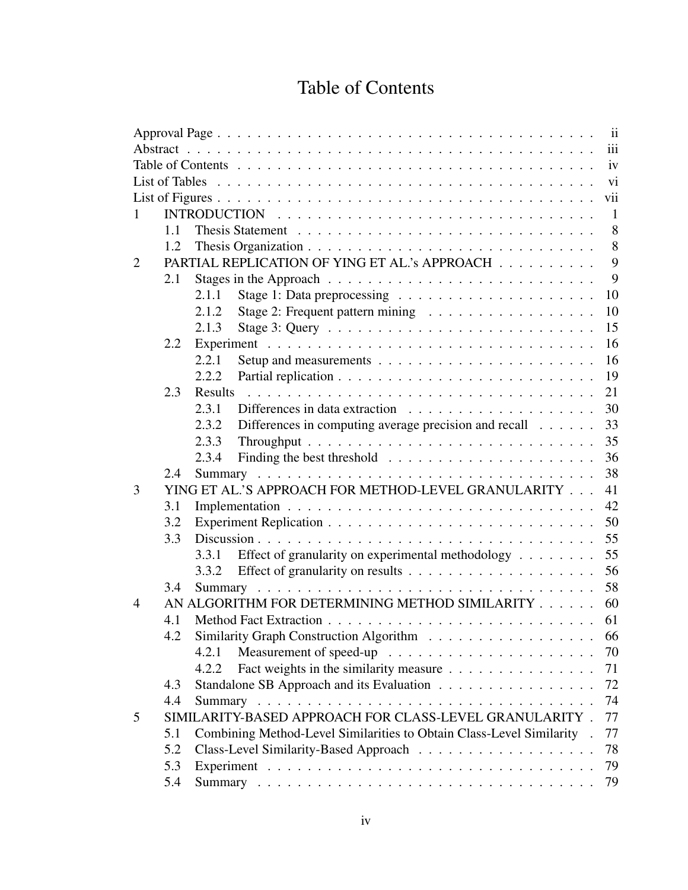# Table of Contents

|   |     |                                                                        | iii            |
|---|-----|------------------------------------------------------------------------|----------------|
|   |     |                                                                        | iv             |
|   |     |                                                                        | vi             |
|   |     |                                                                        | vii            |
|   |     |                                                                        | $\overline{1}$ |
|   | 1.1 |                                                                        | 8              |
|   | 1.2 |                                                                        | 8              |
| 2 |     | PARTIAL REPLICATION OF YING ET AL.'s APPROACH                          | 9              |
|   | 2.1 |                                                                        | 9              |
|   |     | 2.1.1                                                                  | 10             |
|   |     | 2.1.2                                                                  | 10             |
|   |     | 2.1.3                                                                  | 15             |
|   | 2.2 |                                                                        | 16             |
|   |     | 2.2.1                                                                  | 16             |
|   |     | 2.2.2                                                                  | 19             |
|   | 2.3 | Results                                                                | 21             |
|   |     | 2.3.1                                                                  | 30             |
|   |     | 2.3.2<br>Differences in computing average precision and recall         | 33             |
|   |     | 2.3.3                                                                  | 35             |
|   |     | 2.3.4                                                                  | 36             |
|   | 2.4 |                                                                        | 38             |
| 3 |     | YING ET AL.'S APPROACH FOR METHOD-LEVEL GRANULARITY                    | 41             |
|   | 3.1 |                                                                        | 42             |
|   | 3.2 |                                                                        | 50             |
|   | 3.3 |                                                                        | 55             |
|   |     | Effect of granularity on experimental methodology<br>3.3.1             | 55             |
|   |     | 3.3.2                                                                  | 56             |
|   | 3.4 |                                                                        | 58             |
| 4 |     | AN ALGORITHM FOR DETERMINING METHOD SIMILARITY                         | 60             |
|   | 4.1 |                                                                        | 61             |
|   | 4.2 | Similarity Graph Construction Algorithm                                | 66             |
|   |     | 4.2.1                                                                  | 70             |
|   |     | Fact weights in the similarity measure<br>4.2.2                        | 71             |
|   | 4.3 | Standalone SB Approach and its Evaluation                              | 72             |
|   | 4.4 |                                                                        | 74             |
| 5 |     | SIMILARITY-BASED APPROACH FOR CLASS-LEVEL GRANULARITY.                 | 77             |
|   | 5.1 | Combining Method-Level Similarities to Obtain Class-Level Similarity . | 77             |
|   | 5.2 |                                                                        | 78             |
|   | 5.3 |                                                                        | 79             |
|   | 5.4 |                                                                        | 79             |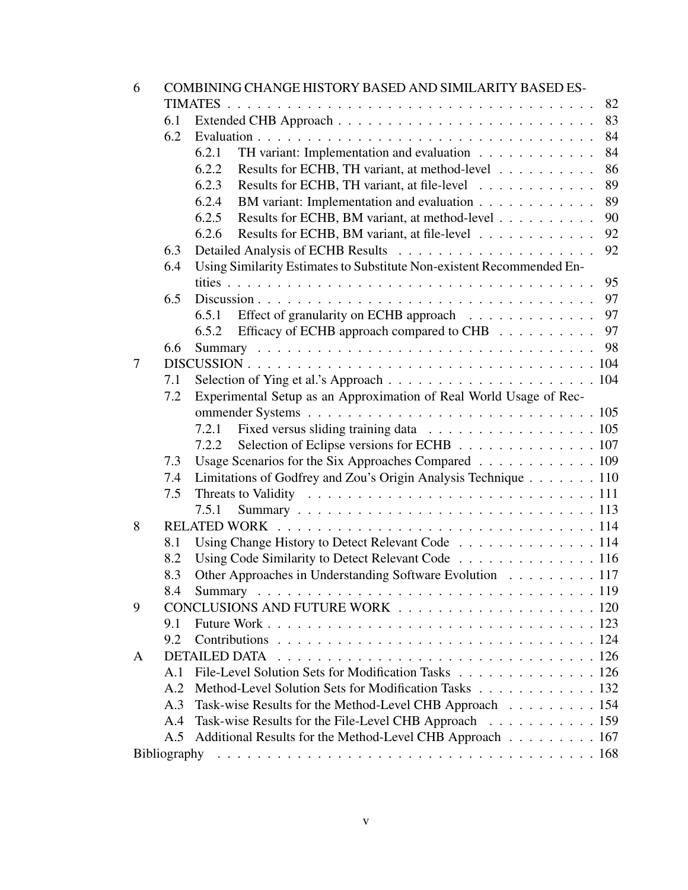| 6 |                                                                           | COMBINING CHANGE HISTORY BASED AND SIMILARITY BASED ES-               |  |  |  |  |  |  |
|---|---------------------------------------------------------------------------|-----------------------------------------------------------------------|--|--|--|--|--|--|
|   |                                                                           | 82                                                                    |  |  |  |  |  |  |
|   | 6.1                                                                       | 83                                                                    |  |  |  |  |  |  |
|   | 6.2                                                                       | 84                                                                    |  |  |  |  |  |  |
|   |                                                                           | TH variant: Implementation and evaluation<br>84<br>6.2.1              |  |  |  |  |  |  |
|   |                                                                           | Results for ECHB, TH variant, at method-level<br>86<br>6.2.2          |  |  |  |  |  |  |
|   |                                                                           | 89<br>Results for ECHB, TH variant, at file-level<br>6.2.3            |  |  |  |  |  |  |
|   |                                                                           | 89<br>BM variant: Implementation and evaluation<br>6.2.4              |  |  |  |  |  |  |
|   |                                                                           | 6.2.5<br>Results for ECHB, BM variant, at method-level<br>90          |  |  |  |  |  |  |
|   |                                                                           | 92<br>6.2.6<br>Results for ECHB, BM variant, at file-level            |  |  |  |  |  |  |
|   | 6.3                                                                       | 92                                                                    |  |  |  |  |  |  |
|   | 6.4                                                                       | Using Similarity Estimates to Substitute Non-existent Recommended En- |  |  |  |  |  |  |
|   |                                                                           | 95                                                                    |  |  |  |  |  |  |
|   | 6.5                                                                       | 97                                                                    |  |  |  |  |  |  |
|   |                                                                           | 97<br>6.5.1                                                           |  |  |  |  |  |  |
|   |                                                                           | 97<br>Efficacy of ECHB approach compared to CHB<br>6.5.2              |  |  |  |  |  |  |
|   | 6.6                                                                       |                                                                       |  |  |  |  |  |  |
| 7 |                                                                           |                                                                       |  |  |  |  |  |  |
|   | 7.1                                                                       |                                                                       |  |  |  |  |  |  |
|   | Experimental Setup as an Approximation of Real World Usage of Rec-<br>7.2 |                                                                       |  |  |  |  |  |  |
|   |                                                                           |                                                                       |  |  |  |  |  |  |
|   |                                                                           | 7.2.1                                                                 |  |  |  |  |  |  |
|   |                                                                           | Selection of Eclipse versions for ECHB 107<br>7.2.2                   |  |  |  |  |  |  |
|   | 7.3                                                                       | Usage Scenarios for the Six Approaches Compared 109                   |  |  |  |  |  |  |
|   | 7.4                                                                       | Limitations of Godfrey and Zou's Origin Analysis Technique 110        |  |  |  |  |  |  |
|   | 7.5                                                                       |                                                                       |  |  |  |  |  |  |
|   |                                                                           | 7.5.1                                                                 |  |  |  |  |  |  |
| 8 |                                                                           |                                                                       |  |  |  |  |  |  |
|   | 8.1                                                                       | Using Change History to Detect Relevant Code 114                      |  |  |  |  |  |  |
|   | 8.2                                                                       | Using Code Similarity to Detect Relevant Code 116                     |  |  |  |  |  |  |
|   | 8.3                                                                       | Other Approaches in Understanding Software Evolution 117              |  |  |  |  |  |  |
|   | 8.4                                                                       |                                                                       |  |  |  |  |  |  |
| 9 |                                                                           |                                                                       |  |  |  |  |  |  |
|   | 9.1                                                                       |                                                                       |  |  |  |  |  |  |
|   | 9.2                                                                       |                                                                       |  |  |  |  |  |  |
| A |                                                                           | <b>DETAILED DATA</b>                                                  |  |  |  |  |  |  |
|   | A.1                                                                       | File-Level Solution Sets for Modification Tasks 126                   |  |  |  |  |  |  |
|   | A.2                                                                       | Method-Level Solution Sets for Modification Tasks 132                 |  |  |  |  |  |  |
|   | A.3                                                                       | Task-wise Results for the Method-Level CHB Approach 154               |  |  |  |  |  |  |
|   | A.4                                                                       | Task-wise Results for the File-Level CHB Approach 159                 |  |  |  |  |  |  |
|   | A.5                                                                       | Additional Results for the Method-Level CHB Approach 167              |  |  |  |  |  |  |
|   |                                                                           |                                                                       |  |  |  |  |  |  |
|   |                                                                           |                                                                       |  |  |  |  |  |  |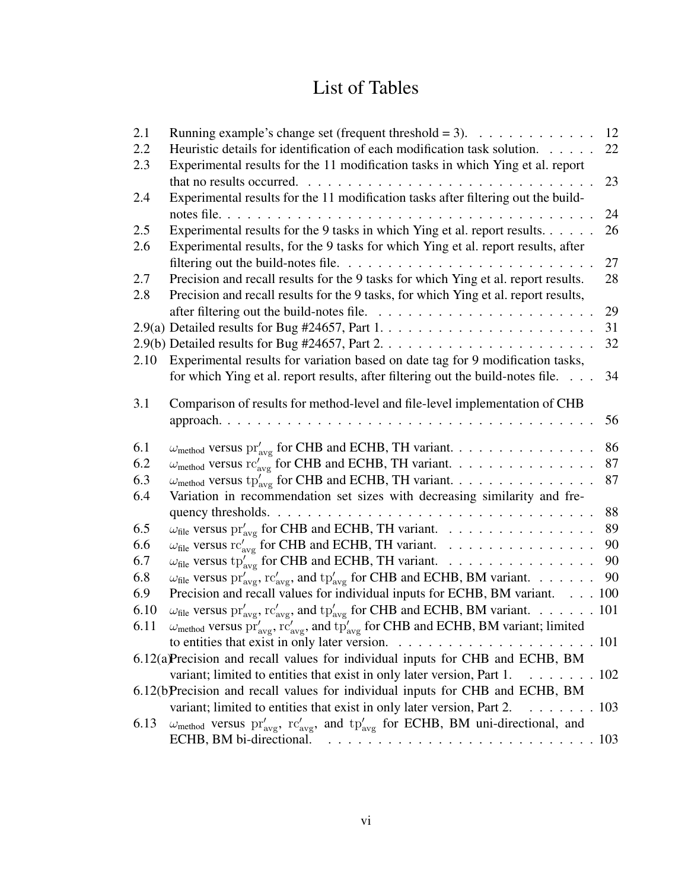# List of Tables

| 2.1  | Running example's change set (frequent threshold = 3). $\ldots \ldots \ldots \ldots$                                                                        | 12 |
|------|-------------------------------------------------------------------------------------------------------------------------------------------------------------|----|
| 2.2  | Heuristic details for identification of each modification task solution.                                                                                    | 22 |
| 2.3  | Experimental results for the 11 modification tasks in which Ying et al. report                                                                              |    |
|      | that no results occurred.                                                                                                                                   | 23 |
| 2.4  | Experimental results for the 11 modification tasks after filtering out the build-                                                                           |    |
|      | notes file<br>$\cdots$                                                                                                                                      | 24 |
| 2.5  | Experimental results for the 9 tasks in which Ying et al. report results.                                                                                   | 26 |
| 2.6  | Experimental results, for the 9 tasks for which Ying et al. report results, after                                                                           |    |
|      |                                                                                                                                                             | 27 |
| 2.7  | Precision and recall results for the 9 tasks for which Ying et al. report results.                                                                          | 28 |
| 2.8  | Precision and recall results for the 9 tasks, for which Ying et al. report results,                                                                         |    |
|      |                                                                                                                                                             | 29 |
|      |                                                                                                                                                             | 31 |
|      |                                                                                                                                                             | 32 |
| 2.10 | Experimental results for variation based on date tag for 9 modification tasks,                                                                              |    |
|      | for which Ying et al. report results, after filtering out the build-notes file.                                                                             | 34 |
|      |                                                                                                                                                             |    |
| 3.1  | Comparison of results for method-level and file-level implementation of CHB                                                                                 |    |
|      |                                                                                                                                                             | 56 |
| 6.1  |                                                                                                                                                             | 86 |
| 6.2  | $\omega_{\text{method}}$ versus pr' <sub>avg</sub> for CHB and ECHB, TH variant.                                                                            | 87 |
| 6.3  | $\omega_{\text{method}}$ versus $rc'_{\text{avg}}$ for CHB and ECHB, TH variant.                                                                            | 87 |
|      | $\omega_{\text{method}}$ versus $tp'_{\text{avg}}$ for CHB and ECHB, TH variant.                                                                            |    |
| 6.4  | Variation in recommendation set sizes with decreasing similarity and fre-                                                                                   | 88 |
| 6.5  |                                                                                                                                                             | 89 |
|      | $\omega_{\text{file}}$ versus $\text{pr}'_{\text{avg}}$ for CHB and ECHB, TH variant.                                                                       | 90 |
| 6.6  | $\omega_{\text{file}}$ versus $rc'_{\text{avg}}$ for CHB and ECHB, TH variant.                                                                              | 90 |
| 6.7  | $\omega_{\text{file}}$ versus tp' <sub>avg</sub> for CHB and ECHB, TH variant.                                                                              | 90 |
| 6.8  | $\omega_{\text{file}}$ versus $pr'_{\text{avg}}$ , $rc'_{\text{avg}}$ , and $tp'_{\text{avg}}$ for CHB and ECHB, BM variant.                                |    |
| 6.9  | Precision and recall values for individual inputs for ECHB, BM variant. 100                                                                                 |    |
| 6.10 | $\omega_{\text{file}}$ versus $pr'_{\text{avg}}$ , $rc'_{\text{avg}}$ , and $tp'_{\text{avg}}$ for CHB and ECHB, BM variant. 101                            |    |
| 6.11 | $\omega_{\rm method}$ versus $pr'_{\rm avg}$ , $rc'_{\rm avg}$ , and $tp'_{\rm avg}$ for CHB and ECHB, BM variant; limited                                  |    |
|      |                                                                                                                                                             |    |
|      | 6.12(a)Precision and recall values for individual inputs for CHB and ECHB, BM                                                                               |    |
|      | variant; limited to entities that exist in only later version, Part 1. $\dots \dots \dots \dots$ 102                                                        |    |
|      | 6.12(b)Precision and recall values for individual inputs for CHB and ECHB, BM                                                                               |    |
|      | variant; limited to entities that exist in only later version, Part 2.<br>$\ldots \ldots \ldots 103$                                                        |    |
| 6.13 | $\omega_{\rm method}$ versus pr' <sub>avg</sub> , rc' <sub>avg</sub> , and tp' <sub>avg</sub> for ECHB, BM uni-directional, and<br>ECHB, BM bi-directional. |    |
|      |                                                                                                                                                             |    |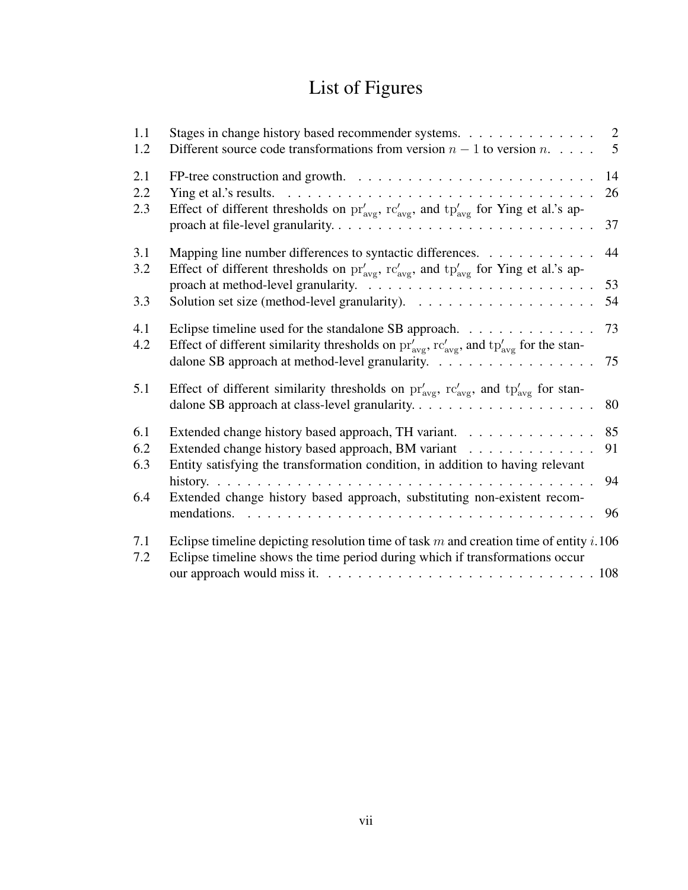# List of Figures

| 1.1<br>1.2        | Stages in change history based recommender systems.<br>Different source code transformations from version $n-1$ to version $n$                                                                               | 2<br>5   |
|-------------------|--------------------------------------------------------------------------------------------------------------------------------------------------------------------------------------------------------------|----------|
| 2.1<br>2.2<br>2.3 | Ying et al.'s results. $\ldots \ldots \ldots \ldots \ldots \ldots \ldots \ldots \ldots \ldots \ldots$<br>Effect of different thresholds on $pr'_{avg}$ , $rc'_{avg}$ , and $tp'_{avg}$ for Ying et al.'s ap- | 14<br>26 |
|                   |                                                                                                                                                                                                              | 37       |
| 3.1<br>3.2        | Mapping line number differences to syntactic differences.<br>Effect of different thresholds on $pr'_{avg}$ , $rc'_{avg}$ , and $tp'_{avg}$ for Ying et al.'s ap-                                             | 44       |
| 3.3               | Solution set size (method-level granularity). $\ldots \ldots \ldots \ldots \ldots \ldots$                                                                                                                    | 53<br>54 |
| 4.1<br>4.2        | Eclipse timeline used for the standalone SB approach.<br>Effect of different similarity thresholds on $pr'_{avg}$ , $rc'_{avg}$ , and $tp'_{avg}$ for the stan-                                              | 73       |
|                   | dalone SB approach at method-level granularity.                                                                                                                                                              | 75       |
| 5.1               | Effect of different similarity thresholds on $pr'_{avg}$ , $rc'_{avg}$ , and $tp'_{avg}$ for stan-                                                                                                           | 80       |
| 6.1               | Extended change history based approach, TH variant.                                                                                                                                                          | 85       |
| 6.2<br>6.3        | Extended change history based approach, BM variant<br>Entity satisfying the transformation condition, in addition to having relevant                                                                         | 91       |
|                   |                                                                                                                                                                                                              | 94       |
| 6.4               | Extended change history based approach, substituting non-existent recom-<br>mendations.                                                                                                                      | 96       |
| 7.1<br>7.2        | Eclipse timeline depicting resolution time of task $m$ and creation time of entity $i.106$<br>Eclipse timeline shows the time period during which if transformations occur                                   |          |
|                   |                                                                                                                                                                                                              |          |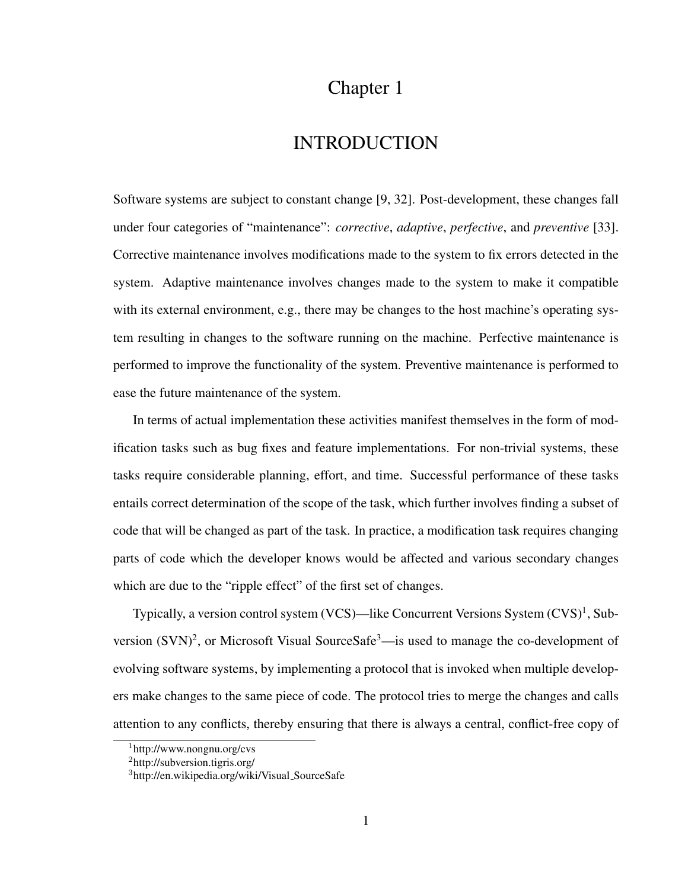## Chapter 1

## INTRODUCTION

Software systems are subject to constant change [9, 32]. Post-development, these changes fall under four categories of "maintenance": *corrective*, *adaptive*, *perfective*, and *preventive* [33]. Corrective maintenance involves modifications made to the system to fix errors detected in the system. Adaptive maintenance involves changes made to the system to make it compatible with its external environment, e.g., there may be changes to the host machine's operating system resulting in changes to the software running on the machine. Perfective maintenance is performed to improve the functionality of the system. Preventive maintenance is performed to ease the future maintenance of the system.

In terms of actual implementation these activities manifest themselves in the form of modification tasks such as bug fixes and feature implementations. For non-trivial systems, these tasks require considerable planning, effort, and time. Successful performance of these tasks entails correct determination of the scope of the task, which further involves finding a subset of code that will be changed as part of the task. In practice, a modification task requires changing parts of code which the developer knows would be affected and various secondary changes which are due to the "ripple effect" of the first set of changes.

Typically, a version control system (VCS)—like Concurrent Versions System (CVS)<sup>1</sup>, Subversion  $(SVN)^2$ , or Microsoft Visual SourceSafe<sup>3</sup>—is used to manage the co-development of evolving software systems, by implementing a protocol that is invoked when multiple developers make changes to the same piece of code. The protocol tries to merge the changes and calls attention to any conflicts, thereby ensuring that there is always a central, conflict-free copy of

<sup>1</sup>http://www.nongnu.org/cvs

<sup>2</sup>http://subversion.tigris.org/

<sup>3</sup>http://en.wikipedia.org/wiki/Visual SourceSafe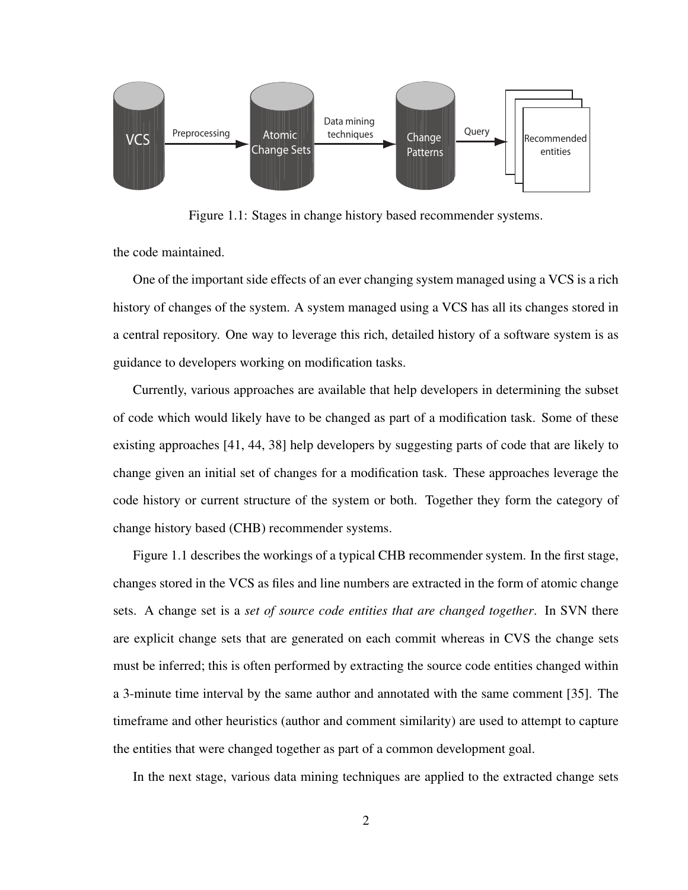

Figure 1.1: Stages in change history based recommender systems.

the code maintained.

One of the important side effects of an ever changing system managed using a VCS is a rich history of changes of the system. A system managed using a VCS has all its changes stored in a central repository. One way to leverage this rich, detailed history of a software system is as guidance to developers working on modification tasks.

Currently, various approaches are available that help developers in determining the subset of code which would likely have to be changed as part of a modification task. Some of these existing approaches [41, 44, 38] help developers by suggesting parts of code that are likely to change given an initial set of changes for a modification task. These approaches leverage the code history or current structure of the system or both. Together they form the category of change history based (CHB) recommender systems.

Figure 1.1 describes the workings of a typical CHB recommender system. In the first stage, changes stored in the VCS as files and line numbers are extracted in the form of atomic change sets. A change set is a *set of source code entities that are changed together*. In SVN there are explicit change sets that are generated on each commit whereas in CVS the change sets must be inferred; this is often performed by extracting the source code entities changed within a 3-minute time interval by the same author and annotated with the same comment [35]. The timeframe and other heuristics (author and comment similarity) are used to attempt to capture the entities that were changed together as part of a common development goal.

In the next stage, various data mining techniques are applied to the extracted change sets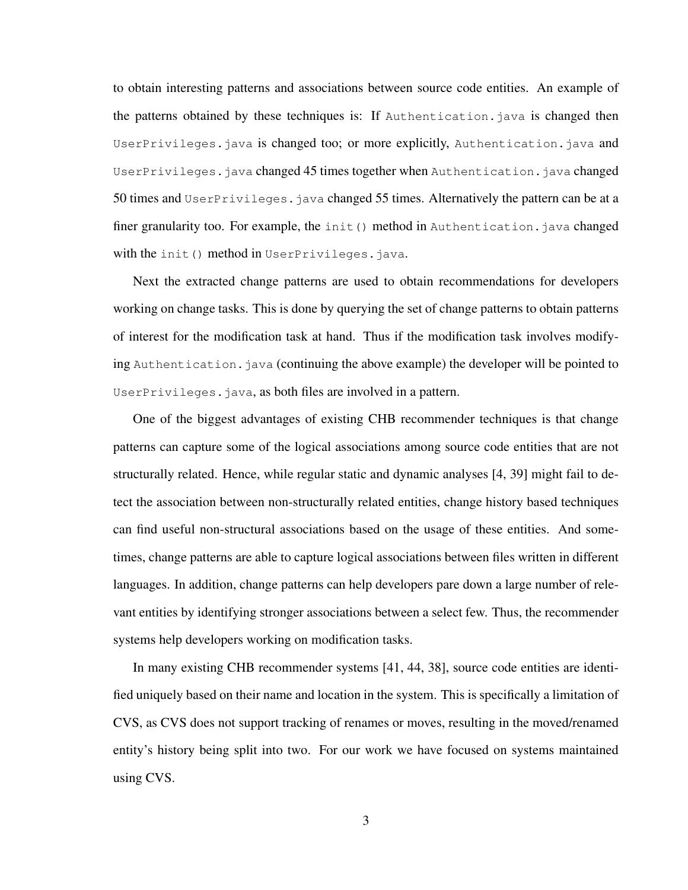to obtain interesting patterns and associations between source code entities. An example of the patterns obtained by these techniques is: If Authentication.java is changed then UserPrivileges.java is changed too; or more explicitly, Authentication.java and UserPrivileges.java changed 45 times together when Authentication.java changed 50 times and UserPrivileges.java changed 55 times. Alternatively the pattern can be at a finer granularity too. For example, the init() method in Authentication. java changed with the init() method in UserPrivileges.java.

Next the extracted change patterns are used to obtain recommendations for developers working on change tasks. This is done by querying the set of change patterns to obtain patterns of interest for the modification task at hand. Thus if the modification task involves modifying Authentication.java (continuing the above example) the developer will be pointed to UserPrivileges.java, as both files are involved in a pattern.

One of the biggest advantages of existing CHB recommender techniques is that change patterns can capture some of the logical associations among source code entities that are not structurally related. Hence, while regular static and dynamic analyses [4, 39] might fail to detect the association between non-structurally related entities, change history based techniques can find useful non-structural associations based on the usage of these entities. And sometimes, change patterns are able to capture logical associations between files written in different languages. In addition, change patterns can help developers pare down a large number of relevant entities by identifying stronger associations between a select few. Thus, the recommender systems help developers working on modification tasks.

In many existing CHB recommender systems [41, 44, 38], source code entities are identified uniquely based on their name and location in the system. This is specifically a limitation of CVS, as CVS does not support tracking of renames or moves, resulting in the moved/renamed entity's history being split into two. For our work we have focused on systems maintained using CVS.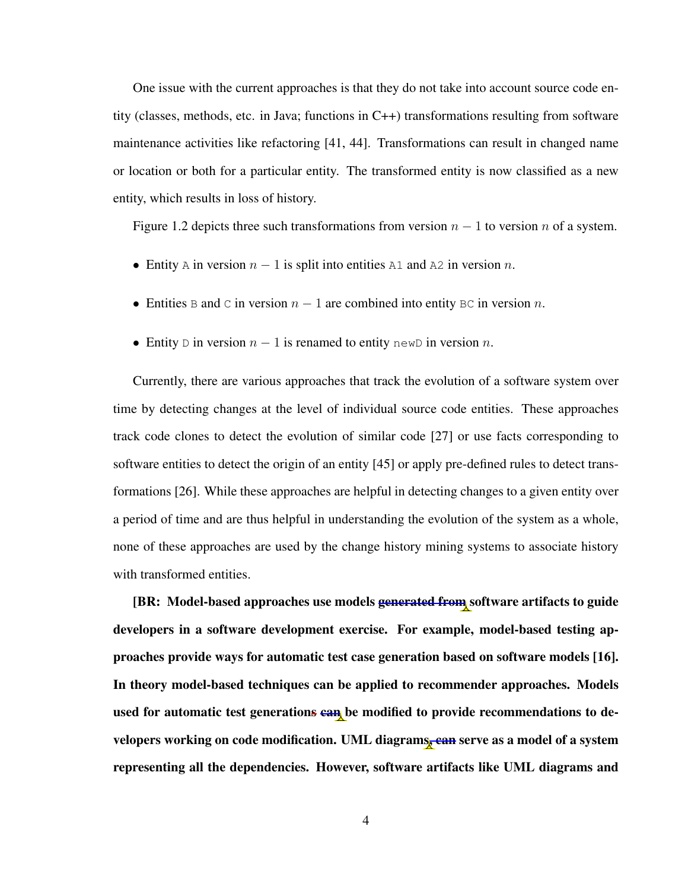One issue with the current approaches is that they do not take into account source code entity (classes, methods, etc. in Java; functions in C++) transformations resulting from software maintenance activities like refactoring [41, 44]. Transformations can result in changed name or location or both for a particular entity. The transformed entity is now classified as a new entity, which results in loss of history.

Figure 1.2 depicts three such transformations from version  $n - 1$  to version n of a system.

- Entity A in version  $n 1$  is split into entities A1 and A2 in version n.
- Entities B and C in version  $n 1$  are combined into entity BC in version n.
- Entity D in version  $n 1$  is renamed to entity newD in version n.

Currently, there are various approaches that track the evolution of a software system over time by detecting changes at the level of individual source code entities. These approaches track code clones to detect the evolution of similar code [27] or use facts corresponding to software entities to detect the origin of an entity [45] or apply pre-defined rules to detect transformations [26]. While these approaches are helpful in detecting changes to a given entity over a period of time and are thus helpful in understanding the evolution of the system as a whole, none of these approaches are used by the change history mining systems to associate history with transformed entities.

[BR: Model-based approaches use models **generated from** software artifacts to guide developers in a software development exercise. For example, model-based testing approaches provide ways for automatic test case generation based on software models [16]. In theory model-based techniques can be applied to recommender approaches. Models used for automatic test generations can be modified to provide recommendations to developers working on code modification. UML diagrams, ean serve as a model of a system representing all the dependencies. However, software artifacts like UML diagrams and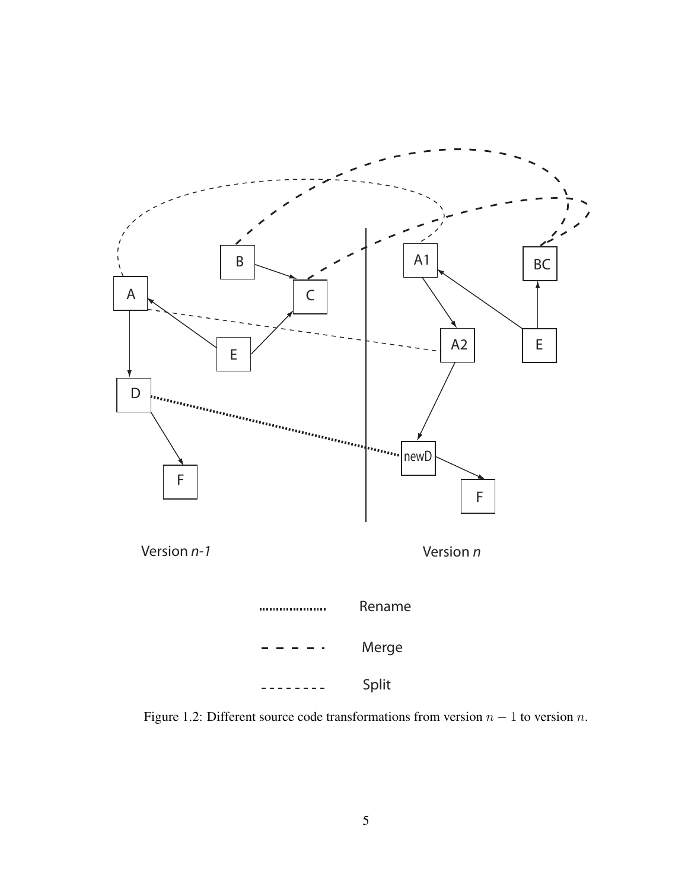

Figure 1.2: Different source code transformations from version  $n - 1$  to version n.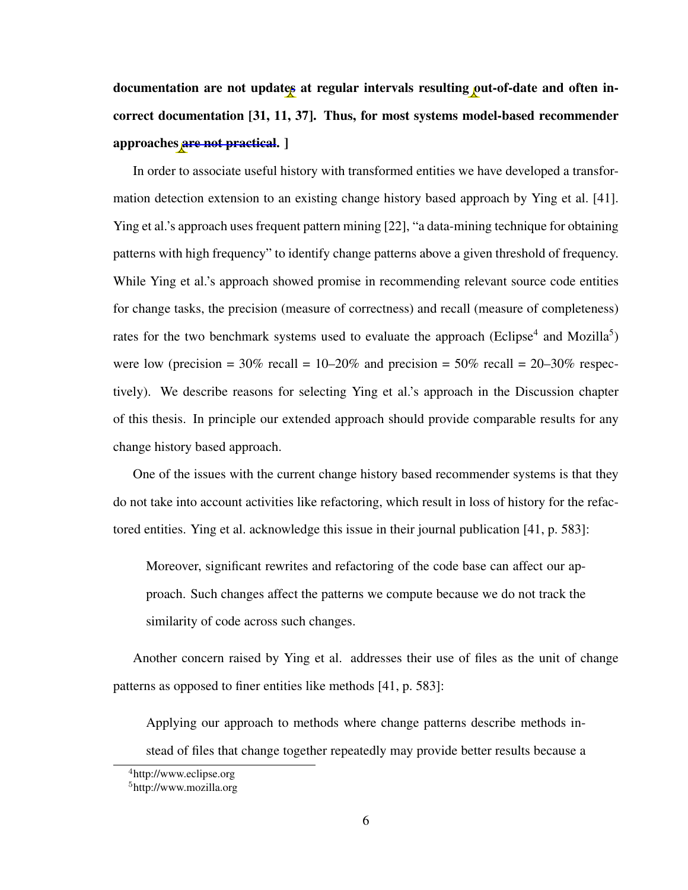documentation are not updates at regular intervals resulting out-of-date and often incorrect documentation [31, 11, 37]. Thus, for most systems model-based recommender approaches are not practical. ]

In order to associate useful history with transformed entities we have developed a transformation detection extension to an existing change history based approach by Ying et al. [41]. Ying et al.'s approach uses frequent pattern mining [22], "a data-mining technique for obtaining patterns with high frequency" to identify change patterns above a given threshold of frequency. While Ying et al.'s approach showed promise in recommending relevant source code entities for change tasks, the precision (measure of correctness) and recall (measure of completeness) rates for the two benchmark systems used to evaluate the approach (Eclipse<sup>4</sup> and Mozilla<sup>5</sup>) were low (precision =  $30\%$  recall =  $10-20\%$  and precision =  $50\%$  recall =  $20-30\%$  respectively). We describe reasons for selecting Ying et al.'s approach in the Discussion chapter of this thesis. In principle our extended approach should provide comparable results for any change history based approach.

One of the issues with the current change history based recommender systems is that they do not take into account activities like refactoring, which result in loss of history for the refactored entities. Ying et al. acknowledge this issue in their journal publication [41, p. 583]:

Moreover, significant rewrites and refactoring of the code base can affect our approach. Such changes affect the patterns we compute because we do not track the similarity of code across such changes.

Another concern raised by Ying et al. addresses their use of files as the unit of change patterns as opposed to finer entities like methods [41, p. 583]:

Applying our approach to methods where change patterns describe methods instead of files that change together repeatedly may provide better results because a

<sup>4</sup>http://www.eclipse.org

<sup>5</sup>http://www.mozilla.org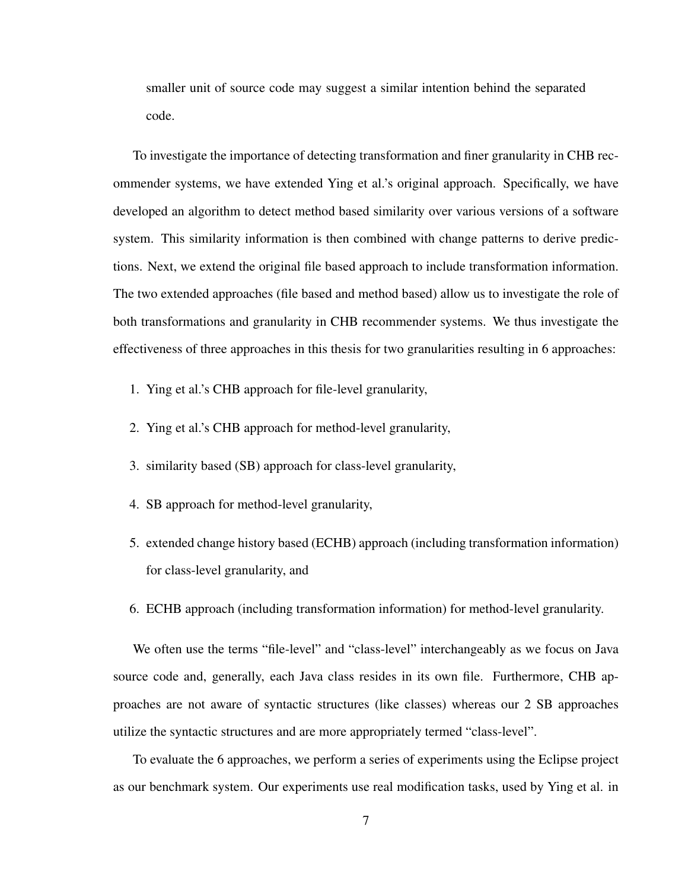smaller unit of source code may suggest a similar intention behind the separated code.

To investigate the importance of detecting transformation and finer granularity in CHB recommender systems, we have extended Ying et al.'s original approach. Specifically, we have developed an algorithm to detect method based similarity over various versions of a software system. This similarity information is then combined with change patterns to derive predictions. Next, we extend the original file based approach to include transformation information. The two extended approaches (file based and method based) allow us to investigate the role of both transformations and granularity in CHB recommender systems. We thus investigate the effectiveness of three approaches in this thesis for two granularities resulting in 6 approaches:

- 1. Ying et al.'s CHB approach for file-level granularity,
- 2. Ying et al.'s CHB approach for method-level granularity,
- 3. similarity based (SB) approach for class-level granularity,
- 4. SB approach for method-level granularity,
- 5. extended change history based (ECHB) approach (including transformation information) for class-level granularity, and
- 6. ECHB approach (including transformation information) for method-level granularity.

We often use the terms "file-level" and "class-level" interchangeably as we focus on Java source code and, generally, each Java class resides in its own file. Furthermore, CHB approaches are not aware of syntactic structures (like classes) whereas our 2 SB approaches utilize the syntactic structures and are more appropriately termed "class-level".

To evaluate the 6 approaches, we perform a series of experiments using the Eclipse project as our benchmark system. Our experiments use real modification tasks, used by Ying et al. in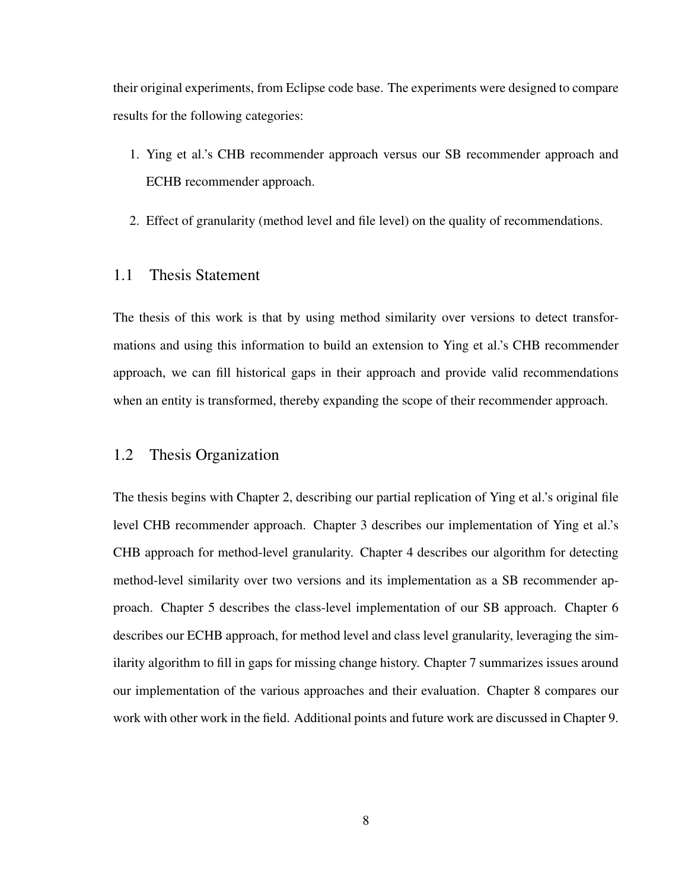their original experiments, from Eclipse code base. The experiments were designed to compare results for the following categories:

- 1. Ying et al.'s CHB recommender approach versus our SB recommender approach and ECHB recommender approach.
- 2. Effect of granularity (method level and file level) on the quality of recommendations.

#### 1.1 Thesis Statement

The thesis of this work is that by using method similarity over versions to detect transformations and using this information to build an extension to Ying et al.'s CHB recommender approach, we can fill historical gaps in their approach and provide valid recommendations when an entity is transformed, thereby expanding the scope of their recommender approach.

#### 1.2 Thesis Organization

The thesis begins with Chapter 2, describing our partial replication of Ying et al.'s original file level CHB recommender approach. Chapter 3 describes our implementation of Ying et al.'s CHB approach for method-level granularity. Chapter 4 describes our algorithm for detecting method-level similarity over two versions and its implementation as a SB recommender approach. Chapter 5 describes the class-level implementation of our SB approach. Chapter 6 describes our ECHB approach, for method level and class level granularity, leveraging the similarity algorithm to fill in gaps for missing change history. Chapter 7 summarizes issues around our implementation of the various approaches and their evaluation. Chapter 8 compares our work with other work in the field. Additional points and future work are discussed in Chapter 9.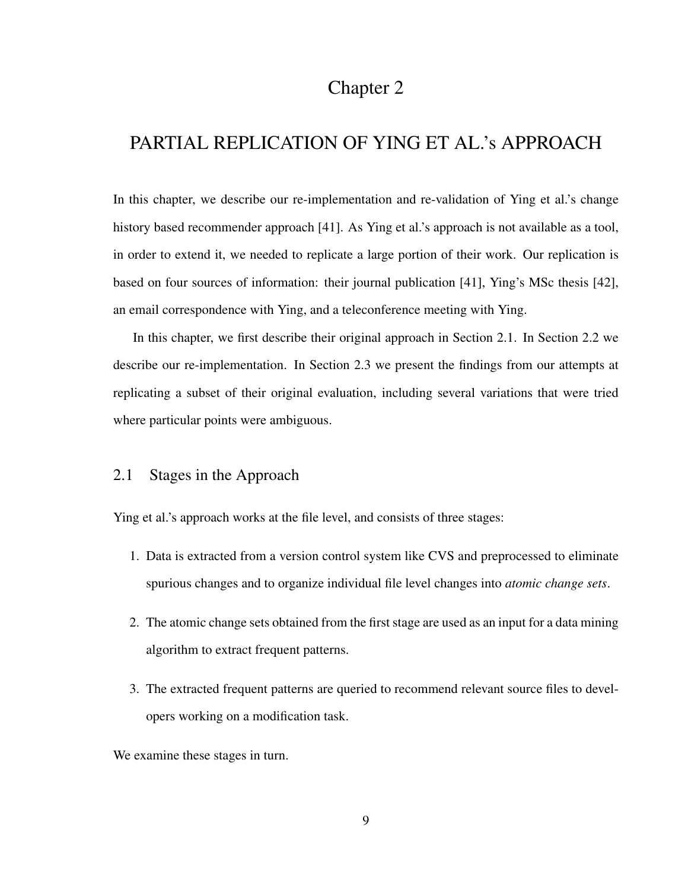### Chapter 2

## PARTIAL REPLICATION OF YING ET AL.'s APPROACH

In this chapter, we describe our re-implementation and re-validation of Ying et al.'s change history based recommender approach [41]. As Ying et al.'s approach is not available as a tool, in order to extend it, we needed to replicate a large portion of their work. Our replication is based on four sources of information: their journal publication [41], Ying's MSc thesis [42], an email correspondence with Ying, and a teleconference meeting with Ying.

In this chapter, we first describe their original approach in Section 2.1. In Section 2.2 we describe our re-implementation. In Section 2.3 we present the findings from our attempts at replicating a subset of their original evaluation, including several variations that were tried where particular points were ambiguous.

#### 2.1 Stages in the Approach

Ying et al.'s approach works at the file level, and consists of three stages:

- 1. Data is extracted from a version control system like CVS and preprocessed to eliminate spurious changes and to organize individual file level changes into *atomic change sets*.
- 2. The atomic change sets obtained from the first stage are used as an input for a data mining algorithm to extract frequent patterns.
- 3. The extracted frequent patterns are queried to recommend relevant source files to developers working on a modification task.

We examine these stages in turn.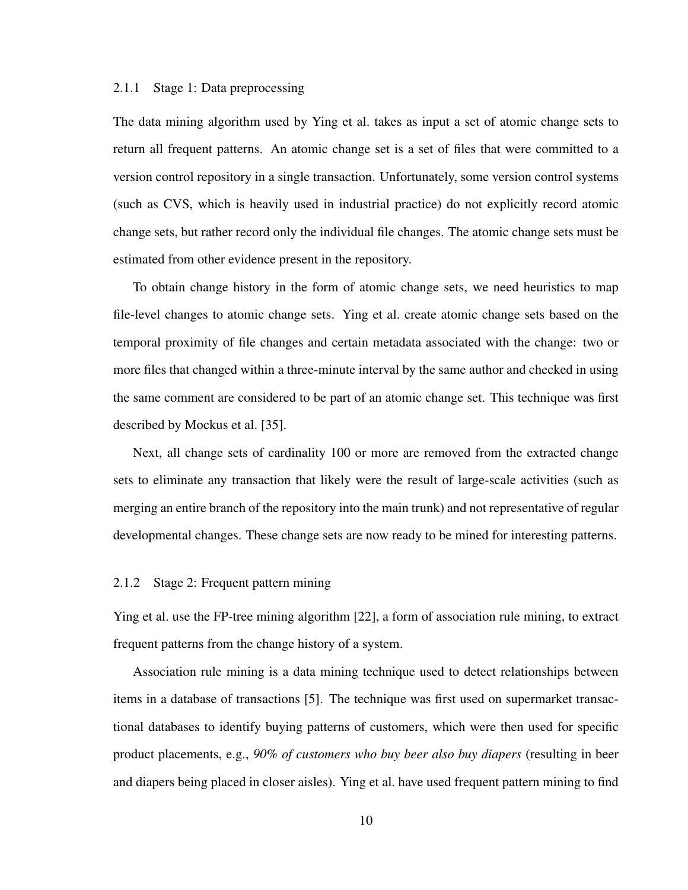#### 2.1.1 Stage 1: Data preprocessing

The data mining algorithm used by Ying et al. takes as input a set of atomic change sets to return all frequent patterns. An atomic change set is a set of files that were committed to a version control repository in a single transaction. Unfortunately, some version control systems (such as CVS, which is heavily used in industrial practice) do not explicitly record atomic change sets, but rather record only the individual file changes. The atomic change sets must be estimated from other evidence present in the repository.

To obtain change history in the form of atomic change sets, we need heuristics to map file-level changes to atomic change sets. Ying et al. create atomic change sets based on the temporal proximity of file changes and certain metadata associated with the change: two or more files that changed within a three-minute interval by the same author and checked in using the same comment are considered to be part of an atomic change set. This technique was first described by Mockus et al. [35].

Next, all change sets of cardinality 100 or more are removed from the extracted change sets to eliminate any transaction that likely were the result of large-scale activities (such as merging an entire branch of the repository into the main trunk) and not representative of regular developmental changes. These change sets are now ready to be mined for interesting patterns.

#### 2.1.2 Stage 2: Frequent pattern mining

Ying et al. use the FP-tree mining algorithm [22], a form of association rule mining, to extract frequent patterns from the change history of a system.

Association rule mining is a data mining technique used to detect relationships between items in a database of transactions [5]. The technique was first used on supermarket transactional databases to identify buying patterns of customers, which were then used for specific product placements, e.g., *90% of customers who buy beer also buy diapers* (resulting in beer and diapers being placed in closer aisles). Ying et al. have used frequent pattern mining to find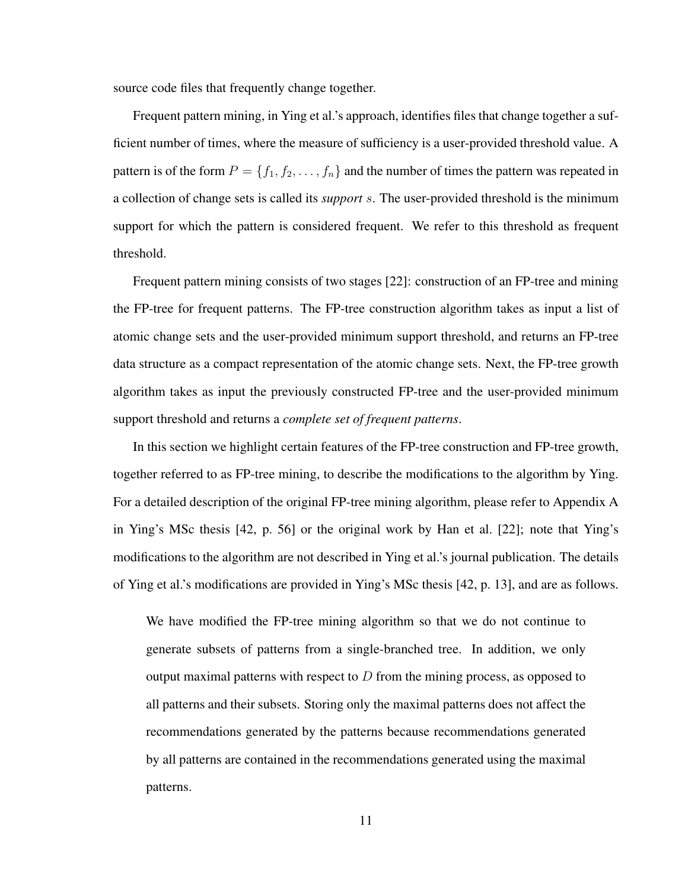source code files that frequently change together.

Frequent pattern mining, in Ying et al.'s approach, identifies files that change together a sufficient number of times, where the measure of sufficiency is a user-provided threshold value. A pattern is of the form  $P = \{f_1, f_2, \dots, f_n\}$  and the number of times the pattern was repeated in a collection of change sets is called its *support* s. The user-provided threshold is the minimum support for which the pattern is considered frequent. We refer to this threshold as frequent threshold.

Frequent pattern mining consists of two stages [22]: construction of an FP-tree and mining the FP-tree for frequent patterns. The FP-tree construction algorithm takes as input a list of atomic change sets and the user-provided minimum support threshold, and returns an FP-tree data structure as a compact representation of the atomic change sets. Next, the FP-tree growth algorithm takes as input the previously constructed FP-tree and the user-provided minimum support threshold and returns a *complete set of frequent patterns*.

In this section we highlight certain features of the FP-tree construction and FP-tree growth, together referred to as FP-tree mining, to describe the modifications to the algorithm by Ying. For a detailed description of the original FP-tree mining algorithm, please refer to Appendix A in Ying's MSc thesis [42, p. 56] or the original work by Han et al. [22]; note that Ying's modifications to the algorithm are not described in Ying et al.'s journal publication. The details of Ying et al.'s modifications are provided in Ying's MSc thesis [42, p. 13], and are as follows.

We have modified the FP-tree mining algorithm so that we do not continue to generate subsets of patterns from a single-branched tree. In addition, we only output maximal patterns with respect to  $D$  from the mining process, as opposed to all patterns and their subsets. Storing only the maximal patterns does not affect the recommendations generated by the patterns because recommendations generated by all patterns are contained in the recommendations generated using the maximal patterns.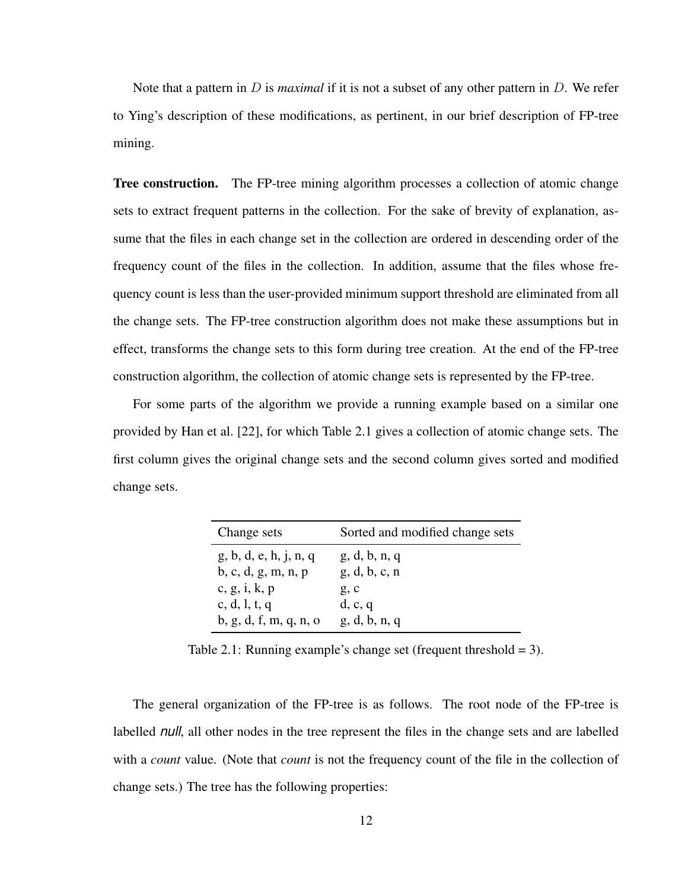Note that a pattern in D is *maximal* if it is not a subset of any other pattern in D. We refer to Ying's description of these modifications, as pertinent, in our brief description of FP-tree mining.

**Tree construction.** The FP-tree mining algorithm processes a collection of atomic change sets to extract frequent patterns in the collection. For the sake of brevity of explanation, assume that the files in each change set in the collection are ordered in descending order of the frequency count of the files in the collection. In addition, assume that the files whose frequency count is less than the user-provided minimum support threshold are eliminated from all the change sets. The FP-tree construction algorithm does not make these assumptions but in effect, transforms the change sets to this form during tree creation. At the end of the FP-tree construction algorithm, the collection of atomic change sets is represented by the FP-tree.

For some parts of the algorithm we provide a running example based on a similar one provided by Han et al. [22], for which Table 2.1 gives a collection of atomic change sets. The first column gives the original change sets and the second column gives sorted and modified change sets.

| Change sets            | Sorted and modified change sets |  |  |
|------------------------|---------------------------------|--|--|
| g, b, d, e, h, j, n, q | g, d, b, n, q                   |  |  |
| b, c, d, g, m, n, p    | g, d, b, c, n                   |  |  |
| c, g, i, k, p          | g, c                            |  |  |
| c, d, l, t, q          | d, c, q                         |  |  |
| b, g, d, f, m, q, n, o | g, d, b, n, q                   |  |  |

Table 2.1: Running example's change set (frequent threshold  $= 3$ ).

The general organization of the FP-tree is as follows. The root node of the FP-tree is labelled *null*, all other nodes in the tree represent the files in the change sets and are labelled with a *count* value. (Note that *count* is not the frequency count of the file in the collection of change sets.) The tree has the following properties: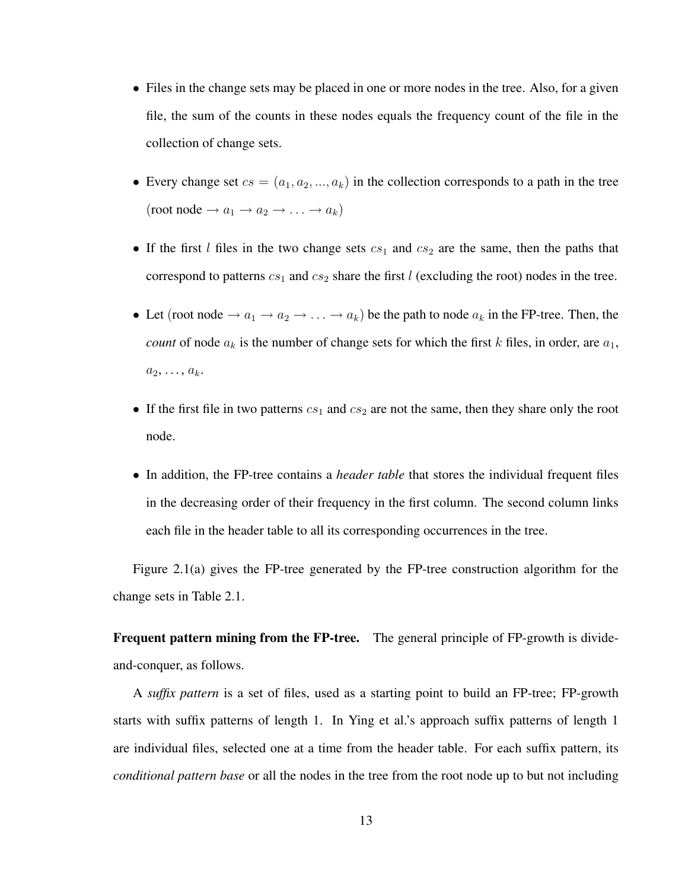- Files in the change sets may be placed in one or more nodes in the tree. Also, for a given file, the sum of the counts in these nodes equals the frequency count of the file in the collection of change sets.
- Every change set  $cs = (a_1, a_2, ..., a_k)$  in the collection corresponds to a path in the tree (root node  $\rightarrow a_1 \rightarrow a_2 \rightarrow \ldots \rightarrow a_k$ )
- If the first  $l$  files in the two change sets  $cs_1$  and  $cs_2$  are the same, then the paths that correspond to patterns  $cs_1$  and  $cs_2$  share the first l (excluding the root) nodes in the tree.
- Let (root node  $\rightarrow a_1 \rightarrow a_2 \rightarrow \ldots \rightarrow a_k$ ) be the path to node  $a_k$  in the FP-tree. Then, the *count* of node  $a_k$  is the number of change sets for which the first k files, in order, are  $a_1$ ,  $a_2, \ldots, a_k$ .
- If the first file in two patterns  $cs_1$  and  $cs_2$  are not the same, then they share only the root node.
- In addition, the FP-tree contains a *header table* that stores the individual frequent files in the decreasing order of their frequency in the first column. The second column links each file in the header table to all its corresponding occurrences in the tree.

Figure 2.1(a) gives the FP-tree generated by the FP-tree construction algorithm for the change sets in Table 2.1.

Frequent pattern mining from the FP-tree. The general principle of FP-growth is divideand-conquer, as follows.

A *suffix pattern* is a set of files, used as a starting point to build an FP-tree; FP-growth starts with suffix patterns of length 1. In Ying et al.'s approach suffix patterns of length 1 are individual files, selected one at a time from the header table. For each suffix pattern, its *conditional pattern base* or all the nodes in the tree from the root node up to but not including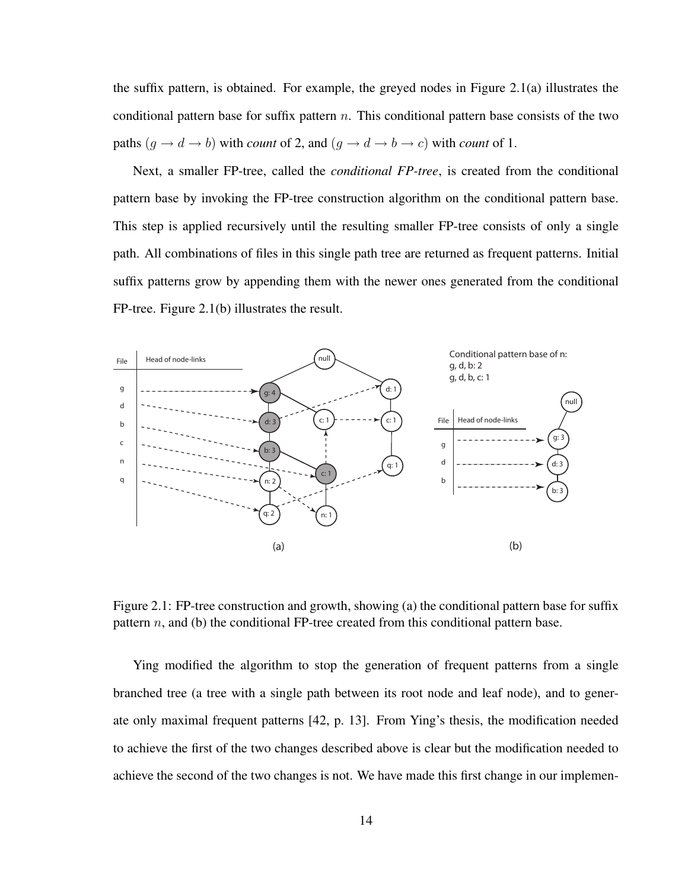the suffix pattern, is obtained. For example, the greyed nodes in Figure 2.1(a) illustrates the conditional pattern base for suffix pattern  $n$ . This conditional pattern base consists of the two paths  $(g \to d \to b)$  with *count* of 2, and  $(g \to d \to b \to c)$  with *count* of 1.

Next, a smaller FP-tree, called the *conditional FP-tree*, is created from the conditional pattern base by invoking the FP-tree construction algorithm on the conditional pattern base. This step is applied recursively until the resulting smaller FP-tree consists of only a single path. All combinations of files in this single path tree are returned as frequent patterns. Initial suffix patterns grow by appending them with the newer ones generated from the conditional FP-tree. Figure 2.1(b) illustrates the result.



Figure 2.1: FP-tree construction and growth, showing (a) the conditional pattern base for suffix pattern  $n$ , and (b) the conditional FP-tree created from this conditional pattern base.

Ying modified the algorithm to stop the generation of frequent patterns from a single branched tree (a tree with a single path between its root node and leaf node), and to generate only maximal frequent patterns [42, p. 13]. From Ying's thesis, the modification needed to achieve the first of the two changes described above is clear but the modification needed to achieve the second of the two changes is not. We have made this first change in our implemen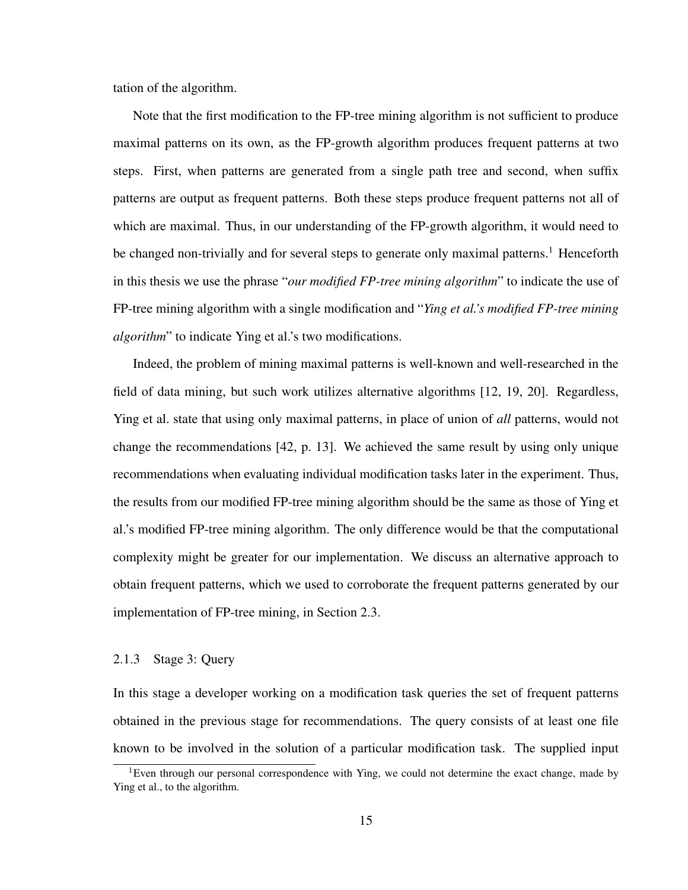tation of the algorithm.

Note that the first modification to the FP-tree mining algorithm is not sufficient to produce maximal patterns on its own, as the FP-growth algorithm produces frequent patterns at two steps. First, when patterns are generated from a single path tree and second, when suffix patterns are output as frequent patterns. Both these steps produce frequent patterns not all of which are maximal. Thus, in our understanding of the FP-growth algorithm, it would need to be changed non-trivially and for several steps to generate only maximal patterns.<sup>1</sup> Henceforth in this thesis we use the phrase "*our modified FP-tree mining algorithm*" to indicate the use of FP-tree mining algorithm with a single modification and "*Ying et al.'s modified FP-tree mining algorithm*" to indicate Ying et al.'s two modifications.

Indeed, the problem of mining maximal patterns is well-known and well-researched in the field of data mining, but such work utilizes alternative algorithms [12, 19, 20]. Regardless, Ying et al. state that using only maximal patterns, in place of union of *all* patterns, would not change the recommendations [42, p. 13]. We achieved the same result by using only unique recommendations when evaluating individual modification tasks later in the experiment. Thus, the results from our modified FP-tree mining algorithm should be the same as those of Ying et al.'s modified FP-tree mining algorithm. The only difference would be that the computational complexity might be greater for our implementation. We discuss an alternative approach to obtain frequent patterns, which we used to corroborate the frequent patterns generated by our implementation of FP-tree mining, in Section 2.3.

#### 2.1.3 Stage 3: Query

In this stage a developer working on a modification task queries the set of frequent patterns obtained in the previous stage for recommendations. The query consists of at least one file known to be involved in the solution of a particular modification task. The supplied input

<sup>&</sup>lt;sup>1</sup>Even through our personal correspondence with Ying, we could not determine the exact change, made by Ying et al., to the algorithm.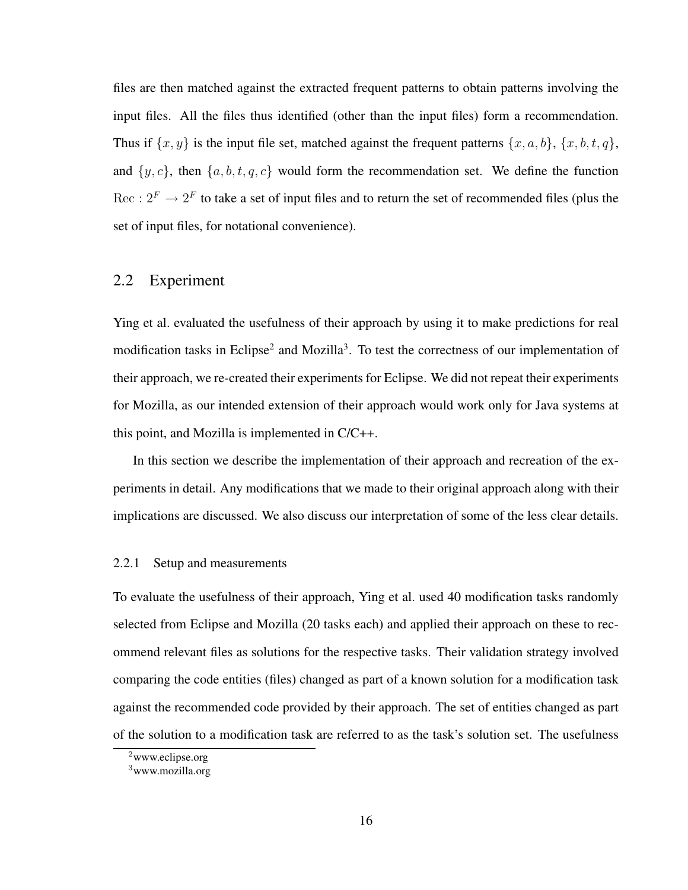files are then matched against the extracted frequent patterns to obtain patterns involving the input files. All the files thus identified (other than the input files) form a recommendation. Thus if  $\{x, y\}$  is the input file set, matched against the frequent patterns  $\{x, a, b\}$ ,  $\{x, b, t, q\}$ , and  $\{y, c\}$ , then  $\{a, b, t, q, c\}$  would form the recommendation set. We define the function  $Rec: 2^F \rightarrow 2^F$  to take a set of input files and to return the set of recommended files (plus the set of input files, for notational convenience).

#### 2.2 Experiment

Ying et al. evaluated the usefulness of their approach by using it to make predictions for real modification tasks in Eclipse<sup>2</sup> and Mozilla<sup>3</sup>. To test the correctness of our implementation of their approach, we re-created their experiments for Eclipse. We did not repeat their experiments for Mozilla, as our intended extension of their approach would work only for Java systems at this point, and Mozilla is implemented in C/C++.

In this section we describe the implementation of their approach and recreation of the experiments in detail. Any modifications that we made to their original approach along with their implications are discussed. We also discuss our interpretation of some of the less clear details.

#### 2.2.1 Setup and measurements

To evaluate the usefulness of their approach, Ying et al. used 40 modification tasks randomly selected from Eclipse and Mozilla (20 tasks each) and applied their approach on these to recommend relevant files as solutions for the respective tasks. Their validation strategy involved comparing the code entities (files) changed as part of a known solution for a modification task against the recommended code provided by their approach. The set of entities changed as part of the solution to a modification task are referred to as the task's solution set. The usefulness

<sup>2</sup>www.eclipse.org

<sup>3</sup>www.mozilla.org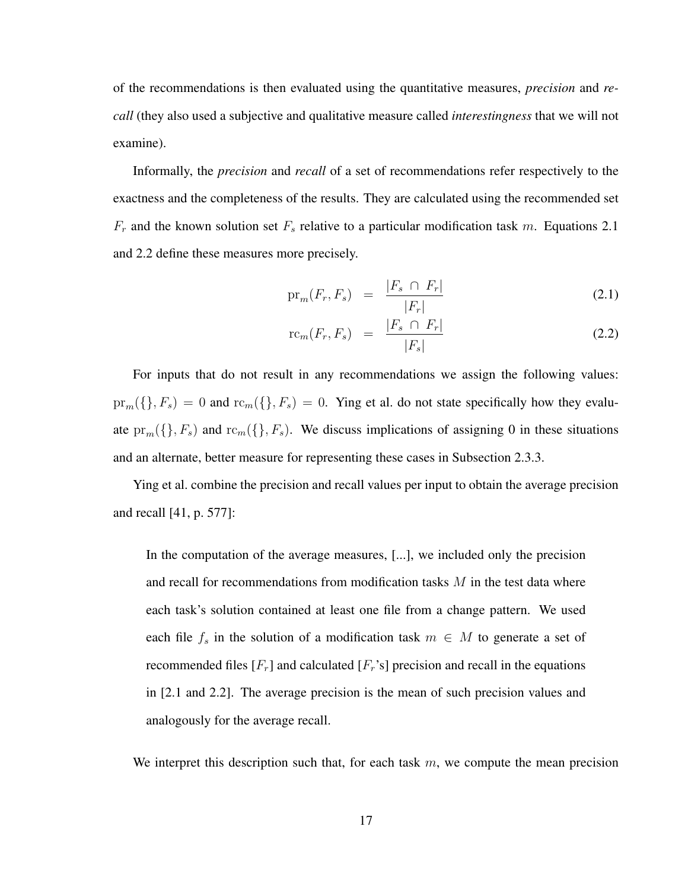of the recommendations is then evaluated using the quantitative measures, *precision* and *recall* (they also used a subjective and qualitative measure called *interestingness* that we will not examine).

Informally, the *precision* and *recall* of a set of recommendations refer respectively to the exactness and the completeness of the results. They are calculated using the recommended set  $F_r$  and the known solution set  $F_s$  relative to a particular modification task m. Equations 2.1 and 2.2 define these measures more precisely.

$$
\text{pr}_m(F_r, F_s) = \frac{|F_s \cap F_r|}{|F_r|} \tag{2.1}
$$

$$
rc_m(F_r, F_s) = \frac{|F_s \cap F_r|}{|F_s|} \tag{2.2}
$$

For inputs that do not result in any recommendations we assign the following values:  $pr_m({}, F_s) = 0$  and  $rc_m({}, F_s) = 0$ . Ying et al. do not state specifically how they evaluate  $pr_m({\{\}, F_s)$  and  $rc_m({\{\}, F_s)$ . We discuss implications of assigning 0 in these situations and an alternate, better measure for representing these cases in Subsection 2.3.3.

Ying et al. combine the precision and recall values per input to obtain the average precision and recall [41, p. 577]:

In the computation of the average measures, [...], we included only the precision and recall for recommendations from modification tasks  $M$  in the test data where each task's solution contained at least one file from a change pattern. We used each file  $f_s$  in the solution of a modification task  $m \in M$  to generate a set of recommended files  $[F_r]$  and calculated  $[F_r]$  precision and recall in the equations in [2.1 and 2.2]. The average precision is the mean of such precision values and analogously for the average recall.

We interpret this description such that, for each task  $m$ , we compute the mean precision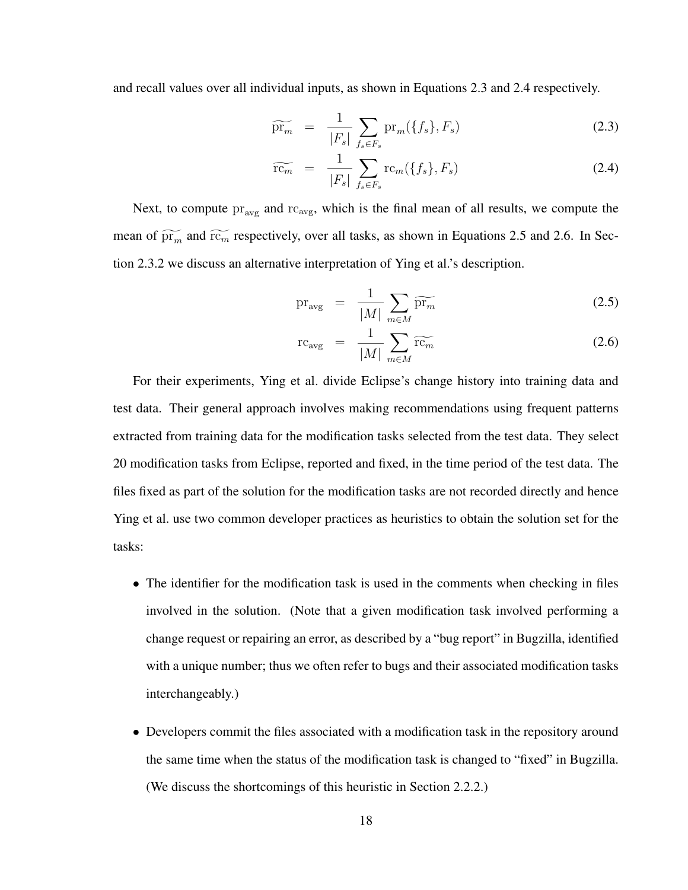and recall values over all individual inputs, as shown in Equations 2.3 and 2.4 respectively.

$$
\widetilde{\mathrm{pr}_m} = \frac{1}{|F_s|} \sum_{f_s \in F_s} \mathrm{pr}_m(\{f_s\}, F_s) \tag{2.3}
$$

$$
\widetilde{\text{rc}_m} = \frac{1}{|F_s|} \sum_{f_s \in F_s} \text{rc}_m(\{f_s\}, F_s) \tag{2.4}
$$

Next, to compute  $pr_{\text{avg}}$  and  $rc_{\text{avg}}$ , which is the final mean of all results, we compute the mean of  $\widetilde{pr_m}$  and  $\widetilde{rc_m}$  respectively, over all tasks, as shown in Equations 2.5 and 2.6. In Section 2.3.2 we discuss an alternative interpretation of Ying et al.'s description.

$$
\text{pr}_{\text{avg}} = \frac{1}{|M|} \sum_{m \in M} \widetilde{\text{pr}_m}
$$
\n(2.5)

$$
rc_{avg} = \frac{1}{|M|} \sum_{m \in M} \widetilde{rc_m}
$$
 (2.6)

For their experiments, Ying et al. divide Eclipse's change history into training data and test data. Their general approach involves making recommendations using frequent patterns extracted from training data for the modification tasks selected from the test data. They select 20 modification tasks from Eclipse, reported and fixed, in the time period of the test data. The files fixed as part of the solution for the modification tasks are not recorded directly and hence Ying et al. use two common developer practices as heuristics to obtain the solution set for the tasks:

- The identifier for the modification task is used in the comments when checking in files involved in the solution. (Note that a given modification task involved performing a change request or repairing an error, as described by a "bug report" in Bugzilla, identified with a unique number; thus we often refer to bugs and their associated modification tasks interchangeably.)
- Developers commit the files associated with a modification task in the repository around the same time when the status of the modification task is changed to "fixed" in Bugzilla. (We discuss the shortcomings of this heuristic in Section 2.2.2.)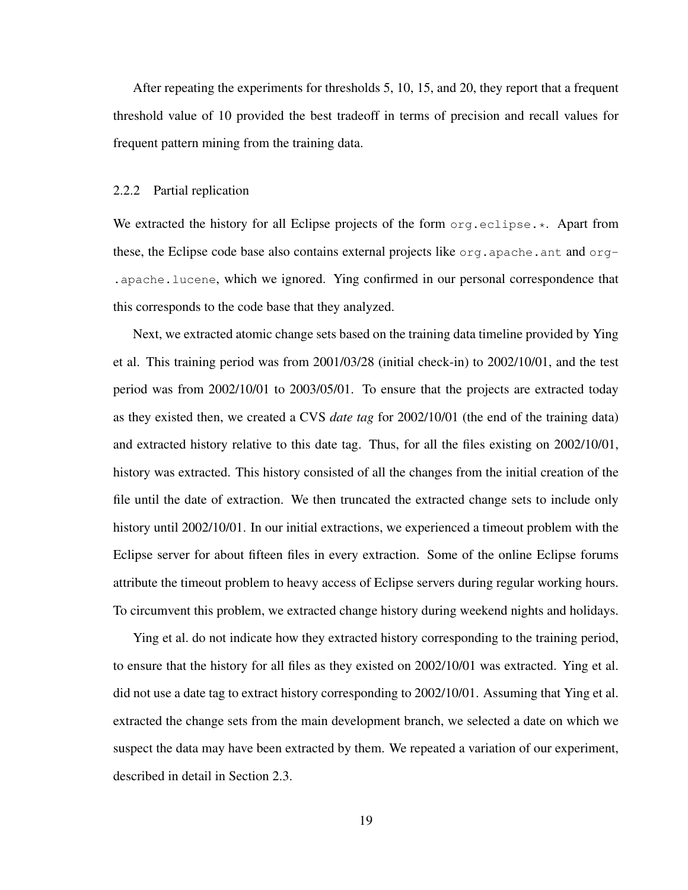After repeating the experiments for thresholds 5, 10, 15, and 20, they report that a frequent threshold value of 10 provided the best tradeoff in terms of precision and recall values for frequent pattern mining from the training data.

#### 2.2.2 Partial replication

We extracted the history for all Eclipse projects of the form org.eclipse.\*. Apart from these, the Eclipse code base also contains external projects like  $\sigma$ rg.apache.ant and  $\sigma$ rg-.apache.lucene, which we ignored. Ying confirmed in our personal correspondence that this corresponds to the code base that they analyzed.

Next, we extracted atomic change sets based on the training data timeline provided by Ying et al. This training period was from 2001/03/28 (initial check-in) to 2002/10/01, and the test period was from 2002/10/01 to 2003/05/01. To ensure that the projects are extracted today as they existed then, we created a CVS *date tag* for 2002/10/01 (the end of the training data) and extracted history relative to this date tag. Thus, for all the files existing on 2002/10/01, history was extracted. This history consisted of all the changes from the initial creation of the file until the date of extraction. We then truncated the extracted change sets to include only history until 2002/10/01. In our initial extractions, we experienced a timeout problem with the Eclipse server for about fifteen files in every extraction. Some of the online Eclipse forums attribute the timeout problem to heavy access of Eclipse servers during regular working hours. To circumvent this problem, we extracted change history during weekend nights and holidays.

Ying et al. do not indicate how they extracted history corresponding to the training period, to ensure that the history for all files as they existed on 2002/10/01 was extracted. Ying et al. did not use a date tag to extract history corresponding to 2002/10/01. Assuming that Ying et al. extracted the change sets from the main development branch, we selected a date on which we suspect the data may have been extracted by them. We repeated a variation of our experiment, described in detail in Section 2.3.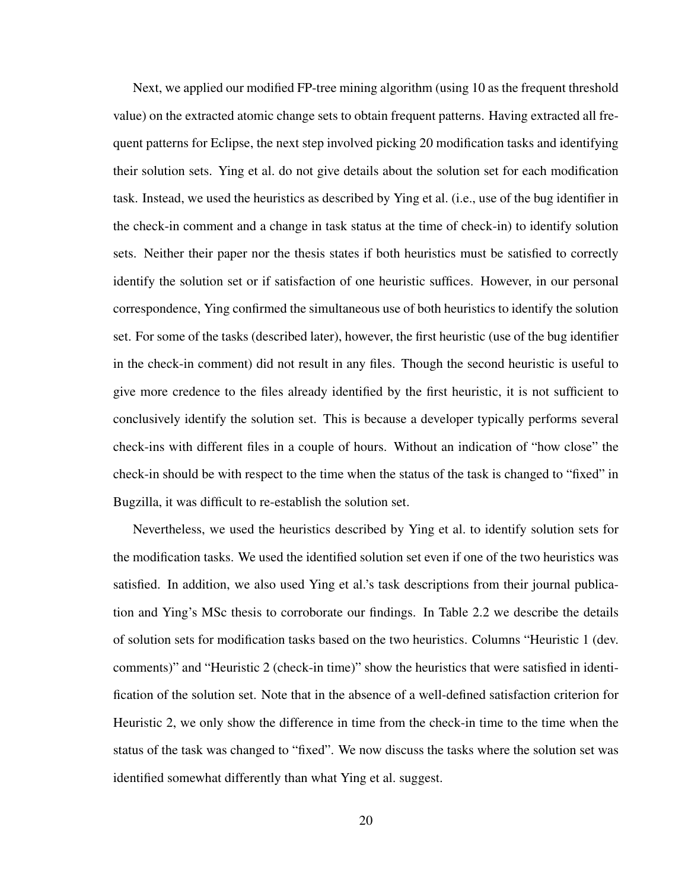Next, we applied our modified FP-tree mining algorithm (using 10 as the frequent threshold value) on the extracted atomic change sets to obtain frequent patterns. Having extracted all frequent patterns for Eclipse, the next step involved picking 20 modification tasks and identifying their solution sets. Ying et al. do not give details about the solution set for each modification task. Instead, we used the heuristics as described by Ying et al. (i.e., use of the bug identifier in the check-in comment and a change in task status at the time of check-in) to identify solution sets. Neither their paper nor the thesis states if both heuristics must be satisfied to correctly identify the solution set or if satisfaction of one heuristic suffices. However, in our personal correspondence, Ying confirmed the simultaneous use of both heuristics to identify the solution set. For some of the tasks (described later), however, the first heuristic (use of the bug identifier in the check-in comment) did not result in any files. Though the second heuristic is useful to give more credence to the files already identified by the first heuristic, it is not sufficient to conclusively identify the solution set. This is because a developer typically performs several check-ins with different files in a couple of hours. Without an indication of "how close" the check-in should be with respect to the time when the status of the task is changed to "fixed" in Bugzilla, it was difficult to re-establish the solution set.

Nevertheless, we used the heuristics described by Ying et al. to identify solution sets for the modification tasks. We used the identified solution set even if one of the two heuristics was satisfied. In addition, we also used Ying et al.'s task descriptions from their journal publication and Ying's MSc thesis to corroborate our findings. In Table 2.2 we describe the details of solution sets for modification tasks based on the two heuristics. Columns "Heuristic 1 (dev. comments)" and "Heuristic 2 (check-in time)" show the heuristics that were satisfied in identification of the solution set. Note that in the absence of a well-defined satisfaction criterion for Heuristic 2, we only show the difference in time from the check-in time to the time when the status of the task was changed to "fixed". We now discuss the tasks where the solution set was identified somewhat differently than what Ying et al. suggest.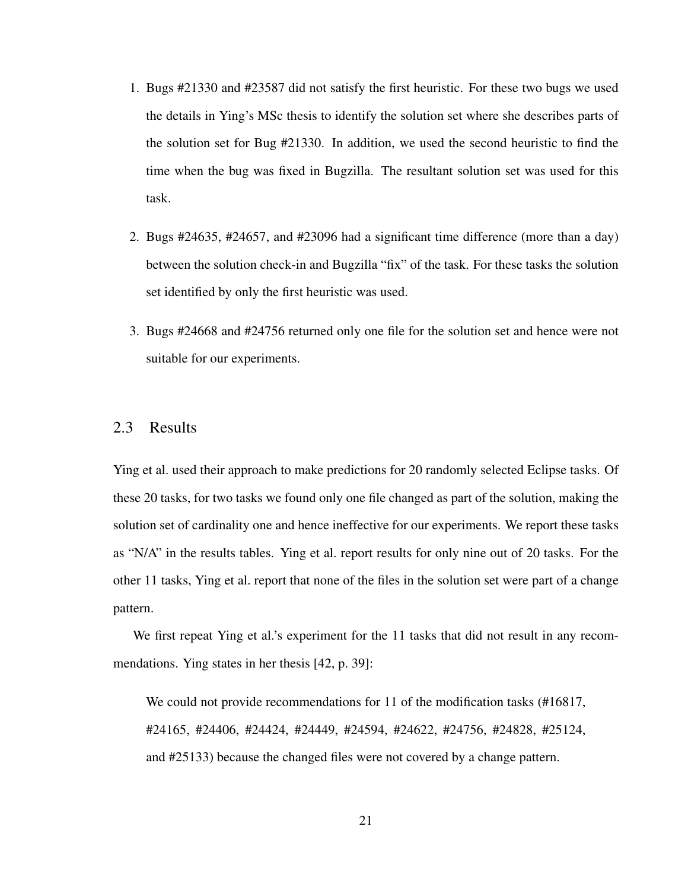- 1. Bugs #21330 and #23587 did not satisfy the first heuristic. For these two bugs we used the details in Ying's MSc thesis to identify the solution set where she describes parts of the solution set for Bug #21330. In addition, we used the second heuristic to find the time when the bug was fixed in Bugzilla. The resultant solution set was used for this task.
- 2. Bugs #24635, #24657, and #23096 had a significant time difference (more than a day) between the solution check-in and Bugzilla "fix" of the task. For these tasks the solution set identified by only the first heuristic was used.
- 3. Bugs #24668 and #24756 returned only one file for the solution set and hence were not suitable for our experiments.

#### 2.3 Results

Ying et al. used their approach to make predictions for 20 randomly selected Eclipse tasks. Of these 20 tasks, for two tasks we found only one file changed as part of the solution, making the solution set of cardinality one and hence ineffective for our experiments. We report these tasks as "N/A" in the results tables. Ying et al. report results for only nine out of 20 tasks. For the other 11 tasks, Ying et al. report that none of the files in the solution set were part of a change pattern.

We first repeat Ying et al.'s experiment for the 11 tasks that did not result in any recommendations. Ying states in her thesis [42, p. 39]:

We could not provide recommendations for 11 of the modification tasks (#16817, #24165, #24406, #24424, #24449, #24594, #24622, #24756, #24828, #25124, and #25133) because the changed files were not covered by a change pattern.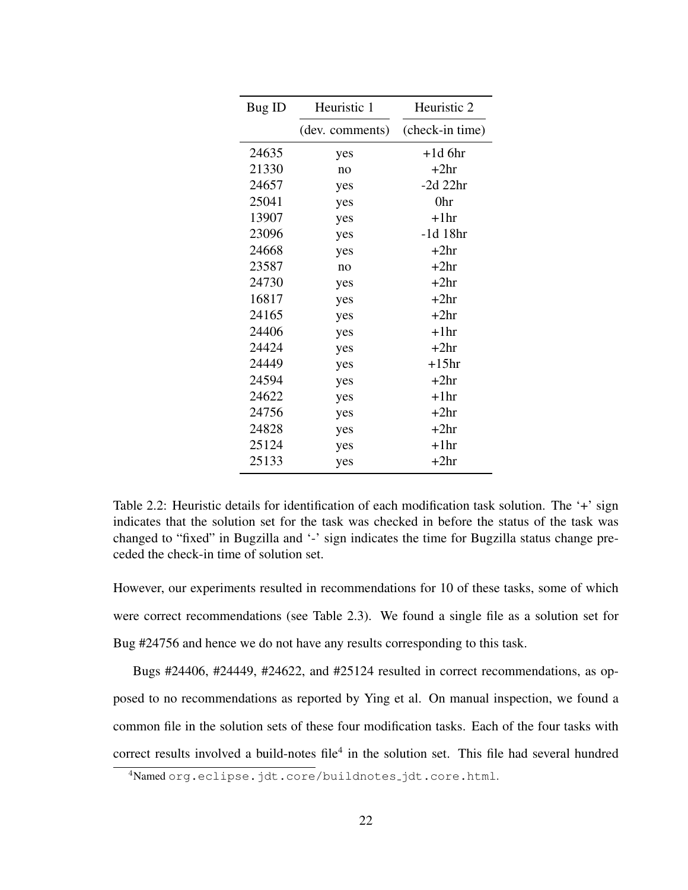| Bug ID | Heuristic 1     | Heuristic 2     |  |
|--------|-----------------|-----------------|--|
|        | (dev. comments) | (check-in time) |  |
| 24635  | yes             | $+1d$ 6hr       |  |
| 21330  | no              | $+2hr$          |  |
| 24657  | yes             | $-2d$ 22hr      |  |
| 25041  | yes             | 0hr             |  |
| 13907  | yes             | $+1hr$          |  |
| 23096  | yes             | -1d 18hr        |  |
| 24668  | yes             | $+2hr$          |  |
| 23587  | no              | $+2hr$          |  |
| 24730  | yes             | $+2hr$          |  |
| 16817  | yes             | $+2hr$          |  |
| 24165  | yes             | $+2hr$          |  |
| 24406  | yes             | $+1hr$          |  |
| 24424  | yes             | $+2hr$          |  |
| 24449  | yes             | $+15hr$         |  |
| 24594  | yes             | $+2hr$          |  |
| 24622  | yes             | $+1hr$          |  |
| 24756  | yes             | $+2hr$          |  |
| 24828  | yes             | $+2hr$          |  |
| 25124  | yes             | $+1hr$          |  |
| 25133  | yes             | $+2hr$          |  |

Table 2.2: Heuristic details for identification of each modification task solution. The '+' sign indicates that the solution set for the task was checked in before the status of the task was changed to "fixed" in Bugzilla and '-' sign indicates the time for Bugzilla status change preceded the check-in time of solution set.

However, our experiments resulted in recommendations for 10 of these tasks, some of which were correct recommendations (see Table 2.3). We found a single file as a solution set for Bug #24756 and hence we do not have any results corresponding to this task.

Bugs #24406, #24449, #24622, and #25124 resulted in correct recommendations, as opposed to no recommendations as reported by Ying et al. On manual inspection, we found a common file in the solution sets of these four modification tasks. Each of the four tasks with correct results involved a build-notes file<sup>4</sup> in the solution set. This file had several hundred

<sup>4</sup>Named org.eclipse.jdt.core/buildnotes\_jdt.core.html.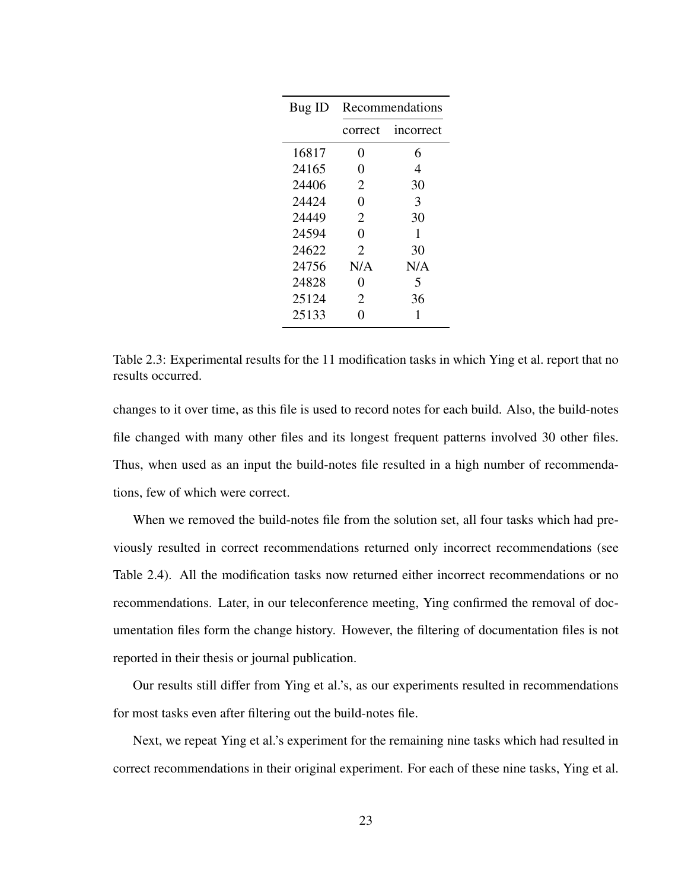| Bug ID | Recommendations |           |  |
|--------|-----------------|-----------|--|
|        | correct         | incorrect |  |
| 16817  | 0               | 6         |  |
| 24165  | 0               | 4         |  |
| 24406  | 2               | 30        |  |
| 24424  | 0               | 3         |  |
| 24449  | 2               | 30        |  |
| 24594  | 0               | 1         |  |
| 24622  | 2               | 30        |  |
| 24756  | N/A             | N/A       |  |
| 24828  | 0               | 5         |  |
| 25124  | 2               | 36        |  |
| 25133  | 0               | 1         |  |

Table 2.3: Experimental results for the 11 modification tasks in which Ying et al. report that no results occurred.

changes to it over time, as this file is used to record notes for each build. Also, the build-notes file changed with many other files and its longest frequent patterns involved 30 other files. Thus, when used as an input the build-notes file resulted in a high number of recommendations, few of which were correct.

When we removed the build-notes file from the solution set, all four tasks which had previously resulted in correct recommendations returned only incorrect recommendations (see Table 2.4). All the modification tasks now returned either incorrect recommendations or no recommendations. Later, in our teleconference meeting, Ying confirmed the removal of documentation files form the change history. However, the filtering of documentation files is not reported in their thesis or journal publication.

Our results still differ from Ying et al.'s, as our experiments resulted in recommendations for most tasks even after filtering out the build-notes file.

Next, we repeat Ying et al.'s experiment for the remaining nine tasks which had resulted in correct recommendations in their original experiment. For each of these nine tasks, Ying et al.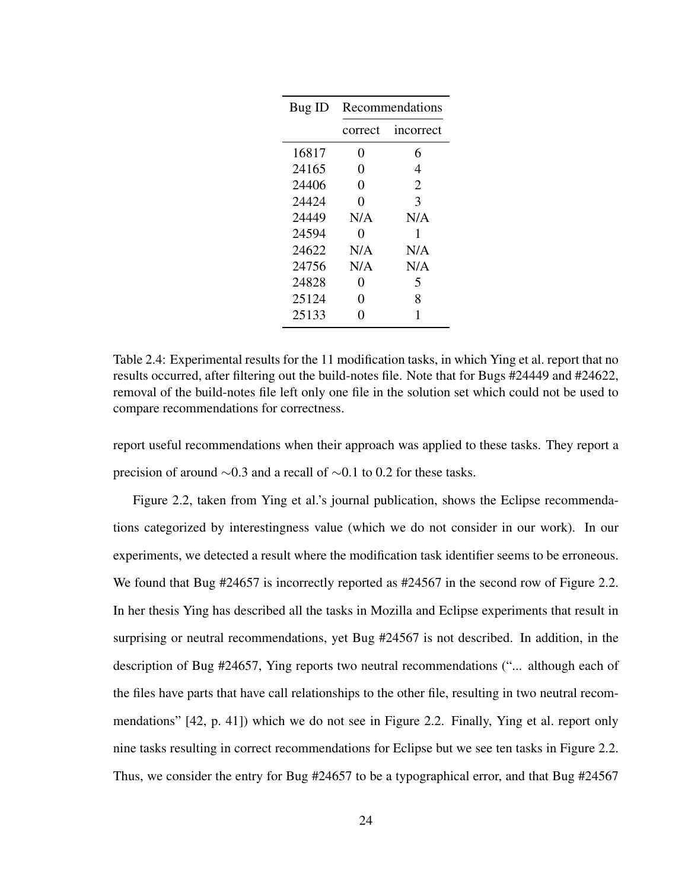| Bug ID | Recommendations |           |  |
|--------|-----------------|-----------|--|
|        | correct         | incorrect |  |
| 16817  | $\overline{0}$  | 6         |  |
| 24165  | 0               | 4         |  |
| 24406  | 0               | 2         |  |
| 24424  | 0               | 3         |  |
| 24449  | N/A             | N/A       |  |
| 24594  | 0               | 1         |  |
| 24622  | N/A             | N/A       |  |
| 24756  | N/A             | N/A       |  |
| 24828  | 0               | 5         |  |
| 25124  | 0               | 8         |  |
| 25133  | 0               | 1         |  |

Table 2.4: Experimental results for the 11 modification tasks, in which Ying et al. report that no results occurred, after filtering out the build-notes file. Note that for Bugs #24449 and #24622, removal of the build-notes file left only one file in the solution set which could not be used to compare recommendations for correctness.

report useful recommendations when their approach was applied to these tasks. They report a precision of around ∼0.3 and a recall of ∼0.1 to 0.2 for these tasks.

Figure 2.2, taken from Ying et al.'s journal publication, shows the Eclipse recommendations categorized by interestingness value (which we do not consider in our work). In our experiments, we detected a result where the modification task identifier seems to be erroneous. We found that Bug #24657 is incorrectly reported as #24567 in the second row of Figure 2.2. In her thesis Ying has described all the tasks in Mozilla and Eclipse experiments that result in surprising or neutral recommendations, yet Bug #24567 is not described. In addition, in the description of Bug #24657, Ying reports two neutral recommendations ("... although each of the files have parts that have call relationships to the other file, resulting in two neutral recommendations" [42, p. 41]) which we do not see in Figure 2.2. Finally, Ying et al. report only nine tasks resulting in correct recommendations for Eclipse but we see ten tasks in Figure 2.2. Thus, we consider the entry for Bug #24657 to be a typographical error, and that Bug #24567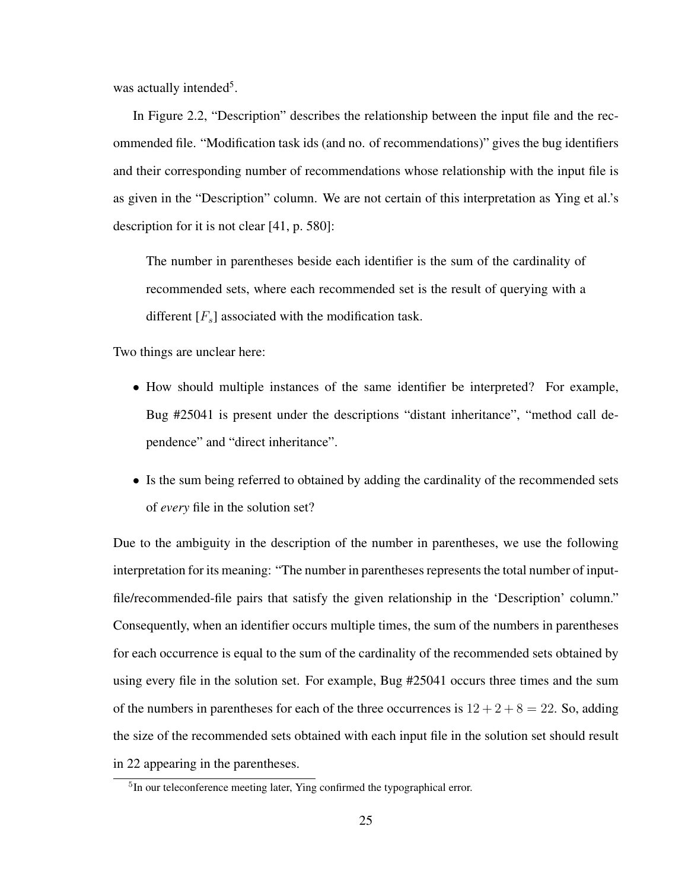was actually intended<sup>5</sup>.

In Figure 2.2, "Description" describes the relationship between the input file and the recommended file. "Modification task ids (and no. of recommendations)" gives the bug identifiers and their corresponding number of recommendations whose relationship with the input file is as given in the "Description" column. We are not certain of this interpretation as Ying et al.'s description for it is not clear [41, p. 580]:

The number in parentheses beside each identifier is the sum of the cardinality of recommended sets, where each recommended set is the result of querying with a different  $[F_s]$  associated with the modification task.

Two things are unclear here:

- How should multiple instances of the same identifier be interpreted? For example, Bug #25041 is present under the descriptions "distant inheritance", "method call dependence" and "direct inheritance".
- Is the sum being referred to obtained by adding the cardinality of the recommended sets of *every* file in the solution set?

Due to the ambiguity in the description of the number in parentheses, we use the following interpretation for its meaning: "The number in parentheses represents the total number of inputfile/recommended-file pairs that satisfy the given relationship in the 'Description' column." Consequently, when an identifier occurs multiple times, the sum of the numbers in parentheses for each occurrence is equal to the sum of the cardinality of the recommended sets obtained by using every file in the solution set. For example, Bug #25041 occurs three times and the sum of the numbers in parentheses for each of the three occurrences is  $12 + 2 + 8 = 22$ . So, adding the size of the recommended sets obtained with each input file in the solution set should result in 22 appearing in the parentheses.

<sup>&</sup>lt;sup>5</sup>In our teleconference meeting later, Ying confirmed the typographical error.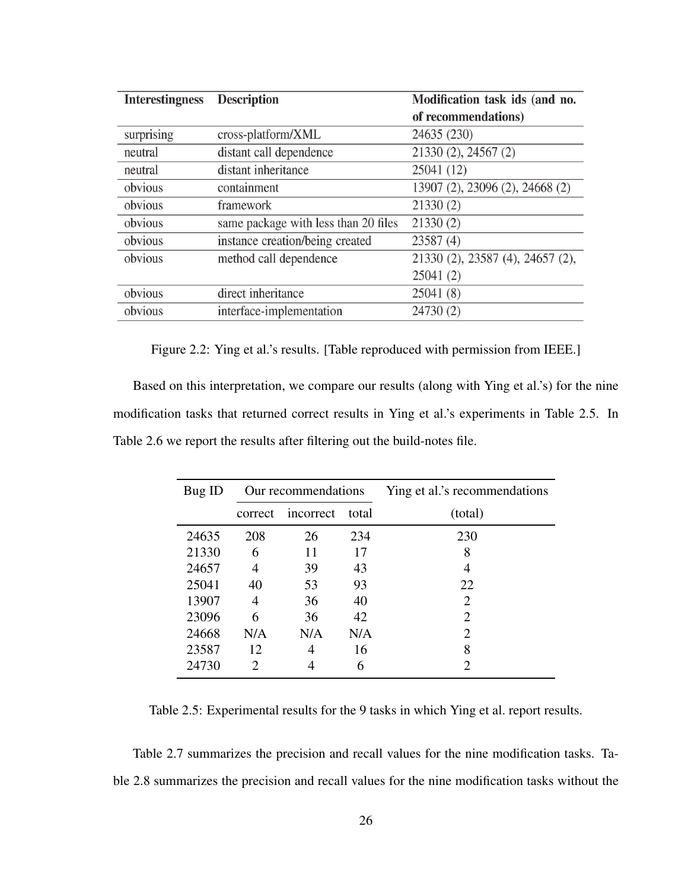| <b>Interestingness</b> | <b>Description</b>                   | Modification task ids (and no.   |  |
|------------------------|--------------------------------------|----------------------------------|--|
|                        |                                      | of recommendations)              |  |
| surprising             | cross-platform/XML                   | 24635 (230)                      |  |
| neutral                | distant call dependence              | 21330 (2), 24567 (2)             |  |
| neutral                | distant inheritance                  | 25041 (12)                       |  |
| obvious                | containment                          | 13907 (2), 23096 (2), 24668 (2)  |  |
| obvious                | framework                            | 21330(2)                         |  |
| obvious                | same package with less than 20 files | 21330(2)                         |  |
| obvious                | instance creation/being created      | 23587(4)                         |  |
| obvious                | method call dependence               | 21330 (2), 23587 (4), 24657 (2), |  |
|                        |                                      | 25041(2)                         |  |
| obvious                | direct inheritance                   | 25041(8)                         |  |
| obvious                | interface-implementation             | 24730 (2)                        |  |

Figure 2.2: Ying et al.'s results. [Table reproduced with permission from IEEE.]

Based on this interpretation, we compare our results (along with Ying et al.'s) for the nine modification tasks that returned correct results in Ying et al.'s experiments in Table 2.5. In Table 2.6 we report the results after filtering out the build-notes file.

| Bug ID | Our recommendations |           |       | Ying et al.'s recommendations |
|--------|---------------------|-----------|-------|-------------------------------|
|        | correct             | incorrect | total | (total)                       |
| 24635  | 208                 | 26        | 234   | 230                           |
| 21330  | 6                   | 11        | 17    | 8                             |
| 24657  | 4                   | 39        | 43    | 4                             |
| 25041  | 40                  | 53        | 93    | 22                            |
| 13907  | 4                   | 36        | 40    | $\mathfrak{D}$                |
| 23096  | 6                   | 36        | 42    | $\mathcal{D}_{\cdot}$         |
| 24668  | N/A                 | N/A       | N/A   | $\mathcal{D}_{\mathcal{A}}$   |
| 23587  | 12                  | 4         | 16    | 8                             |
| 24730  | 2                   |           | 6     | $\mathcal{D}_{\mathcal{A}}$   |

Table 2.5: Experimental results for the 9 tasks in which Ying et al. report results.

Table 2.7 summarizes the precision and recall values for the nine modification tasks. Table 2.8 summarizes the precision and recall values for the nine modification tasks without the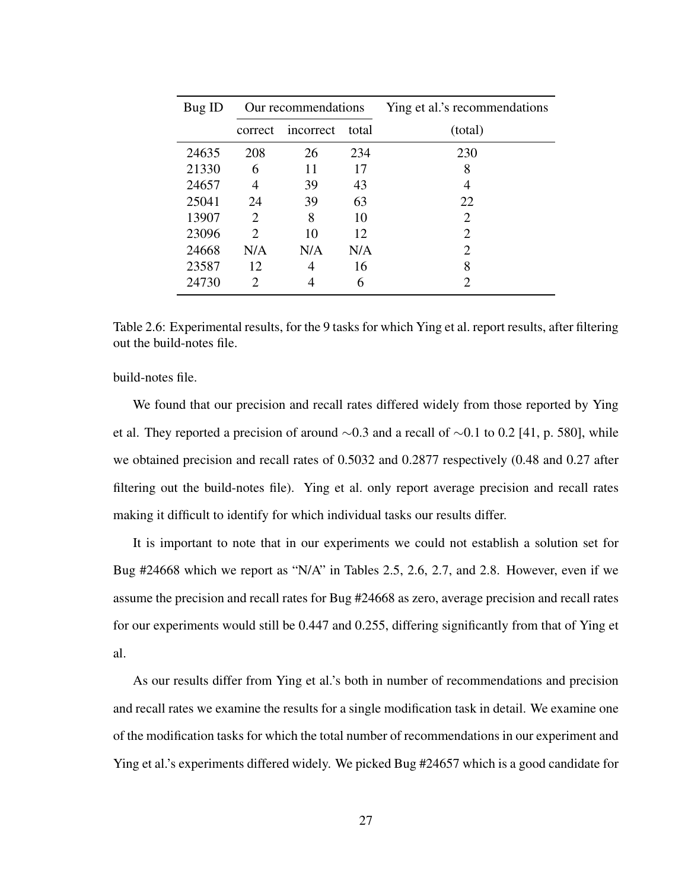| Bug ID | Our recommendations         |           |       | Ying et al.'s recommendations |
|--------|-----------------------------|-----------|-------|-------------------------------|
|        | correct                     | incorrect | total | (total)                       |
| 24635  | 208                         | 26        | 234   | 230                           |
| 21330  | 6                           | 11        | 17    | 8                             |
| 24657  | 4                           | 39        | 43    | 4                             |
| 25041  | 24                          | 39        | 63    | 22                            |
| 13907  | $\mathcal{D}_{\cdot}$       | 8         | 10    | $\mathcal{D}_{\cdot}$         |
| 23096  | $\mathcal{D}_{\mathcal{A}}$ | 10        | 12    | 2                             |
| 24668  | N/A                         | N/A       | N/A   | $\mathcal{D}_{\cdot}$         |
| 23587  | 12                          | 4         | 16    | 8                             |
| 24730  | 2                           |           | 6     | 2                             |

Table 2.6: Experimental results, for the 9 tasks for which Ying et al. report results, after filtering out the build-notes file.

build-notes file.

We found that our precision and recall rates differed widely from those reported by Ying et al. They reported a precision of around ∼0.3 and a recall of ∼0.1 to 0.2 [41, p. 580], while we obtained precision and recall rates of 0.5032 and 0.2877 respectively (0.48 and 0.27 after filtering out the build-notes file). Ying et al. only report average precision and recall rates making it difficult to identify for which individual tasks our results differ.

It is important to note that in our experiments we could not establish a solution set for Bug #24668 which we report as "N/A" in Tables 2.5, 2.6, 2.7, and 2.8. However, even if we assume the precision and recall rates for Bug #24668 as zero, average precision and recall rates for our experiments would still be 0.447 and 0.255, differing significantly from that of Ying et al.

As our results differ from Ying et al.'s both in number of recommendations and precision and recall rates we examine the results for a single modification task in detail. We examine one of the modification tasks for which the total number of recommendations in our experiment and Ying et al.'s experiments differed widely. We picked Bug #24657 which is a good candidate for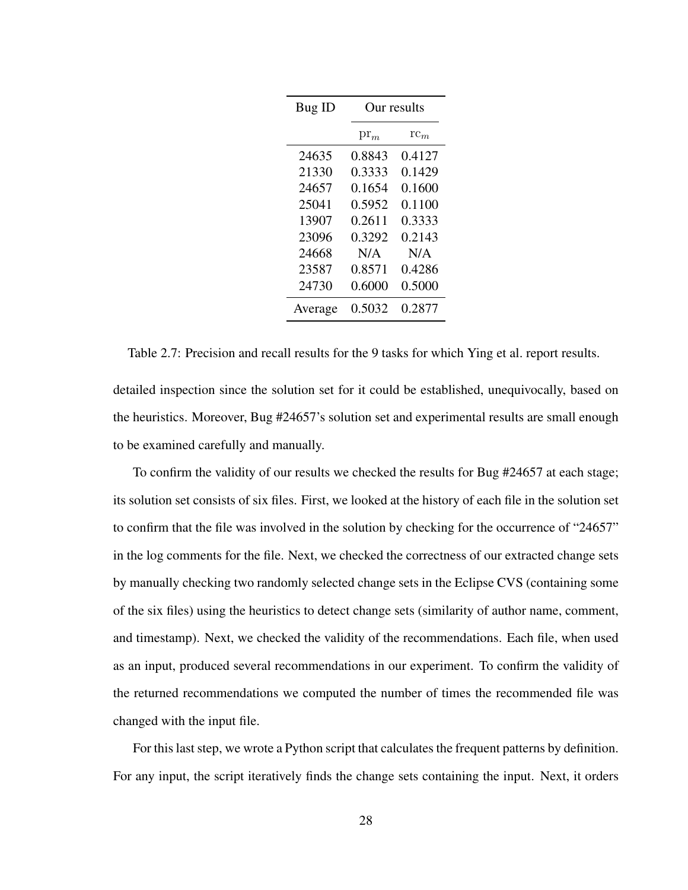| Bug ID  | Our results   |                 |  |
|---------|---------------|-----------------|--|
|         | $\text{pr}_m$ | $\mathrm{rc}_m$ |  |
| 24635   | 0.8843        | 0.4127          |  |
| 21330   | 0.3333        | 0.1429          |  |
| 24657   | 0.1654        | 0.1600          |  |
| 25041   | 0.5952        | 0.1100          |  |
| 13907   | 0.2611        | 0.3333          |  |
| 23096   | 0.3292        | 0.2143          |  |
| 24668   | N/A           | N/A             |  |
| 23587   | 0.8571        | 0.4286          |  |
| 24730   | 0.6000        | 0.5000          |  |
| Average | 0.5032        | 0.2877          |  |

Table 2.7: Precision and recall results for the 9 tasks for which Ying et al. report results.

detailed inspection since the solution set for it could be established, unequivocally, based on the heuristics. Moreover, Bug #24657's solution set and experimental results are small enough to be examined carefully and manually.

To confirm the validity of our results we checked the results for Bug #24657 at each stage; its solution set consists of six files. First, we looked at the history of each file in the solution set to confirm that the file was involved in the solution by checking for the occurrence of "24657" in the log comments for the file. Next, we checked the correctness of our extracted change sets by manually checking two randomly selected change sets in the Eclipse CVS (containing some of the six files) using the heuristics to detect change sets (similarity of author name, comment, and timestamp). Next, we checked the validity of the recommendations. Each file, when used as an input, produced several recommendations in our experiment. To confirm the validity of the returned recommendations we computed the number of times the recommended file was changed with the input file.

For this last step, we wrote a Python script that calculates the frequent patterns by definition. For any input, the script iteratively finds the change sets containing the input. Next, it orders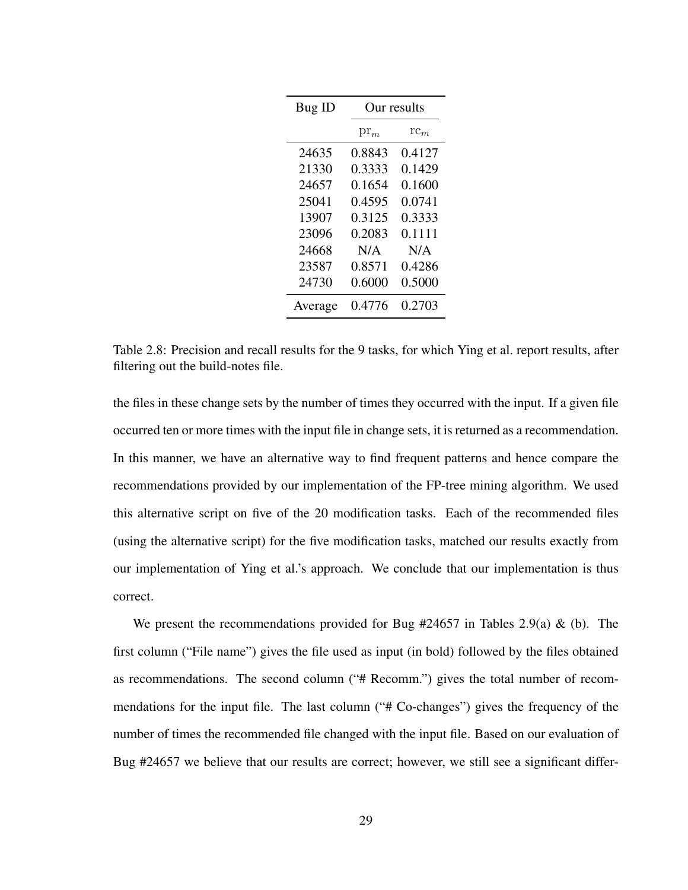| Bug ID  | Our results   |                 |
|---------|---------------|-----------------|
|         | $\text{pr}_m$ | $\mathrm{rc}_m$ |
| 24635   | 0.8843        | 0.4127          |
| 21330   | 0.3333        | 0.1429          |
| 24657   | 0.1654        | 0.1600          |
| 25041   | 0.4595        | 0.0741          |
| 13907   | 0.3125        | 0.3333          |
| 23096   | 0.2083        | 0.1111          |
| 24668   | N/A           | N/A             |
| 23587   | 0.8571        | 0.4286          |
| 24730   | 0.6000        | 0.5000          |
| Average | 0.4776        | 0.2703          |

Table 2.8: Precision and recall results for the 9 tasks, for which Ying et al. report results, after filtering out the build-notes file.

the files in these change sets by the number of times they occurred with the input. If a given file occurred ten or more times with the input file in change sets, it is returned as a recommendation. In this manner, we have an alternative way to find frequent patterns and hence compare the recommendations provided by our implementation of the FP-tree mining algorithm. We used this alternative script on five of the 20 modification tasks. Each of the recommended files (using the alternative script) for the five modification tasks, matched our results exactly from our implementation of Ying et al.'s approach. We conclude that our implementation is thus correct.

We present the recommendations provided for Bug  $#24657$  in Tables 2.9(a) & (b). The first column ("File name") gives the file used as input (in bold) followed by the files obtained as recommendations. The second column ("# Recomm.") gives the total number of recommendations for the input file. The last column ("# Co-changes") gives the frequency of the number of times the recommended file changed with the input file. Based on our evaluation of Bug #24657 we believe that our results are correct; however, we still see a significant differ-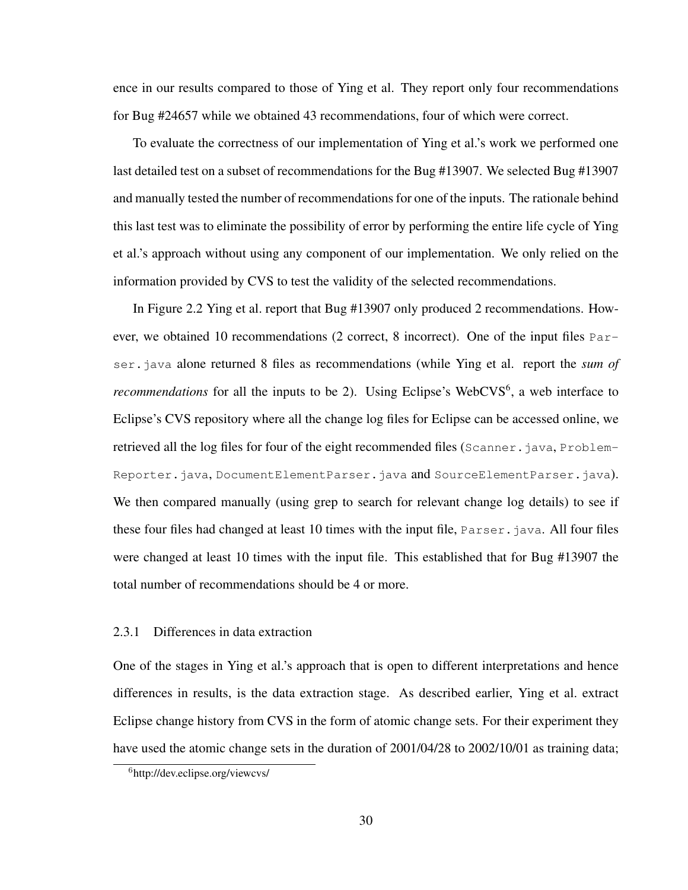ence in our results compared to those of Ying et al. They report only four recommendations for Bug #24657 while we obtained 43 recommendations, four of which were correct.

To evaluate the correctness of our implementation of Ying et al.'s work we performed one last detailed test on a subset of recommendations for the Bug #13907. We selected Bug #13907 and manually tested the number of recommendations for one of the inputs. The rationale behind this last test was to eliminate the possibility of error by performing the entire life cycle of Ying et al.'s approach without using any component of our implementation. We only relied on the information provided by CVS to test the validity of the selected recommendations.

In Figure 2.2 Ying et al. report that Bug #13907 only produced 2 recommendations. However, we obtained 10 recommendations (2 correct, 8 incorrect). One of the input files Parser.java alone returned 8 files as recommendations (while Ying et al. report the *sum of recommendations* for all the inputs to be 2). Using Eclipse's WebCVS<sup>6</sup>, a web interface to Eclipse's CVS repository where all the change log files for Eclipse can be accessed online, we retrieved all the log files for four of the eight recommended files (Scanner.java, Problem-Reporter.java, DocumentElementParser.java and SourceElementParser.java). We then compared manually (using grep to search for relevant change log details) to see if these four files had changed at least 10 times with the input file, Parser.java. All four files were changed at least 10 times with the input file. This established that for Bug #13907 the total number of recommendations should be 4 or more.

### 2.3.1 Differences in data extraction

One of the stages in Ying et al.'s approach that is open to different interpretations and hence differences in results, is the data extraction stage. As described earlier, Ying et al. extract Eclipse change history from CVS in the form of atomic change sets. For their experiment they have used the atomic change sets in the duration of  $2001/04/28$  to  $2002/10/01$  as training data;

<sup>6</sup>http://dev.eclipse.org/viewcvs/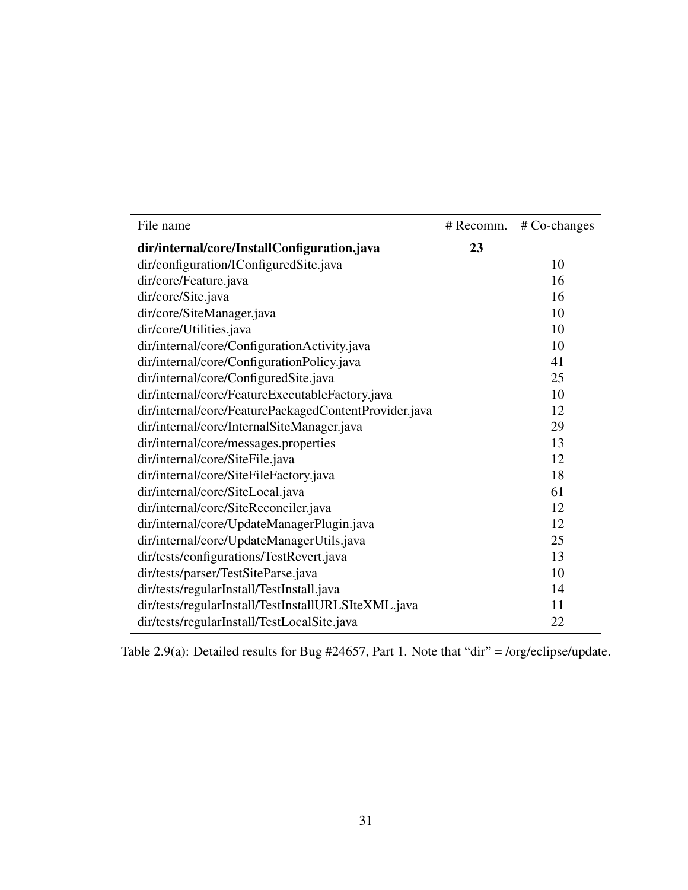| File name                                             | # Recomm. | $# Co-changes$ |
|-------------------------------------------------------|-----------|----------------|
| dir/internal/core/InstallConfiguration.java           | 23        |                |
| dir/configuration/IConfiguredSite.java                |           | 10             |
| dir/core/Feature.java                                 |           | 16             |
| dir/core/Site.java                                    |           | 16             |
| dir/core/SiteManager.java                             |           | 10             |
| dir/core/Utilities.java                               |           | 10             |
| dir/internal/core/ConfigurationActivity.java          |           | 10             |
| dir/internal/core/ConfigurationPolicy.java            |           | 41             |
| dir/internal/core/ConfiguredSite.java                 |           | 25             |
| dir/internal/core/FeatureExecutableFactory.java       |           | 10             |
| dir/internal/core/FeaturePackagedContentProvider.java |           | 12             |
| dir/internal/core/InternalSiteManager.java            |           | 29             |
| dir/internal/core/messages.properties                 |           | 13             |
| dir/internal/core/SiteFile.java                       |           | 12             |
| dir/internal/core/SiteFileFactory.java                |           | 18             |
| dir/internal/core/SiteLocal.java                      |           | 61             |
| dir/internal/core/SiteReconciler.java                 |           | 12             |
| dir/internal/core/UpdateManagerPlugin.java            |           | 12             |
| dir/internal/core/UpdateManagerUtils.java             |           | 25             |
| dir/tests/configurations/TestRevert.java              |           | 13             |
| dir/tests/parser/TestSiteParse.java                   |           | 10             |
| dir/tests/regularInstall/TestInstall.java             |           | 14             |
| dir/tests/regularInstall/TestInstallURLSIteXML.java   |           | 11             |
| dir/tests/regularInstall/TestLocalSite.java           |           | 22             |

Table 2.9(a): Detailed results for Bug #24657, Part 1. Note that "dir" = /org/eclipse/update.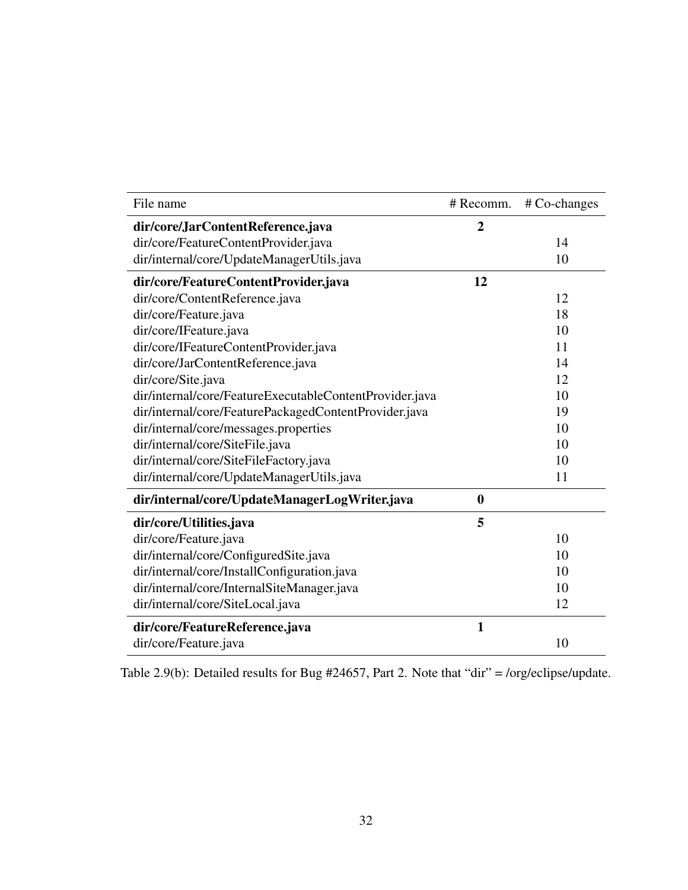| File name                                               | # Recomm.    | # Co-changes |
|---------------------------------------------------------|--------------|--------------|
| dir/core/JarContentReference.java                       | 2            |              |
| dir/core/FeatureContentProvider.java                    |              | 14           |
| dir/internal/core/UpdateManagerUtils.java               |              | 10           |
| dir/core/FeatureContentProvider.java                    | 12           |              |
| dir/core/ContentReference.java                          |              | 12           |
| dir/core/Feature.java                                   |              | 18           |
| dir/core/IFeature.java                                  |              | 10           |
| dir/core/IFeatureContentProvider.java                   |              | 11           |
| dir/core/JarContentReference.java                       |              | 14           |
| dir/core/Site.java                                      |              | 12           |
| dir/internal/core/FeatureExecutableContentProvider.java |              | 10           |
| dir/internal/core/FeaturePackagedContentProvider.java   |              | 19           |
| dir/internal/core/messages.properties                   |              | 10           |
| dir/internal/core/SiteFile.java                         |              | 10           |
| dir/internal/core/SiteFileFactory.java                  |              | 10           |
| dir/internal/core/UpdateManagerUtils.java               |              | 11           |
| dir/internal/core/UpdateManagerLogWriter.java           | $\bf{0}$     |              |
| dir/core/Utilities.java                                 | 5            |              |
| dir/core/Feature.java                                   |              | 10           |
| dir/internal/core/ConfiguredSite.java                   |              | 10           |
| dir/internal/core/InstallConfiguration.java             |              | 10           |
| dir/internal/core/InternalSiteManager.java              |              | 10           |
| dir/internal/core/SiteLocal.java                        |              | 12           |
| dir/core/FeatureReference.java                          | $\mathbf{1}$ |              |
| dir/core/Feature.java                                   |              | 10           |

Table 2.9(b): Detailed results for Bug #24657, Part 2. Note that "dir" = /org/eclipse/update.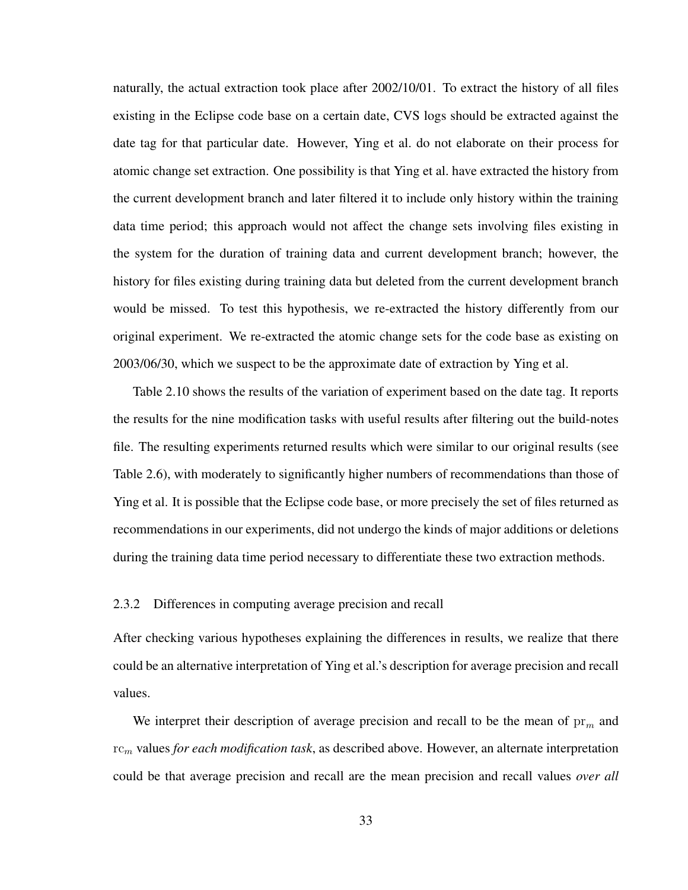naturally, the actual extraction took place after 2002/10/01. To extract the history of all files existing in the Eclipse code base on a certain date, CVS logs should be extracted against the date tag for that particular date. However, Ying et al. do not elaborate on their process for atomic change set extraction. One possibility is that Ying et al. have extracted the history from the current development branch and later filtered it to include only history within the training data time period; this approach would not affect the change sets involving files existing in the system for the duration of training data and current development branch; however, the history for files existing during training data but deleted from the current development branch would be missed. To test this hypothesis, we re-extracted the history differently from our original experiment. We re-extracted the atomic change sets for the code base as existing on 2003/06/30, which we suspect to be the approximate date of extraction by Ying et al.

Table 2.10 shows the results of the variation of experiment based on the date tag. It reports the results for the nine modification tasks with useful results after filtering out the build-notes file. The resulting experiments returned results which were similar to our original results (see Table 2.6), with moderately to significantly higher numbers of recommendations than those of Ying et al. It is possible that the Eclipse code base, or more precisely the set of files returned as recommendations in our experiments, did not undergo the kinds of major additions or deletions during the training data time period necessary to differentiate these two extraction methods.

#### 2.3.2 Differences in computing average precision and recall

After checking various hypotheses explaining the differences in results, we realize that there could be an alternative interpretation of Ying et al.'s description for average precision and recall values.

We interpret their description of average precision and recall to be the mean of  $pr<sub>m</sub>$  and rc<sup>m</sup> values *for each modification task*, as described above. However, an alternate interpretation could be that average precision and recall are the mean precision and recall values *over all*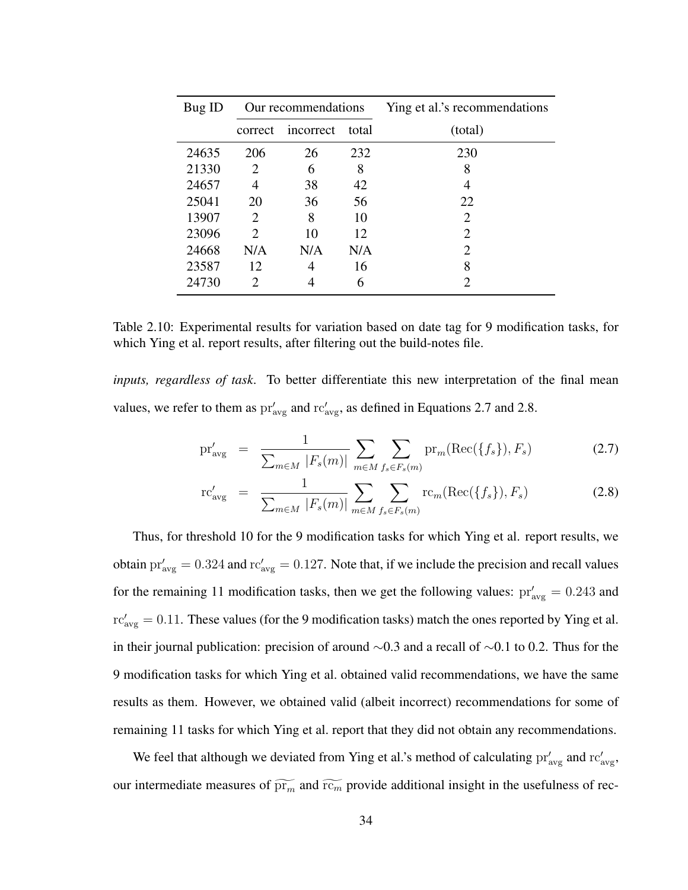| Bug ID | Our recommendations         |           |       | Ying et al.'s recommendations |  |
|--------|-----------------------------|-----------|-------|-------------------------------|--|
|        | correct                     | incorrect | total | (total)                       |  |
| 24635  | 206                         | 26        | 232   | 230                           |  |
| 21330  | 2                           | 6         | 8     | 8                             |  |
| 24657  | 4                           | 38        | 42    |                               |  |
| 25041  | 20                          | 36        | 56    | 22                            |  |
| 13907  | 2                           | 8         | 10    | 2                             |  |
| 23096  | $\mathcal{D}_{\mathcal{L}}$ | 10        | 12    | $\mathcal{D}_{\cdot}$         |  |
| 24668  | N/A                         | N/A       | N/A   | $\mathcal{D}_{\cdot}$         |  |
| 23587  | 12                          |           | 16    | 8                             |  |
| 24730  | 2                           |           | 6     | $\mathcal{D}_{\cdot}$         |  |

Table 2.10: Experimental results for variation based on date tag for 9 modification tasks, for which Ying et al. report results, after filtering out the build-notes file.

*inputs, regardless of task*. To better differentiate this new interpretation of the final mean values, we refer to them as  $pr'_{avg}$  and  $rc'_{avg}$ , as defined in Equations 2.7 and 2.8.

$$
\text{pr}'_{\text{avg}} = \frac{1}{\sum_{m \in M} |F_s(m)|} \sum_{m \in M} \sum_{f_s \in F_s(m)} \text{pr}_m(\text{Rec}(\{f_s\}), F_s)
$$
(2.7)

$$
\text{rc}'_{\text{avg}} = \frac{1}{\sum_{m \in M} |F_s(m)|} \sum_{m \in M} \sum_{f_s \in F_s(m)} \text{rc}_m(\text{Rec}(\{f_s\}), F_s)
$$
(2.8)

Thus, for threshold 10 for the 9 modification tasks for which Ying et al. report results, we obtain  $pr'_{avg} = 0.324$  and  $rc'_{avg} = 0.127$ . Note that, if we include the precision and recall values for the remaining 11 modification tasks, then we get the following values:  $pr'_{avg} = 0.243$  and  $\text{rc}_{\text{avg}}' = 0.11$ . These values (for the 9 modification tasks) match the ones reported by Ying et al. in their journal publication: precision of around ∼0.3 and a recall of ∼0.1 to 0.2. Thus for the 9 modification tasks for which Ying et al. obtained valid recommendations, we have the same results as them. However, we obtained valid (albeit incorrect) recommendations for some of remaining 11 tasks for which Ying et al. report that they did not obtain any recommendations.

We feel that although we deviated from Ying et al.'s method of calculating  $pr'_{avg}$  and  $rc'_{avg}$ , our intermediate measures of  $\widetilde{pr_m}$  and  $\widetilde{rc_m}$  provide additional insight in the usefulness of rec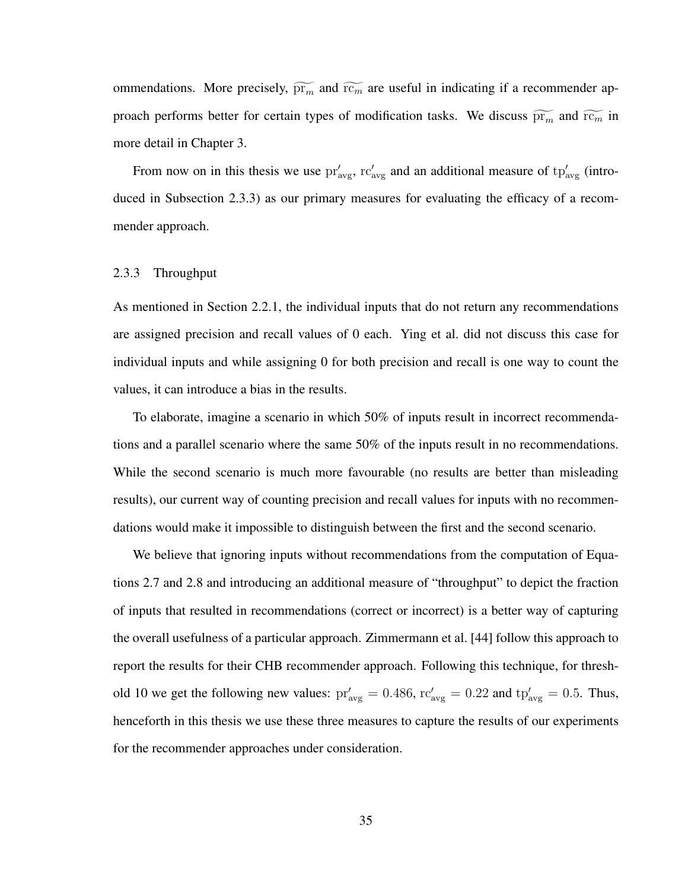ommendations. More precisely,  $\widetilde{pr_m}$  and  $\widetilde{rc_m}$  are useful in indicating if a recommender approach performs better for certain types of modification tasks. We discuss  $\widetilde{pr_m}$  and  $\widetilde{rc_m}$  in more detail in Chapter 3.

From now on in this thesis we use  $pr'_{avg}$ ,  $rc'_{avg}$  and an additional measure of  $tp'_{avg}$  (introduced in Subsection 2.3.3) as our primary measures for evaluating the efficacy of a recommender approach.

### 2.3.3 Throughput

As mentioned in Section 2.2.1, the individual inputs that do not return any recommendations are assigned precision and recall values of 0 each. Ying et al. did not discuss this case for individual inputs and while assigning 0 for both precision and recall is one way to count the values, it can introduce a bias in the results.

To elaborate, imagine a scenario in which 50% of inputs result in incorrect recommendations and a parallel scenario where the same 50% of the inputs result in no recommendations. While the second scenario is much more favourable (no results are better than misleading results), our current way of counting precision and recall values for inputs with no recommendations would make it impossible to distinguish between the first and the second scenario.

We believe that ignoring inputs without recommendations from the computation of Equations 2.7 and 2.8 and introducing an additional measure of "throughput" to depict the fraction of inputs that resulted in recommendations (correct or incorrect) is a better way of capturing the overall usefulness of a particular approach. Zimmermann et al. [44] follow this approach to report the results for their CHB recommender approach. Following this technique, for threshold 10 we get the following new values:  $pr'_{avg} = 0.486$ ,  $rc'_{avg} = 0.22$  and  $tp'_{avg} = 0.5$ . Thus, henceforth in this thesis we use these three measures to capture the results of our experiments for the recommender approaches under consideration.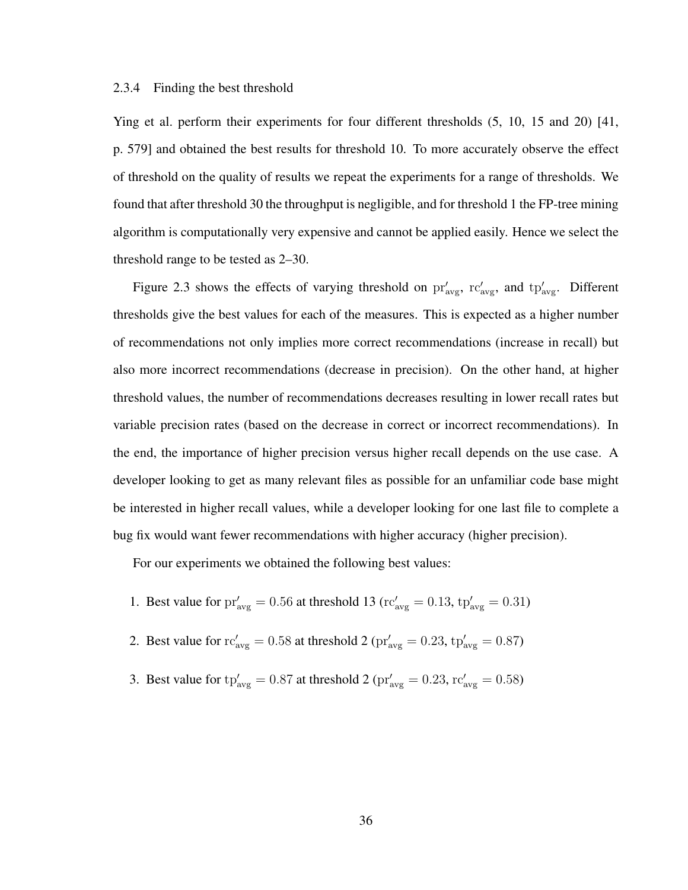#### 2.3.4 Finding the best threshold

Ying et al. perform their experiments for four different thresholds (5, 10, 15 and 20) [41, p. 579] and obtained the best results for threshold 10. To more accurately observe the effect of threshold on the quality of results we repeat the experiments for a range of thresholds. We found that after threshold 30 the throughput is negligible, and for threshold 1 the FP-tree mining algorithm is computationally very expensive and cannot be applied easily. Hence we select the threshold range to be tested as 2–30.

Figure 2.3 shows the effects of varying threshold on  $pr'_{\text{avg}}$ ,  $rc'_{\text{avg}}$ , and  $tp'_{\text{avg}}$ . Different thresholds give the best values for each of the measures. This is expected as a higher number of recommendations not only implies more correct recommendations (increase in recall) but also more incorrect recommendations (decrease in precision). On the other hand, at higher threshold values, the number of recommendations decreases resulting in lower recall rates but variable precision rates (based on the decrease in correct or incorrect recommendations). In the end, the importance of higher precision versus higher recall depends on the use case. A developer looking to get as many relevant files as possible for an unfamiliar code base might be interested in higher recall values, while a developer looking for one last file to complete a bug fix would want fewer recommendations with higher accuracy (higher precision).

For our experiments we obtained the following best values:

- 1. Best value for  $pr'_{avg} = 0.56$  at threshold 13 ( $rc'_{avg} = 0.13$ ,  $tp'_{avg} = 0.31$ )
- 2. Best value for  $rc'_{avg} = 0.58$  at threshold 2 ( $pr'_{avg} = 0.23$ ,  $tp'_{avg} = 0.87$ )
- 3. Best value for  $tp'_{avg} = 0.87$  at threshold 2 ( $pr'_{avg} = 0.23$ ,  $rc'_{avg} = 0.58$ )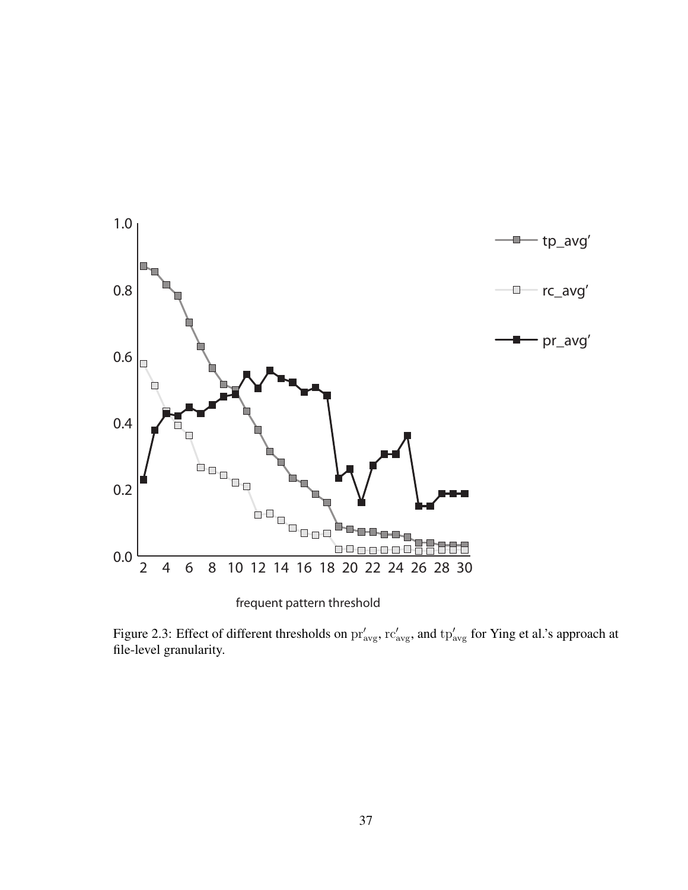

frequent pattern threshold

Figure 2.3: Effect of different thresholds on  $pr'_{avg}$ ,  $rc'_{avg}$ , and  $tp'_{avg}$  for Ying et al.'s approach at file-level granularity.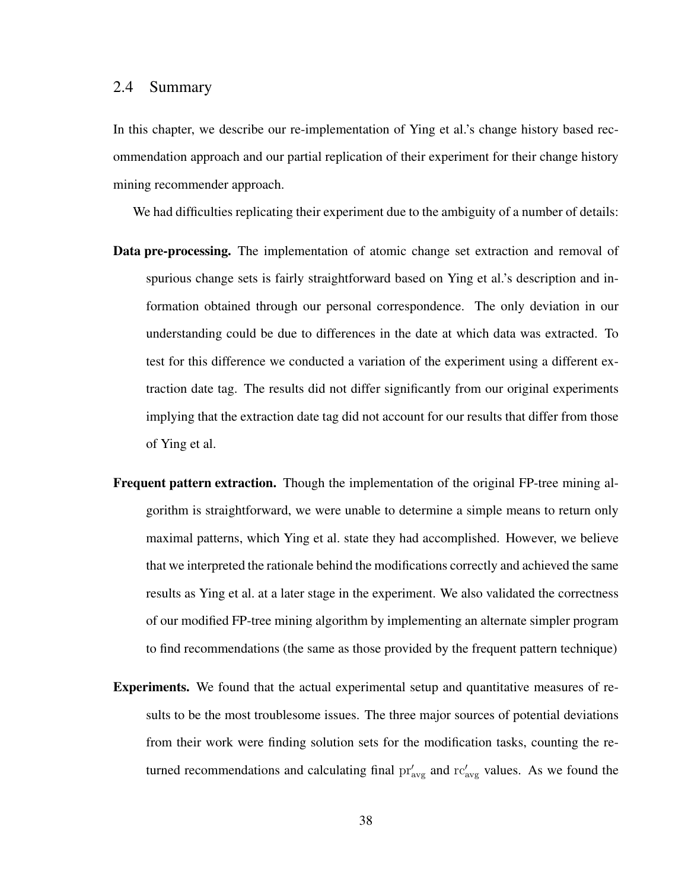## 2.4 Summary

In this chapter, we describe our re-implementation of Ying et al.'s change history based recommendation approach and our partial replication of their experiment for their change history mining recommender approach.

We had difficulties replicating their experiment due to the ambiguity of a number of details:

- Data pre-processing. The implementation of atomic change set extraction and removal of spurious change sets is fairly straightforward based on Ying et al.'s description and information obtained through our personal correspondence. The only deviation in our understanding could be due to differences in the date at which data was extracted. To test for this difference we conducted a variation of the experiment using a different extraction date tag. The results did not differ significantly from our original experiments implying that the extraction date tag did not account for our results that differ from those of Ying et al.
- Frequent pattern extraction. Though the implementation of the original FP-tree mining algorithm is straightforward, we were unable to determine a simple means to return only maximal patterns, which Ying et al. state they had accomplished. However, we believe that we interpreted the rationale behind the modifications correctly and achieved the same results as Ying et al. at a later stage in the experiment. We also validated the correctness of our modified FP-tree mining algorithm by implementing an alternate simpler program to find recommendations (the same as those provided by the frequent pattern technique)
- Experiments. We found that the actual experimental setup and quantitative measures of results to be the most troublesome issues. The three major sources of potential deviations from their work were finding solution sets for the modification tasks, counting the returned recommendations and calculating final  $pr'_{avg}$  and  $rc'_{avg}$  values. As we found the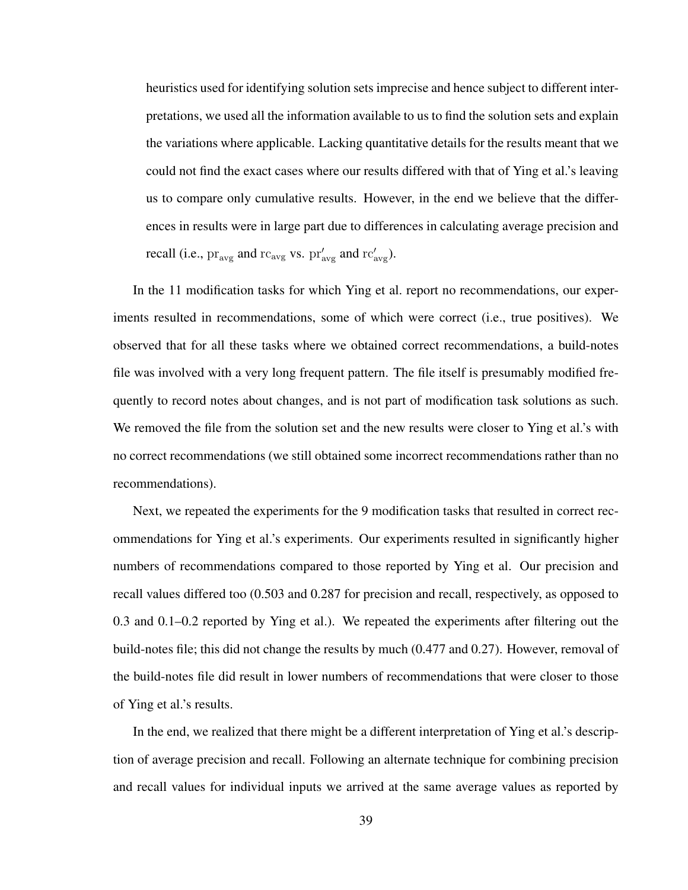heuristics used for identifying solution sets imprecise and hence subject to different interpretations, we used all the information available to us to find the solution sets and explain the variations where applicable. Lacking quantitative details for the results meant that we could not find the exact cases where our results differed with that of Ying et al.'s leaving us to compare only cumulative results. However, in the end we believe that the differences in results were in large part due to differences in calculating average precision and recall (i.e.,  $\text{pr}_{\text{avg}}$  and  $\text{rc}_{\text{avg}}$  vs.  $\text{pr}'_{\text{avg}}$  and  $\text{rc}'_{\text{avg}}$ ).

In the 11 modification tasks for which Ying et al. report no recommendations, our experiments resulted in recommendations, some of which were correct (i.e., true positives). We observed that for all these tasks where we obtained correct recommendations, a build-notes file was involved with a very long frequent pattern. The file itself is presumably modified frequently to record notes about changes, and is not part of modification task solutions as such. We removed the file from the solution set and the new results were closer to Ying et al.'s with no correct recommendations (we still obtained some incorrect recommendations rather than no recommendations).

Next, we repeated the experiments for the 9 modification tasks that resulted in correct recommendations for Ying et al.'s experiments. Our experiments resulted in significantly higher numbers of recommendations compared to those reported by Ying et al. Our precision and recall values differed too (0.503 and 0.287 for precision and recall, respectively, as opposed to 0.3 and 0.1–0.2 reported by Ying et al.). We repeated the experiments after filtering out the build-notes file; this did not change the results by much (0.477 and 0.27). However, removal of the build-notes file did result in lower numbers of recommendations that were closer to those of Ying et al.'s results.

In the end, we realized that there might be a different interpretation of Ying et al.'s description of average precision and recall. Following an alternate technique for combining precision and recall values for individual inputs we arrived at the same average values as reported by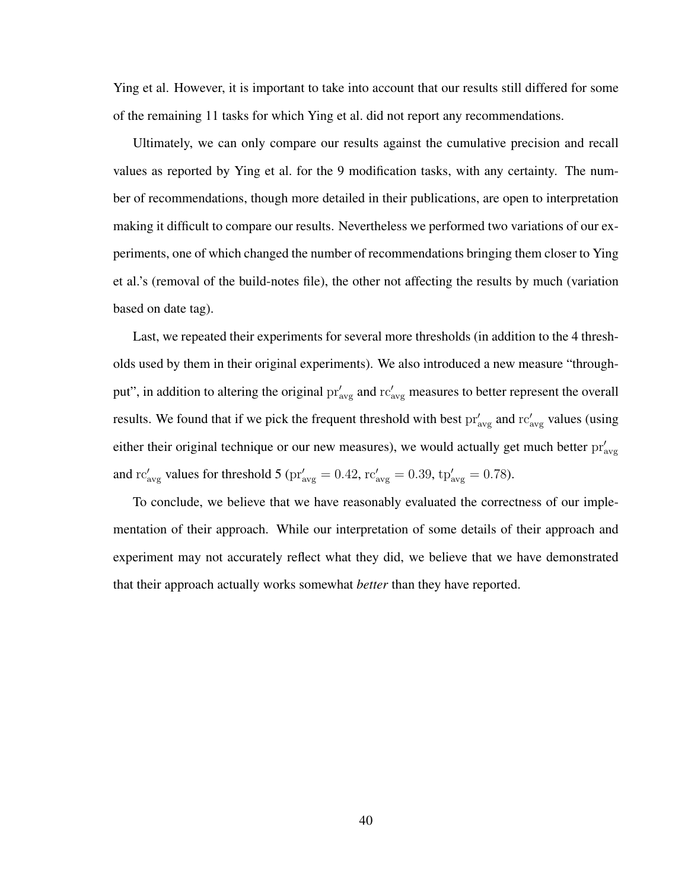Ying et al. However, it is important to take into account that our results still differed for some of the remaining 11 tasks for which Ying et al. did not report any recommendations.

Ultimately, we can only compare our results against the cumulative precision and recall values as reported by Ying et al. for the 9 modification tasks, with any certainty. The number of recommendations, though more detailed in their publications, are open to interpretation making it difficult to compare our results. Nevertheless we performed two variations of our experiments, one of which changed the number of recommendations bringing them closer to Ying et al.'s (removal of the build-notes file), the other not affecting the results by much (variation based on date tag).

Last, we repeated their experiments for several more thresholds (in addition to the 4 thresholds used by them in their original experiments). We also introduced a new measure "throughput", in addition to altering the original  $pr'_{avg}$  and  $rc'_{avg}$  measures to better represent the overall results. We found that if we pick the frequent threshold with best  $pr'_{avg}$  and  $rc'_{avg}$  values (using either their original technique or our new measures), we would actually get much better  $pr'_{avg}$ and  $\text{rc}'_{\text{avg}}$  values for threshold 5 ( $\text{pr}'_{\text{avg}} = 0.42$ ,  $\text{rc}'_{\text{avg}} = 0.39$ ,  $\text{tp}'_{\text{avg}} = 0.78$ ).

To conclude, we believe that we have reasonably evaluated the correctness of our implementation of their approach. While our interpretation of some details of their approach and experiment may not accurately reflect what they did, we believe that we have demonstrated that their approach actually works somewhat *better* than they have reported.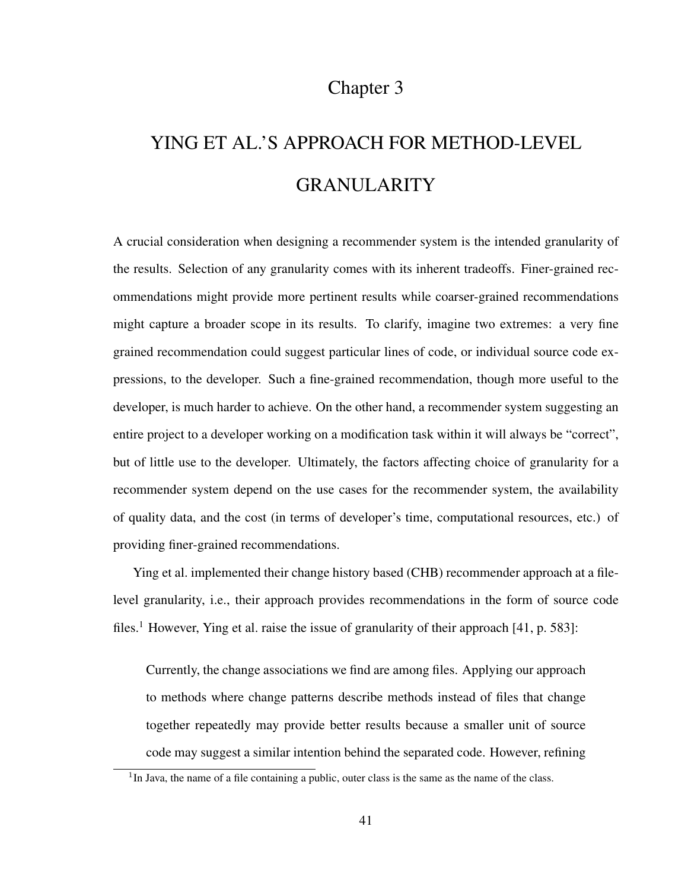# Chapter 3

# YING ET AL.'S APPROACH FOR METHOD-LEVEL GRANULARITY

A crucial consideration when designing a recommender system is the intended granularity of the results. Selection of any granularity comes with its inherent tradeoffs. Finer-grained recommendations might provide more pertinent results while coarser-grained recommendations might capture a broader scope in its results. To clarify, imagine two extremes: a very fine grained recommendation could suggest particular lines of code, or individual source code expressions, to the developer. Such a fine-grained recommendation, though more useful to the developer, is much harder to achieve. On the other hand, a recommender system suggesting an entire project to a developer working on a modification task within it will always be "correct", but of little use to the developer. Ultimately, the factors affecting choice of granularity for a recommender system depend on the use cases for the recommender system, the availability of quality data, and the cost (in terms of developer's time, computational resources, etc.) of providing finer-grained recommendations.

Ying et al. implemented their change history based (CHB) recommender approach at a filelevel granularity, i.e., their approach provides recommendations in the form of source code files.<sup>1</sup> However, Ying et al. raise the issue of granularity of their approach [41, p. 583]:

Currently, the change associations we find are among files. Applying our approach to methods where change patterns describe methods instead of files that change together repeatedly may provide better results because a smaller unit of source code may suggest a similar intention behind the separated code. However, refining

<sup>&</sup>lt;sup>1</sup>In Java, the name of a file containing a public, outer class is the same as the name of the class.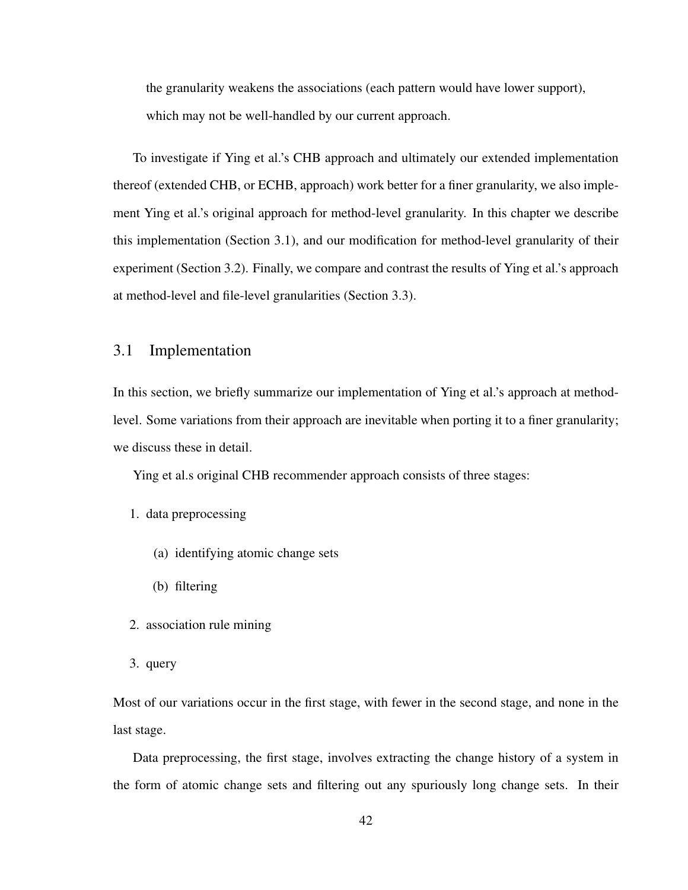the granularity weakens the associations (each pattern would have lower support), which may not be well-handled by our current approach.

To investigate if Ying et al.'s CHB approach and ultimately our extended implementation thereof (extended CHB, or ECHB, approach) work better for a finer granularity, we also implement Ying et al.'s original approach for method-level granularity. In this chapter we describe this implementation (Section 3.1), and our modification for method-level granularity of their experiment (Section 3.2). Finally, we compare and contrast the results of Ying et al.'s approach at method-level and file-level granularities (Section 3.3).

# 3.1 Implementation

In this section, we briefly summarize our implementation of Ying et al.'s approach at methodlevel. Some variations from their approach are inevitable when porting it to a finer granularity; we discuss these in detail.

Ying et al.s original CHB recommender approach consists of three stages:

- 1. data preprocessing
	- (a) identifying atomic change sets
	- (b) filtering
- 2. association rule mining
- 3. query

Most of our variations occur in the first stage, with fewer in the second stage, and none in the last stage.

Data preprocessing, the first stage, involves extracting the change history of a system in the form of atomic change sets and filtering out any spuriously long change sets. In their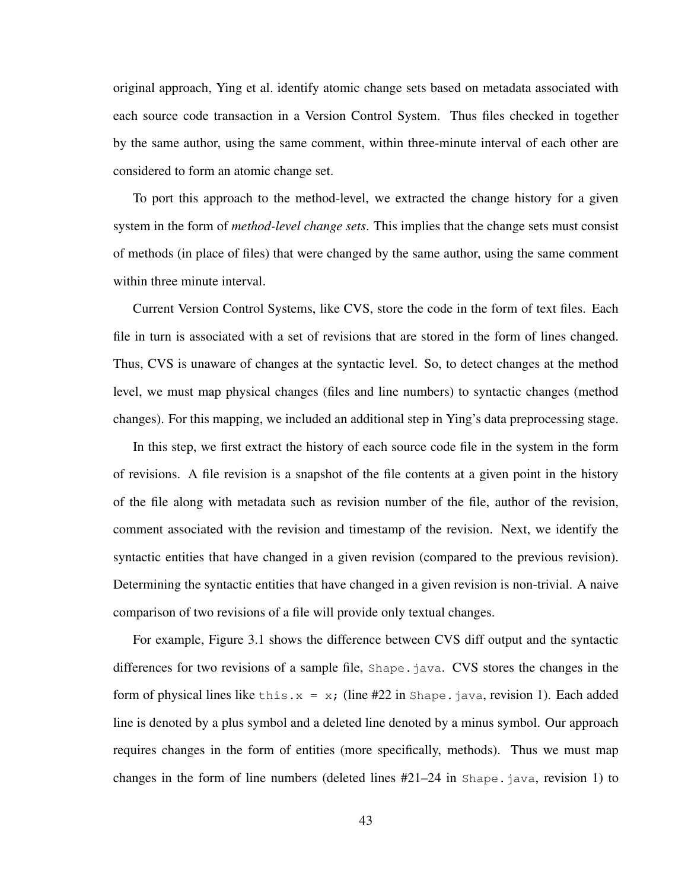original approach, Ying et al. identify atomic change sets based on metadata associated with each source code transaction in a Version Control System. Thus files checked in together by the same author, using the same comment, within three-minute interval of each other are considered to form an atomic change set.

To port this approach to the method-level, we extracted the change history for a given system in the form of *method-level change sets*. This implies that the change sets must consist of methods (in place of files) that were changed by the same author, using the same comment within three minute interval.

Current Version Control Systems, like CVS, store the code in the form of text files. Each file in turn is associated with a set of revisions that are stored in the form of lines changed. Thus, CVS is unaware of changes at the syntactic level. So, to detect changes at the method level, we must map physical changes (files and line numbers) to syntactic changes (method changes). For this mapping, we included an additional step in Ying's data preprocessing stage.

In this step, we first extract the history of each source code file in the system in the form of revisions. A file revision is a snapshot of the file contents at a given point in the history of the file along with metadata such as revision number of the file, author of the revision, comment associated with the revision and timestamp of the revision. Next, we identify the syntactic entities that have changed in a given revision (compared to the previous revision). Determining the syntactic entities that have changed in a given revision is non-trivial. A naive comparison of two revisions of a file will provide only textual changes.

For example, Figure 3.1 shows the difference between CVS diff output and the syntactic differences for two revisions of a sample file, Shape. java. CVS stores the changes in the form of physical lines like this. $x = x$ ; (line #22 in Shape. java, revision 1). Each added line is denoted by a plus symbol and a deleted line denoted by a minus symbol. Our approach requires changes in the form of entities (more specifically, methods). Thus we must map changes in the form of line numbers (deleted lines #21–24 in Shape.java, revision 1) to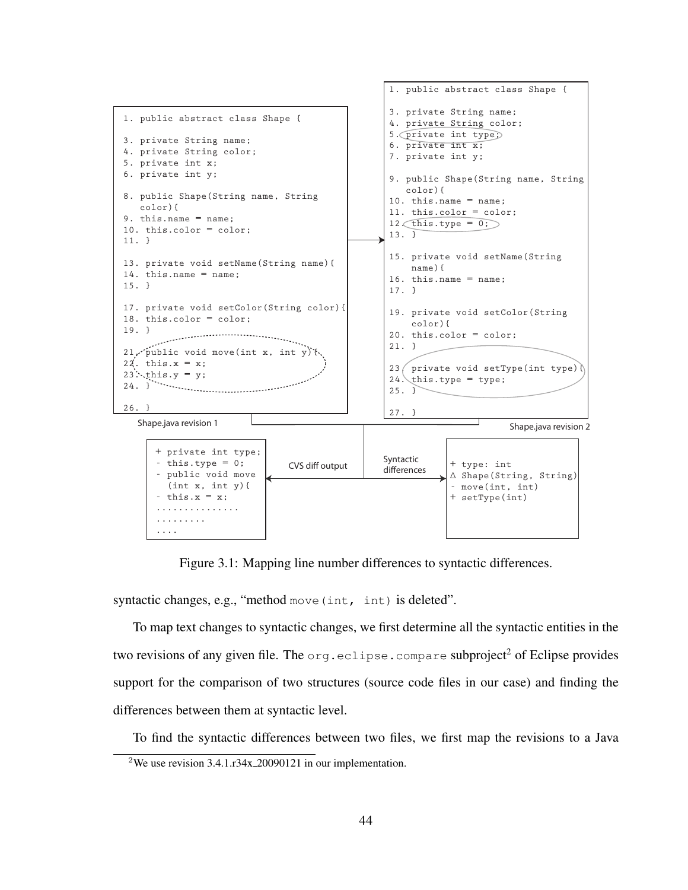

Figure 3.1: Mapping line number differences to syntactic differences.

syntactic changes, e.g., "method move (int, int) is deleted".

To map text changes to syntactic changes, we first determine all the syntactic entities in the two revisions of any given file. The  $\text{org.}$  eclipse.compare subproject<sup>2</sup> of Eclipse provides support for the comparison of two structures (source code files in our case) and finding the differences between them at syntactic level.

To find the syntactic differences between two files, we first map the revisions to a Java

<sup>2</sup>We use revision 3.4.1.r34x 20090121 in our implementation.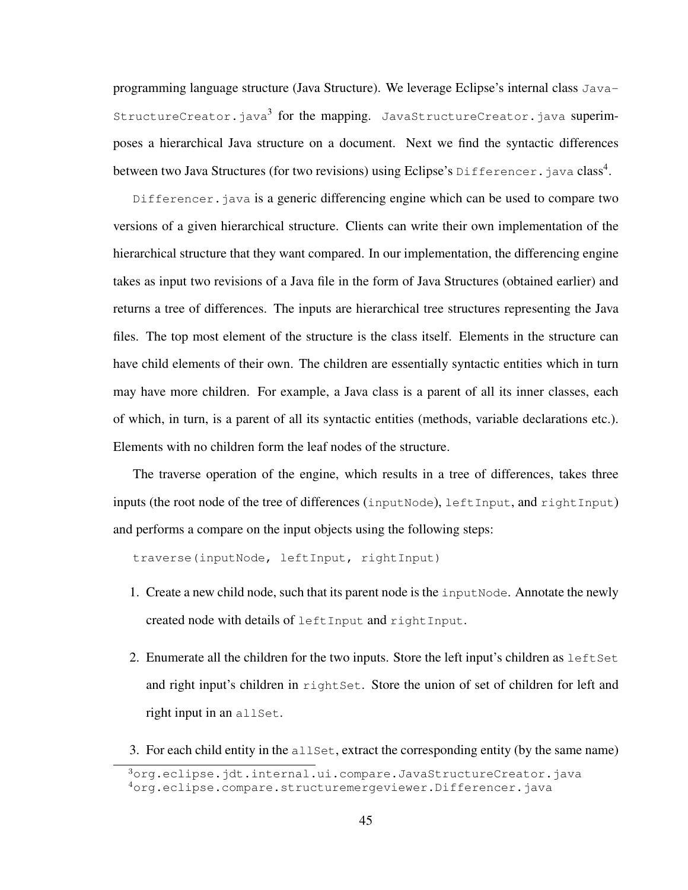programming language structure (Java Structure). We leverage Eclipse's internal class Java-StructureCreator.java<sup>3</sup> for the mapping. JavaStructureCreator.java superimposes a hierarchical Java structure on a document. Next we find the syntactic differences between two Java Structures (for two revisions) using Eclipse's Differencer. java class<sup>4</sup>.

Differencer. java is a generic differencing engine which can be used to compare two versions of a given hierarchical structure. Clients can write their own implementation of the hierarchical structure that they want compared. In our implementation, the differencing engine takes as input two revisions of a Java file in the form of Java Structures (obtained earlier) and returns a tree of differences. The inputs are hierarchical tree structures representing the Java files. The top most element of the structure is the class itself. Elements in the structure can have child elements of their own. The children are essentially syntactic entities which in turn may have more children. For example, a Java class is a parent of all its inner classes, each of which, in turn, is a parent of all its syntactic entities (methods, variable declarations etc.). Elements with no children form the leaf nodes of the structure.

The traverse operation of the engine, which results in a tree of differences, takes three inputs (the root node of the tree of differences (inputNode), leftInput, and rightInput) and performs a compare on the input objects using the following steps:

traverse(inputNode, leftInput, rightInput)

- 1. Create a new child node, such that its parent node is the input Node. Annotate the newly created node with details of leftInput and rightInput.
- 2. Enumerate all the children for the two inputs. Store the left input's children as left set and right input's children in rightSet. Store the union of set of children for left and right input in an allSet.
- 3. For each child entity in the  $\alpha$ lset, extract the corresponding entity (by the same name)

 $3$ org.eclipse.jdt.internal.ui.compare.JavaStructureCreator.java <sup>4</sup>org.eclipse.compare.structuremergeviewer.Differencer.java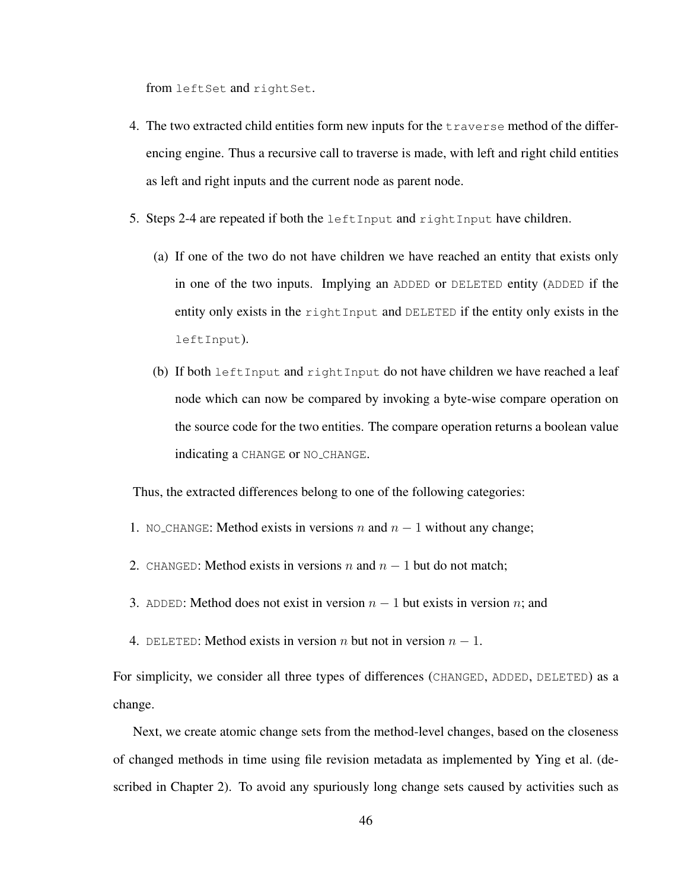from leftSet and rightSet.

- 4. The two extracted child entities form new inputs for the traverse method of the differencing engine. Thus a recursive call to traverse is made, with left and right child entities as left and right inputs and the current node as parent node.
- 5. Steps 2-4 are repeated if both the left Input and rightInput have children.
	- (a) If one of the two do not have children we have reached an entity that exists only in one of the two inputs. Implying an ADDED or DELETED entity (ADDED if the entity only exists in the rightInput and DELETED if the entity only exists in the leftInput).
	- (b) If both leftInput and rightInput do not have children we have reached a leaf node which can now be compared by invoking a byte-wise compare operation on the source code for the two entities. The compare operation returns a boolean value indicating a CHANGE or NO CHANGE.

Thus, the extracted differences belong to one of the following categories:

- 1. NO CHANGE: Method exists in versions n and  $n-1$  without any change;
- 2. CHANGED: Method exists in versions n and  $n 1$  but do not match;
- 3. ADDED: Method does not exist in version  $n 1$  but exists in version n; and
- 4. DELETED: Method exists in version *n* but not in version  $n 1$ .

For simplicity, we consider all three types of differences (CHANGED, ADDED, DELETED) as a change.

Next, we create atomic change sets from the method-level changes, based on the closeness of changed methods in time using file revision metadata as implemented by Ying et al. (described in Chapter 2). To avoid any spuriously long change sets caused by activities such as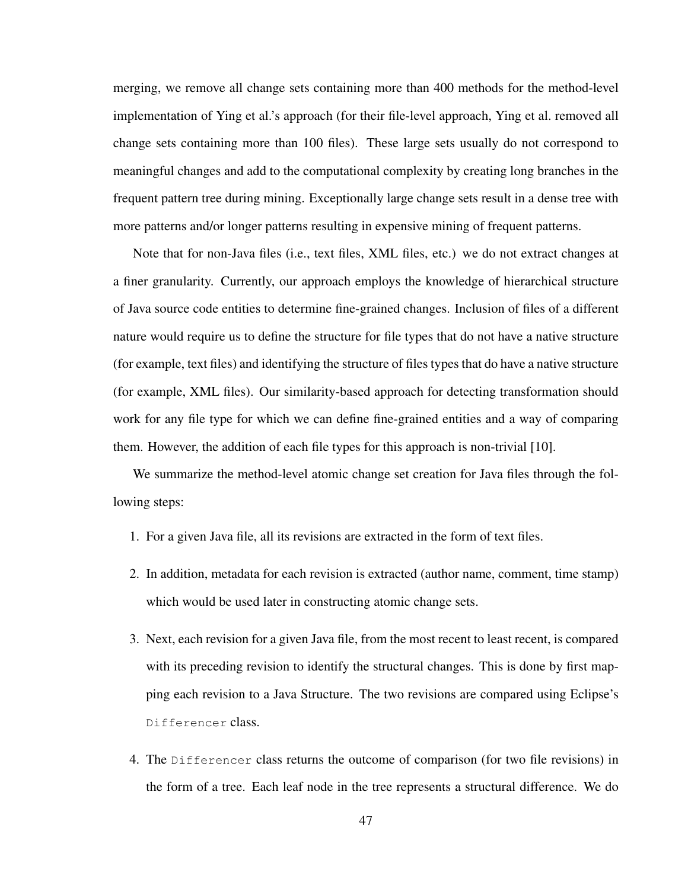merging, we remove all change sets containing more than 400 methods for the method-level implementation of Ying et al.'s approach (for their file-level approach, Ying et al. removed all change sets containing more than 100 files). These large sets usually do not correspond to meaningful changes and add to the computational complexity by creating long branches in the frequent pattern tree during mining. Exceptionally large change sets result in a dense tree with more patterns and/or longer patterns resulting in expensive mining of frequent patterns.

Note that for non-Java files (i.e., text files, XML files, etc.) we do not extract changes at a finer granularity. Currently, our approach employs the knowledge of hierarchical structure of Java source code entities to determine fine-grained changes. Inclusion of files of a different nature would require us to define the structure for file types that do not have a native structure (for example, text files) and identifying the structure of files types that do have a native structure (for example, XML files). Our similarity-based approach for detecting transformation should work for any file type for which we can define fine-grained entities and a way of comparing them. However, the addition of each file types for this approach is non-trivial [10].

We summarize the method-level atomic change set creation for Java files through the following steps:

- 1. For a given Java file, all its revisions are extracted in the form of text files.
- 2. In addition, metadata for each revision is extracted (author name, comment, time stamp) which would be used later in constructing atomic change sets.
- 3. Next, each revision for a given Java file, from the most recent to least recent, is compared with its preceding revision to identify the structural changes. This is done by first mapping each revision to a Java Structure. The two revisions are compared using Eclipse's Differencer class.
- 4. The Differencer class returns the outcome of comparison (for two file revisions) in the form of a tree. Each leaf node in the tree represents a structural difference. We do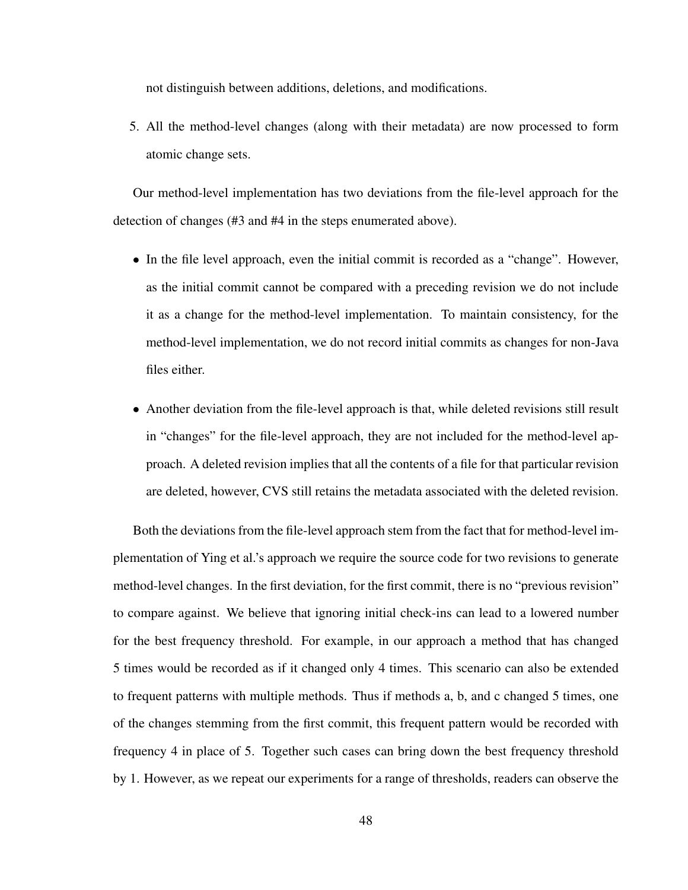not distinguish between additions, deletions, and modifications.

5. All the method-level changes (along with their metadata) are now processed to form atomic change sets.

Our method-level implementation has two deviations from the file-level approach for the detection of changes (#3 and #4 in the steps enumerated above).

- In the file level approach, even the initial commit is recorded as a "change". However, as the initial commit cannot be compared with a preceding revision we do not include it as a change for the method-level implementation. To maintain consistency, for the method-level implementation, we do not record initial commits as changes for non-Java files either.
- Another deviation from the file-level approach is that, while deleted revisions still result in "changes" for the file-level approach, they are not included for the method-level approach. A deleted revision implies that all the contents of a file for that particular revision are deleted, however, CVS still retains the metadata associated with the deleted revision.

Both the deviations from the file-level approach stem from the fact that for method-level implementation of Ying et al.'s approach we require the source code for two revisions to generate method-level changes. In the first deviation, for the first commit, there is no "previous revision" to compare against. We believe that ignoring initial check-ins can lead to a lowered number for the best frequency threshold. For example, in our approach a method that has changed 5 times would be recorded as if it changed only 4 times. This scenario can also be extended to frequent patterns with multiple methods. Thus if methods a, b, and c changed 5 times, one of the changes stemming from the first commit, this frequent pattern would be recorded with frequency 4 in place of 5. Together such cases can bring down the best frequency threshold by 1. However, as we repeat our experiments for a range of thresholds, readers can observe the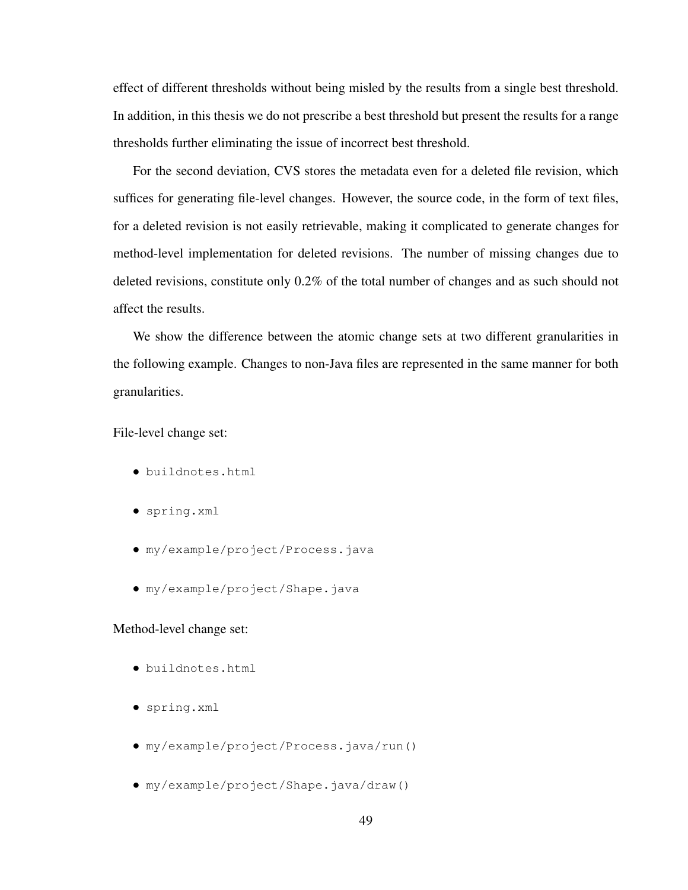effect of different thresholds without being misled by the results from a single best threshold. In addition, in this thesis we do not prescribe a best threshold but present the results for a range thresholds further eliminating the issue of incorrect best threshold.

For the second deviation, CVS stores the metadata even for a deleted file revision, which suffices for generating file-level changes. However, the source code, in the form of text files, for a deleted revision is not easily retrievable, making it complicated to generate changes for method-level implementation for deleted revisions. The number of missing changes due to deleted revisions, constitute only 0.2% of the total number of changes and as such should not affect the results.

We show the difference between the atomic change sets at two different granularities in the following example. Changes to non-Java files are represented in the same manner for both granularities.

File-level change set:

- buildnotes.html
- spring.xml
- my/example/project/Process.java
- my/example/project/Shape.java

## Method-level change set:

- buildnotes.html
- spring.xml
- my/example/project/Process.java/run()
- my/example/project/Shape.java/draw()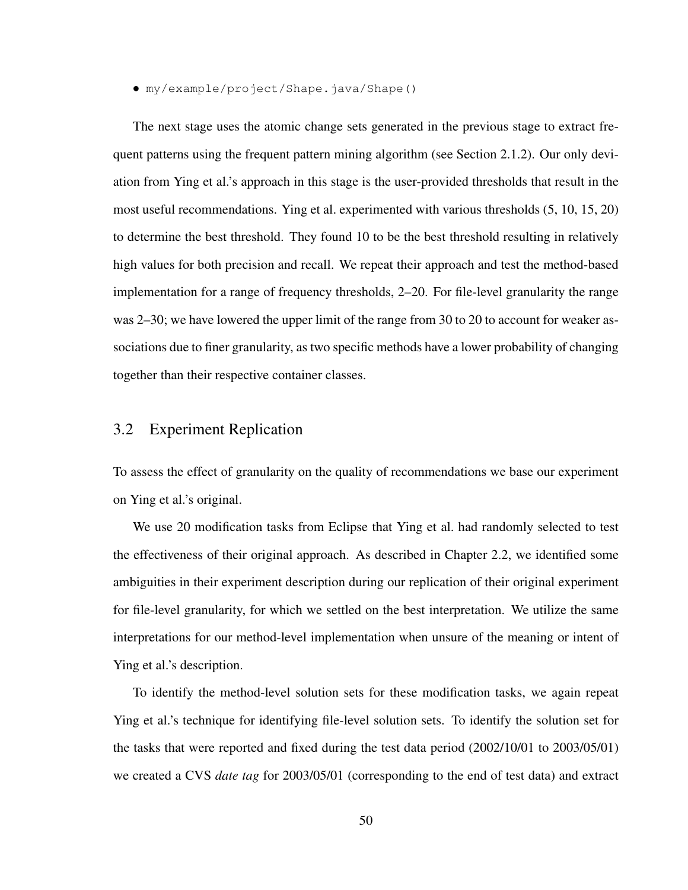• my/example/project/Shape.java/Shape()

The next stage uses the atomic change sets generated in the previous stage to extract frequent patterns using the frequent pattern mining algorithm (see Section 2.1.2). Our only deviation from Ying et al.'s approach in this stage is the user-provided thresholds that result in the most useful recommendations. Ying et al. experimented with various thresholds (5, 10, 15, 20) to determine the best threshold. They found 10 to be the best threshold resulting in relatively high values for both precision and recall. We repeat their approach and test the method-based implementation for a range of frequency thresholds, 2–20. For file-level granularity the range was 2–30; we have lowered the upper limit of the range from 30 to 20 to account for weaker associations due to finer granularity, as two specific methods have a lower probability of changing together than their respective container classes.

# 3.2 Experiment Replication

To assess the effect of granularity on the quality of recommendations we base our experiment on Ying et al.'s original.

We use 20 modification tasks from Eclipse that Ying et al. had randomly selected to test the effectiveness of their original approach. As described in Chapter 2.2, we identified some ambiguities in their experiment description during our replication of their original experiment for file-level granularity, for which we settled on the best interpretation. We utilize the same interpretations for our method-level implementation when unsure of the meaning or intent of Ying et al.'s description.

To identify the method-level solution sets for these modification tasks, we again repeat Ying et al.'s technique for identifying file-level solution sets. To identify the solution set for the tasks that were reported and fixed during the test data period (2002/10/01 to 2003/05/01) we created a CVS *date tag* for 2003/05/01 (corresponding to the end of test data) and extract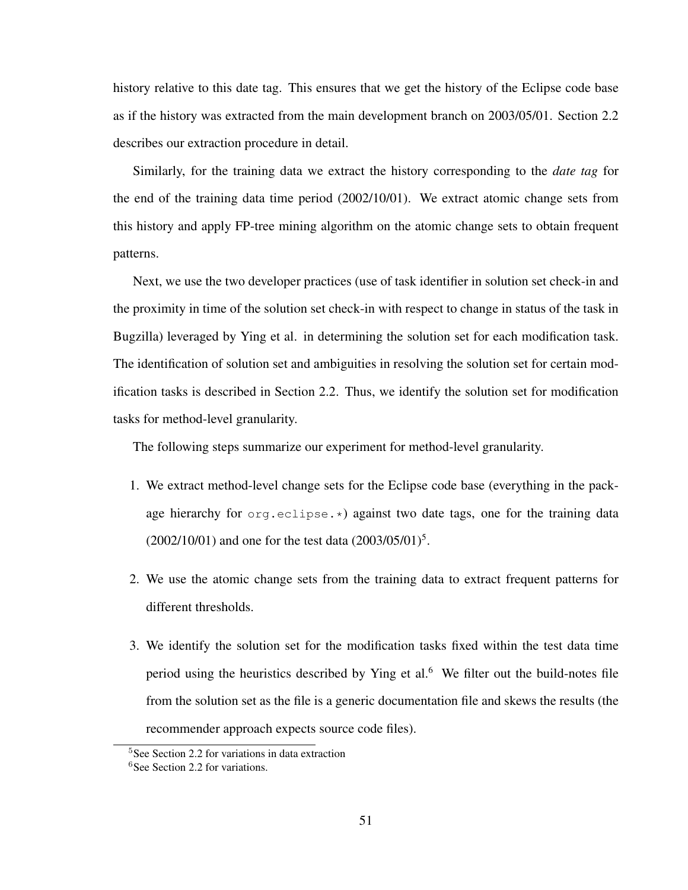history relative to this date tag. This ensures that we get the history of the Eclipse code base as if the history was extracted from the main development branch on 2003/05/01. Section 2.2 describes our extraction procedure in detail.

Similarly, for the training data we extract the history corresponding to the *date tag* for the end of the training data time period (2002/10/01). We extract atomic change sets from this history and apply FP-tree mining algorithm on the atomic change sets to obtain frequent patterns.

Next, we use the two developer practices (use of task identifier in solution set check-in and the proximity in time of the solution set check-in with respect to change in status of the task in Bugzilla) leveraged by Ying et al. in determining the solution set for each modification task. The identification of solution set and ambiguities in resolving the solution set for certain modification tasks is described in Section 2.2. Thus, we identify the solution set for modification tasks for method-level granularity.

The following steps summarize our experiment for method-level granularity.

- 1. We extract method-level change sets for the Eclipse code base (everything in the package hierarchy for org.eclipse.\*) against two date tags, one for the training data  $(2002/10/01)$  and one for the test data  $(2003/05/01)^5$ .
- 2. We use the atomic change sets from the training data to extract frequent patterns for different thresholds.
- 3. We identify the solution set for the modification tasks fixed within the test data time period using the heuristics described by Ying et al. $<sup>6</sup>$  We filter out the build-notes file</sup> from the solution set as the file is a generic documentation file and skews the results (the recommender approach expects source code files).

<sup>5</sup>See Section 2.2 for variations in data extraction

<sup>6</sup>See Section 2.2 for variations.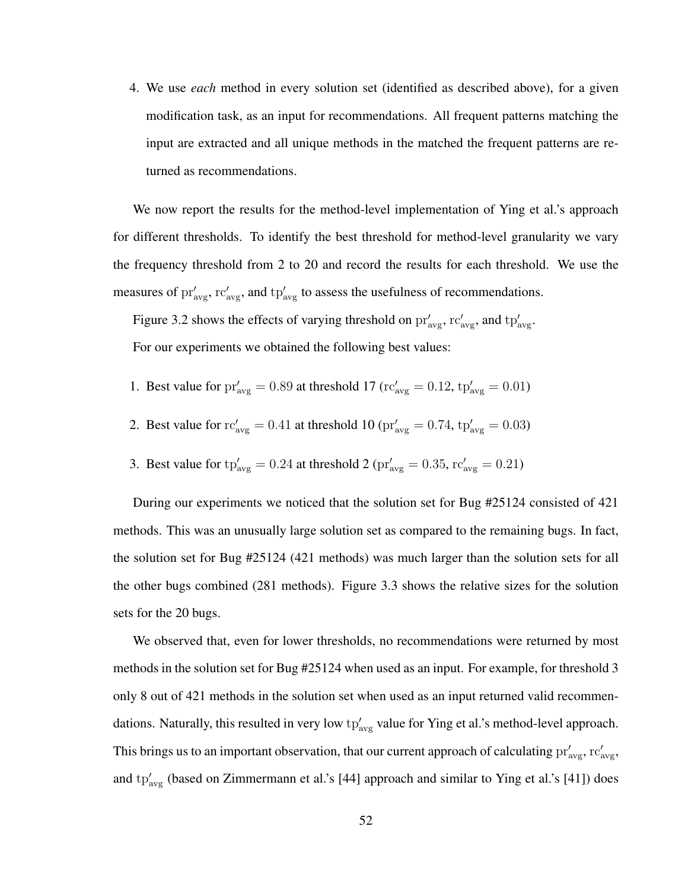4. We use *each* method in every solution set (identified as described above), for a given modification task, as an input for recommendations. All frequent patterns matching the input are extracted and all unique methods in the matched the frequent patterns are returned as recommendations.

We now report the results for the method-level implementation of Ying et al.'s approach for different thresholds. To identify the best threshold for method-level granularity we vary the frequency threshold from 2 to 20 and record the results for each threshold. We use the measures of  $pr'_{avg}$ ,  $rc'_{avg}$ , and  $tp'_{avg}$  to assess the usefulness of recommendations.

Figure 3.2 shows the effects of varying threshold on  $pr'_{\text{avg}}$ ,  $rc'_{\text{avg}}$ , and  $tp'_{\text{avg}}$ . For our experiments we obtained the following best values:

- 1. Best value for  $pr'_{avg} = 0.89$  at threshold 17 ( $rc'_{avg} = 0.12$ ,  $tp'_{avg} = 0.01$ )
- 2. Best value for  $rc'_{avg} = 0.41$  at threshold 10 ( $pr'_{avg} = 0.74$ ,  $tp'_{avg} = 0.03$ )
- 3. Best value for  $tp'_{avg} = 0.24$  at threshold 2 ( $pr'_{avg} = 0.35$ ,  $rc'_{avg} = 0.21$ )

During our experiments we noticed that the solution set for Bug #25124 consisted of 421 methods. This was an unusually large solution set as compared to the remaining bugs. In fact, the solution set for Bug #25124 (421 methods) was much larger than the solution sets for all the other bugs combined (281 methods). Figure 3.3 shows the relative sizes for the solution sets for the 20 bugs.

We observed that, even for lower thresholds, no recommendations were returned by most methods in the solution set for Bug #25124 when used as an input. For example, for threshold 3 only 8 out of 421 methods in the solution set when used as an input returned valid recommendations. Naturally, this resulted in very low  $tp'_{avg}$  value for Ying et al.'s method-level approach. This brings us to an important observation, that our current approach of calculating  $pr'_{avg}$ ,  $rc'_{avg}$ , and  $tp'_{avg}$  (based on Zimmermann et al.'s [44] approach and similar to Ying et al.'s [41]) does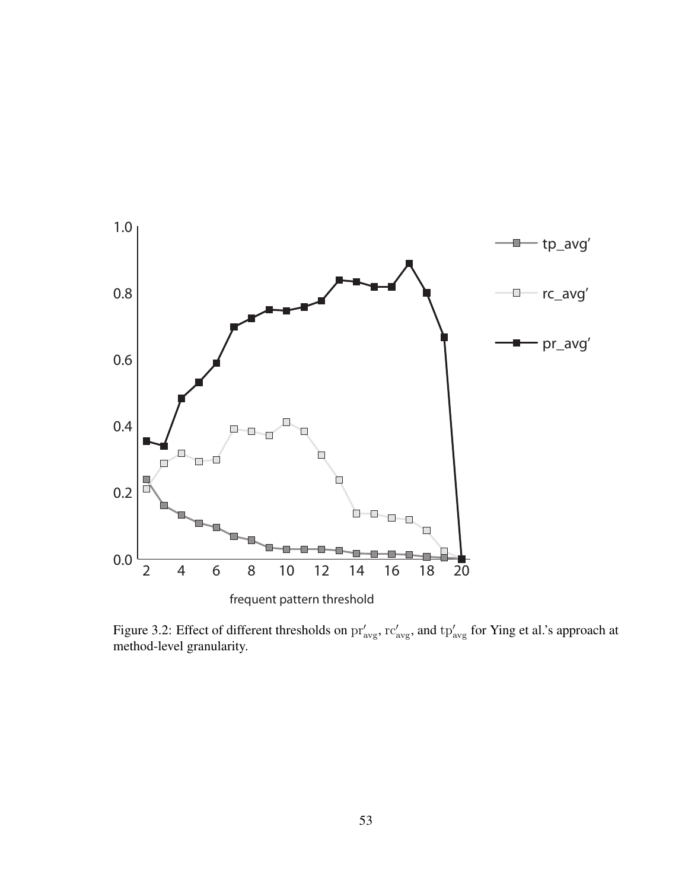

Figure 3.2: Effect of different thresholds on  $pr'_{avg}$ ,  $rc'_{avg}$ , and  $tp'_{avg}$  for Ying et al.'s approach at method-level granularity.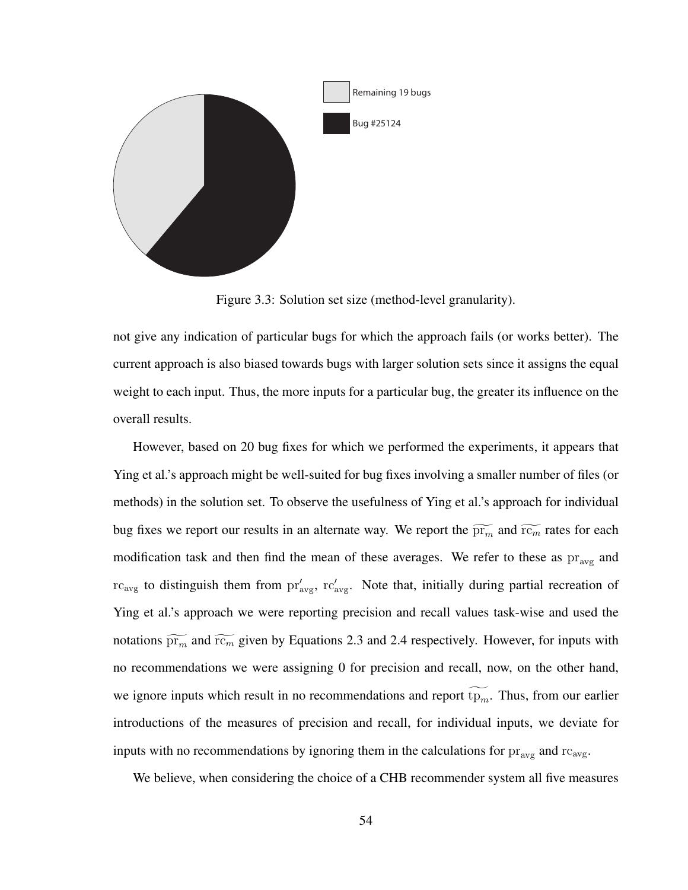

Figure 3.3: Solution set size (method-level granularity).

not give any indication of particular bugs for which the approach fails (or works better). The current approach is also biased towards bugs with larger solution sets since it assigns the equal weight to each input. Thus, the more inputs for a particular bug, the greater its influence on the overall results.

However, based on 20 bug fixes for which we performed the experiments, it appears that Ying et al.'s approach might be well-suited for bug fixes involving a smaller number of files (or methods) in the solution set. To observe the usefulness of Ying et al.'s approach for individual bug fixes we report our results in an alternate way. We report the  $\widetilde{pr_m}$  and  $\widetilde{rc_m}$  rates for each modification task and then find the mean of these averages. We refer to these as  $pr_{avg}$  and  $rc_{\text{avg}}$  to distinguish them from  $pr'_{\text{avg}}$ ,  $rc'_{\text{avg}}$ . Note that, initially during partial recreation of Ying et al.'s approach we were reporting precision and recall values task-wise and used the notations  $\widetilde{pr_m}$  and  $\widetilde{rc_m}$  given by Equations 2.3 and 2.4 respectively. However, for inputs with no recommendations we were assigning 0 for precision and recall, now, on the other hand, we ignore inputs which result in no recommendations and report  $tp_m$ . Thus, from our earlier introductions of the measures of precision and recall, for individual inputs, we deviate for inputs with no recommendations by ignoring them in the calculations for  $pr_{avg}$  and  $rc_{avg}$ .

We believe, when considering the choice of a CHB recommender system all five measures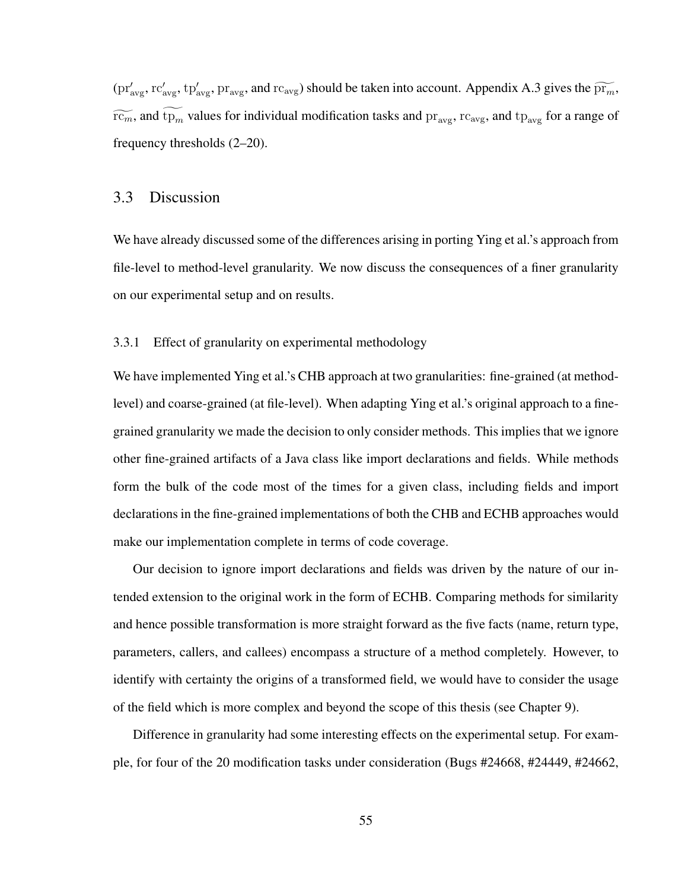$(pr'_{\text{avg}}, rc'_{\text{avg}}, tp'_{\text{avg}}, pr_{\text{avg}})$  and  $rc_{\text{avg}}$ ) should be taken into account. Appendix A.3 gives the  $\widetilde{pr_m}$ ,  $\widetilde{rc_m}$ , and  $\widetilde{tp_m}$  values for individual modification tasks and  $pr_{\text{avg}}$ ,  $rc_{\text{avg}}$ , and  $tp_{\text{avg}}$  for a range of frequency thresholds (2–20).

# 3.3 Discussion

We have already discussed some of the differences arising in porting Ying et al.'s approach from file-level to method-level granularity. We now discuss the consequences of a finer granularity on our experimental setup and on results.

#### 3.3.1 Effect of granularity on experimental methodology

We have implemented Ying et al.'s CHB approach at two granularities: fine-grained (at methodlevel) and coarse-grained (at file-level). When adapting Ying et al.'s original approach to a finegrained granularity we made the decision to only consider methods. This implies that we ignore other fine-grained artifacts of a Java class like import declarations and fields. While methods form the bulk of the code most of the times for a given class, including fields and import declarations in the fine-grained implementations of both the CHB and ECHB approaches would make our implementation complete in terms of code coverage.

Our decision to ignore import declarations and fields was driven by the nature of our intended extension to the original work in the form of ECHB. Comparing methods for similarity and hence possible transformation is more straight forward as the five facts (name, return type, parameters, callers, and callees) encompass a structure of a method completely. However, to identify with certainty the origins of a transformed field, we would have to consider the usage of the field which is more complex and beyond the scope of this thesis (see Chapter 9).

Difference in granularity had some interesting effects on the experimental setup. For example, for four of the 20 modification tasks under consideration (Bugs #24668, #24449, #24662,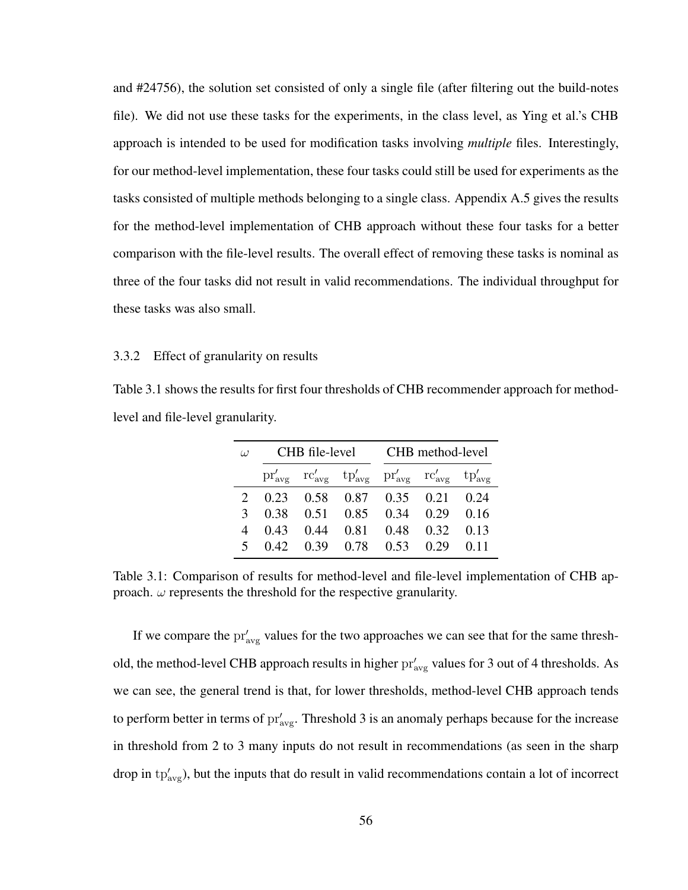and #24756), the solution set consisted of only a single file (after filtering out the build-notes file). We did not use these tasks for the experiments, in the class level, as Ying et al.'s CHB approach is intended to be used for modification tasks involving *multiple* files. Interestingly, for our method-level implementation, these four tasks could still be used for experiments as the tasks consisted of multiple methods belonging to a single class. Appendix A.5 gives the results for the method-level implementation of CHB approach without these four tasks for a better comparison with the file-level results. The overall effect of removing these tasks is nominal as three of the four tasks did not result in valid recommendations. The individual throughput for these tasks was also small.

#### 3.3.2 Effect of granularity on results

Table 3.1 shows the results for first four thresholds of CHB recommender approach for methodlevel and file-level granularity.

| $\omega$ |                                 |  |                                                                                                                                                             | CHB file-level CHB method-level |  |  |
|----------|---------------------------------|--|-------------------------------------------------------------------------------------------------------------------------------------------------------------|---------------------------------|--|--|
|          |                                 |  | $\text{pr}'_{\text{avg}}$ $\text{rc}'_{\text{avg}}$ $\text{tp}'_{\text{avg}}$ $\text{pr}'_{\text{avg}}$ $\text{rc}'_{\text{avg}}$ $\text{tp}'_{\text{avg}}$ |                                 |  |  |
|          | 2 0.23 0.58 0.87 0.35 0.21 0.24 |  |                                                                                                                                                             |                                 |  |  |
|          | 3 0.38 0.51 0.85 0.34 0.29 0.16 |  |                                                                                                                                                             |                                 |  |  |
|          | 4 0.43 0.44 0.81 0.48 0.32 0.13 |  |                                                                                                                                                             |                                 |  |  |
|          | 5 0.42 0.39 0.78 0.53 0.29 0.11 |  |                                                                                                                                                             |                                 |  |  |

Table 3.1: Comparison of results for method-level and file-level implementation of CHB approach.  $\omega$  represents the threshold for the respective granularity.

If we compare the  $pr'_{avg}$  values for the two approaches we can see that for the same threshold, the method-level CHB approach results in higher  $pr'_{avg}$  values for 3 out of 4 thresholds. As we can see, the general trend is that, for lower thresholds, method-level CHB approach tends to perform better in terms of  $pr'_{avg}$ . Threshold 3 is an anomaly perhaps because for the increase in threshold from 2 to 3 many inputs do not result in recommendations (as seen in the sharp drop in  $tp'_{avg}$ ), but the inputs that do result in valid recommendations contain a lot of incorrect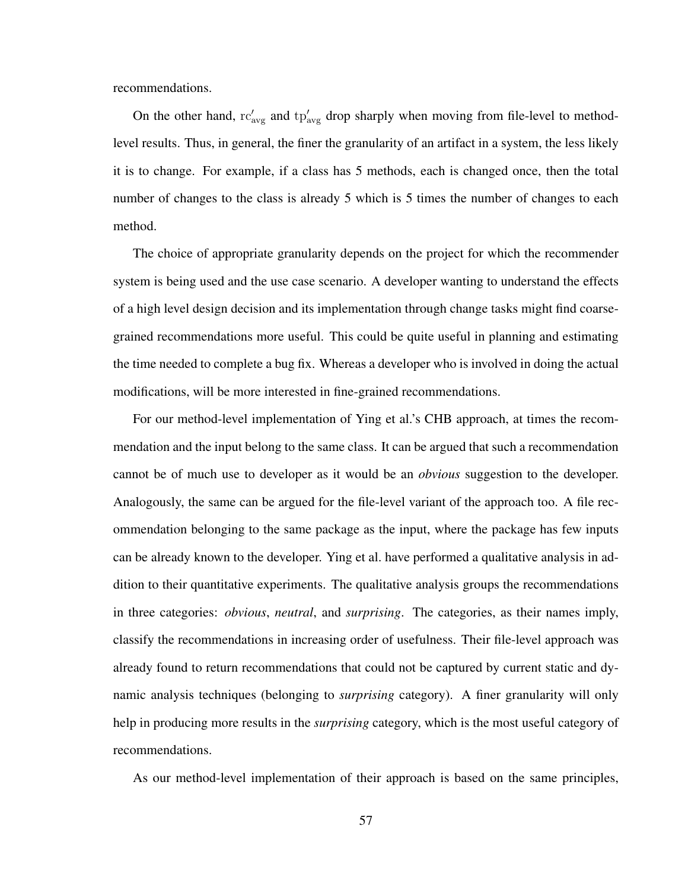recommendations.

On the other hand,  $rc'_{avg}$  and  $tp'_{avg}$  drop sharply when moving from file-level to methodlevel results. Thus, in general, the finer the granularity of an artifact in a system, the less likely it is to change. For example, if a class has 5 methods, each is changed once, then the total number of changes to the class is already 5 which is 5 times the number of changes to each method.

The choice of appropriate granularity depends on the project for which the recommender system is being used and the use case scenario. A developer wanting to understand the effects of a high level design decision and its implementation through change tasks might find coarsegrained recommendations more useful. This could be quite useful in planning and estimating the time needed to complete a bug fix. Whereas a developer who is involved in doing the actual modifications, will be more interested in fine-grained recommendations.

For our method-level implementation of Ying et al.'s CHB approach, at times the recommendation and the input belong to the same class. It can be argued that such a recommendation cannot be of much use to developer as it would be an *obvious* suggestion to the developer. Analogously, the same can be argued for the file-level variant of the approach too. A file recommendation belonging to the same package as the input, where the package has few inputs can be already known to the developer. Ying et al. have performed a qualitative analysis in addition to their quantitative experiments. The qualitative analysis groups the recommendations in three categories: *obvious*, *neutral*, and *surprising*. The categories, as their names imply, classify the recommendations in increasing order of usefulness. Their file-level approach was already found to return recommendations that could not be captured by current static and dynamic analysis techniques (belonging to *surprising* category). A finer granularity will only help in producing more results in the *surprising* category, which is the most useful category of recommendations.

As our method-level implementation of their approach is based on the same principles,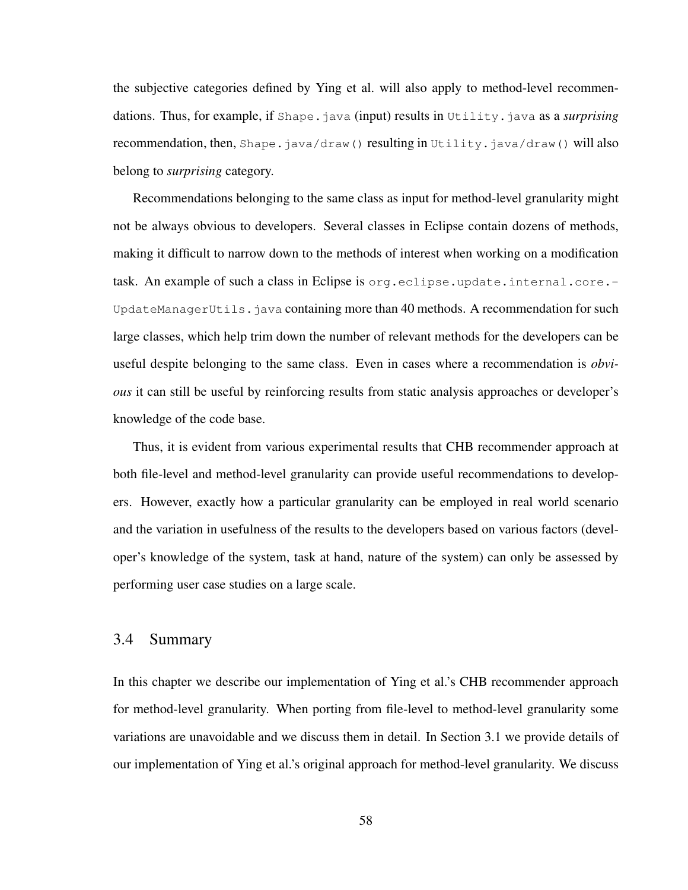the subjective categories defined by Ying et al. will also apply to method-level recommendations. Thus, for example, if Shape. java (input) results in Utility. java as a *surprising* recommendation, then, Shape.java/draw() resulting in Utility.java/draw() will also belong to *surprising* category.

Recommendations belonging to the same class as input for method-level granularity might not be always obvious to developers. Several classes in Eclipse contain dozens of methods, making it difficult to narrow down to the methods of interest when working on a modification task. An example of such a class in Eclipse is org.eclipse.update.internal.core.- UpdateManagerUtils.java containing more than 40 methods. A recommendation for such large classes, which help trim down the number of relevant methods for the developers can be useful despite belonging to the same class. Even in cases where a recommendation is *obvious* it can still be useful by reinforcing results from static analysis approaches or developer's knowledge of the code base.

Thus, it is evident from various experimental results that CHB recommender approach at both file-level and method-level granularity can provide useful recommendations to developers. However, exactly how a particular granularity can be employed in real world scenario and the variation in usefulness of the results to the developers based on various factors (developer's knowledge of the system, task at hand, nature of the system) can only be assessed by performing user case studies on a large scale.

## 3.4 Summary

In this chapter we describe our implementation of Ying et al.'s CHB recommender approach for method-level granularity. When porting from file-level to method-level granularity some variations are unavoidable and we discuss them in detail. In Section 3.1 we provide details of our implementation of Ying et al.'s original approach for method-level granularity. We discuss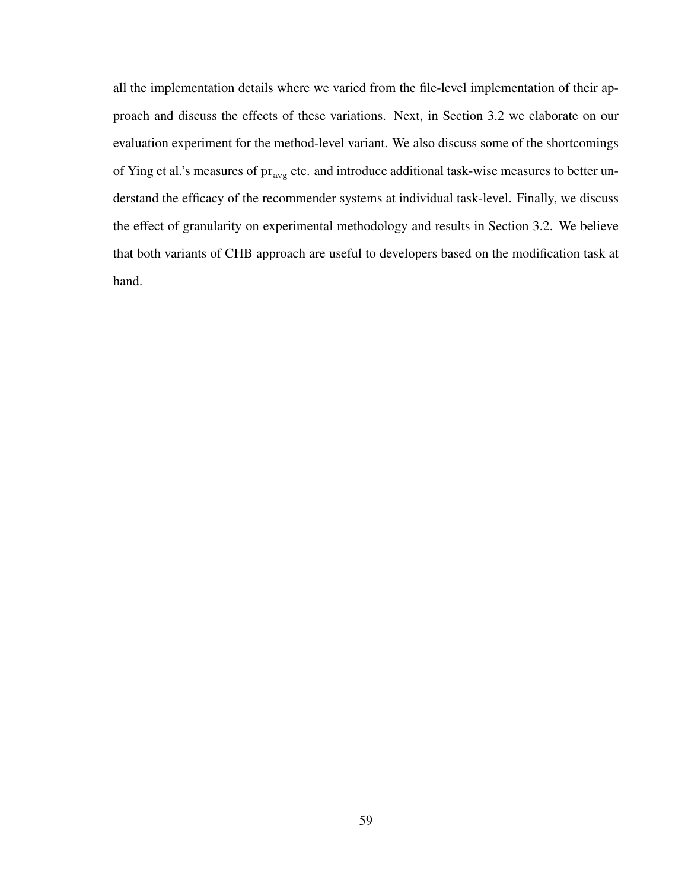all the implementation details where we varied from the file-level implementation of their approach and discuss the effects of these variations. Next, in Section 3.2 we elaborate on our evaluation experiment for the method-level variant. We also discuss some of the shortcomings of Ying et al.'s measures of  $\text{pr}_{\text{avg}}$  etc. and introduce additional task-wise measures to better understand the efficacy of the recommender systems at individual task-level. Finally, we discuss the effect of granularity on experimental methodology and results in Section 3.2. We believe that both variants of CHB approach are useful to developers based on the modification task at hand.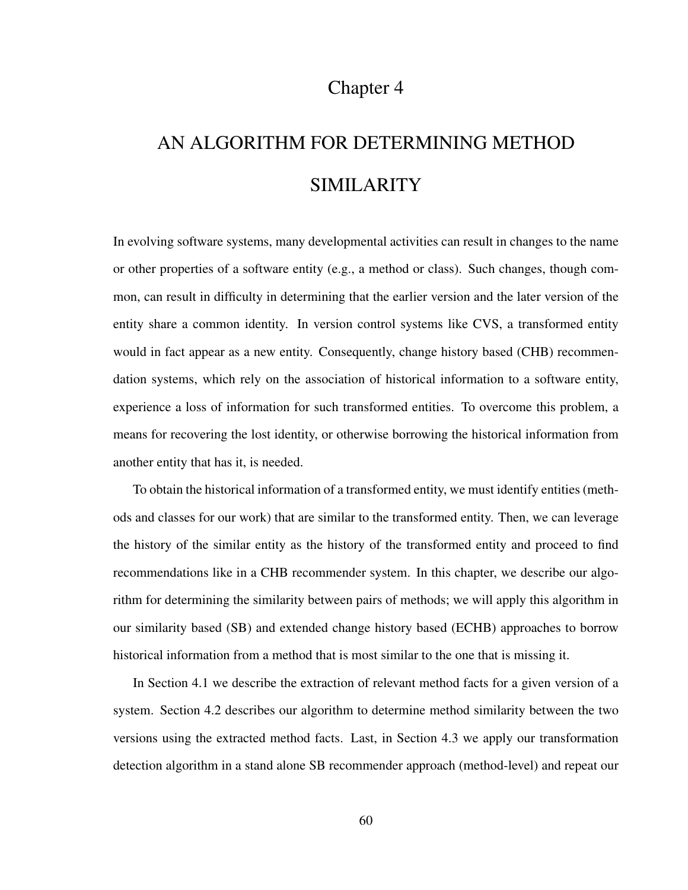# Chapter 4

# AN ALGORITHM FOR DETERMINING METHOD SIMILARITY

In evolving software systems, many developmental activities can result in changes to the name or other properties of a software entity (e.g., a method or class). Such changes, though common, can result in difficulty in determining that the earlier version and the later version of the entity share a common identity. In version control systems like CVS, a transformed entity would in fact appear as a new entity. Consequently, change history based (CHB) recommendation systems, which rely on the association of historical information to a software entity, experience a loss of information for such transformed entities. To overcome this problem, a means for recovering the lost identity, or otherwise borrowing the historical information from another entity that has it, is needed.

To obtain the historical information of a transformed entity, we must identify entities (methods and classes for our work) that are similar to the transformed entity. Then, we can leverage the history of the similar entity as the history of the transformed entity and proceed to find recommendations like in a CHB recommender system. In this chapter, we describe our algorithm for determining the similarity between pairs of methods; we will apply this algorithm in our similarity based (SB) and extended change history based (ECHB) approaches to borrow historical information from a method that is most similar to the one that is missing it.

In Section 4.1 we describe the extraction of relevant method facts for a given version of a system. Section 4.2 describes our algorithm to determine method similarity between the two versions using the extracted method facts. Last, in Section 4.3 we apply our transformation detection algorithm in a stand alone SB recommender approach (method-level) and repeat our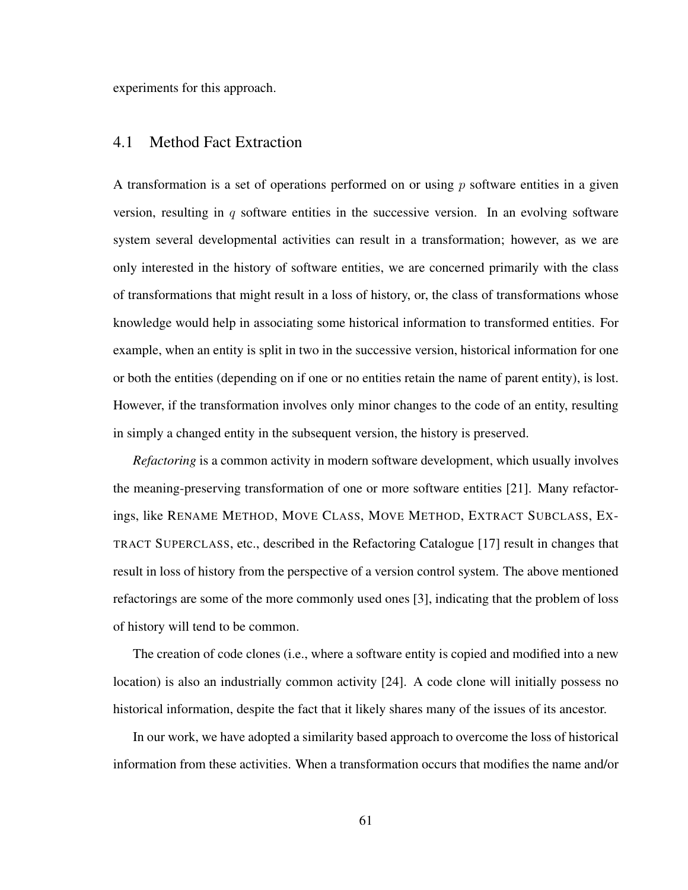experiments for this approach.

# 4.1 Method Fact Extraction

A transformation is a set of operations performed on or using  $p$  software entities in a given version, resulting in  $q$  software entities in the successive version. In an evolving software system several developmental activities can result in a transformation; however, as we are only interested in the history of software entities, we are concerned primarily with the class of transformations that might result in a loss of history, or, the class of transformations whose knowledge would help in associating some historical information to transformed entities. For example, when an entity is split in two in the successive version, historical information for one or both the entities (depending on if one or no entities retain the name of parent entity), is lost. However, if the transformation involves only minor changes to the code of an entity, resulting in simply a changed entity in the subsequent version, the history is preserved.

*Refactoring* is a common activity in modern software development, which usually involves the meaning-preserving transformation of one or more software entities [21]. Many refactorings, like RENAME METHOD, MOVE CLASS, MOVE METHOD, EXTRACT SUBCLASS, EX-TRACT SUPERCLASS, etc., described in the Refactoring Catalogue [17] result in changes that result in loss of history from the perspective of a version control system. The above mentioned refactorings are some of the more commonly used ones [3], indicating that the problem of loss of history will tend to be common.

The creation of code clones (i.e., where a software entity is copied and modified into a new location) is also an industrially common activity [24]. A code clone will initially possess no historical information, despite the fact that it likely shares many of the issues of its ancestor.

In our work, we have adopted a similarity based approach to overcome the loss of historical information from these activities. When a transformation occurs that modifies the name and/or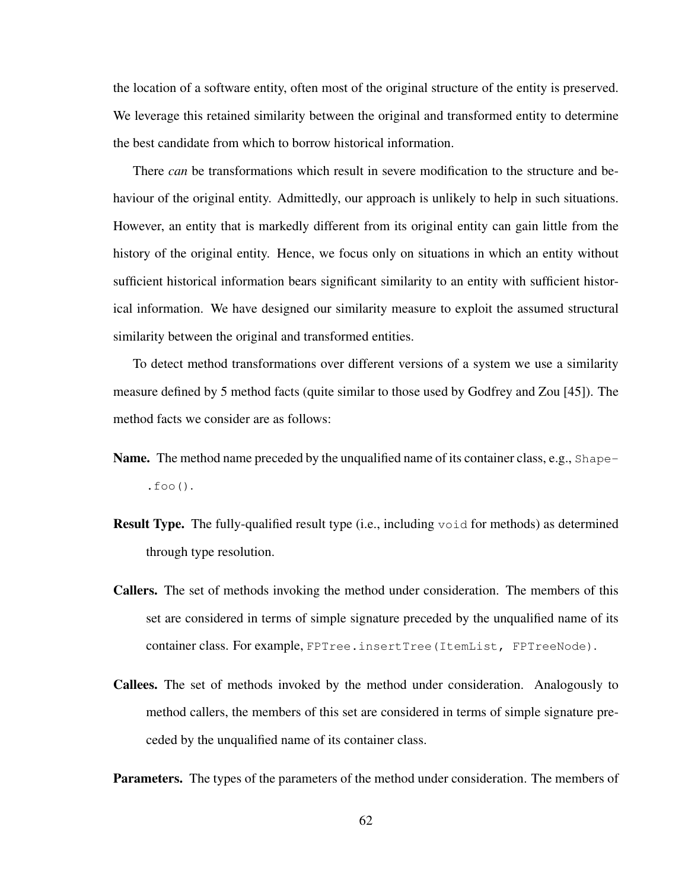the location of a software entity, often most of the original structure of the entity is preserved. We leverage this retained similarity between the original and transformed entity to determine the best candidate from which to borrow historical information.

There *can* be transformations which result in severe modification to the structure and behaviour of the original entity. Admittedly, our approach is unlikely to help in such situations. However, an entity that is markedly different from its original entity can gain little from the history of the original entity. Hence, we focus only on situations in which an entity without sufficient historical information bears significant similarity to an entity with sufficient historical information. We have designed our similarity measure to exploit the assumed structural similarity between the original and transformed entities.

To detect method transformations over different versions of a system we use a similarity measure defined by 5 method facts (quite similar to those used by Godfrey and Zou [45]). The method facts we consider are as follows:

- Name. The method name preceded by the unqualified name of its container class, e.g., Shape $foo()$ .
- Result Type. The fully-qualified result type (i.e., including void for methods) as determined through type resolution.
- Callers. The set of methods invoking the method under consideration. The members of this set are considered in terms of simple signature preceded by the unqualified name of its container class. For example, FPTree.insertTree(ItemList, FPTreeNode).
- Callees. The set of methods invoked by the method under consideration. Analogously to method callers, the members of this set are considered in terms of simple signature preceded by the unqualified name of its container class.

Parameters. The types of the parameters of the method under consideration. The members of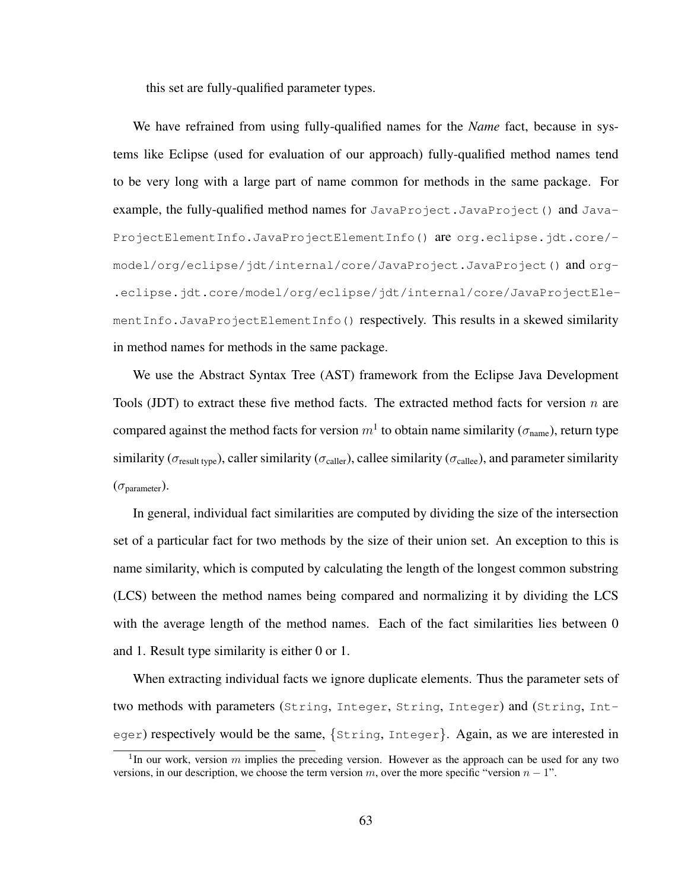this set are fully-qualified parameter types.

We have refrained from using fully-qualified names for the *Name* fact, because in systems like Eclipse (used for evaluation of our approach) fully-qualified method names tend to be very long with a large part of name common for methods in the same package. For example, the fully-qualified method names for JavaProject.JavaProject() and Java-ProjectElementInfo.JavaProjectElementInfo() are org.eclipse.jdt.core/ model/org/eclipse/jdt/internal/core/JavaProject.JavaProject() and org- .eclipse.jdt.core/model/org/eclipse/jdt/internal/core/JavaProjectElementInfo.JavaProjectElementInfo() respectively. This results in a skewed similarity in method names for methods in the same package.

We use the Abstract Syntax Tree (AST) framework from the Eclipse Java Development Tools (JDT) to extract these five method facts. The extracted method facts for version  $n$  are compared against the method facts for version  $m<sup>1</sup>$  to obtain name similarity ( $\sigma_{\text{name}}$ ), return type similarity ( $\sigma_{\text{result two}}$ ), caller similarity ( $\sigma_{\text{called}}$ ), callee similarity ( $\sigma_{\text{called}}$ ), and parameter similarity  $(\sigma_{\text{parameter}}).$ 

In general, individual fact similarities are computed by dividing the size of the intersection set of a particular fact for two methods by the size of their union set. An exception to this is name similarity, which is computed by calculating the length of the longest common substring (LCS) between the method names being compared and normalizing it by dividing the LCS with the average length of the method names. Each of the fact similarities lies between 0 and 1. Result type similarity is either 0 or 1.

When extracting individual facts we ignore duplicate elements. Thus the parameter sets of two methods with parameters (String, Integer, String, Integer) and (String, Integer) respectively would be the same, {String, Integer}. Again, as we are interested in

<sup>&</sup>lt;sup>1</sup>In our work, version m implies the preceding version. However as the approach can be used for any two versions, in our description, we choose the term version  $m$ , over the more specific "version  $n - 1$ ".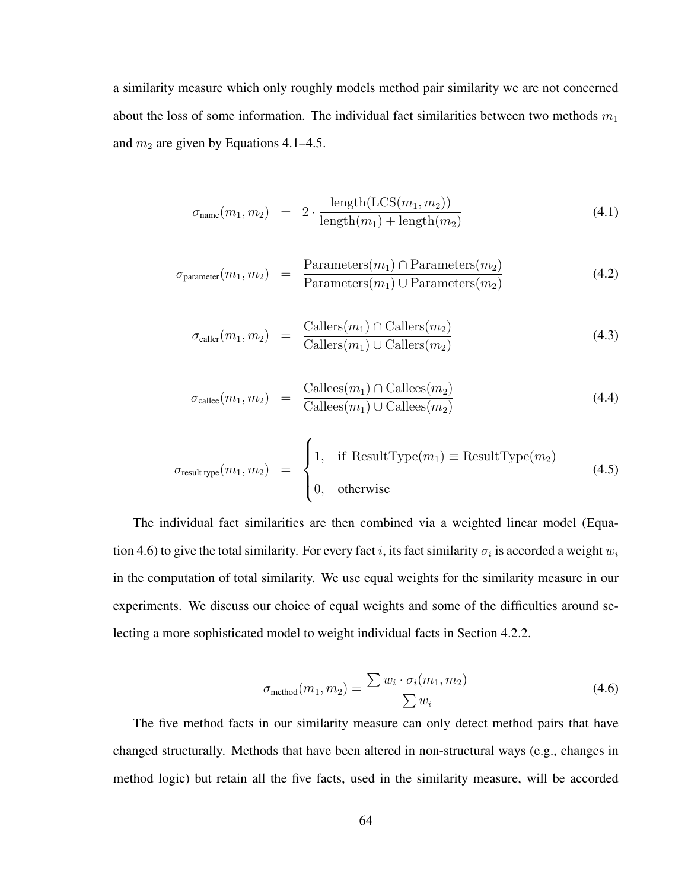a similarity measure which only roughly models method pair similarity we are not concerned about the loss of some information. The individual fact similarities between two methods  $m_1$ and  $m_2$  are given by Equations 4.1–4.5.

$$
\sigma_{\text{name}}(m_1, m_2) = 2 \cdot \frac{\text{length}(\text{LCS}(m_1, m_2))}{\text{length}(m_1) + \text{length}(m_2)}
$$
(4.1)

$$
\sigma_{\text{parameter}}(m_1, m_2) = \frac{\text{Parameters}(m_1) \cap \text{Parameters}(m_2)}{\text{Parameters}(m_1) \cup \text{Parameters}(m_2)}
$$
(4.2)

$$
\sigma_{\text{caller}}(m_1, m_2) = \frac{\text{Callers}(m_1) \cap \text{Callers}(m_2)}{\text{Callers}(m_1) \cup \text{Callers}(m_2)} \tag{4.3}
$$

$$
\sigma_{\text{called}}(m_1, m_2) = \frac{\text{Callees}(m_1) \cap \text{Callees}(m_2)}{\text{Callees}(m_1) \cup \text{Callees}(m_2)} \tag{4.4}
$$

$$
\sigma_{\text{result type}}(m_1, m_2) = \begin{cases} 1, & \text{if ResultType}(m_1) \equiv \text{ResultType}(m_2) \\ 0, & \text{otherwise} \end{cases} \tag{4.5}
$$

The individual fact similarities are then combined via a weighted linear model (Equation 4.6) to give the total similarity. For every fact i, its fact similarity  $\sigma_i$  is accorded a weight  $w_i$ in the computation of total similarity. We use equal weights for the similarity measure in our experiments. We discuss our choice of equal weights and some of the difficulties around selecting a more sophisticated model to weight individual facts in Section 4.2.2.

$$
\sigma_{\text{method}}(m_1, m_2) = \frac{\sum w_i \cdot \sigma_i(m_1, m_2)}{\sum w_i} \tag{4.6}
$$

The five method facts in our similarity measure can only detect method pairs that have changed structurally. Methods that have been altered in non-structural ways (e.g., changes in method logic) but retain all the five facts, used in the similarity measure, will be accorded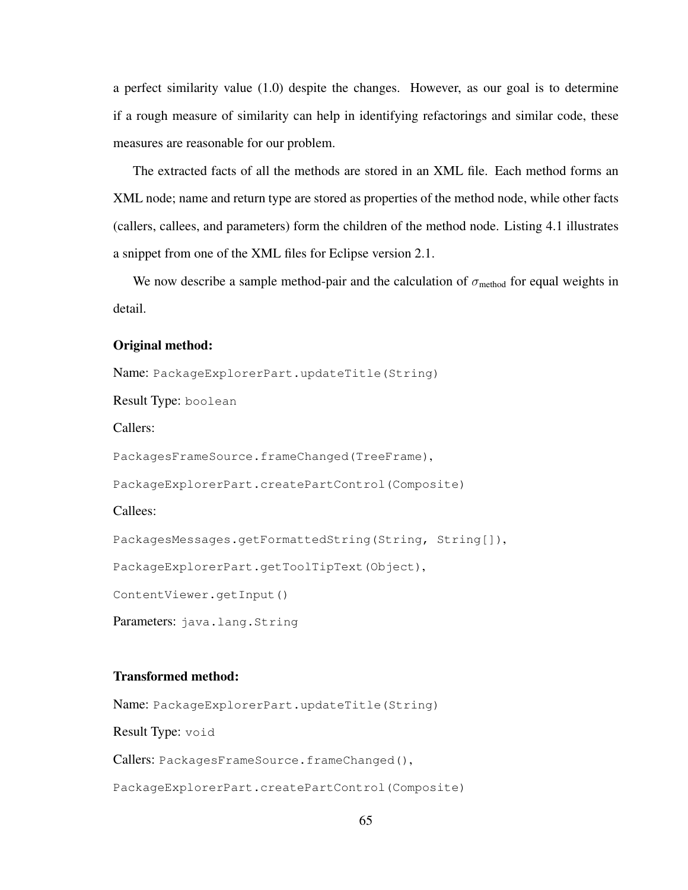a perfect similarity value (1.0) despite the changes. However, as our goal is to determine if a rough measure of similarity can help in identifying refactorings and similar code, these measures are reasonable for our problem.

The extracted facts of all the methods are stored in an XML file. Each method forms an XML node; name and return type are stored as properties of the method node, while other facts (callers, callees, and parameters) form the children of the method node. Listing 4.1 illustrates a snippet from one of the XML files for Eclipse version 2.1.

We now describe a sample method-pair and the calculation of  $\sigma_{\text{method}}$  for equal weights in detail.

### Original method:

Name: PackageExplorerPart.updateTitle(String) Result Type: boolean Callers: PackagesFrameSource.frameChanged(TreeFrame), PackageExplorerPart.createPartControl(Composite) Callees: PackagesMessages.getFormattedString(String, String[]), PackageExplorerPart.getToolTipText(Object), ContentViewer.getInput() Parameters: java.lang.String

#### Transformed method:

Name: PackageExplorerPart.updateTitle(String)

Result Type: void

Callers: PackagesFrameSource.frameChanged(),

PackageExplorerPart.createPartControl(Composite)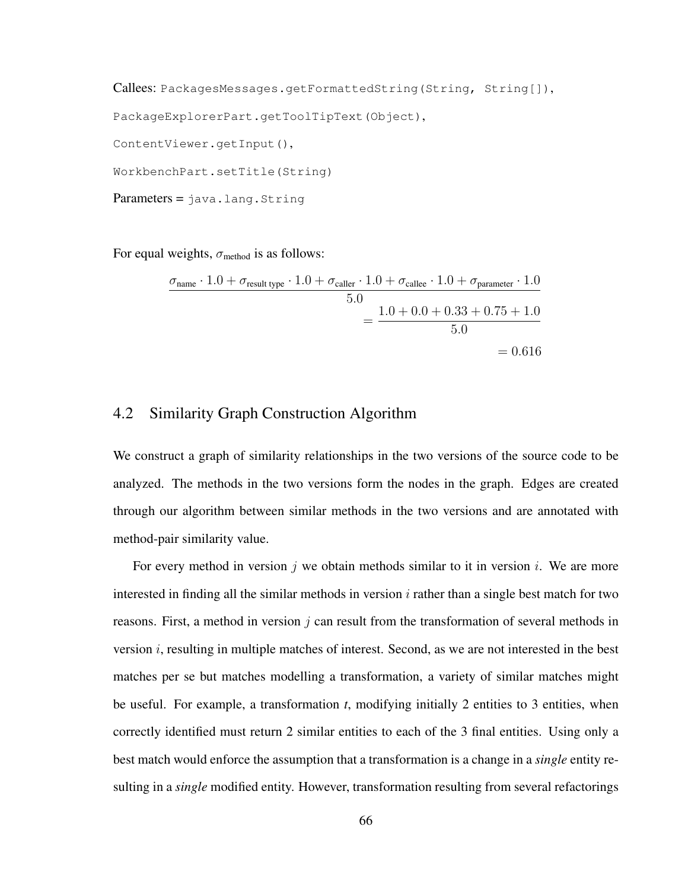Callees: PackagesMessages.getFormattedString(String, String[]), PackageExplorerPart.getToolTipText(Object), ContentViewer.getInput(), WorkbenchPart.setTitle(String)

 $Parameters =  $java.lang.fiting$$ 

For equal weights,  $\sigma_{\text{method}}$  is as follows:

$$
\frac{\sigma_{\text{name}} \cdot 1.0 + \sigma_{\text{result type}} \cdot 1.0 + \sigma_{\text{caller}} \cdot 1.0 + \sigma_{\text{called}} \cdot 1.0 + \sigma_{\text{parameter}} \cdot 1.0}{5.0} = \frac{1.0 + 0.0 + 0.33 + 0.75 + 1.0}{5.0} = 0.616
$$

# 4.2 Similarity Graph Construction Algorithm

We construct a graph of similarity relationships in the two versions of the source code to be analyzed. The methods in the two versions form the nodes in the graph. Edges are created through our algorithm between similar methods in the two versions and are annotated with method-pair similarity value.

For every method in version j we obtain methods similar to it in version i. We are more interested in finding all the similar methods in version  $i$  rather than a single best match for two reasons. First, a method in version  $j$  can result from the transformation of several methods in version  $i$ , resulting in multiple matches of interest. Second, as we are not interested in the best matches per se but matches modelling a transformation, a variety of similar matches might be useful. For example, a transformation *t*, modifying initially 2 entities to 3 entities, when correctly identified must return 2 similar entities to each of the 3 final entities. Using only a best match would enforce the assumption that a transformation is a change in a *single* entity resulting in a *single* modified entity. However, transformation resulting from several refactorings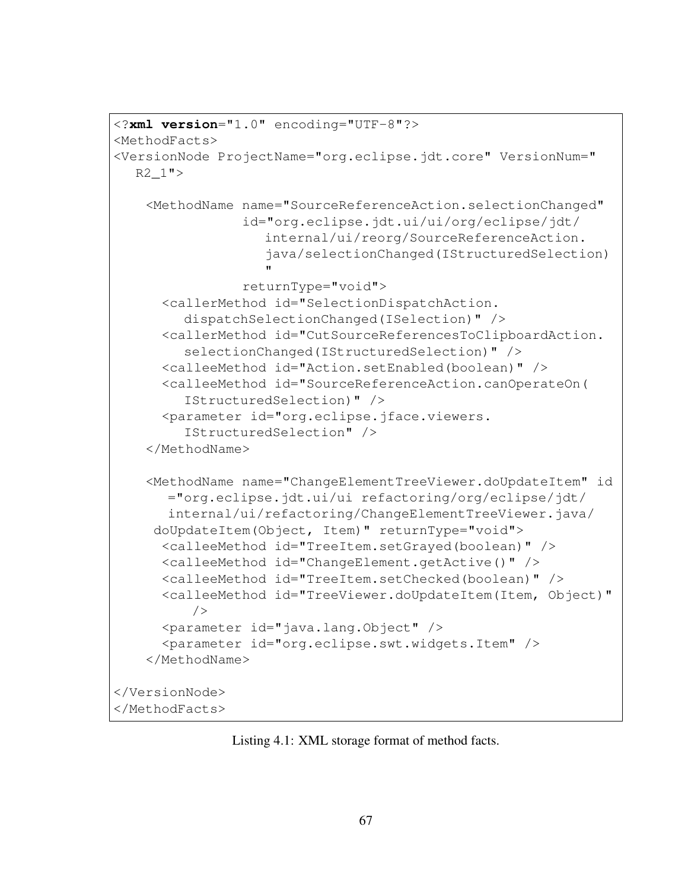```
<?xml version="1.0" encoding="UTF-8"?>
<MethodFacts>
<VersionNode ProjectName="org.eclipse.jdt.core" VersionNum="
  R2_1"<MethodName name="SourceReferenceAction.selectionChanged"
                id="org.eclipse.jdt.ui/ui/org/eclipse/jdt/
                  internal/ui/reorg/SourceReferenceAction.
                   java/selectionChanged(IStructuredSelection)
                   "
                returnType="void">
      <callerMethod id="SelectionDispatchAction.
        dispatchSelectionChanged(ISelection)" />
     <callerMethod id="CutSourceReferencesToClipboardAction.
        selectionChanged(IStructuredSelection)" />
      <calleeMethod id="Action.setEnabled(boolean)" />
      <calleeMethod id="SourceReferenceAction.canOperateOn(
        IStructuredSelection)" />
      <parameter id="org.eclipse.jface.viewers.
        IStructuredSelection" />
    </MethodName>
   <MethodName name="ChangeElementTreeViewer.doUpdateItem" id
      ="org.eclipse.jdt.ui/ui refactoring/org/eclipse/jdt/
      internal/ui/refactoring/ChangeElementTreeViewer.java/
     doUpdateItem(Object, Item)" returnType="void">
      <calleeMethod id="TreeItem.setGrayed(boolean)" />
      <calleeMethod id="ChangeElement.getActive()" />
      <calleeMethod id="TreeItem.setChecked(boolean)" />
      <calleeMethod id="TreeViewer.doUpdateItem(Item, Object)"
         /<parameter id="java.lang.Object" />
      <parameter id="org.eclipse.swt.widgets.Item" />
    </MethodName>
</VersionNode>
</MethodFacts>
```
Listing 4.1: XML storage format of method facts.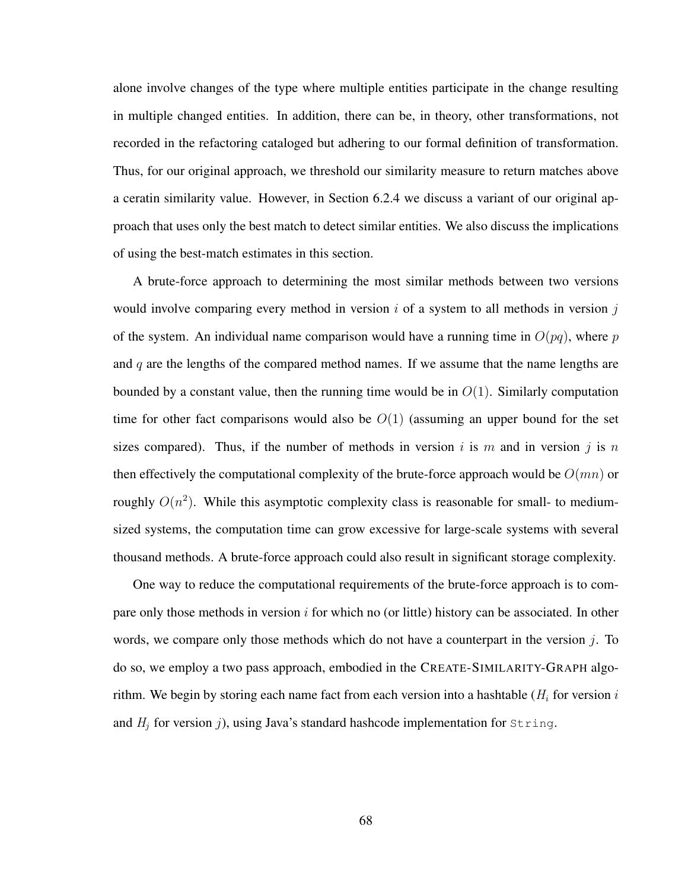alone involve changes of the type where multiple entities participate in the change resulting in multiple changed entities. In addition, there can be, in theory, other transformations, not recorded in the refactoring cataloged but adhering to our formal definition of transformation. Thus, for our original approach, we threshold our similarity measure to return matches above a ceratin similarity value. However, in Section 6.2.4 we discuss a variant of our original approach that uses only the best match to detect similar entities. We also discuss the implications of using the best-match estimates in this section.

A brute-force approach to determining the most similar methods between two versions would involve comparing every method in version  $i$  of a system to all methods in version  $j$ of the system. An individual name comparison would have a running time in  $O(pq)$ , where p and  $q$  are the lengths of the compared method names. If we assume that the name lengths are bounded by a constant value, then the running time would be in  $O(1)$ . Similarly computation time for other fact comparisons would also be  $O(1)$  (assuming an upper bound for the set sizes compared). Thus, if the number of methods in version i is m and in version j is n then effectively the computational complexity of the brute-force approach would be  $O(mn)$  or roughly  $O(n^2)$ . While this asymptotic complexity class is reasonable for small- to mediumsized systems, the computation time can grow excessive for large-scale systems with several thousand methods. A brute-force approach could also result in significant storage complexity.

One way to reduce the computational requirements of the brute-force approach is to compare only those methods in version  $i$  for which no (or little) history can be associated. In other words, we compare only those methods which do not have a counterpart in the version  $j$ . To do so, we employ a two pass approach, embodied in the CREATE-SIMILARITY-GRAPH algorithm. We begin by storing each name fact from each version into a hashtable ( $H_i$  for version i and  $H_i$  for version j), using Java's standard hashcode implementation for  $string$ .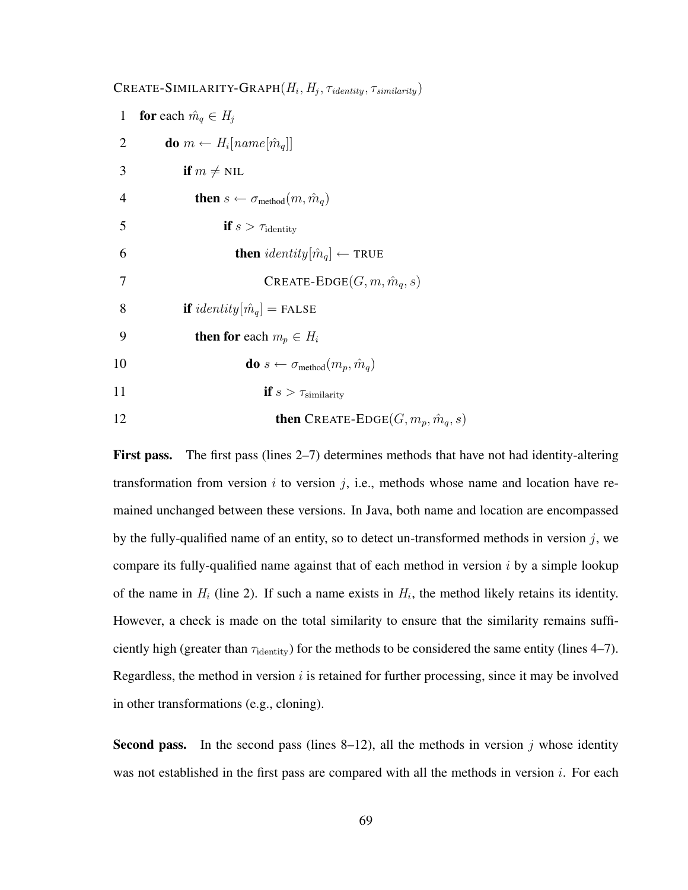**CREATE-SIMILARITY-GRAPH** $(H_i, H_j, \tau_{identity}, \tau_{similarity})$ 1 for each  $\hat{m}_q \in H_j$ 2 **do**  $m \leftarrow H_i[name[\hat{m}_q]]$ 3 if  $m \neq \text{NIL}$ 4 **then**  $s \leftarrow \sigma_{\text{method}}(m, \hat{m}_a)$ 5 if  $s > \tau_{identity}$ 6 **then**  $identity[\hat{m}_q] \leftarrow \text{TRUE}$ 7 **CREATE-EDGE** $(G, m, \hat{m}_q, s)$ 8 if  $identity[\hat{m}_q] =$  FALSE 9 then for each  $m_p \in H_i$ 10 **do**  $s \leftarrow \sigma_{\text{method}}(m_n, \hat{m}_a)$ 11 if  $s > \tau_{\text{similarity}}$ 12 **then** CREATE-EDGE( $G, m_p, \hat{m}_q, s$ )

First pass. The first pass (lines 2–7) determines methods that have not had identity-altering transformation from version i to version j, i.e., methods whose name and location have remained unchanged between these versions. In Java, both name and location are encompassed by the fully-qualified name of an entity, so to detect un-transformed methods in version  $j$ , we compare its fully-qualified name against that of each method in version  $i$  by a simple lookup of the name in  $H_i$  (line 2). If such a name exists in  $H_i$ , the method likely retains its identity. However, a check is made on the total similarity to ensure that the similarity remains sufficiently high (greater than  $\tau_{identity}$ ) for the methods to be considered the same entity (lines 4–7). Regardless, the method in version  $i$  is retained for further processing, since it may be involved in other transformations (e.g., cloning).

**Second pass.** In the second pass (lines  $8-12$ ), all the methods in version j whose identity was not established in the first pass are compared with all the methods in version  $i$ . For each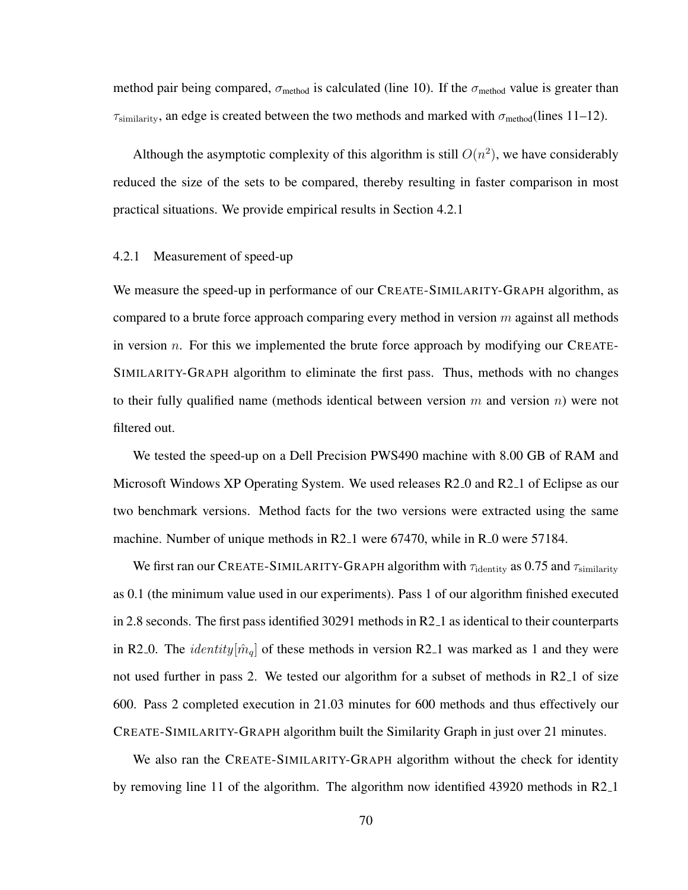method pair being compared,  $\sigma_{\text{method}}$  is calculated (line 10). If the  $\sigma_{\text{method}}$  value is greater than  $\tau_{\text{similarity}}$ , an edge is created between the two methods and marked with  $\sigma_{\text{method}}(\text{lines }11-12)$ .

Although the asymptotic complexity of this algorithm is still  $O(n^2)$ , we have considerably reduced the size of the sets to be compared, thereby resulting in faster comparison in most practical situations. We provide empirical results in Section 4.2.1

#### 4.2.1 Measurement of speed-up

We measure the speed-up in performance of our CREATE-SIMILARITY-GRAPH algorithm, as compared to a brute force approach comparing every method in version  $m$  against all methods in version  $n$ . For this we implemented the brute force approach by modifying our CREATE-SIMILARITY-GRAPH algorithm to eliminate the first pass. Thus, methods with no changes to their fully qualified name (methods identical between version  $m$  and version  $n$ ) were not filtered out.

We tested the speed-up on a Dell Precision PWS490 machine with 8.00 GB of RAM and Microsoft Windows XP Operating System. We used releases R2 0 and R2 1 of Eclipse as our two benchmark versions. Method facts for the two versions were extracted using the same machine. Number of unique methods in R2<sub>-1</sub> were 67470, while in R<sub>-0</sub> were 57184.

We first ran our CREATE-SIMILARITY-GRAPH algorithm with  $\tau_{\rm identity}$  as 0.75 and  $\tau_{\rm similarity}$ as 0.1 (the minimum value used in our experiments). Pass 1 of our algorithm finished executed in 2.8 seconds. The first pass identified 30291 methods in R2 1 as identical to their counterparts in R2<sub>-0</sub>. The *identity* $[\hat{m}_q]$  of these methods in version R2<sub>-1</sub> was marked as 1 and they were not used further in pass 2. We tested our algorithm for a subset of methods in R2 1 of size 600. Pass 2 completed execution in 21.03 minutes for 600 methods and thus effectively our CREATE-SIMILARITY-GRAPH algorithm built the Similarity Graph in just over 21 minutes.

We also ran the CREATE-SIMILARITY-GRAPH algorithm without the check for identity by removing line 11 of the algorithm. The algorithm now identified 43920 methods in R2 1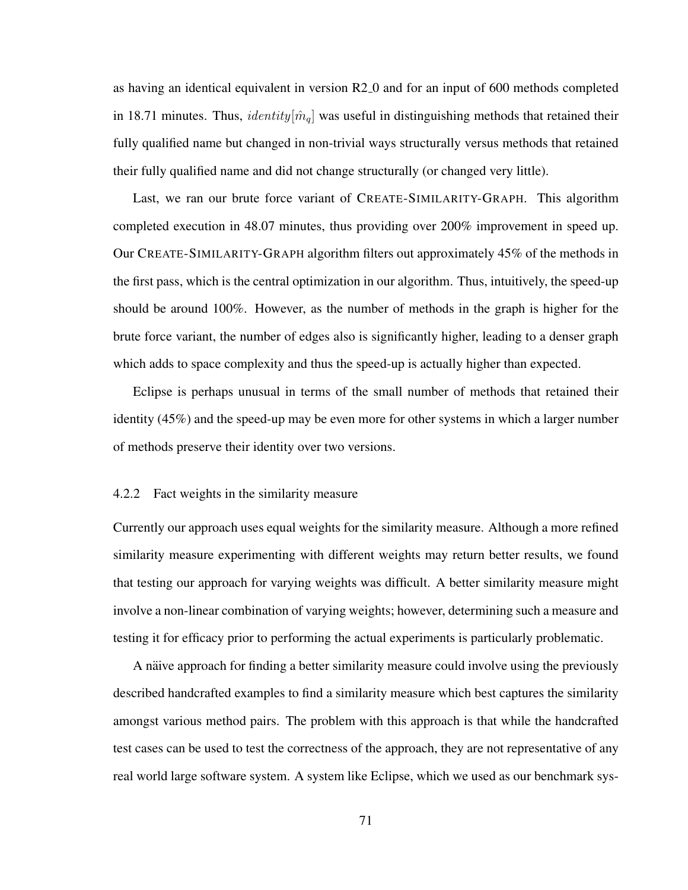as having an identical equivalent in version R2 0 and for an input of 600 methods completed in 18.71 minutes. Thus, *identity*[ $\hat{m}_q$ ] was useful in distinguishing methods that retained their fully qualified name but changed in non-trivial ways structurally versus methods that retained their fully qualified name and did not change structurally (or changed very little).

Last, we ran our brute force variant of CREATE-SIMILARITY-GRAPH. This algorithm completed execution in 48.07 minutes, thus providing over 200% improvement in speed up. Our CREATE-SIMILARITY-GRAPH algorithm filters out approximately 45% of the methods in the first pass, which is the central optimization in our algorithm. Thus, intuitively, the speed-up should be around 100%. However, as the number of methods in the graph is higher for the brute force variant, the number of edges also is significantly higher, leading to a denser graph which adds to space complexity and thus the speed-up is actually higher than expected.

Eclipse is perhaps unusual in terms of the small number of methods that retained their identity (45%) and the speed-up may be even more for other systems in which a larger number of methods preserve their identity over two versions.

#### 4.2.2 Fact weights in the similarity measure

Currently our approach uses equal weights for the similarity measure. Although a more refined similarity measure experimenting with different weights may return better results, we found that testing our approach for varying weights was difficult. A better similarity measure might involve a non-linear combination of varying weights; however, determining such a measure and testing it for efficacy prior to performing the actual experiments is particularly problematic.

A naive approach for finding a better similarity measure could involve using the previously described handcrafted examples to find a similarity measure which best captures the similarity amongst various method pairs. The problem with this approach is that while the handcrafted test cases can be used to test the correctness of the approach, they are not representative of any real world large software system. A system like Eclipse, which we used as our benchmark sys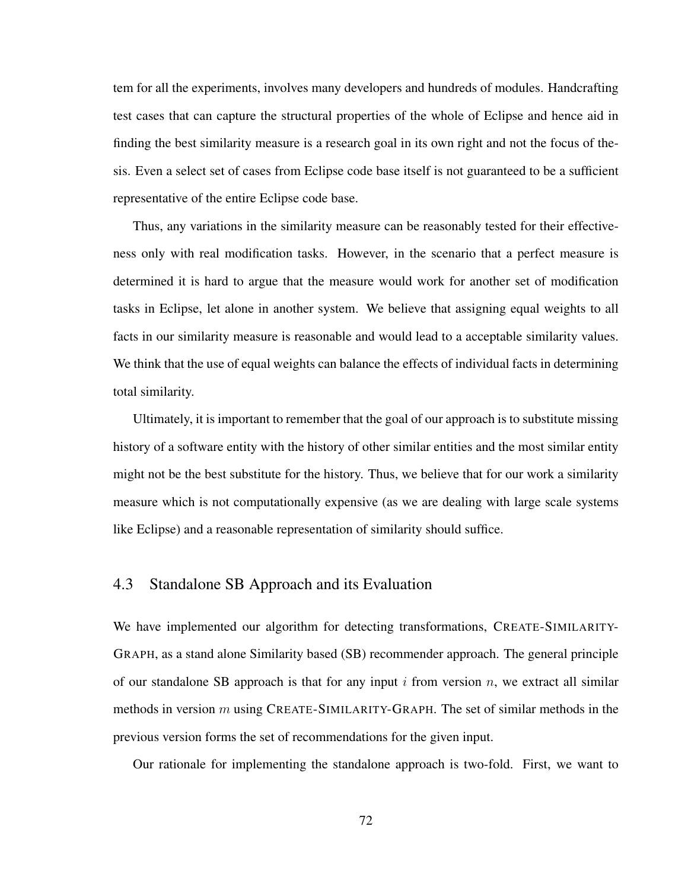tem for all the experiments, involves many developers and hundreds of modules. Handcrafting test cases that can capture the structural properties of the whole of Eclipse and hence aid in finding the best similarity measure is a research goal in its own right and not the focus of thesis. Even a select set of cases from Eclipse code base itself is not guaranteed to be a sufficient representative of the entire Eclipse code base.

Thus, any variations in the similarity measure can be reasonably tested for their effectiveness only with real modification tasks. However, in the scenario that a perfect measure is determined it is hard to argue that the measure would work for another set of modification tasks in Eclipse, let alone in another system. We believe that assigning equal weights to all facts in our similarity measure is reasonable and would lead to a acceptable similarity values. We think that the use of equal weights can balance the effects of individual facts in determining total similarity.

Ultimately, it is important to remember that the goal of our approach is to substitute missing history of a software entity with the history of other similar entities and the most similar entity might not be the best substitute for the history. Thus, we believe that for our work a similarity measure which is not computationally expensive (as we are dealing with large scale systems like Eclipse) and a reasonable representation of similarity should suffice.

## 4.3 Standalone SB Approach and its Evaluation

We have implemented our algorithm for detecting transformations, CREATE-SIMILARITY-GRAPH, as a stand alone Similarity based (SB) recommender approach. The general principle of our standalone SB approach is that for any input i from version n, we extract all similar methods in version  $m$  using CREATE-SIMILARITY-GRAPH. The set of similar methods in the previous version forms the set of recommendations for the given input.

Our rationale for implementing the standalone approach is two-fold. First, we want to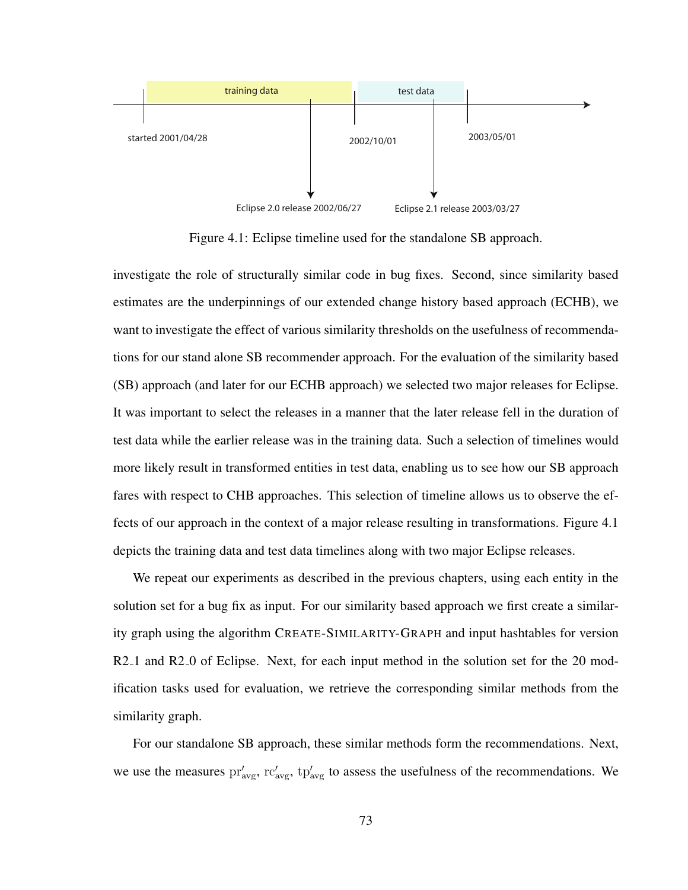

Figure 4.1: Eclipse timeline used for the standalone SB approach.

investigate the role of structurally similar code in bug fixes. Second, since similarity based estimates are the underpinnings of our extended change history based approach (ECHB), we want to investigate the effect of various similarity thresholds on the usefulness of recommendations for our stand alone SB recommender approach. For the evaluation of the similarity based (SB) approach (and later for our ECHB approach) we selected two major releases for Eclipse. It was important to select the releases in a manner that the later release fell in the duration of test data while the earlier release was in the training data. Such a selection of timelines would more likely result in transformed entities in test data, enabling us to see how our SB approach fares with respect to CHB approaches. This selection of timeline allows us to observe the effects of our approach in the context of a major release resulting in transformations. Figure 4.1 depicts the training data and test data timelines along with two major Eclipse releases.

We repeat our experiments as described in the previous chapters, using each entity in the solution set for a bug fix as input. For our similarity based approach we first create a similarity graph using the algorithm CREATE-SIMILARITY-GRAPH and input hashtables for version R2<sub>-1</sub> and R<sub>2</sub>-0 of Eclipse. Next, for each input method in the solution set for the 20 modification tasks used for evaluation, we retrieve the corresponding similar methods from the similarity graph.

For our standalone SB approach, these similar methods form the recommendations. Next, we use the measures  $pr'_{avg}$ ,  $rc'_{avg}$ ,  $tp'_{avg}$  to assess the usefulness of the recommendations. We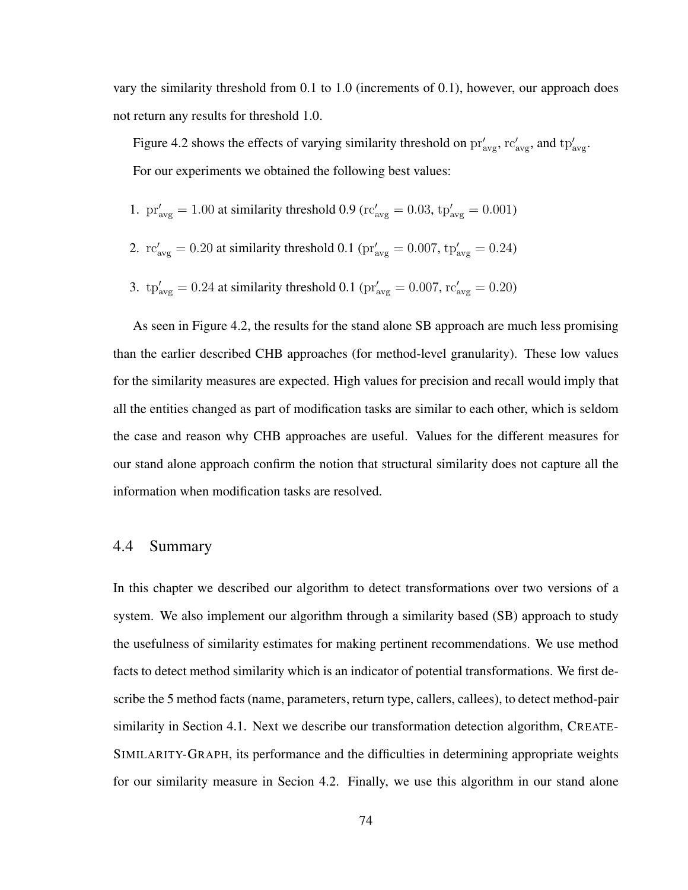vary the similarity threshold from 0.1 to 1.0 (increments of 0.1), however, our approach does not return any results for threshold 1.0.

Figure 4.2 shows the effects of varying similarity threshold on  $pr'_{\text{avg}}$ ,  $rc'_{\text{avg}}$ , and  $tp'_{\text{avg}}$ . For our experiments we obtained the following best values:

1. 
$$
pr'_{\text{avg}} = 1.00
$$
 at similarity threshold 0.9 ( $rc'_{\text{avg}} = 0.03$ ,  $tp'_{\text{avg}} = 0.001$ )

2. 
$$
\text{rc}'_{\text{avg}} = 0.20
$$
 at similarity threshold 0.1 ( $\text{pr}'_{\text{avg}} = 0.007$ ,  $\text{tp}'_{\text{avg}} = 0.24$ )

3. 
$$
tp'_{\text{avg}} = 0.24
$$
 at similarity threshold 0.1  $(pr'_{\text{avg}} = 0.007, rc'_{\text{avg}} = 0.20)$ 

As seen in Figure 4.2, the results for the stand alone SB approach are much less promising than the earlier described CHB approaches (for method-level granularity). These low values for the similarity measures are expected. High values for precision and recall would imply that all the entities changed as part of modification tasks are similar to each other, which is seldom the case and reason why CHB approaches are useful. Values for the different measures for our stand alone approach confirm the notion that structural similarity does not capture all the information when modification tasks are resolved.

## 4.4 Summary

In this chapter we described our algorithm to detect transformations over two versions of a system. We also implement our algorithm through a similarity based (SB) approach to study the usefulness of similarity estimates for making pertinent recommendations. We use method facts to detect method similarity which is an indicator of potential transformations. We first describe the 5 method facts (name, parameters, return type, callers, callees), to detect method-pair similarity in Section 4.1. Next we describe our transformation detection algorithm, CREATE-SIMILARITY-GRAPH, its performance and the difficulties in determining appropriate weights for our similarity measure in Secion 4.2. Finally, we use this algorithm in our stand alone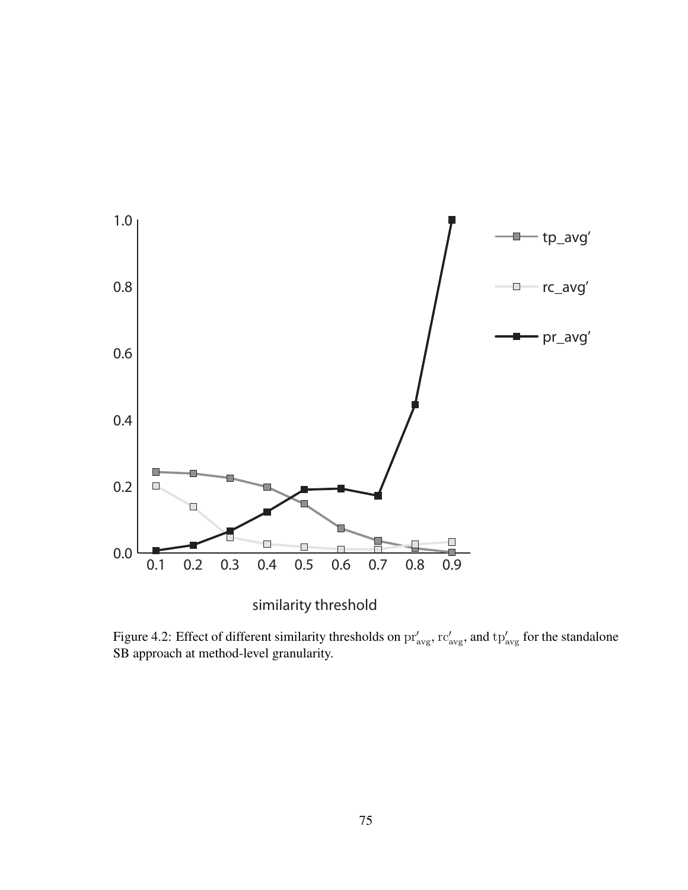

similarity threshold

Figure 4.2: Effect of different similarity thresholds on  $pr'_{avg}$ ,  $rc'_{avg}$ , and  $tp'_{avg}$  for the standalone SB approach at method-level granularity.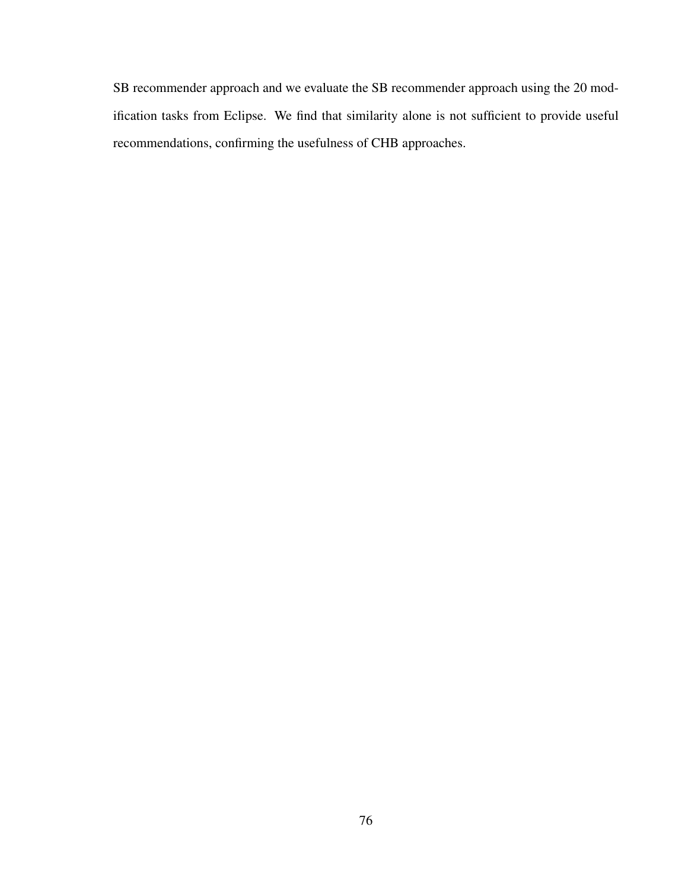SB recommender approach and we evaluate the SB recommender approach using the 20 modification tasks from Eclipse. We find that similarity alone is not sufficient to provide useful recommendations, confirming the usefulness of CHB approaches.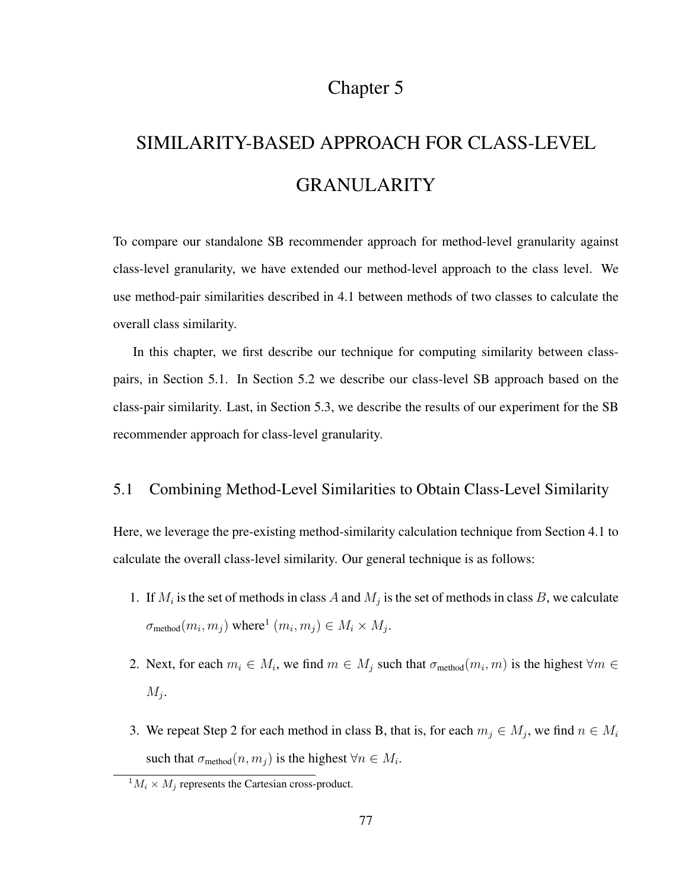# Chapter 5

# SIMILARITY-BASED APPROACH FOR CLASS-LEVEL GRANULARITY

To compare our standalone SB recommender approach for method-level granularity against class-level granularity, we have extended our method-level approach to the class level. We use method-pair similarities described in 4.1 between methods of two classes to calculate the overall class similarity.

In this chapter, we first describe our technique for computing similarity between classpairs, in Section 5.1. In Section 5.2 we describe our class-level SB approach based on the class-pair similarity. Last, in Section 5.3, we describe the results of our experiment for the SB recommender approach for class-level granularity.

# 5.1 Combining Method-Level Similarities to Obtain Class-Level Similarity

Here, we leverage the pre-existing method-similarity calculation technique from Section 4.1 to calculate the overall class-level similarity. Our general technique is as follows:

- 1. If  $M_i$  is the set of methods in class A and  $M_j$  is the set of methods in class B, we calculate  $\sigma_{\text{method}}(m_i, m_j)$  where<sup>1</sup>  $(m_i, m_j) \in M_i \times M_j$ .
- 2. Next, for each  $m_i \in M_i$ , we find  $m \in M_j$  such that  $\sigma_{\text{method}}(m_i, m)$  is the highest  $\forall m \in M_i$  $M_j$ .
- 3. We repeat Step 2 for each method in class B, that is, for each  $m_j \in M_j$ , we find  $n \in M_i$ such that  $\sigma_{\text{method}}(n, m_j)$  is the highest  $\forall n \in M_i$ .

 ${}^1M_i \times M_j$  represents the Cartesian cross-product.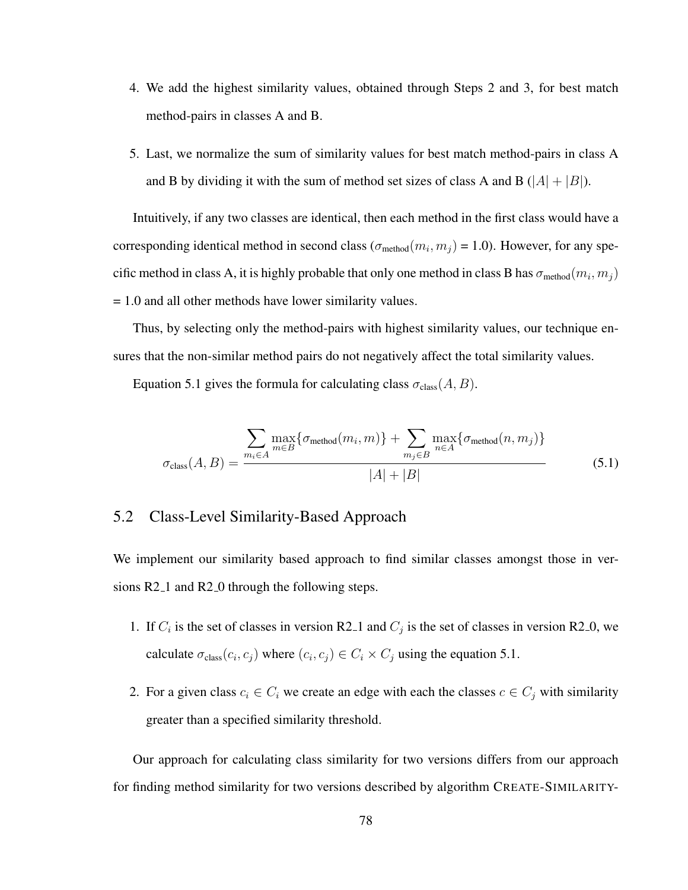- 4. We add the highest similarity values, obtained through Steps 2 and 3, for best match method-pairs in classes A and B.
- 5. Last, we normalize the sum of similarity values for best match method-pairs in class A and B by dividing it with the sum of method set sizes of class A and B ( $|A| + |B|$ ).

Intuitively, if any two classes are identical, then each method in the first class would have a corresponding identical method in second class ( $\sigma_{\text{method}}(m_i, m_j) = 1.0$ ). However, for any specific method in class A, it is highly probable that only one method in class B has  $\sigma_{\rm method}(m_i, m_j)$ = 1.0 and all other methods have lower similarity values.

Thus, by selecting only the method-pairs with highest similarity values, our technique ensures that the non-similar method pairs do not negatively affect the total similarity values.

Equation 5.1 gives the formula for calculating class  $\sigma_{\text{class}}(A, B)$ .

$$
\sigma_{\text{class}}(A, B) = \frac{\sum_{m_i \in A} \max_{m \in B} \{\sigma_{\text{method}}(m_i, m)\} + \sum_{m_j \in B} \max_{n \in A} \{\sigma_{\text{method}}(n, m_j)\}}{|A| + |B|}
$$
(5.1)

# 5.2 Class-Level Similarity-Based Approach

We implement our similarity based approach to find similar classes amongst those in versions R2<sub>-1</sub> and R<sub>2</sub><sup>-0</sup> through the following steps.

- 1. If  $C_i$  is the set of classes in version R2<sub>-1</sub> and  $C_j$  is the set of classes in version R2<sub>-0</sub>, we calculate  $\sigma_{\text{class}}(c_i, c_j)$  where  $(c_i, c_j) \in C_i \times C_j$  using the equation 5.1.
- 2. For a given class  $c_i \in C_i$  we create an edge with each the classes  $c \in C_j$  with similarity greater than a specified similarity threshold.

Our approach for calculating class similarity for two versions differs from our approach for finding method similarity for two versions described by algorithm CREATE-SIMILARITY-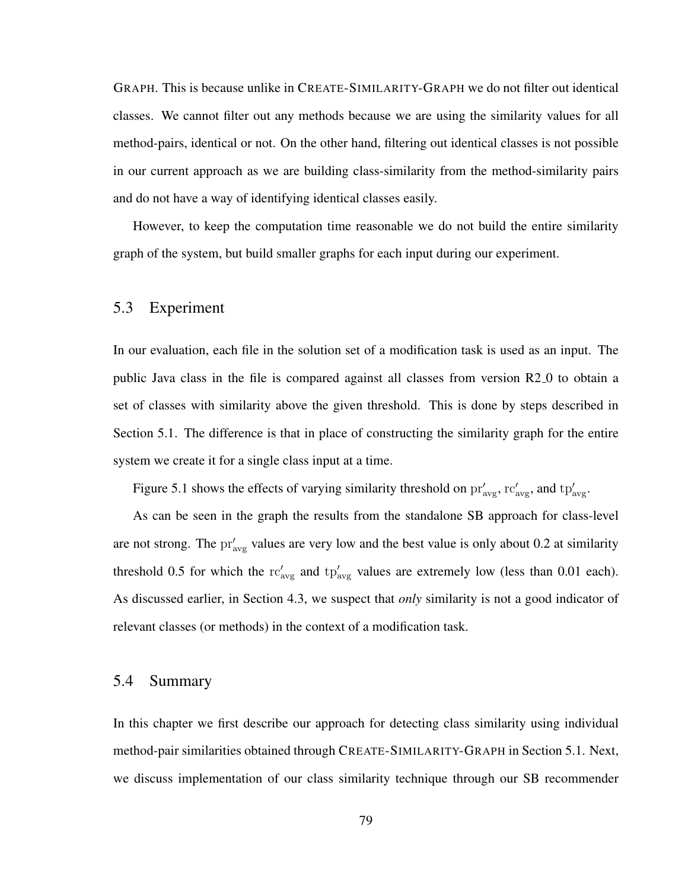GRAPH. This is because unlike in CREATE-SIMILARITY-GRAPH we do not filter out identical classes. We cannot filter out any methods because we are using the similarity values for all method-pairs, identical or not. On the other hand, filtering out identical classes is not possible in our current approach as we are building class-similarity from the method-similarity pairs and do not have a way of identifying identical classes easily.

However, to keep the computation time reasonable we do not build the entire similarity graph of the system, but build smaller graphs for each input during our experiment.

## 5.3 Experiment

In our evaluation, each file in the solution set of a modification task is used as an input. The public Java class in the file is compared against all classes from version R2 0 to obtain a set of classes with similarity above the given threshold. This is done by steps described in Section 5.1. The difference is that in place of constructing the similarity graph for the entire system we create it for a single class input at a time.

Figure 5.1 shows the effects of varying similarity threshold on  $pr'_{\text{avg}}$ ,  $rc'_{\text{avg}}$ , and  $tp'_{\text{avg}}$ .

As can be seen in the graph the results from the standalone SB approach for class-level are not strong. The  $pr'_{avg}$  values are very low and the best value is only about 0.2 at similarity threshold 0.5 for which the  $rc'_{avg}$  and  $tp'_{avg}$  values are extremely low (less than 0.01 each). As discussed earlier, in Section 4.3, we suspect that *only* similarity is not a good indicator of relevant classes (or methods) in the context of a modification task.

#### 5.4 Summary

In this chapter we first describe our approach for detecting class similarity using individual method-pair similarities obtained through CREATE-SIMILARITY-GRAPH in Section 5.1. Next, we discuss implementation of our class similarity technique through our SB recommender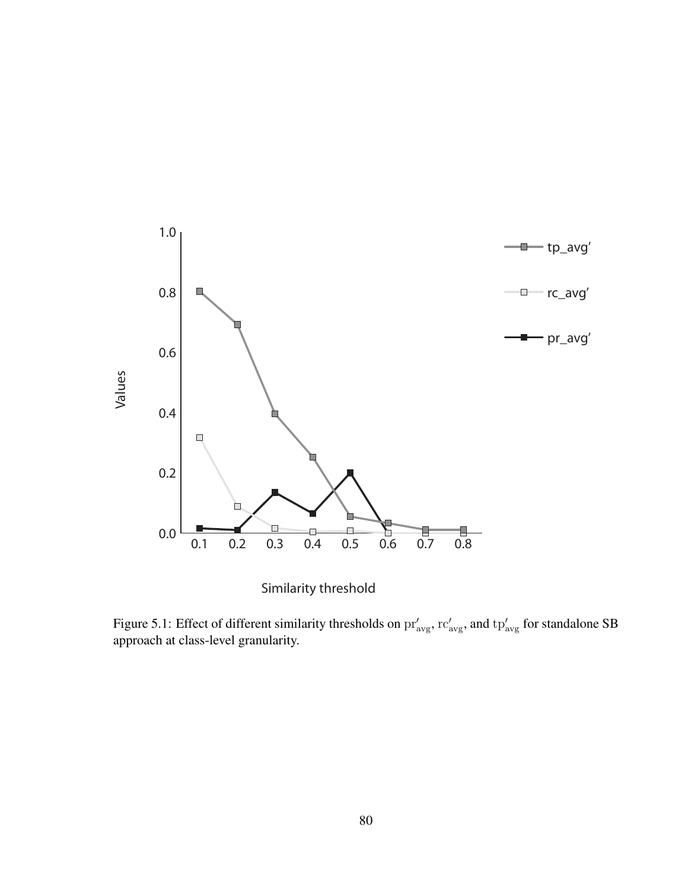

Similarity threshold

Figure 5.1: Effect of different similarity thresholds on  $pr'_{avg}$ ,  $rc'_{avg}$ , and  $tp'_{avg}$  for standalone SB approach at class-level granularity.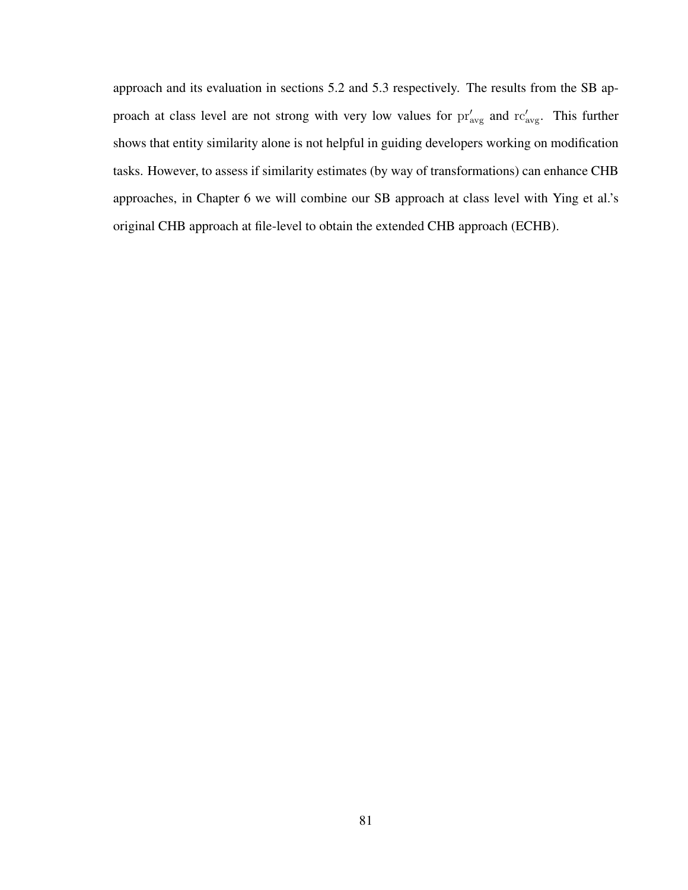approach and its evaluation in sections 5.2 and 5.3 respectively. The results from the SB approach at class level are not strong with very low values for  $pr'_{avg}$  and  $rc'_{avg}$ . This further shows that entity similarity alone is not helpful in guiding developers working on modification tasks. However, to assess if similarity estimates (by way of transformations) can enhance CHB approaches, in Chapter 6 we will combine our SB approach at class level with Ying et al.'s original CHB approach at file-level to obtain the extended CHB approach (ECHB).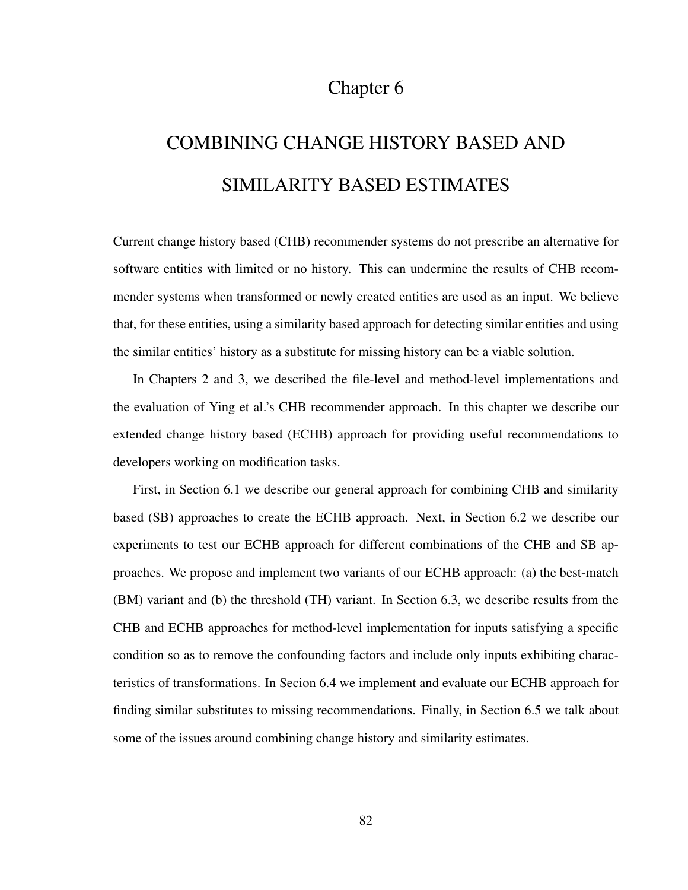# Chapter 6

# COMBINING CHANGE HISTORY BASED AND SIMILARITY BASED ESTIMATES

Current change history based (CHB) recommender systems do not prescribe an alternative for software entities with limited or no history. This can undermine the results of CHB recommender systems when transformed or newly created entities are used as an input. We believe that, for these entities, using a similarity based approach for detecting similar entities and using the similar entities' history as a substitute for missing history can be a viable solution.

In Chapters 2 and 3, we described the file-level and method-level implementations and the evaluation of Ying et al.'s CHB recommender approach. In this chapter we describe our extended change history based (ECHB) approach for providing useful recommendations to developers working on modification tasks.

First, in Section 6.1 we describe our general approach for combining CHB and similarity based (SB) approaches to create the ECHB approach. Next, in Section 6.2 we describe our experiments to test our ECHB approach for different combinations of the CHB and SB approaches. We propose and implement two variants of our ECHB approach: (a) the best-match (BM) variant and (b) the threshold (TH) variant. In Section 6.3, we describe results from the CHB and ECHB approaches for method-level implementation for inputs satisfying a specific condition so as to remove the confounding factors and include only inputs exhibiting characteristics of transformations. In Secion 6.4 we implement and evaluate our ECHB approach for finding similar substitutes to missing recommendations. Finally, in Section 6.5 we talk about some of the issues around combining change history and similarity estimates.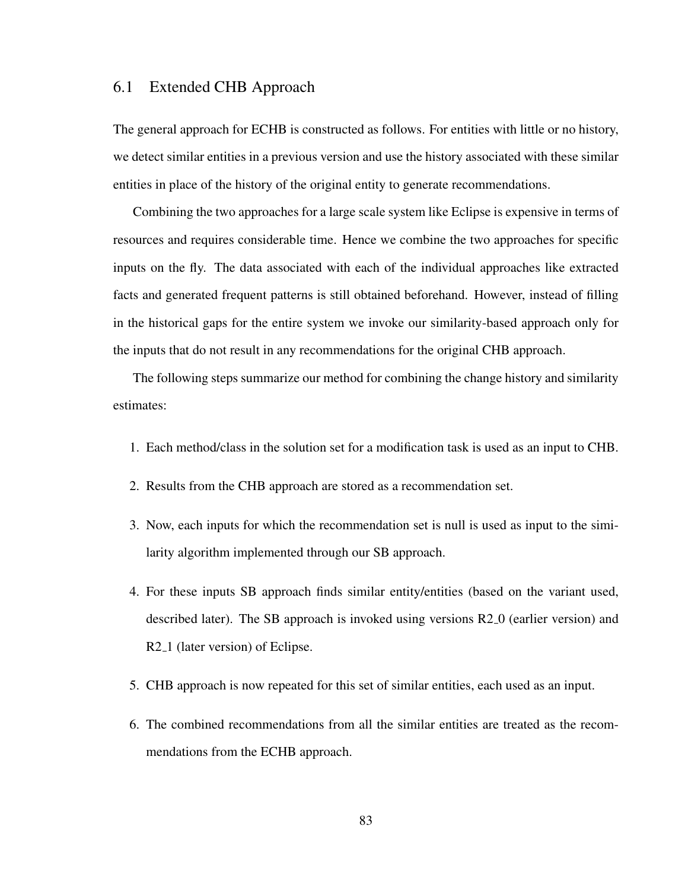## 6.1 Extended CHB Approach

The general approach for ECHB is constructed as follows. For entities with little or no history, we detect similar entities in a previous version and use the history associated with these similar entities in place of the history of the original entity to generate recommendations.

Combining the two approaches for a large scale system like Eclipse is expensive in terms of resources and requires considerable time. Hence we combine the two approaches for specific inputs on the fly. The data associated with each of the individual approaches like extracted facts and generated frequent patterns is still obtained beforehand. However, instead of filling in the historical gaps for the entire system we invoke our similarity-based approach only for the inputs that do not result in any recommendations for the original CHB approach.

The following steps summarize our method for combining the change history and similarity estimates:

- 1. Each method/class in the solution set for a modification task is used as an input to CHB.
- 2. Results from the CHB approach are stored as a recommendation set.
- 3. Now, each inputs for which the recommendation set is null is used as input to the similarity algorithm implemented through our SB approach.
- 4. For these inputs SB approach finds similar entity/entities (based on the variant used, described later). The SB approach is invoked using versions R2 0 (earlier version) and R2<sub>-1</sub> (later version) of Eclipse.
- 5. CHB approach is now repeated for this set of similar entities, each used as an input.
- 6. The combined recommendations from all the similar entities are treated as the recommendations from the ECHB approach.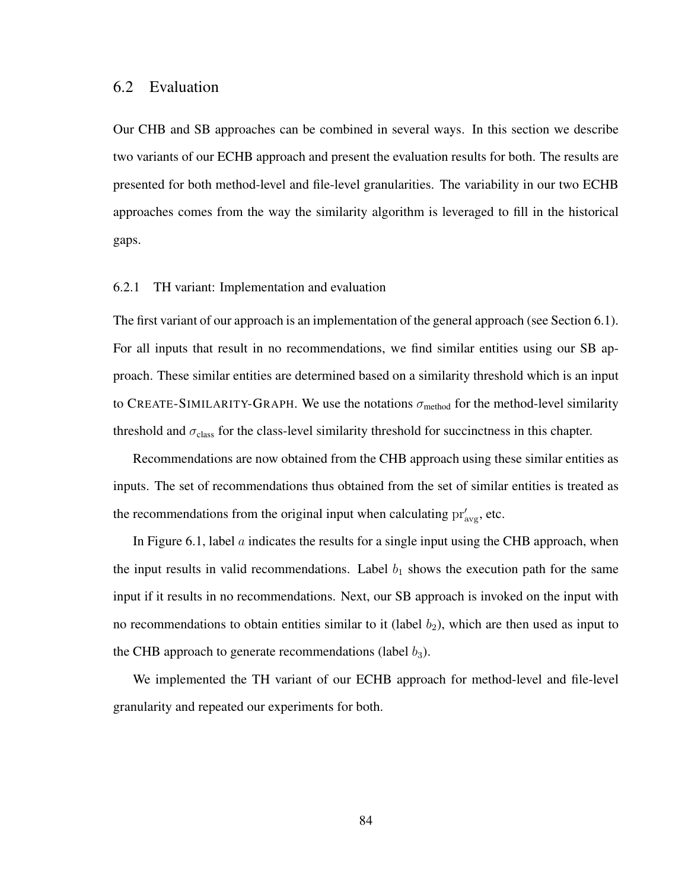Our CHB and SB approaches can be combined in several ways. In this section we describe two variants of our ECHB approach and present the evaluation results for both. The results are presented for both method-level and file-level granularities. The variability in our two ECHB approaches comes from the way the similarity algorithm is leveraged to fill in the historical gaps.

#### 6.2.1 TH variant: Implementation and evaluation

The first variant of our approach is an implementation of the general approach (see Section 6.1). For all inputs that result in no recommendations, we find similar entities using our SB approach. These similar entities are determined based on a similarity threshold which is an input to CREATE-SIMILARITY-GRAPH. We use the notations  $\sigma_{\text{method}}$  for the method-level similarity threshold and  $\sigma_{\text{class}}$  for the class-level similarity threshold for succinctness in this chapter.

Recommendations are now obtained from the CHB approach using these similar entities as inputs. The set of recommendations thus obtained from the set of similar entities is treated as the recommendations from the original input when calculating  $pr'_{avg}$ , etc.

In Figure 6.1, label a indicates the results for a single input using the CHB approach, when the input results in valid recommendations. Label  $b_1$  shows the execution path for the same input if it results in no recommendations. Next, our SB approach is invoked on the input with no recommendations to obtain entities similar to it (label  $b_2$ ), which are then used as input to the CHB approach to generate recommendations (label  $b_3$ ).

We implemented the TH variant of our ECHB approach for method-level and file-level granularity and repeated our experiments for both.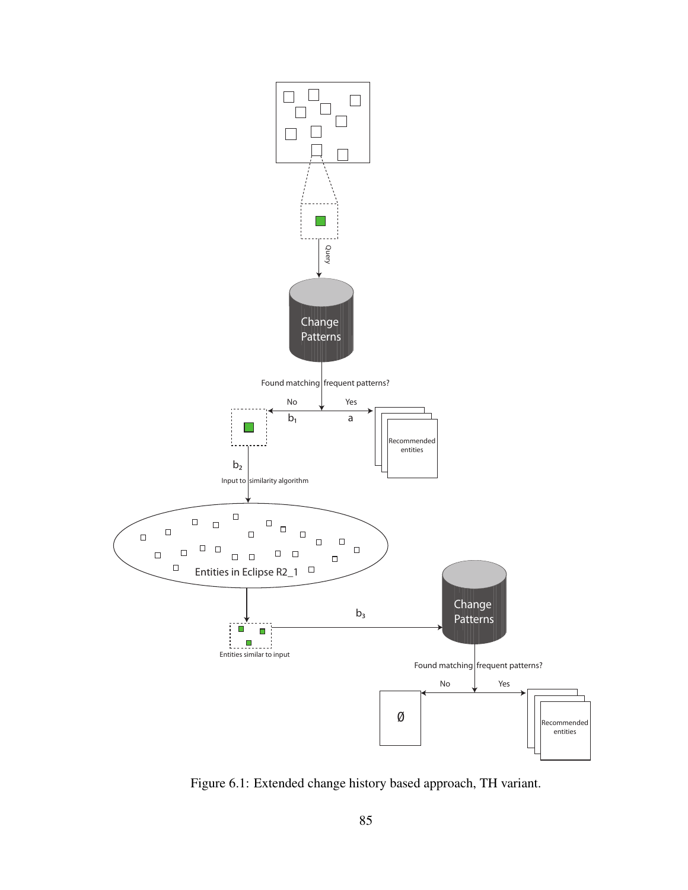

Figure 6.1: Extended change history based approach, TH variant.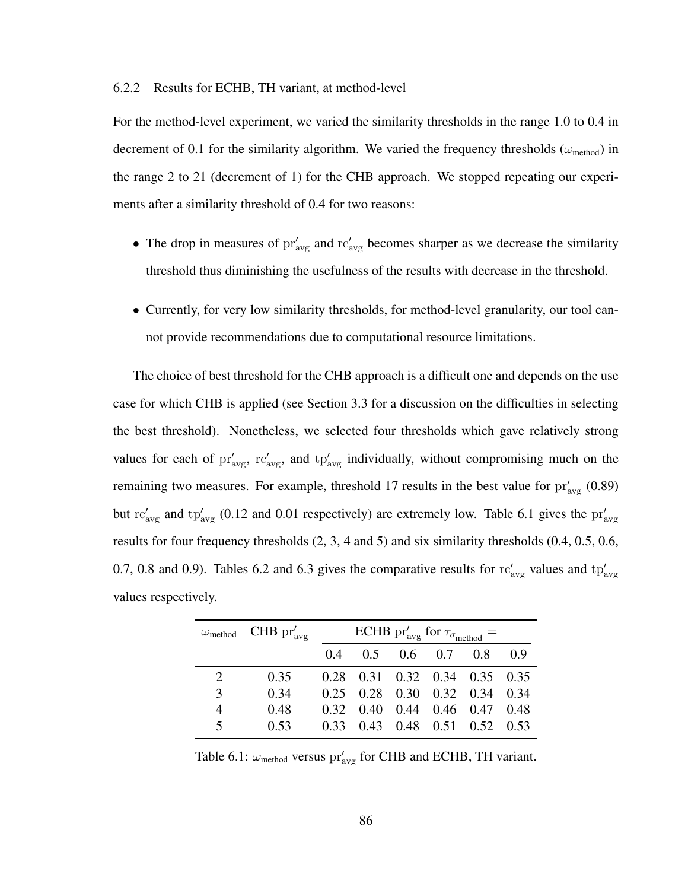#### 6.2.2 Results for ECHB, TH variant, at method-level

For the method-level experiment, we varied the similarity thresholds in the range 1.0 to 0.4 in decrement of 0.1 for the similarity algorithm. We varied the frequency thresholds ( $\omega_{\rm method}$ ) in the range 2 to 21 (decrement of 1) for the CHB approach. We stopped repeating our experiments after a similarity threshold of 0.4 for two reasons:

- The drop in measures of  $pr'_{avg}$  and  $rc'_{avg}$  becomes sharper as we decrease the similarity threshold thus diminishing the usefulness of the results with decrease in the threshold.
- Currently, for very low similarity thresholds, for method-level granularity, our tool cannot provide recommendations due to computational resource limitations.

The choice of best threshold for the CHB approach is a difficult one and depends on the use case for which CHB is applied (see Section 3.3 for a discussion on the difficulties in selecting the best threshold). Nonetheless, we selected four thresholds which gave relatively strong values for each of  $pr'_{avg}$ ,  $rc'_{avg}$ , and  $tp'_{avg}$  individually, without compromising much on the remaining two measures. For example, threshold 17 results in the best value for  $pr'_{\text{avg}}$  (0.89) but  $\text{rc}_{\text{avg}}'$  and  $\text{tp}_{\text{avg}}'$  (0.12 and 0.01 respectively) are extremely low. Table 6.1 gives the  $\text{pr}_{\text{avg}}'$ results for four frequency thresholds (2, 3, 4 and 5) and six similarity thresholds (0.4, 0.5, 0.6, 0.7, 0.8 and 0.9). Tables 6.2 and 6.3 gives the comparative results for  $rc'_{\text{avg}}$  values and  $tp'_{\text{avg}}$ values respectively.

|                         | $\omega_{\rm method}$ CHB $\operatorname{pr}'_{\rm avg}$ | ECHB pr' <sub>avg</sub> for $\tau_{\sigma_{\rm method}} =$ |  |                               |  |                               |       |  |
|-------------------------|----------------------------------------------------------|------------------------------------------------------------|--|-------------------------------|--|-------------------------------|-------|--|
|                         |                                                          |                                                            |  | $0.4$ $0.5$ $0.6$ $0.7$ $0.8$ |  |                               | (0.9) |  |
| 2                       | 0.35                                                     |                                                            |  |                               |  | 0.28 0.31 0.32 0.34 0.35 0.35 |       |  |
| 3                       | 0.34                                                     |                                                            |  |                               |  | 0.25 0.28 0.30 0.32 0.34 0.34 |       |  |
| 4                       | 0.48                                                     |                                                            |  |                               |  | 0.32 0.40 0.44 0.46 0.47 0.48 |       |  |
| $\overline{\mathbf{z}}$ | 0.53                                                     |                                                            |  |                               |  | 0.33 0.43 0.48 0.51 0.52 0.53 |       |  |

Table 6.1:  $\omega_{\text{method}}$  versus  $\text{pr}'_{\text{avg}}$  for CHB and ECHB, TH variant.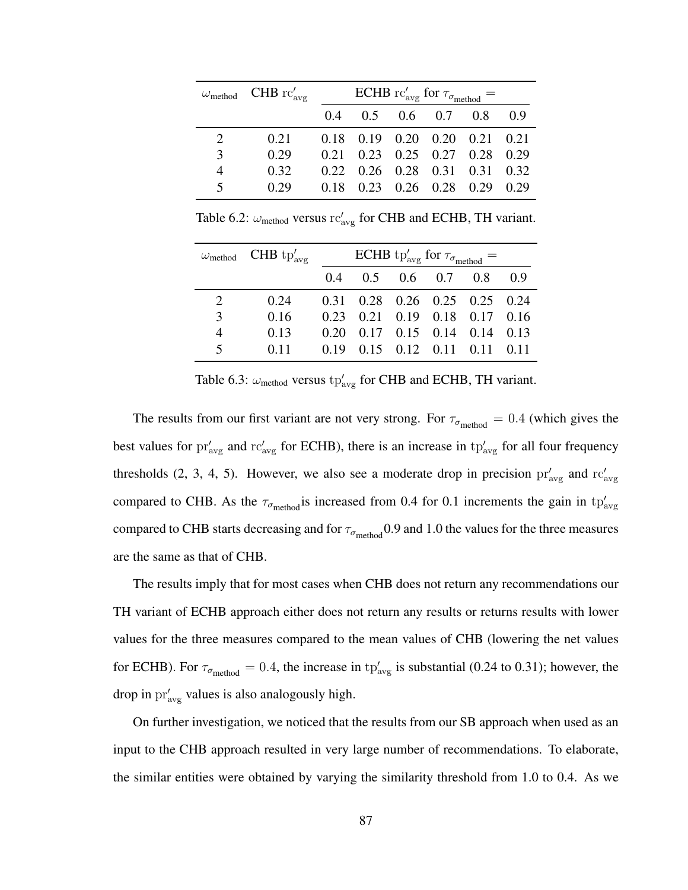|                       | $\omega_{\rm method}$ CHB rc' <sub>avg</sub> | ECHB rc' <sub>avg</sub> for $\tau_{\sigma_{\rm method}} =$ |  |  |                                           |     |      |  |
|-----------------------|----------------------------------------------|------------------------------------------------------------|--|--|-------------------------------------------|-----|------|--|
|                       |                                              | $0.4^{\circ}$                                              |  |  | $0.5$ 0.6 0.7                             | 0.8 | 0.9  |  |
| $\mathcal{D}_{\cdot}$ | 0.21                                         |                                                            |  |  | $0.18$ $0.19$ $0.20$ $0.20$ $0.21$ $0.21$ |     |      |  |
| 3                     | 0.29                                         |                                                            |  |  | $0.21$ $0.23$ $0.25$ $0.27$ $0.28$ $0.29$ |     |      |  |
| 4                     | 0.32                                         |                                                            |  |  | $0.22$ $0.26$ $0.28$ $0.31$ $0.31$ $0.32$ |     |      |  |
| 5                     | () 29                                        | 0.18                                                       |  |  | $0.23 \quad 0.26 \quad 0.28 \quad 0.29$   |     | 0.29 |  |

Table 6.2:  $\omega_{\text{method}}$  versus  $rc'_{\text{avg}}$  for CHB and ECHB, TH variant.

|                         | $\omega_{\rm method}$ CHB tp' <sub>avg</sub> | ECHB tp' <sub>avg</sub> for $\tau_{\sigma_{\rm method}} =$ |                               |  |  |                                           |     |  |
|-------------------------|----------------------------------------------|------------------------------------------------------------|-------------------------------|--|--|-------------------------------------------|-----|--|
|                         |                                              |                                                            | $0.4$ $0.5$ $0.6$ $0.7$ $0.8$ |  |  |                                           | 0.9 |  |
| $\mathcal{D}_{\cdot}$   | 0.24                                         |                                                            |                               |  |  | $0.31$ $0.28$ $0.26$ $0.25$ $0.25$ $0.24$ |     |  |
| 3                       | 0.16                                         |                                                            |                               |  |  | 0.23 0.21 0.19 0.18 0.17 0.16             |     |  |
| $\overline{4}$          | 0.13                                         |                                                            |                               |  |  | $0.20$ $0.17$ $0.15$ $0.14$ $0.14$ $0.13$ |     |  |
| $\overline{\mathbf{5}}$ | 0.11                                         |                                                            |                               |  |  | $0.19$ $0.15$ $0.12$ $0.11$ $0.11$ $0.11$ |     |  |

Table 6.3:  $\omega_{\text{method}}$  versus  $tp'_{\text{avg}}$  for CHB and ECHB, TH variant.

The results from our first variant are not very strong. For  $\tau_{\sigma_{\text{method}}} = 0.4$  (which gives the best values for  $pr'_{avg}$  and  $rc'_{avg}$  for ECHB), there is an increase in  $tp'_{avg}$  for all four frequency thresholds (2, 3, 4, 5). However, we also see a moderate drop in precision  $pr'_{avg}$  and  $rc'_{avg}$ compared to CHB. As the  $\tau_{\sigma_{\rm method}}$  is increased from 0.4 for 0.1 increments the gain in  $tp'_{\rm avg}$ compared to CHB starts decreasing and for  $\tau_{\sigma_{\text{method}}}$  0.9 and 1.0 the values for the three measures are the same as that of CHB.

The results imply that for most cases when CHB does not return any recommendations our TH variant of ECHB approach either does not return any results or returns results with lower values for the three measures compared to the mean values of CHB (lowering the net values for ECHB). For  $\tau_{\sigma_{\text{method}}} = 0.4$ , the increase in tp'<sub>avg</sub> is substantial (0.24 to 0.31); however, the drop in  $\mathrm{pr}_{\mathrm{avg}}'$  values is also analogously high.

On further investigation, we noticed that the results from our SB approach when used as an input to the CHB approach resulted in very large number of recommendations. To elaborate, the similar entities were obtained by varying the similarity threshold from 1.0 to 0.4. As we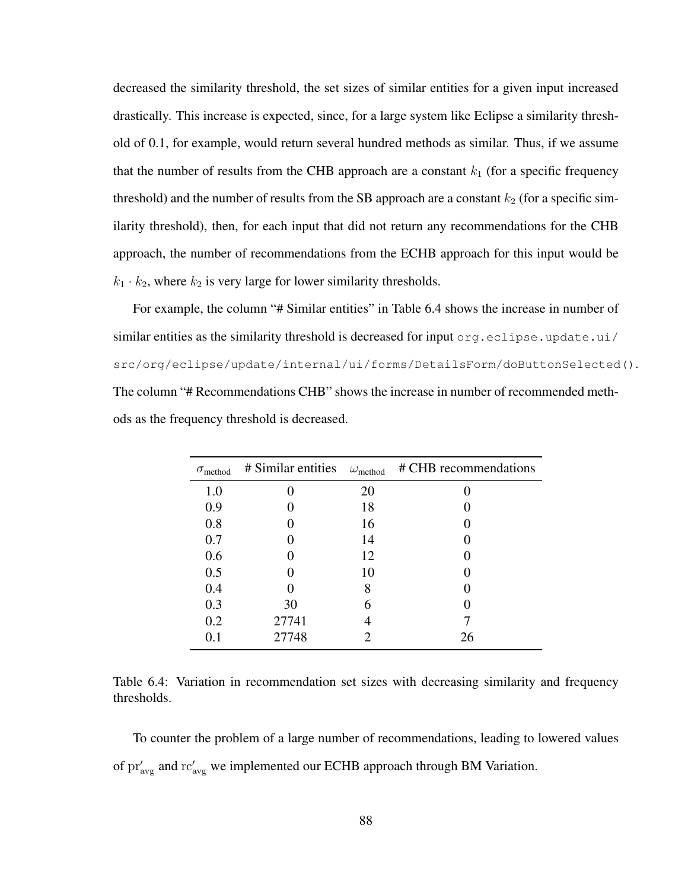decreased the similarity threshold, the set sizes of similar entities for a given input increased drastically. This increase is expected, since, for a large system like Eclipse a similarity threshold of 0.1, for example, would return several hundred methods as similar. Thus, if we assume that the number of results from the CHB approach are a constant  $k_1$  (for a specific frequency threshold) and the number of results from the SB approach are a constant  $k_2$  (for a specific similarity threshold), then, for each input that did not return any recommendations for the CHB approach, the number of recommendations from the ECHB approach for this input would be  $k_1 \cdot k_2$ , where  $k_2$  is very large for lower similarity thresholds.

For example, the column "# Similar entities" in Table 6.4 shows the increase in number of similar entities as the similarity threshold is decreased for input  $\sigma$ rg.eclipse.update.ui/ src/org/eclipse/update/internal/ui/forms/DetailsForm/doButtonSelected(). The column "# Recommendations CHB" shows the increase in number of recommended methods as the frequency threshold is decreased.

| $\sigma$ <sub>method</sub> | # Similar entities | $\omega_{\text{method}}$ | # CHB recommendations |
|----------------------------|--------------------|--------------------------|-----------------------|
| 1.0                        |                    | 20                       |                       |
| 0.9                        |                    | 18                       |                       |
| 0.8                        |                    | 16                       |                       |
| 0.7                        |                    | 14                       |                       |
| 0.6                        |                    | 12                       |                       |
| 0.5                        |                    | 10                       |                       |
| 0.4                        |                    | 8                        |                       |
| 0.3                        | 30                 | 6                        |                       |
| 0.2                        | 27741              |                          |                       |
| 0.1                        | 27748              | 2                        | 26                    |

|             |  | Table 6.4: Variation in recommendation set sizes with decreasing similarity and frequency |  |  |  |  |
|-------------|--|-------------------------------------------------------------------------------------------|--|--|--|--|
| thresholds. |  |                                                                                           |  |  |  |  |

To counter the problem of a large number of recommendations, leading to lowered values of  $pr'_{avg}$  and  $rc'_{avg}$  we implemented our ECHB approach through BM Variation.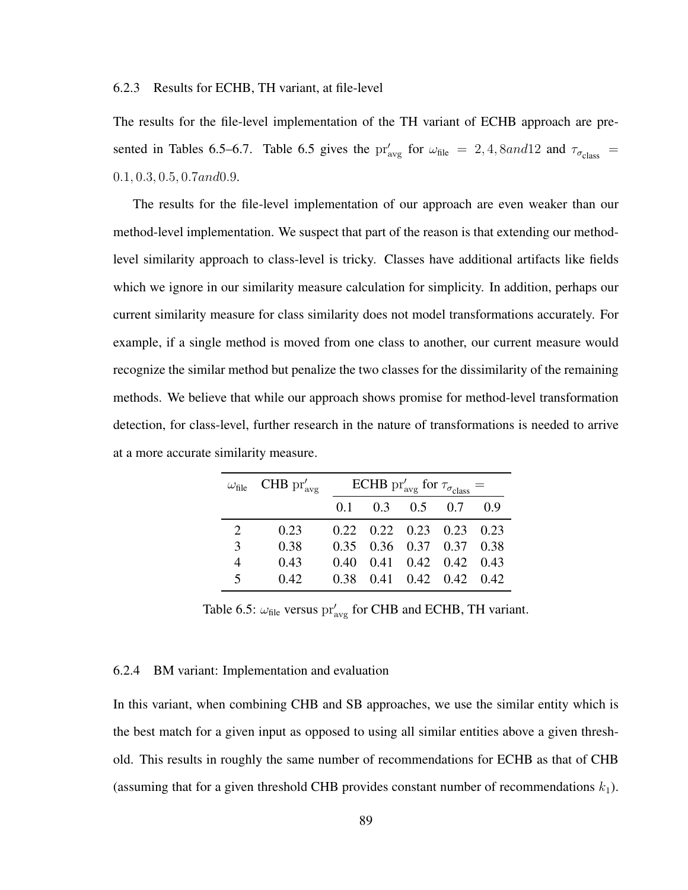#### 6.2.3 Results for ECHB, TH variant, at file-level

The results for the file-level implementation of the TH variant of ECHB approach are presented in Tables 6.5–6.7. Table 6.5 gives the  $pr'_{avg}$  for  $\omega_{file} = 2, 4, 8 and 12$  and  $\tau_{\sigma_{class}} =$ 0.1, 0.3, 0.5, 0.7and0.9.

The results for the file-level implementation of our approach are even weaker than our method-level implementation. We suspect that part of the reason is that extending our methodlevel similarity approach to class-level is tricky. Classes have additional artifacts like fields which we ignore in our similarity measure calculation for simplicity. In addition, perhaps our current similarity measure for class similarity does not model transformations accurately. For example, if a single method is moved from one class to another, our current measure would recognize the similar method but penalize the two classes for the dissimilarity of the remaining methods. We believe that while our approach shows promise for method-level transformation detection, for class-level, further research in the nature of transformations is needed to arrive at a more accurate similarity measure.

|                         | $\omega_{\text{file}}$ CHB $\text{pr}'_{\text{avg}}$ | ECHB pr' <sub>avg</sub> for $\tau_{\sigma_{\text{class}}}$ = |  |                                    |  |     |  |
|-------------------------|------------------------------------------------------|--------------------------------------------------------------|--|------------------------------------|--|-----|--|
|                         |                                                      | 0.1                                                          |  | $0.3$ $0.5$ $0.7$                  |  | 0.9 |  |
| 2                       | 0.23                                                 |                                                              |  | $0.22$ $0.22$ $0.23$ $0.23$ $0.23$ |  |     |  |
| $\mathcal{F}$           | 0.38                                                 |                                                              |  | 0.35 0.36 0.37 0.37 0.38           |  |     |  |
| 4                       | 0.43                                                 |                                                              |  | 0.40 0.41 0.42 0.42 0.43           |  |     |  |
| $\overline{\mathbf{z}}$ | 0.42                                                 |                                                              |  | 0.38 0.41 0.42 0.42 0.42           |  |     |  |

Table 6.5:  $\omega_{\text{file}}$  versus  $\text{pr}'_{\text{avg}}$  for CHB and ECHB, TH variant.

#### 6.2.4 BM variant: Implementation and evaluation

In this variant, when combining CHB and SB approaches, we use the similar entity which is the best match for a given input as opposed to using all similar entities above a given threshold. This results in roughly the same number of recommendations for ECHB as that of CHB (assuming that for a given threshold CHB provides constant number of recommendations  $k_1$ ).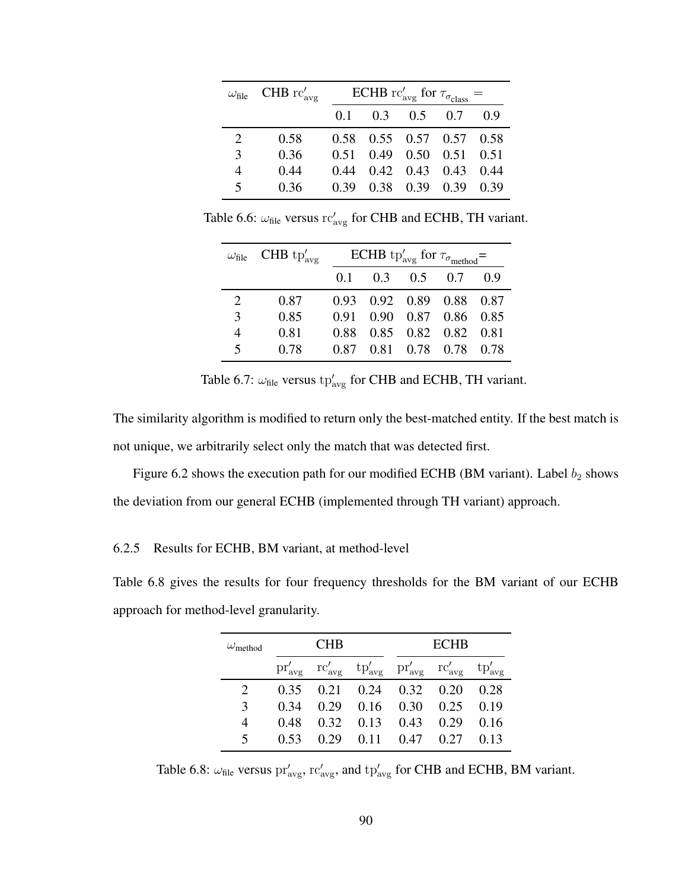| $\omega_{\rm file}$ | CHB $\operatorname{rc}'_{\operatorname{avg}}$ | ECHB rc' <sub>avg</sub> for $\tau_{\sigma_{\text{class}}}$ = |  |                             |  |     |  |  |
|---------------------|-----------------------------------------------|--------------------------------------------------------------|--|-----------------------------|--|-----|--|--|
|                     |                                               |                                                              |  | $0.1$ $0.3$ $0.5$ $0.7$     |  | 0.9 |  |  |
| 2                   | 0.58                                          |                                                              |  | 0.58 0.55 0.57 0.57 0.58    |  |     |  |  |
| 3                   | 0.36                                          | 0.51                                                         |  | $0.49$ $0.50$ $0.51$ $0.51$ |  |     |  |  |
| $\overline{4}$      | 0.44                                          | 0.44                                                         |  | $0.42$ $0.43$ $0.43$ $0.44$ |  |     |  |  |
| 5                   | 0.36                                          | 0.39                                                         |  | 0.38 0.39 0.39 0.39         |  |     |  |  |

Table 6.6:  $\omega_{\text{file}}$  versus rc'<sub>avg</sub> for CHB and ECHB, TH variant.

|                | $\omega_{\text{file}}$ CHB tp' <sub>avg</sub> | ECHB tp' <sub>avg</sub> for $\tau_{\sigma_{\rm method}} =$ |  |                   |                          |     |  |
|----------------|-----------------------------------------------|------------------------------------------------------------|--|-------------------|--------------------------|-----|--|
|                |                                               | 0.1                                                        |  | $0.3$ $0.5$ $0.7$ |                          | 0.9 |  |
| 2              | 0.87                                          |                                                            |  |                   | 0.93 0.92 0.89 0.88 0.87 |     |  |
| 3              | 0.85                                          | 0.91                                                       |  |                   | 0.90 0.87 0.86 0.85      |     |  |
| $\overline{4}$ | 0.81                                          |                                                            |  |                   | 0.88 0.85 0.82 0.82 0.81 |     |  |
| $\leq$         | 0.78                                          |                                                            |  |                   | 0.87 0.81 0.78 0.78 0.78 |     |  |

Table 6.7:  $\omega_{\text{file}}$  versus  $tp'_{\text{avg}}$  for CHB and ECHB, TH variant.

The similarity algorithm is modified to return only the best-matched entity. If the best match is not unique, we arbitrarily select only the match that was detected first.

Figure 6.2 shows the execution path for our modified ECHB (BM variant). Label  $b_2$  shows the deviation from our general ECHB (implemented through TH variant) approach.

#### 6.2.5 Results for ECHB, BM variant, at method-level

Table 6.8 gives the results for four frequency thresholds for the BM variant of our ECHB approach for method-level granularity.

| $\omega_{\rm method}$    | <b>CHB</b> |      |                                                                                                                                                             |                   | <b>ECHR</b> |      |  |
|--------------------------|------------|------|-------------------------------------------------------------------------------------------------------------------------------------------------------------|-------------------|-------------|------|--|
|                          |            |      | $\text{pr}'_{\text{avg}}$ $\text{rc}'_{\text{avg}}$ $\text{tp}'_{\text{avg}}$ $\text{pr}'_{\text{avg}}$ $\text{rc}'_{\text{avg}}$ $\text{tp}'_{\text{avg}}$ |                   |             |      |  |
|                          |            |      | $0.35$ $0.21$ $0.24$ $0.32$ $0.20$                                                                                                                          |                   |             | 0.28 |  |
| 3                        | 0.34       |      | $0.29$ $0.16$ $0.30$                                                                                                                                        |                   | 0.25        | 0.19 |  |
| 4                        | 0.48       |      | $0.32 \quad 0.13 \quad 0.43$                                                                                                                                |                   | 0.29        | 0.16 |  |
| $\overline{\mathcal{L}}$ | 0.53       | 0.29 |                                                                                                                                                             | $0.11 \quad 0.47$ | 0.27        | 0.13 |  |

Table 6.8:  $\omega_{\text{file}}$  versus  $\text{pr}'_{\text{avg}}$ ,  $\text{rc}'_{\text{avg}}$ , and  $\text{tp}'_{\text{avg}}$  for CHB and ECHB, BM variant.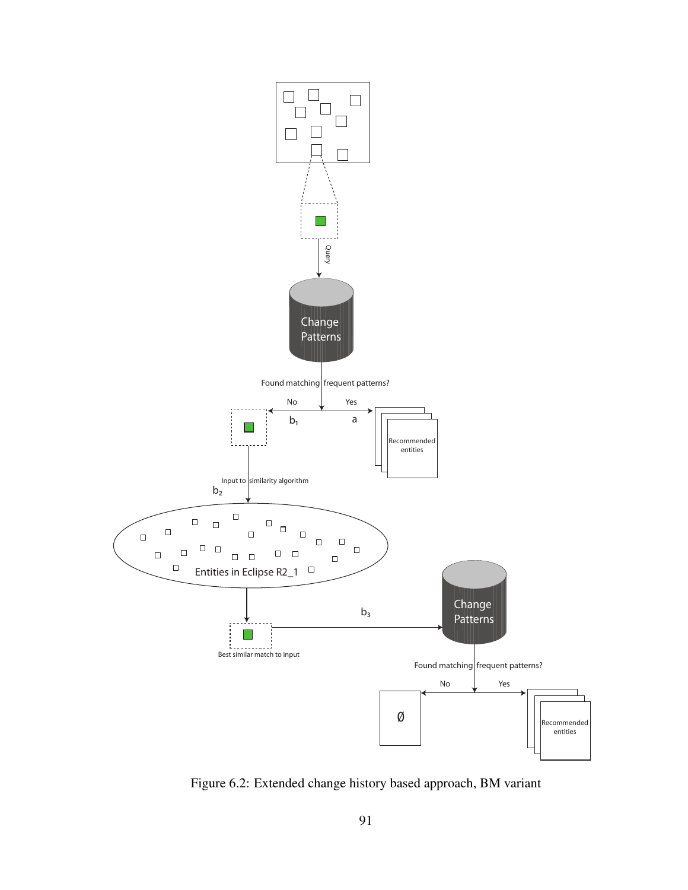

Figure 6.2: Extended change history based approach, BM variant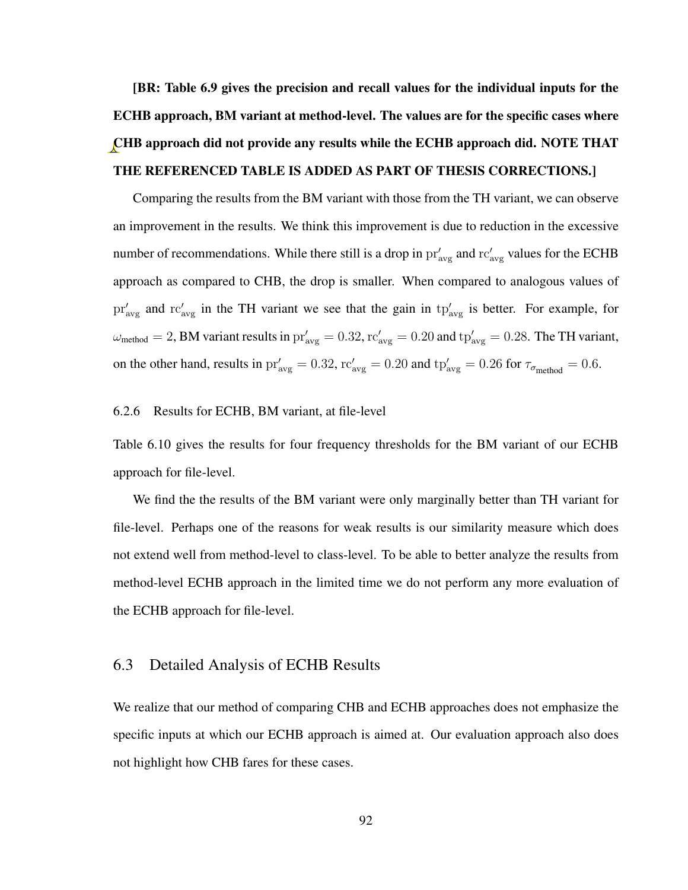[BR: Table 6.9 gives the precision and recall values for the individual inputs for the ECHB approach, BM variant at method-level. The values are for the specific cases where CHB approach did not provide any results while the ECHB approach did. NOTE THAT THE REFERENCED TABLE IS ADDED AS PART OF THESIS CORRECTIONS.]

Comparing the results from the BM variant with those from the TH variant, we can observe an improvement in the results. We think this improvement is due to reduction in the excessive number of recommendations. While there still is a drop in  $pr'_{\text{avg}}$  and  $rc'_{\text{avg}}$  values for the ECHB approach as compared to CHB, the drop is smaller. When compared to analogous values of  $pr'_{avg}$  and  $rc'_{avg}$  in the TH variant we see that the gain in  $tp'_{avg}$  is better. For example, for  $\omega_{\rm method} = 2$ , BM variant results in  $pr'_{\rm avg} = 0.32$ ,  $rc'_{\rm avg} = 0.20$  and  $tp'_{\rm avg} = 0.28$ . The TH variant, on the other hand, results in  $pr'_{avg} = 0.32$ ,  $rc'_{avg} = 0.20$  and  $tp'_{avg} = 0.26$  for  $\tau_{\sigma_{method}} = 0.6$ .

#### 6.2.6 Results for ECHB, BM variant, at file-level

Table 6.10 gives the results for four frequency thresholds for the BM variant of our ECHB approach for file-level.

We find the the results of the BM variant were only marginally better than TH variant for file-level. Perhaps one of the reasons for weak results is our similarity measure which does not extend well from method-level to class-level. To be able to better analyze the results from method-level ECHB approach in the limited time we do not perform any more evaluation of the ECHB approach for file-level.

#### 6.3 Detailed Analysis of ECHB Results

We realize that our method of comparing CHB and ECHB approaches does not emphasize the specific inputs at which our ECHB approach is aimed at. Our evaluation approach also does not highlight how CHB fares for these cases.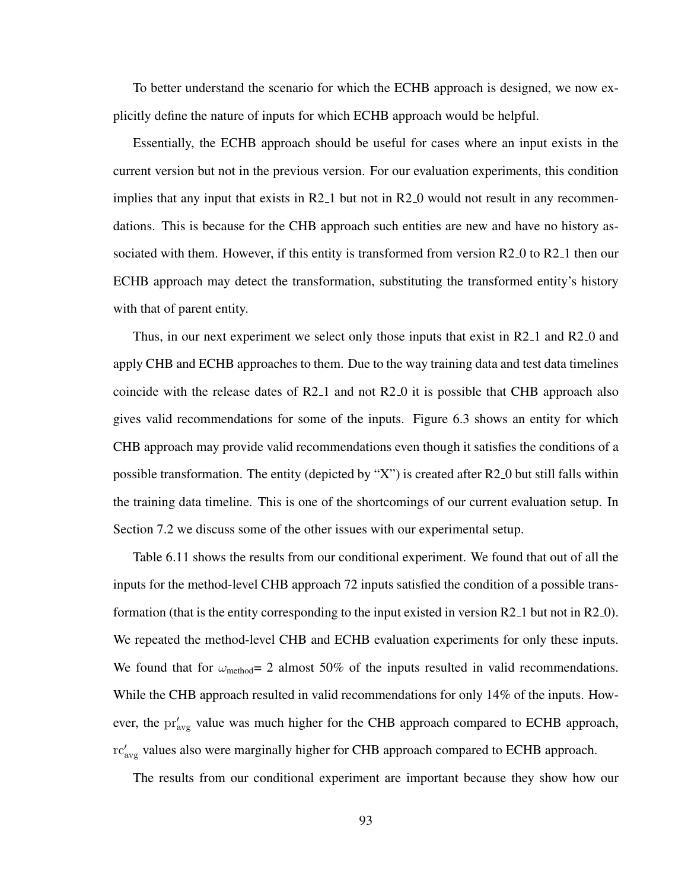To better understand the scenario for which the ECHB approach is designed, we now explicitly define the nature of inputs for which ECHB approach would be helpful.

Essentially, the ECHB approach should be useful for cases where an input exists in the current version but not in the previous version. For our evaluation experiments, this condition implies that any input that exists in  $R2<sub>-1</sub>$  but not in  $R2<sub>-0</sub>$  would not result in any recommendations. This is because for the CHB approach such entities are new and have no history associated with them. However, if this entity is transformed from version R2<sub>-0</sub> to R2<sub>-1</sub> then our ECHB approach may detect the transformation, substituting the transformed entity's history with that of parent entity.

Thus, in our next experiment we select only those inputs that exist in  $R2_1$  and  $R2_0$  and apply CHB and ECHB approaches to them. Due to the way training data and test data timelines coincide with the release dates of R2 1 and not R2 0 it is possible that CHB approach also gives valid recommendations for some of the inputs. Figure 6.3 shows an entity for which CHB approach may provide valid recommendations even though it satisfies the conditions of a possible transformation. The entity (depicted by "X") is created after  $R2_0$  but still falls within the training data timeline. This is one of the shortcomings of our current evaluation setup. In Section 7.2 we discuss some of the other issues with our experimental setup.

Table 6.11 shows the results from our conditional experiment. We found that out of all the inputs for the method-level CHB approach 72 inputs satisfied the condition of a possible transformation (that is the entity corresponding to the input existed in version  $R2_1$  but not in  $R2_0$ ). We repeated the method-level CHB and ECHB evaluation experiments for only these inputs. We found that for  $\omega_{\text{method}}= 2$  almost 50% of the inputs resulted in valid recommendations. While the CHB approach resulted in valid recommendations for only 14% of the inputs. However, the  $pr'_{avg}$  value was much higher for the CHB approach compared to ECHB approach, rc'<sub>avg</sub> values also were marginally higher for CHB approach compared to ECHB approach.

The results from our conditional experiment are important because they show how our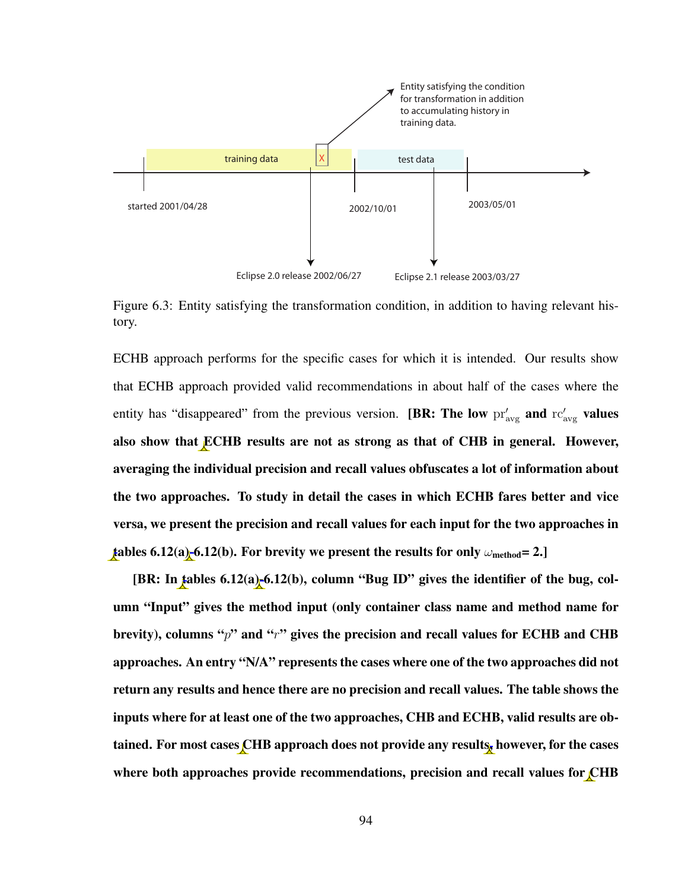

Figure 6.3: Entity satisfying the transformation condition, in addition to having relevant history.

ECHB approach performs for the specific cases for which it is intended. Our results show that ECHB approach provided valid recommendations in about half of the cases where the entity has "disappeared" from the previous version. [BR: The low  $\text{pr}_{\text{avg}}'$  and  $\text{rc}_{\text{avg}}'$  values also show that ECHB results are not as strong as that of CHB in general. However, averaging the individual precision and recall values obfuscates a lot of information about the two approaches. To study in detail the cases in which ECHB fares better and vice versa, we present the precision and recall values for each input for the two approaches in tables 6.12(a)-6.12(b). For brevity we present the results for only  $\omega_{\rm method}=2$ .

[BR: In tables 6.12(a)-6.12(b), column "Bug ID" gives the identifier of the bug, column "Input" gives the method input (only container class name and method name for brevity), columns " $p$ " and " $r$ " gives the precision and recall values for ECHB and CHB approaches. An entry "N/A" represents the cases where one of the two approaches did not return any results and hence there are no precision and recall values. The table shows the inputs where for at least one of the two approaches, CHB and ECHB, valid results are obtained. For most cases CHB approach does not provide any results, however, for the cases where both approaches provide recommendations, precision and recall values for CHB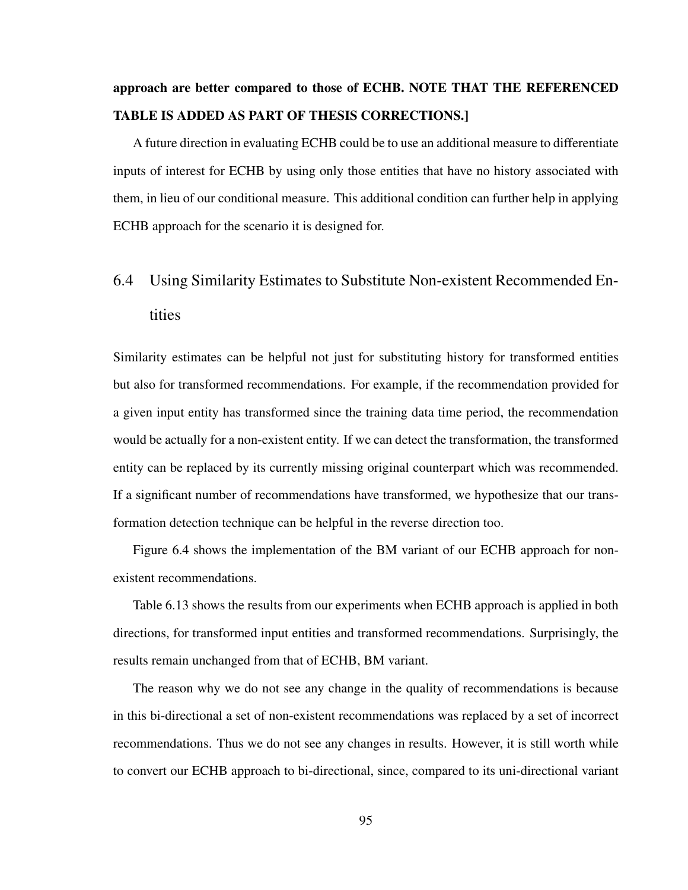# approach are better compared to those of ECHB. NOTE THAT THE REFERENCED TABLE IS ADDED AS PART OF THESIS CORRECTIONS.]

A future direction in evaluating ECHB could be to use an additional measure to differentiate inputs of interest for ECHB by using only those entities that have no history associated with them, in lieu of our conditional measure. This additional condition can further help in applying ECHB approach for the scenario it is designed for.

# 6.4 Using Similarity Estimates to Substitute Non-existent Recommended Entities

Similarity estimates can be helpful not just for substituting history for transformed entities but also for transformed recommendations. For example, if the recommendation provided for a given input entity has transformed since the training data time period, the recommendation would be actually for a non-existent entity. If we can detect the transformation, the transformed entity can be replaced by its currently missing original counterpart which was recommended. If a significant number of recommendations have transformed, we hypothesize that our transformation detection technique can be helpful in the reverse direction too.

Figure 6.4 shows the implementation of the BM variant of our ECHB approach for nonexistent recommendations.

Table 6.13 shows the results from our experiments when ECHB approach is applied in both directions, for transformed input entities and transformed recommendations. Surprisingly, the results remain unchanged from that of ECHB, BM variant.

The reason why we do not see any change in the quality of recommendations is because in this bi-directional a set of non-existent recommendations was replaced by a set of incorrect recommendations. Thus we do not see any changes in results. However, it is still worth while to convert our ECHB approach to bi-directional, since, compared to its uni-directional variant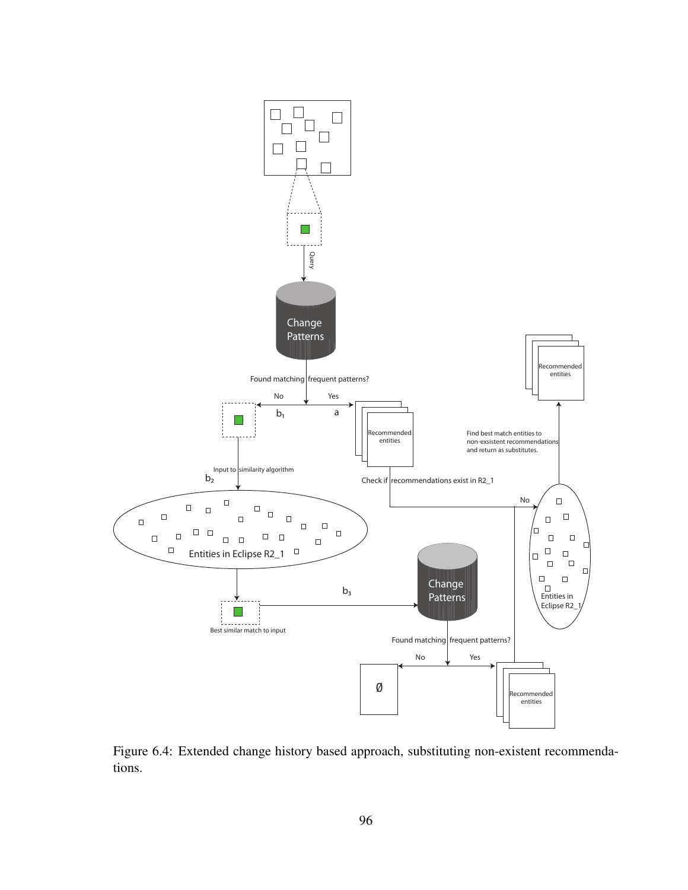

Figure 6.4: Extended change history based approach, substituting non-existent recommendations.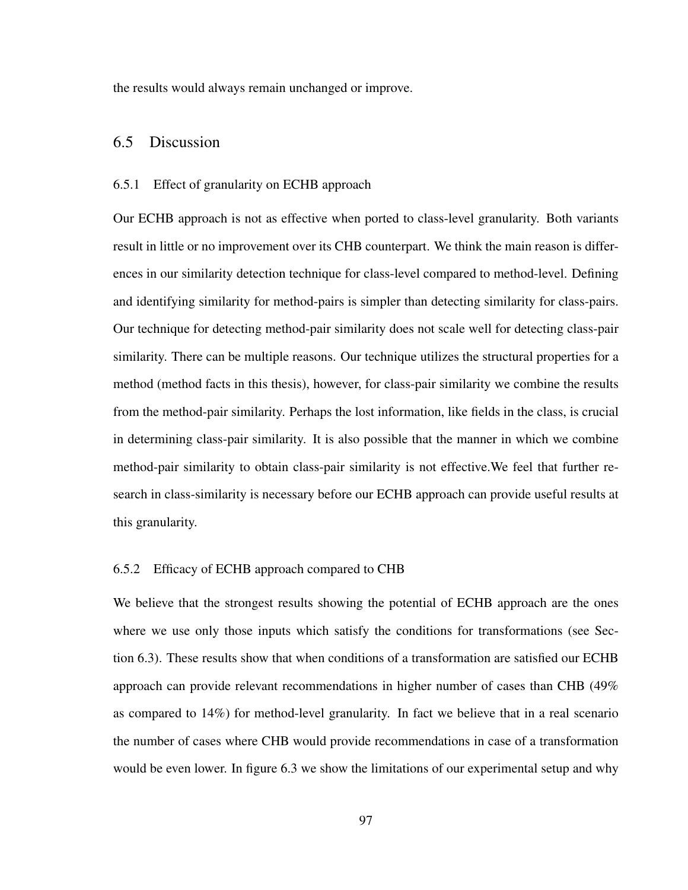the results would always remain unchanged or improve.

# 6.5 Discussion

#### 6.5.1 Effect of granularity on ECHB approach

Our ECHB approach is not as effective when ported to class-level granularity. Both variants result in little or no improvement over its CHB counterpart. We think the main reason is differences in our similarity detection technique for class-level compared to method-level. Defining and identifying similarity for method-pairs is simpler than detecting similarity for class-pairs. Our technique for detecting method-pair similarity does not scale well for detecting class-pair similarity. There can be multiple reasons. Our technique utilizes the structural properties for a method (method facts in this thesis), however, for class-pair similarity we combine the results from the method-pair similarity. Perhaps the lost information, like fields in the class, is crucial in determining class-pair similarity. It is also possible that the manner in which we combine method-pair similarity to obtain class-pair similarity is not effective.We feel that further research in class-similarity is necessary before our ECHB approach can provide useful results at this granularity.

#### 6.5.2 Efficacy of ECHB approach compared to CHB

We believe that the strongest results showing the potential of ECHB approach are the ones where we use only those inputs which satisfy the conditions for transformations (see Section 6.3). These results show that when conditions of a transformation are satisfied our ECHB approach can provide relevant recommendations in higher number of cases than CHB (49% as compared to 14%) for method-level granularity. In fact we believe that in a real scenario the number of cases where CHB would provide recommendations in case of a transformation would be even lower. In figure 6.3 we show the limitations of our experimental setup and why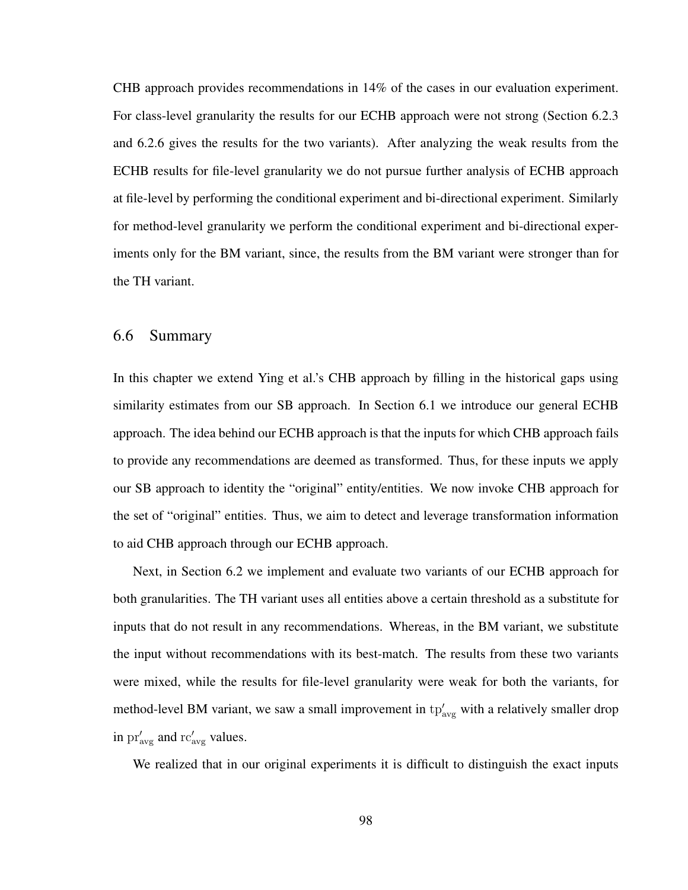CHB approach provides recommendations in 14% of the cases in our evaluation experiment. For class-level granularity the results for our ECHB approach were not strong (Section 6.2.3 and 6.2.6 gives the results for the two variants). After analyzing the weak results from the ECHB results for file-level granularity we do not pursue further analysis of ECHB approach at file-level by performing the conditional experiment and bi-directional experiment. Similarly for method-level granularity we perform the conditional experiment and bi-directional experiments only for the BM variant, since, the results from the BM variant were stronger than for the TH variant.

## 6.6 Summary

In this chapter we extend Ying et al.'s CHB approach by filling in the historical gaps using similarity estimates from our SB approach. In Section 6.1 we introduce our general ECHB approach. The idea behind our ECHB approach is that the inputs for which CHB approach fails to provide any recommendations are deemed as transformed. Thus, for these inputs we apply our SB approach to identity the "original" entity/entities. We now invoke CHB approach for the set of "original" entities. Thus, we aim to detect and leverage transformation information to aid CHB approach through our ECHB approach.

Next, in Section 6.2 we implement and evaluate two variants of our ECHB approach for both granularities. The TH variant uses all entities above a certain threshold as a substitute for inputs that do not result in any recommendations. Whereas, in the BM variant, we substitute the input without recommendations with its best-match. The results from these two variants were mixed, while the results for file-level granularity were weak for both the variants, for method-level BM variant, we saw a small improvement in  $tp'_{avg}$  with a relatively smaller drop in  $pr'_{avg}$  and  $rc'_{avg}$  values.

We realized that in our original experiments it is difficult to distinguish the exact inputs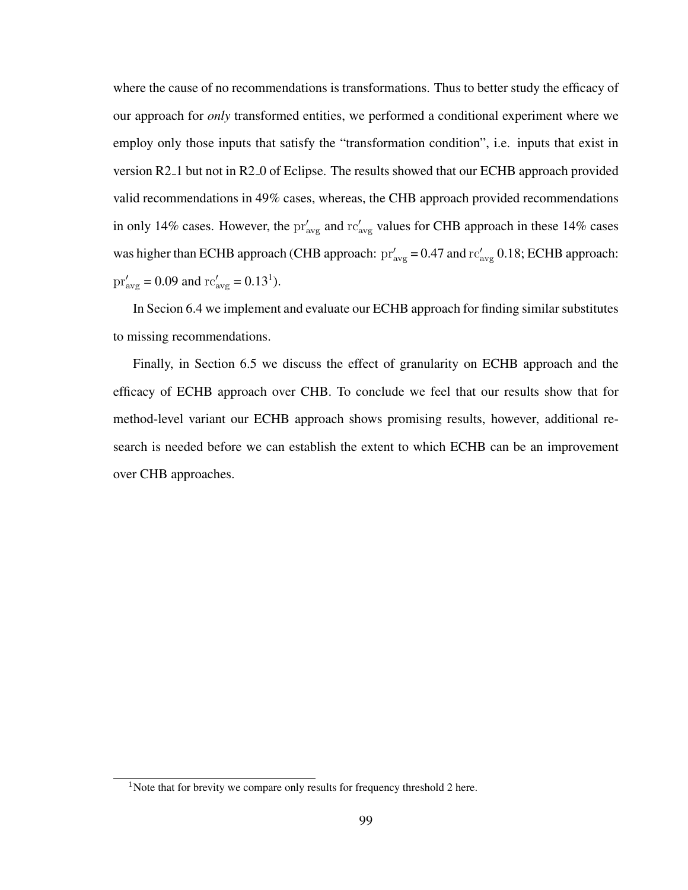where the cause of no recommendations is transformations. Thus to better study the efficacy of our approach for *only* transformed entities, we performed a conditional experiment where we employ only those inputs that satisfy the "transformation condition", i.e. inputs that exist in version R2 1 but not in R2 0 of Eclipse. The results showed that our ECHB approach provided valid recommendations in 49% cases, whereas, the CHB approach provided recommendations in only 14% cases. However, the  $pr'_{avg}$  and  $rc'_{avg}$  values for CHB approach in these 14% cases was higher than ECHB approach (CHB approach:  $pr'_{\text{avg}} = 0.47$  and  $rc'_{\text{avg}} = 0.18$ ; ECHB approach:  $pr'_{\text{avg}} = 0.09$  and  $rc'_{\text{avg}} = 0.13^1$ .

In Secion 6.4 we implement and evaluate our ECHB approach for finding similar substitutes to missing recommendations.

Finally, in Section 6.5 we discuss the effect of granularity on ECHB approach and the efficacy of ECHB approach over CHB. To conclude we feel that our results show that for method-level variant our ECHB approach shows promising results, however, additional research is needed before we can establish the extent to which ECHB can be an improvement over CHB approaches.

<sup>&</sup>lt;sup>1</sup>Note that for brevity we compare only results for frequency threshold 2 here.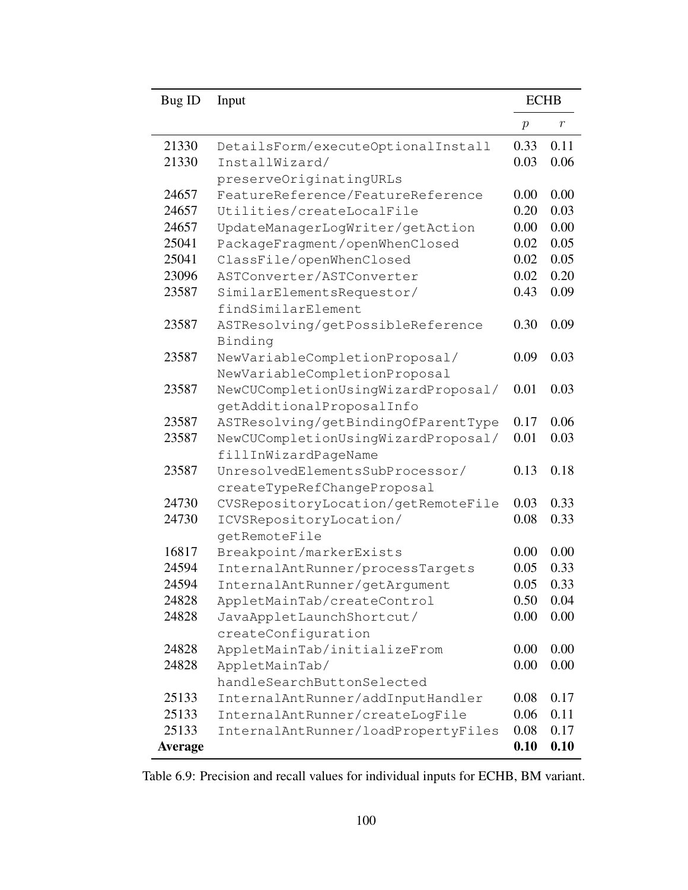| Bug ID         | Input                                        | <b>ECHB</b>  |              |  |
|----------------|----------------------------------------------|--------------|--------------|--|
|                |                                              | $\,p\,$      | $\,r$        |  |
| 21330          | DetailsForm/executeOptionalInstall           | 0.33         | 0.11         |  |
| 21330          | InstallWizard/                               | 0.03         | 0.06         |  |
|                | preserveOriginatingURLs                      |              |              |  |
| 24657          | FeatureReference/FeatureReference            | 0.00         | 0.00         |  |
| 24657          | Utilities/createLocalFile                    | 0.20         | 0.03         |  |
| 24657          | UpdateManagerLogWriter/getAction             | 0.00         | 0.00         |  |
| 25041          | PackageFragment/openWhenClosed               | 0.02         | 0.05         |  |
| 25041          | ClassFile/openWhenClosed                     | 0.02         | 0.05         |  |
| 23096          | ASTConverter/ASTConverter                    | 0.02         | 0.20         |  |
| 23587          | SimilarElementsRequestor/                    | 0.43         | 0.09         |  |
|                | findSimilarElement                           |              |              |  |
| 23587          | ASTResolving/getPossibleReference            | 0.30         | 0.09         |  |
|                | Binding                                      |              |              |  |
| 23587          | NewVariableCompletionProposal/               | 0.09         | 0.03         |  |
|                | NewVariableCompletionProposal                |              |              |  |
| 23587          | NewCUCompletionUsingWizardProposal/          | 0.01         | 0.03         |  |
|                | getAdditionalProposalInfo                    |              |              |  |
| 23587          | ASTResolving/getBindingOfParentType          | 0.17         | 0.06         |  |
| 23587          | NewCUCompletionUsingWizardProposal/          | 0.01         | 0.03         |  |
|                | fillInWizardPageName                         |              |              |  |
| 23587          | UnresolvedElementsSubProcessor/              | 0.13         | 0.18         |  |
|                | createTypeRefChangeProposal                  |              |              |  |
| 24730          | CVSRepositoryLocation/getRemoteFile          | 0.03         | 0.33         |  |
| 24730          | ICVSRepositoryLocation/                      | 0.08         | 0.33         |  |
|                | qetRemoteFile                                |              |              |  |
| 16817          | Breakpoint/markerExists                      | 0.00         | 0.00         |  |
| 24594          | InternalAntRunner/processTargets             | 0.05         | 0.33         |  |
| 24594          | InternalAntRunner/getArgument                | 0.05         | 0.33         |  |
| 24828          | AppletMainTab/createControl                  | 0.50<br>0.00 | 0.04<br>0.00 |  |
| 24828          | JavaAppletLaunchShortcut/                    |              |              |  |
|                | createConfiguration                          |              |              |  |
| 24828<br>24828 | AppletMainTab/initializeFrom                 | 0.00<br>0.00 | 0.00<br>0.00 |  |
|                | AppletMainTab/<br>handleSearchButtonSelected |              |              |  |
| 25133          | InternalAntRunner/addInputHandler            | 0.08         | 0.17         |  |
| 25133          | InternalAntRunner/createLogFile              | 0.06         | 0.11         |  |
| 25133          | InternalAntRunner/loadPropertyFiles          | 0.08         | 0.17         |  |
| <b>Average</b> |                                              | 0.10         | 0.10         |  |
|                |                                              |              |              |  |

Table 6.9: Precision and recall values for individual inputs for ECHB, BM variant.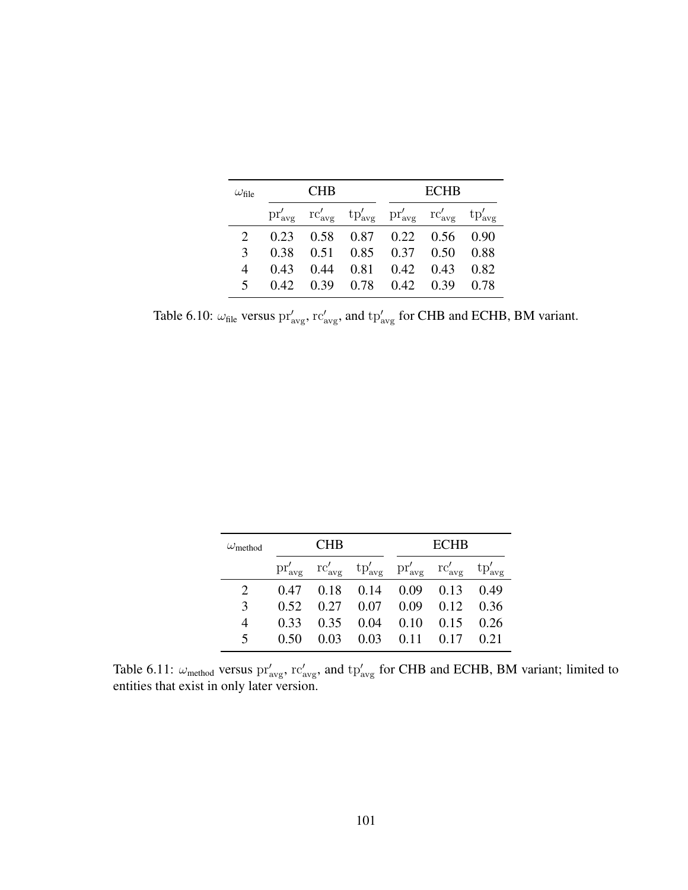| $\omega_{\rm file}$ | <b>CHB</b> |  |                                                                                                                                                             | <b>ECHB</b> |      |  |
|---------------------|------------|--|-------------------------------------------------------------------------------------------------------------------------------------------------------------|-------------|------|--|
|                     |            |  | $\text{pr}'_{\text{avg}}$ $\text{rc}'_{\text{avg}}$ $\text{tp}'_{\text{avg}}$ $\text{pr}'_{\text{avg}}$ $\text{rc}'_{\text{avg}}$ $\text{tp}'_{\text{avg}}$ |             |      |  |
|                     |            |  | 0.23 0.58 0.87 0.22 0.56 0.90                                                                                                                               |             |      |  |
| $\mathcal{E}$       |            |  | 0.38  0.51  0.85  0.37  0.50                                                                                                                                |             | 0.88 |  |
| 4                   | 0.43       |  | $0.44$ $0.81$ $0.42$ $0.43$ $0.82$                                                                                                                          |             |      |  |
| $\overline{5}$      |            |  | 0.42 0.39 0.78 0.42 0.39 0.78                                                                                                                               |             |      |  |

Table 6.10:  $\omega_{\text{file}}$  versus  $\text{pr}'_{\text{avg}}$ ,  $\text{rc}'_{\text{avg}}$ , and  $\text{tp}'_{\text{avg}}$  for CHB and ECHB, BM variant.

| $\omega_{\rm method}$ | <b>CHB</b> |      |                                                                                                                                   | <b>ECHB</b> |      |                    |  |
|-----------------------|------------|------|-----------------------------------------------------------------------------------------------------------------------------------|-------------|------|--------------------|--|
|                       |            |      | $\text{pr}'_{\text{avg}}$ $\text{rc}'_{\text{avg}}$ $\text{tp}'_{\text{avg}}$ $\text{pr}'_{\text{avg}}$ $\text{rc}'_{\text{avg}}$ |             |      | $tp'_{\text{avg}}$ |  |
|                       | 0.47       | 0.18 | 0.14                                                                                                                              | 0.09        | 0.13 | 0.49               |  |
| 3                     | 0.52       | 0.27 | 0.07                                                                                                                              | 0.09        | 0.12 | 0.36               |  |
| 4                     | 0.33       | 0.35 | 0.04                                                                                                                              | 0.10        | 0.15 | 0.26               |  |
| 5                     | 0.50       | 0.03 | 0.03                                                                                                                              | 0.11        | 0.17 | 0.21               |  |

Table 6.11:  $\omega_{\text{method}}$  versus  $pr'_{\text{avg}}$ ,  $rc'_{\text{avg}}$ , and  $tp'_{\text{avg}}$  for CHB and ECHB, BM variant; limited to entities that exist in only later version.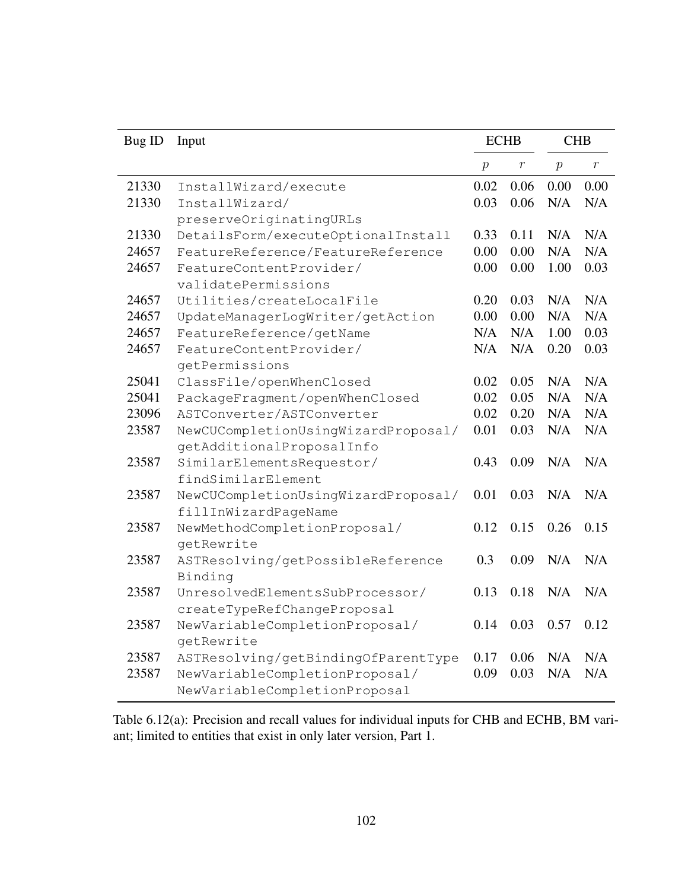| Bug ID | Input                               | <b>ECHB</b>    |         | <b>CHB</b>     |         |
|--------|-------------------------------------|----------------|---------|----------------|---------|
|        |                                     | $\overline{p}$ | $\,r\,$ | $\overline{p}$ | $\,r\,$ |
| 21330  | InstallWizard/execute               | 0.02           | 0.06    | 0.00           | 0.00    |
| 21330  | InstallWizard/                      | 0.03           | 0.06    | N/A            | N/A     |
|        | preserveOriginatingURLs             |                |         |                |         |
| 21330  | DetailsForm/executeOptionalInstall  | 0.33           | 0.11    | N/A            | N/A     |
| 24657  | FeatureReference/FeatureReference   | 0.00           | 0.00    | N/A            | N/A     |
| 24657  | FeatureContentProvider/             | 0.00           | 0.00    | 1.00           | 0.03    |
|        | validatePermissions                 |                |         |                |         |
| 24657  | Utilities/createLocalFile           | 0.20           | 0.03    | N/A            | N/A     |
| 24657  | UpdateManagerLogWriter/getAction    | 0.00           | 0.00    | N/A            | N/A     |
| 24657  | FeatureReference/getName            | N/A            | N/A     | 1.00           | 0.03    |
| 24657  | FeatureContentProvider/             | N/A            | N/A     | 0.20           | 0.03    |
|        | getPermissions                      |                |         |                |         |
| 25041  | ClassFile/openWhenClosed            | 0.02           | 0.05    | N/A            | N/A     |
| 25041  | PackageFragment/openWhenClosed      | 0.02           | 0.05    | N/A            | N/A     |
| 23096  | ASTConverter/ASTConverter           | 0.02           | 0.20    | N/A            | N/A     |
| 23587  | NewCUCompletionUsingWizardProposal/ | 0.01           | 0.03    | N/A            | N/A     |
|        | getAdditionalProposalInfo           |                |         |                |         |
| 23587  | SimilarElementsRequestor/           | 0.43           | 0.09    | N/A            | N/A     |
|        | findSimilarElement                  |                |         |                |         |
| 23587  | NewCUCompletionUsingWizardProposal/ | 0.01           | 0.03    | N/A            | N/A     |
|        | fillInWizardPageName                |                |         |                |         |
| 23587  | NewMethodCompletionProposal/        | 0.12           | 0.15    | 0.26           | 0.15    |
|        | getRewrite                          |                |         |                |         |
| 23587  | ASTResolving/getPossibleReference   | 0.3            | 0.09    | N/A            | N/A     |
|        | Binding                             |                |         |                |         |
| 23587  | UnresolvedElementsSubProcessor/     | 0.13           | 0.18    | N/A            | N/A     |
|        | createTypeRefChangeProposal         |                |         |                |         |
| 23587  | NewVariableCompletionProposal/      | 0.14           | 0.03    | 0.57           | 0.12    |
|        | getRewrite                          |                |         |                |         |
| 23587  | ASTResolving/getBindingOfParentType | 0.17           | 0.06    | N/A            | N/A     |
| 23587  | NewVariableCompletionProposal/      | 0.09           | 0.03    | N/A            | N/A     |
|        | NewVariableCompletionProposal       |                |         |                |         |

Table 6.12(a): Precision and recall values for individual inputs for CHB and ECHB, BM variant; limited to entities that exist in only later version, Part 1.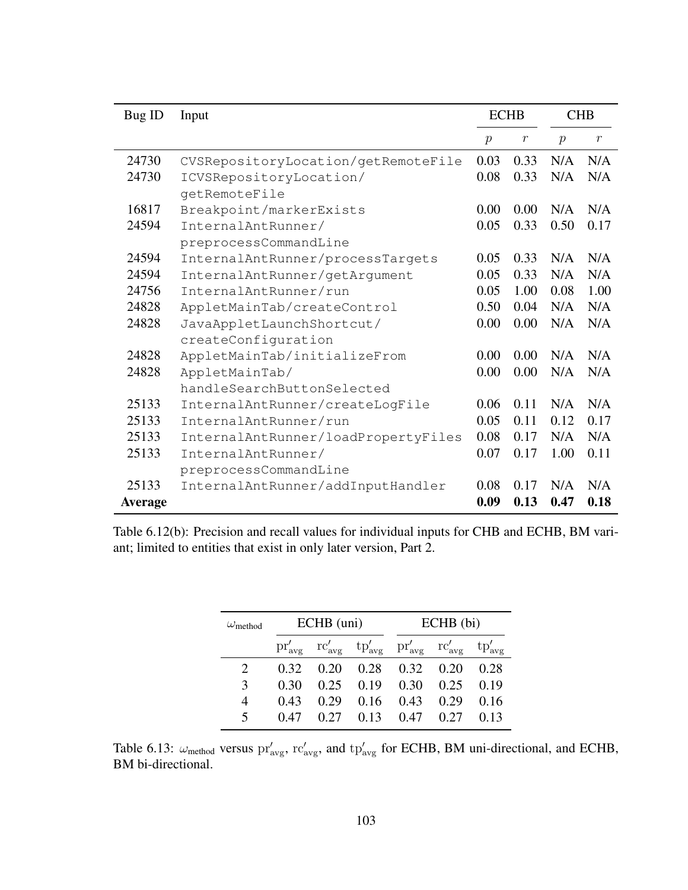| Bug ID         | Input                               | <b>ECHB</b>   |                  | <b>CHB</b>    |                  |
|----------------|-------------------------------------|---------------|------------------|---------------|------------------|
|                |                                     | $\mathcal{P}$ | $\boldsymbol{r}$ | $\mathcal{p}$ | $\boldsymbol{r}$ |
| 24730          | CVSRepositoryLocation/getRemoteFile | 0.03          | 0.33             | N/A           | N/A              |
| 24730          | ICVSRepositoryLocation/             | 0.08          | 0.33             | N/A           | N/A              |
|                | getRemoteFile                       |               |                  |               |                  |
| 16817          | Breakpoint/markerExists             | 0.00          | 0.00             | N/A           | N/A              |
| 24594          | InternalAntRunner/                  | 0.05          | 0.33             | 0.50          | 0.17             |
|                | preprocessCommandLine               |               |                  |               |                  |
| 24594          | InternalAntRunner/processTargets    | 0.05          | 0.33             | N/A           | N/A              |
| 24594          | InternalAntRunner/getArgument       | 0.05          | 0.33             | N/A           | N/A              |
| 24756          | InternalAntRunner/run               | 0.05          | 1.00             | 0.08          | 1.00             |
| 24828          | AppletMainTab/createControl         | 0.50          | 0.04             | N/A           | N/A              |
| 24828          | JavaAppletLaunchShortcut/           | 0.00          | 0.00             | N/A           | N/A              |
|                | createConfiguration                 |               |                  |               |                  |
| 24828          | AppletMainTab/initializeFrom        | 0.00          | 0.00             | N/A           | N/A              |
| 24828          | AppletMainTab/                      | 0.00          | 0.00             | N/A           | N/A              |
|                | handleSearchButtonSelected          |               |                  |               |                  |
| 25133          | InternalAntRunner/createLogFile     | 0.06          | 0.11             | N/A           | N/A              |
| 25133          | InternalAntRunner/run               | 0.05          | 0.11             | 0.12          | 0.17             |
| 25133          | InternalAntRunner/loadPropertyFiles | 0.08          | 0.17             | N/A           | N/A              |
| 25133          | InternalAntRunner/                  | 0.07          | 0.17             | 1.00          | 0.11             |
|                | preprocessCommandLine               |               |                  |               |                  |
| 25133          | InternalAntRunner/addInputHandler   | 0.08          | 0.17             | N/A           | N/A              |
| <b>Average</b> |                                     | 0.09          | 0.13             | 0.47          | 0.18             |

Table 6.12(b): Precision and recall values for individual inputs for CHB and ECHB, BM variant; limited to entities that exist in only later version, Part 2.

| $\omega_{\rm method}$   | ECHB (uni) |      |                                                                                                                                                             | $ECHB$ (bi) |      |      |
|-------------------------|------------|------|-------------------------------------------------------------------------------------------------------------------------------------------------------------|-------------|------|------|
|                         |            |      | $\text{pr}'_{\text{avg}}$ $\text{rc}'_{\text{avg}}$ $\text{tp}'_{\text{avg}}$ $\text{pr}'_{\text{avg}}$ $\text{rc}'_{\text{avg}}$ $\text{tp}'_{\text{avg}}$ |             |      |      |
|                         | 0.32       | 0.20 | $0.28$ $0.32$ $0.20$                                                                                                                                        |             |      | 0.28 |
| 3                       | 0.30       | 0.25 | $0.19$ 0.30                                                                                                                                                 |             | 0.25 | 0.19 |
| 4                       | 0.43       | 0.29 | 0.16                                                                                                                                                        | 0.43        | 0.29 | 0.16 |
| $\overline{\mathbf{z}}$ | 0.47       | 0.27 | 0.13                                                                                                                                                        | 0.47        | 0.27 | 0.13 |

Table 6.13:  $\omega_{\text{method}}$  versus  $\text{pr}'_{\text{avg}}$ ,  $\text{rc}'_{\text{avg}}$ , and  $\text{tp}'_{\text{avg}}$  for ECHB, BM uni-directional, and ECHB, BM bi-directional.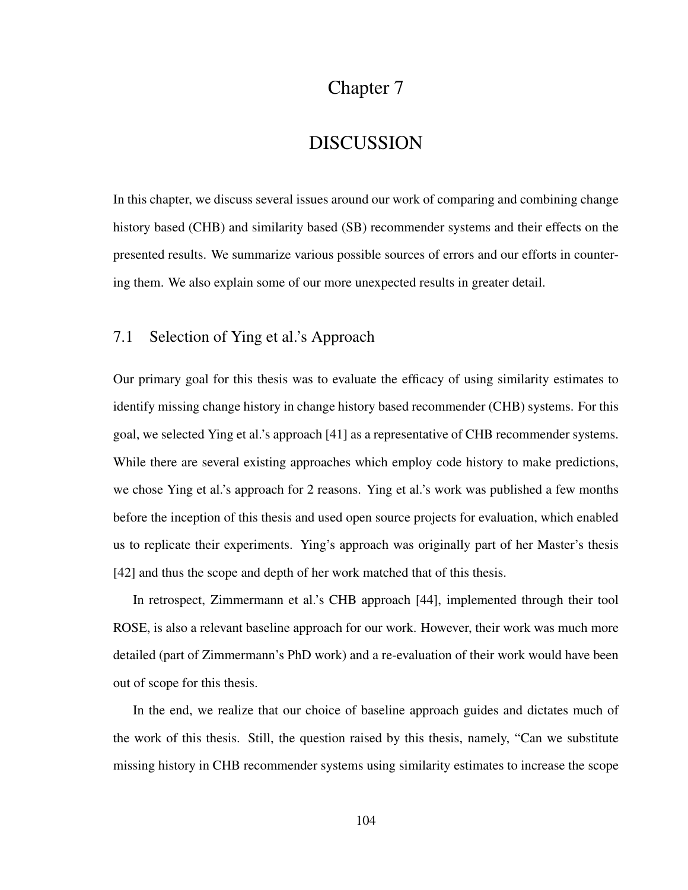## Chapter 7

## DISCUSSION

In this chapter, we discuss several issues around our work of comparing and combining change history based (CHB) and similarity based (SB) recommender systems and their effects on the presented results. We summarize various possible sources of errors and our efforts in countering them. We also explain some of our more unexpected results in greater detail.

### 7.1 Selection of Ying et al.'s Approach

Our primary goal for this thesis was to evaluate the efficacy of using similarity estimates to identify missing change history in change history based recommender (CHB) systems. For this goal, we selected Ying et al.'s approach [41] as a representative of CHB recommender systems. While there are several existing approaches which employ code history to make predictions, we chose Ying et al.'s approach for 2 reasons. Ying et al.'s work was published a few months before the inception of this thesis and used open source projects for evaluation, which enabled us to replicate their experiments. Ying's approach was originally part of her Master's thesis [42] and thus the scope and depth of her work matched that of this thesis.

In retrospect, Zimmermann et al.'s CHB approach [44], implemented through their tool ROSE, is also a relevant baseline approach for our work. However, their work was much more detailed (part of Zimmermann's PhD work) and a re-evaluation of their work would have been out of scope for this thesis.

In the end, we realize that our choice of baseline approach guides and dictates much of the work of this thesis. Still, the question raised by this thesis, namely, "Can we substitute missing history in CHB recommender systems using similarity estimates to increase the scope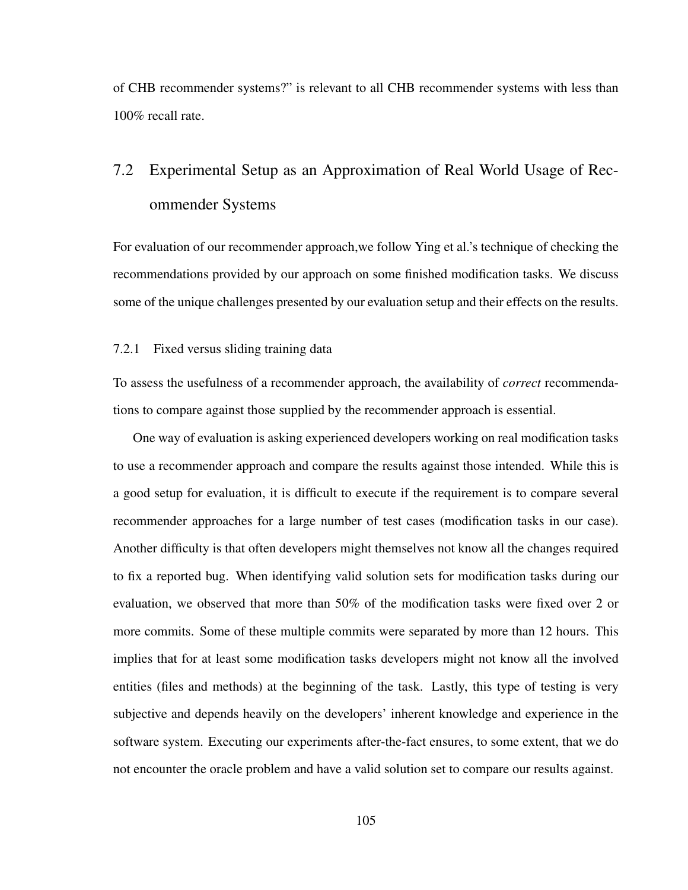of CHB recommender systems?" is relevant to all CHB recommender systems with less than 100% recall rate.

# 7.2 Experimental Setup as an Approximation of Real World Usage of Recommender Systems

For evaluation of our recommender approach,we follow Ying et al.'s technique of checking the recommendations provided by our approach on some finished modification tasks. We discuss some of the unique challenges presented by our evaluation setup and their effects on the results.

### 7.2.1 Fixed versus sliding training data

To assess the usefulness of a recommender approach, the availability of *correct* recommendations to compare against those supplied by the recommender approach is essential.

One way of evaluation is asking experienced developers working on real modification tasks to use a recommender approach and compare the results against those intended. While this is a good setup for evaluation, it is difficult to execute if the requirement is to compare several recommender approaches for a large number of test cases (modification tasks in our case). Another difficulty is that often developers might themselves not know all the changes required to fix a reported bug. When identifying valid solution sets for modification tasks during our evaluation, we observed that more than 50% of the modification tasks were fixed over 2 or more commits. Some of these multiple commits were separated by more than 12 hours. This implies that for at least some modification tasks developers might not know all the involved entities (files and methods) at the beginning of the task. Lastly, this type of testing is very subjective and depends heavily on the developers' inherent knowledge and experience in the software system. Executing our experiments after-the-fact ensures, to some extent, that we do not encounter the oracle problem and have a valid solution set to compare our results against.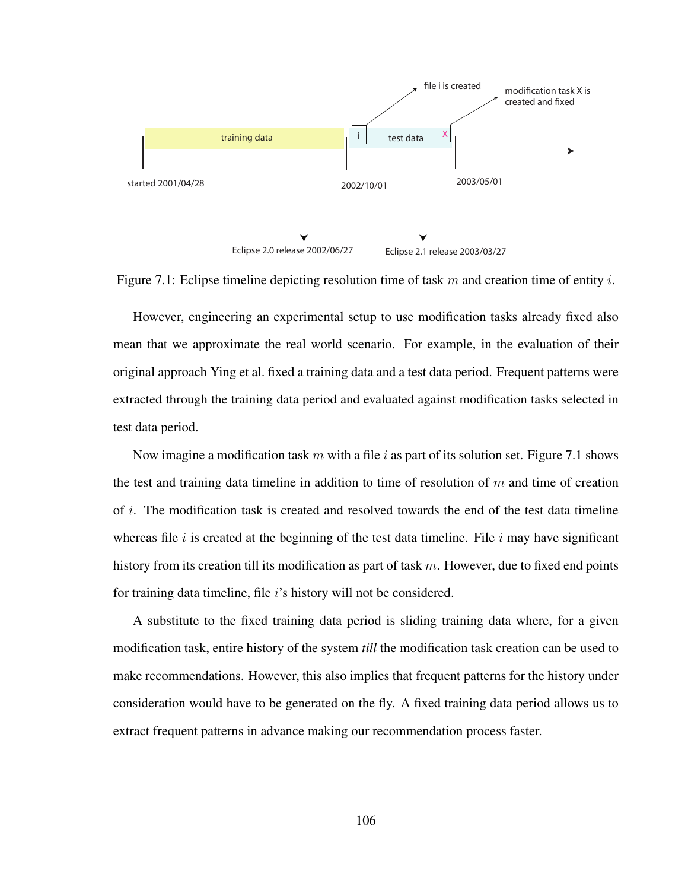



However, engineering an experimental setup to use modification tasks already fixed also mean that we approximate the real world scenario. For example, in the evaluation of their original approach Ying et al. fixed a training data and a test data period. Frequent patterns were extracted through the training data period and evaluated against modification tasks selected in test data period.

Now imagine a modification task m with a file i as part of its solution set. Figure 7.1 shows the test and training data timeline in addition to time of resolution of  $m$  and time of creation of i. The modification task is created and resolved towards the end of the test data timeline whereas file  $i$  is created at the beginning of the test data timeline. File  $i$  may have significant history from its creation till its modification as part of task  $m$ . However, due to fixed end points for training data timeline, file i's history will not be considered.

A substitute to the fixed training data period is sliding training data where, for a given modification task, entire history of the system *till* the modification task creation can be used to make recommendations. However, this also implies that frequent patterns for the history under consideration would have to be generated on the fly. A fixed training data period allows us to extract frequent patterns in advance making our recommendation process faster.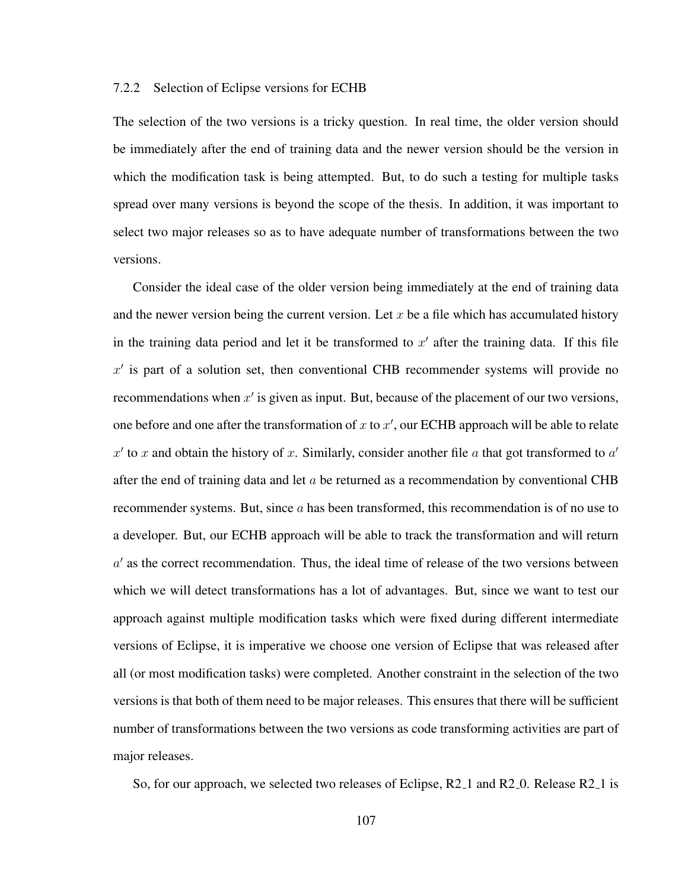### 7.2.2 Selection of Eclipse versions for ECHB

The selection of the two versions is a tricky question. In real time, the older version should be immediately after the end of training data and the newer version should be the version in which the modification task is being attempted. But, to do such a testing for multiple tasks spread over many versions is beyond the scope of the thesis. In addition, it was important to select two major releases so as to have adequate number of transformations between the two versions.

Consider the ideal case of the older version being immediately at the end of training data and the newer version being the current version. Let  $x$  be a file which has accumulated history in the training data period and let it be transformed to  $x'$  after the training data. If this file  $x'$  is part of a solution set, then conventional CHB recommender systems will provide no recommendations when  $x'$  is given as input. But, because of the placement of our two versions, one before and one after the transformation of x to  $x'$ , our ECHB approach will be able to relate  $x'$  to x and obtain the history of x. Similarly, consider another file a that got transformed to  $a'$ after the end of training data and let  $a$  be returned as a recommendation by conventional CHB recommender systems. But, since a has been transformed, this recommendation is of no use to a developer. But, our ECHB approach will be able to track the transformation and will return  $a'$  as the correct recommendation. Thus, the ideal time of release of the two versions between which we will detect transformations has a lot of advantages. But, since we want to test our approach against multiple modification tasks which were fixed during different intermediate versions of Eclipse, it is imperative we choose one version of Eclipse that was released after all (or most modification tasks) were completed. Another constraint in the selection of the two versions is that both of them need to be major releases. This ensures that there will be sufficient number of transformations between the two versions as code transforming activities are part of major releases.

So, for our approach, we selected two releases of Eclipse, R2<sub>-1</sub> and R2<sub>-0</sub>. Release R2<sub>-1</sub> is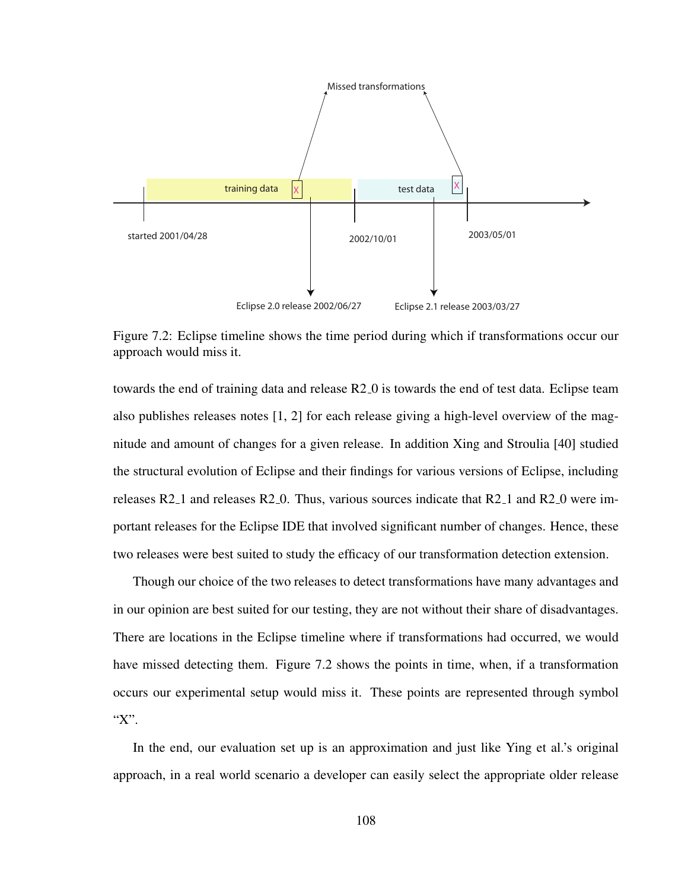

Figure 7.2: Eclipse timeline shows the time period during which if transformations occur our approach would miss it.

towards the end of training data and release R2<sub>-0</sub> is towards the end of test data. Eclipse team also publishes releases notes [1, 2] for each release giving a high-level overview of the magnitude and amount of changes for a given release. In addition Xing and Stroulia [40] studied the structural evolution of Eclipse and their findings for various versions of Eclipse, including releases R2 1 and releases R2 0. Thus, various sources indicate that R2 1 and R2 0 were important releases for the Eclipse IDE that involved significant number of changes. Hence, these two releases were best suited to study the efficacy of our transformation detection extension.

Though our choice of the two releases to detect transformations have many advantages and in our opinion are best suited for our testing, they are not without their share of disadvantages. There are locations in the Eclipse timeline where if transformations had occurred, we would have missed detecting them. Figure 7.2 shows the points in time, when, if a transformation occurs our experimental setup would miss it. These points are represented through symbol "X".

In the end, our evaluation set up is an approximation and just like Ying et al.'s original approach, in a real world scenario a developer can easily select the appropriate older release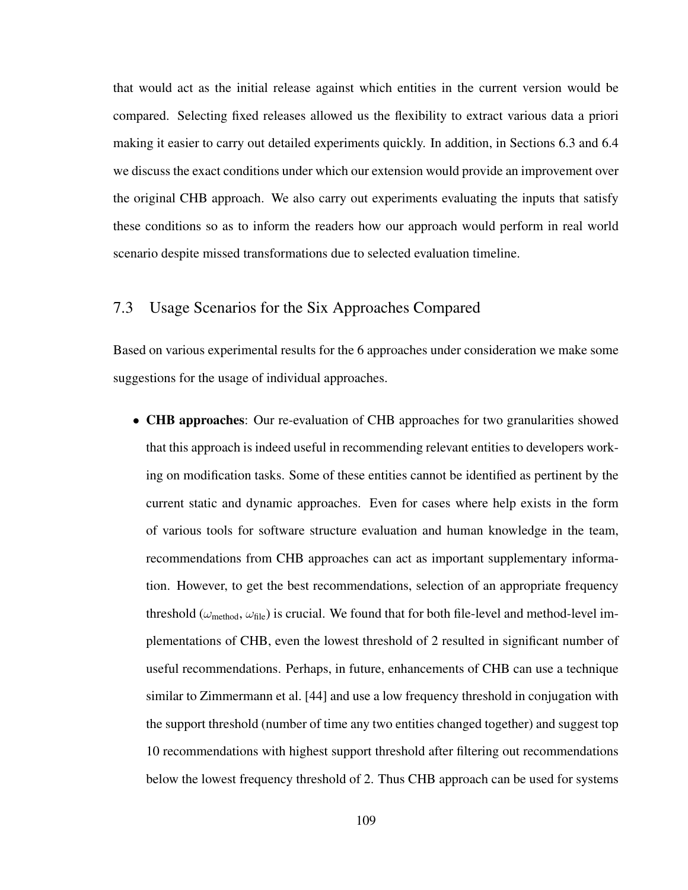that would act as the initial release against which entities in the current version would be compared. Selecting fixed releases allowed us the flexibility to extract various data a priori making it easier to carry out detailed experiments quickly. In addition, in Sections 6.3 and 6.4 we discuss the exact conditions under which our extension would provide an improvement over the original CHB approach. We also carry out experiments evaluating the inputs that satisfy these conditions so as to inform the readers how our approach would perform in real world scenario despite missed transformations due to selected evaluation timeline.

## 7.3 Usage Scenarios for the Six Approaches Compared

Based on various experimental results for the 6 approaches under consideration we make some suggestions for the usage of individual approaches.

• CHB approaches: Our re-evaluation of CHB approaches for two granularities showed that this approach is indeed useful in recommending relevant entities to developers working on modification tasks. Some of these entities cannot be identified as pertinent by the current static and dynamic approaches. Even for cases where help exists in the form of various tools for software structure evaluation and human knowledge in the team, recommendations from CHB approaches can act as important supplementary information. However, to get the best recommendations, selection of an appropriate frequency threshold ( $\omega_{\rm method}$ ,  $\omega_{\rm file}$ ) is crucial. We found that for both file-level and method-level implementations of CHB, even the lowest threshold of 2 resulted in significant number of useful recommendations. Perhaps, in future, enhancements of CHB can use a technique similar to Zimmermann et al. [44] and use a low frequency threshold in conjugation with the support threshold (number of time any two entities changed together) and suggest top 10 recommendations with highest support threshold after filtering out recommendations below the lowest frequency threshold of 2. Thus CHB approach can be used for systems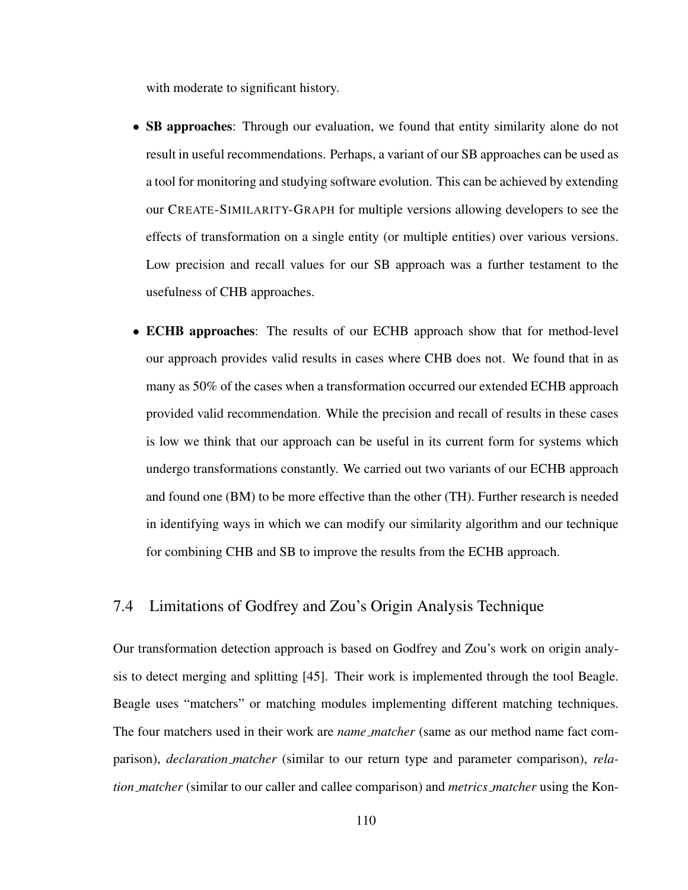with moderate to significant history.

- SB approaches: Through our evaluation, we found that entity similarity alone do not result in useful recommendations. Perhaps, a variant of our SB approaches can be used as a tool for monitoring and studying software evolution. This can be achieved by extending our CREATE-SIMILARITY-GRAPH for multiple versions allowing developers to see the effects of transformation on a single entity (or multiple entities) over various versions. Low precision and recall values for our SB approach was a further testament to the usefulness of CHB approaches.
- **ECHB approaches:** The results of our ECHB approach show that for method-level our approach provides valid results in cases where CHB does not. We found that in as many as 50% of the cases when a transformation occurred our extended ECHB approach provided valid recommendation. While the precision and recall of results in these cases is low we think that our approach can be useful in its current form for systems which undergo transformations constantly. We carried out two variants of our ECHB approach and found one (BM) to be more effective than the other (TH). Further research is needed in identifying ways in which we can modify our similarity algorithm and our technique for combining CHB and SB to improve the results from the ECHB approach.

## 7.4 Limitations of Godfrey and Zou's Origin Analysis Technique

Our transformation detection approach is based on Godfrey and Zou's work on origin analysis to detect merging and splitting [45]. Their work is implemented through the tool Beagle. Beagle uses "matchers" or matching modules implementing different matching techniques. The four matchers used in their work are *name matcher* (same as our method name fact comparison), *declaration matcher* (similar to our return type and parameter comparison), *relation matcher* (similar to our caller and callee comparison) and *metrics matcher* using the Kon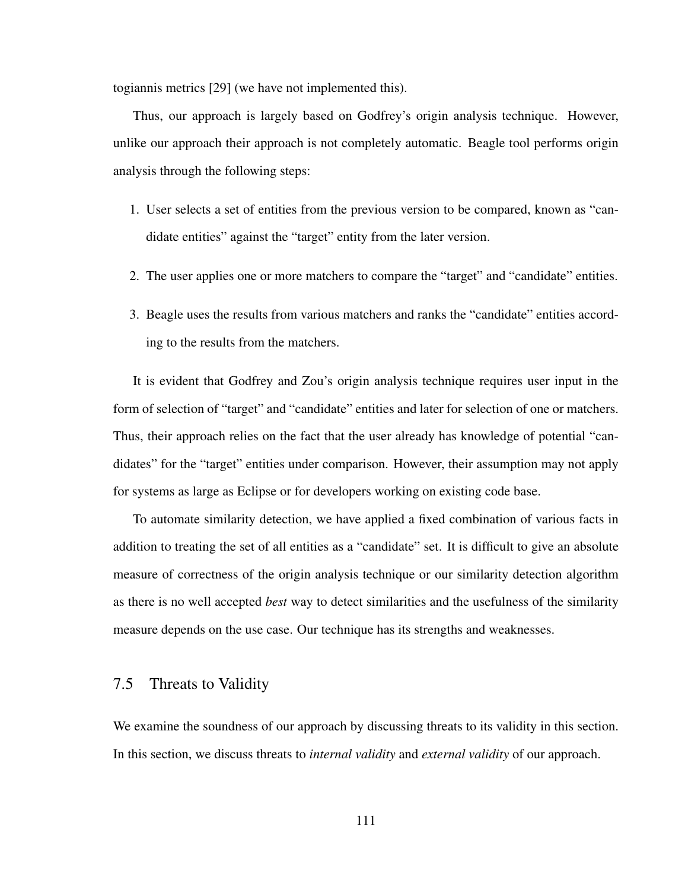togiannis metrics [29] (we have not implemented this).

Thus, our approach is largely based on Godfrey's origin analysis technique. However, unlike our approach their approach is not completely automatic. Beagle tool performs origin analysis through the following steps:

- 1. User selects a set of entities from the previous version to be compared, known as "candidate entities" against the "target" entity from the later version.
- 2. The user applies one or more matchers to compare the "target" and "candidate" entities.
- 3. Beagle uses the results from various matchers and ranks the "candidate" entities according to the results from the matchers.

It is evident that Godfrey and Zou's origin analysis technique requires user input in the form of selection of "target" and "candidate" entities and later for selection of one or matchers. Thus, their approach relies on the fact that the user already has knowledge of potential "candidates" for the "target" entities under comparison. However, their assumption may not apply for systems as large as Eclipse or for developers working on existing code base.

To automate similarity detection, we have applied a fixed combination of various facts in addition to treating the set of all entities as a "candidate" set. It is difficult to give an absolute measure of correctness of the origin analysis technique or our similarity detection algorithm as there is no well accepted *best* way to detect similarities and the usefulness of the similarity measure depends on the use case. Our technique has its strengths and weaknesses.

## 7.5 Threats to Validity

We examine the soundness of our approach by discussing threats to its validity in this section. In this section, we discuss threats to *internal validity* and *external validity* of our approach.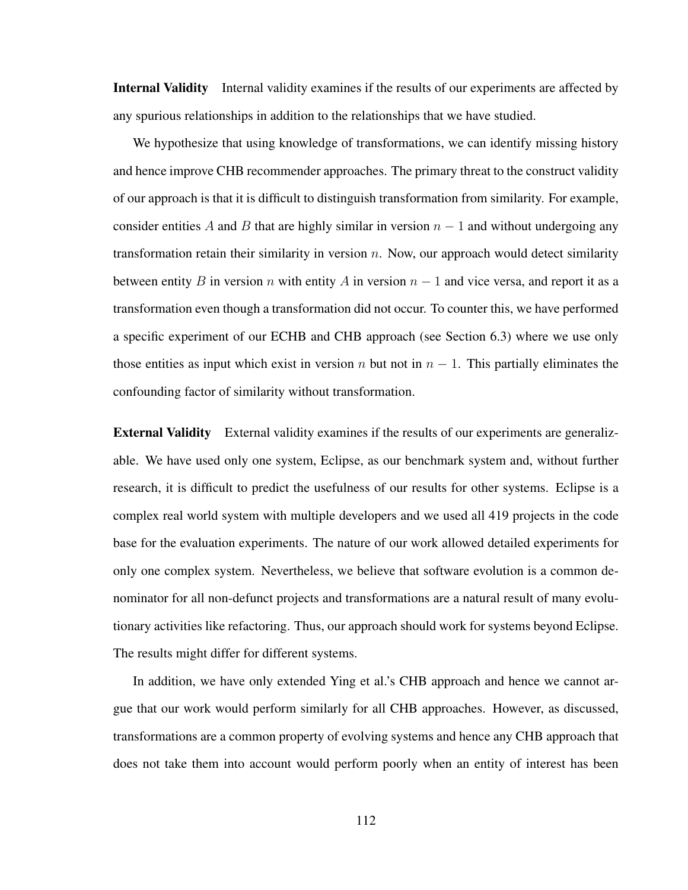Internal Validity Internal validity examines if the results of our experiments are affected by any spurious relationships in addition to the relationships that we have studied.

We hypothesize that using knowledge of transformations, we can identify missing history and hence improve CHB recommender approaches. The primary threat to the construct validity of our approach is that it is difficult to distinguish transformation from similarity. For example, consider entities A and B that are highly similar in version  $n - 1$  and without undergoing any transformation retain their similarity in version  $n$ . Now, our approach would detect similarity between entity B in version n with entity A in version  $n - 1$  and vice versa, and report it as a transformation even though a transformation did not occur. To counter this, we have performed a specific experiment of our ECHB and CHB approach (see Section 6.3) where we use only those entities as input which exist in version n but not in  $n - 1$ . This partially eliminates the confounding factor of similarity without transformation.

External Validity External validity examines if the results of our experiments are generalizable. We have used only one system, Eclipse, as our benchmark system and, without further research, it is difficult to predict the usefulness of our results for other systems. Eclipse is a complex real world system with multiple developers and we used all 419 projects in the code base for the evaluation experiments. The nature of our work allowed detailed experiments for only one complex system. Nevertheless, we believe that software evolution is a common denominator for all non-defunct projects and transformations are a natural result of many evolutionary activities like refactoring. Thus, our approach should work for systems beyond Eclipse. The results might differ for different systems.

In addition, we have only extended Ying et al.'s CHB approach and hence we cannot argue that our work would perform similarly for all CHB approaches. However, as discussed, transformations are a common property of evolving systems and hence any CHB approach that does not take them into account would perform poorly when an entity of interest has been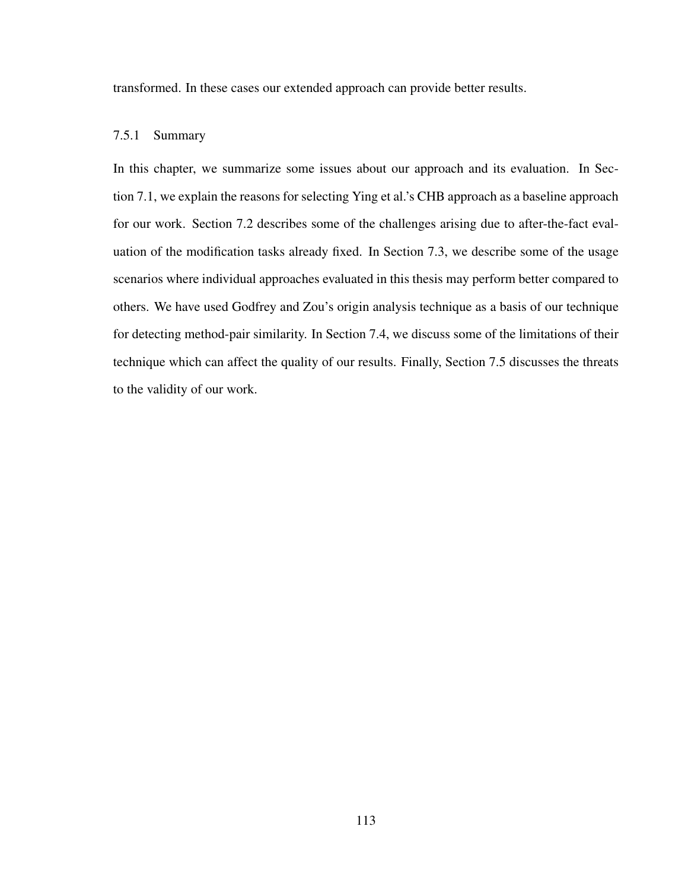transformed. In these cases our extended approach can provide better results.

### 7.5.1 Summary

In this chapter, we summarize some issues about our approach and its evaluation. In Section 7.1, we explain the reasons for selecting Ying et al.'s CHB approach as a baseline approach for our work. Section 7.2 describes some of the challenges arising due to after-the-fact evaluation of the modification tasks already fixed. In Section 7.3, we describe some of the usage scenarios where individual approaches evaluated in this thesis may perform better compared to others. We have used Godfrey and Zou's origin analysis technique as a basis of our technique for detecting method-pair similarity. In Section 7.4, we discuss some of the limitations of their technique which can affect the quality of our results. Finally, Section 7.5 discusses the threats to the validity of our work.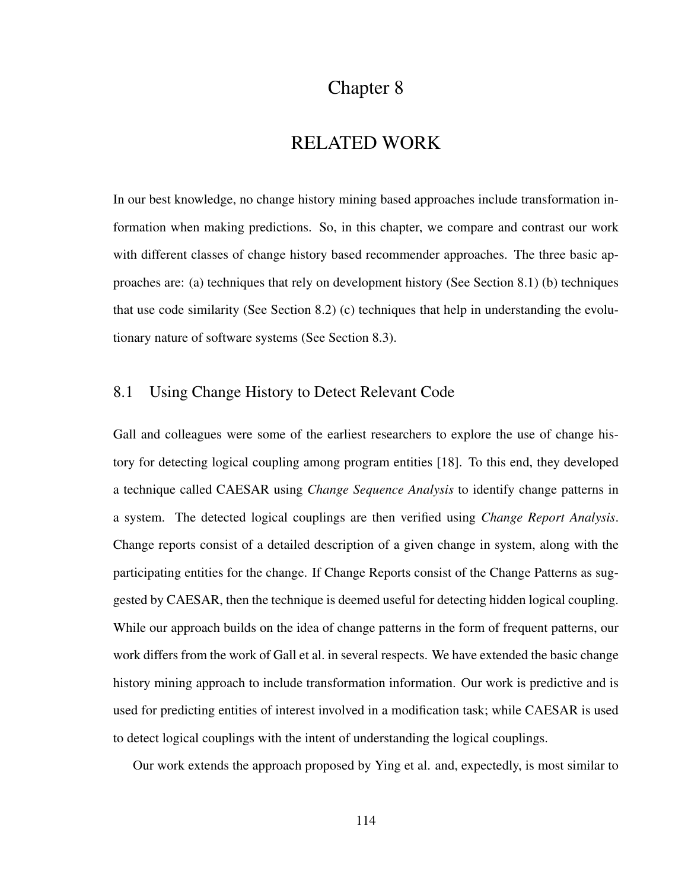## Chapter 8

## RELATED WORK

In our best knowledge, no change history mining based approaches include transformation information when making predictions. So, in this chapter, we compare and contrast our work with different classes of change history based recommender approaches. The three basic approaches are: (a) techniques that rely on development history (See Section 8.1) (b) techniques that use code similarity (See Section 8.2) (c) techniques that help in understanding the evolutionary nature of software systems (See Section 8.3).

## 8.1 Using Change History to Detect Relevant Code

Gall and colleagues were some of the earliest researchers to explore the use of change history for detecting logical coupling among program entities [18]. To this end, they developed a technique called CAESAR using *Change Sequence Analysis* to identify change patterns in a system. The detected logical couplings are then verified using *Change Report Analysis*. Change reports consist of a detailed description of a given change in system, along with the participating entities for the change. If Change Reports consist of the Change Patterns as suggested by CAESAR, then the technique is deemed useful for detecting hidden logical coupling. While our approach builds on the idea of change patterns in the form of frequent patterns, our work differs from the work of Gall et al. in several respects. We have extended the basic change history mining approach to include transformation information. Our work is predictive and is used for predicting entities of interest involved in a modification task; while CAESAR is used to detect logical couplings with the intent of understanding the logical couplings.

Our work extends the approach proposed by Ying et al. and, expectedly, is most similar to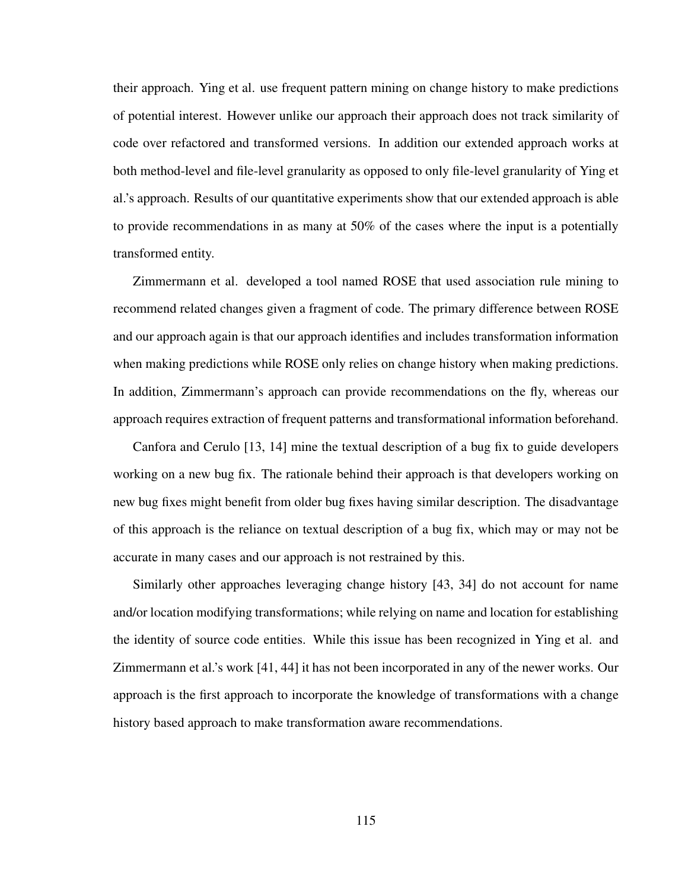their approach. Ying et al. use frequent pattern mining on change history to make predictions of potential interest. However unlike our approach their approach does not track similarity of code over refactored and transformed versions. In addition our extended approach works at both method-level and file-level granularity as opposed to only file-level granularity of Ying et al.'s approach. Results of our quantitative experiments show that our extended approach is able to provide recommendations in as many at 50% of the cases where the input is a potentially transformed entity.

Zimmermann et al. developed a tool named ROSE that used association rule mining to recommend related changes given a fragment of code. The primary difference between ROSE and our approach again is that our approach identifies and includes transformation information when making predictions while ROSE only relies on change history when making predictions. In addition, Zimmermann's approach can provide recommendations on the fly, whereas our approach requires extraction of frequent patterns and transformational information beforehand.

Canfora and Cerulo [13, 14] mine the textual description of a bug fix to guide developers working on a new bug fix. The rationale behind their approach is that developers working on new bug fixes might benefit from older bug fixes having similar description. The disadvantage of this approach is the reliance on textual description of a bug fix, which may or may not be accurate in many cases and our approach is not restrained by this.

Similarly other approaches leveraging change history [43, 34] do not account for name and/or location modifying transformations; while relying on name and location for establishing the identity of source code entities. While this issue has been recognized in Ying et al. and Zimmermann et al.'s work [41, 44] it has not been incorporated in any of the newer works. Our approach is the first approach to incorporate the knowledge of transformations with a change history based approach to make transformation aware recommendations.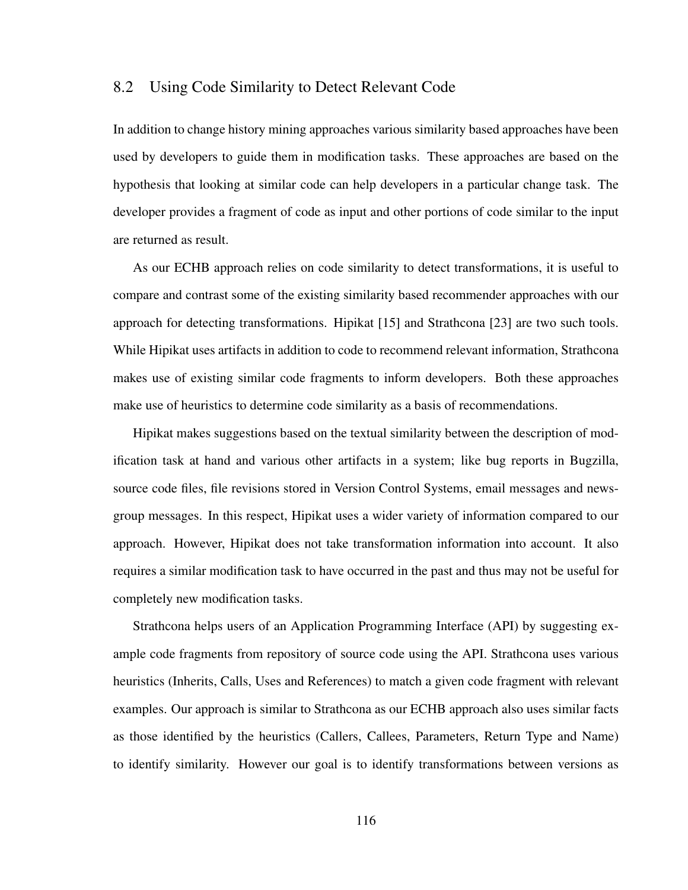### 8.2 Using Code Similarity to Detect Relevant Code

In addition to change history mining approaches various similarity based approaches have been used by developers to guide them in modification tasks. These approaches are based on the hypothesis that looking at similar code can help developers in a particular change task. The developer provides a fragment of code as input and other portions of code similar to the input are returned as result.

As our ECHB approach relies on code similarity to detect transformations, it is useful to compare and contrast some of the existing similarity based recommender approaches with our approach for detecting transformations. Hipikat [15] and Strathcona [23] are two such tools. While Hipikat uses artifacts in addition to code to recommend relevant information, Strathcona makes use of existing similar code fragments to inform developers. Both these approaches make use of heuristics to determine code similarity as a basis of recommendations.

Hipikat makes suggestions based on the textual similarity between the description of modification task at hand and various other artifacts in a system; like bug reports in Bugzilla, source code files, file revisions stored in Version Control Systems, email messages and newsgroup messages. In this respect, Hipikat uses a wider variety of information compared to our approach. However, Hipikat does not take transformation information into account. It also requires a similar modification task to have occurred in the past and thus may not be useful for completely new modification tasks.

Strathcona helps users of an Application Programming Interface (API) by suggesting example code fragments from repository of source code using the API. Strathcona uses various heuristics (Inherits, Calls, Uses and References) to match a given code fragment with relevant examples. Our approach is similar to Strathcona as our ECHB approach also uses similar facts as those identified by the heuristics (Callers, Callees, Parameters, Return Type and Name) to identify similarity. However our goal is to identify transformations between versions as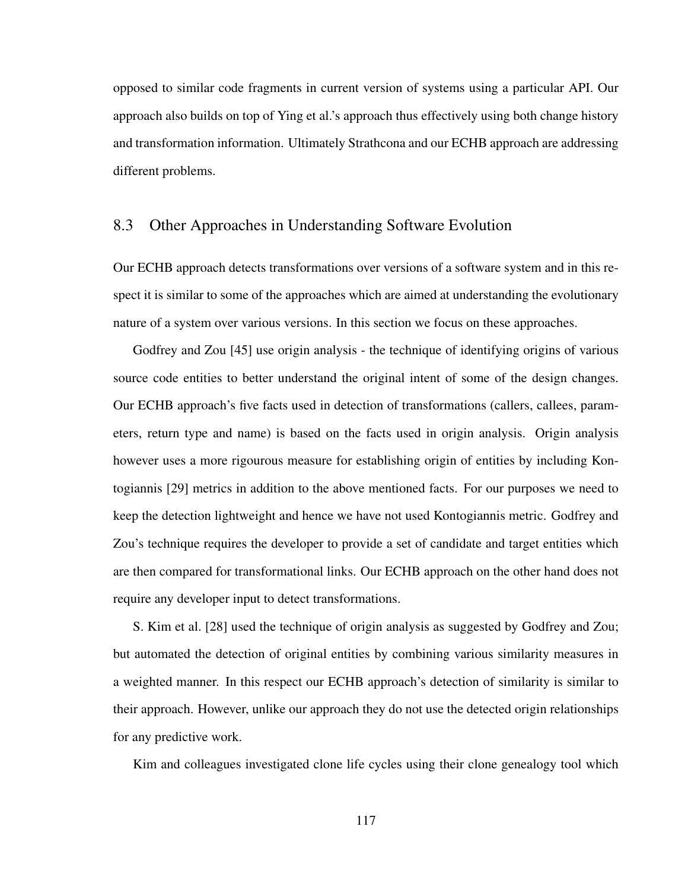opposed to similar code fragments in current version of systems using a particular API. Our approach also builds on top of Ying et al.'s approach thus effectively using both change history and transformation information. Ultimately Strathcona and our ECHB approach are addressing different problems.

## 8.3 Other Approaches in Understanding Software Evolution

Our ECHB approach detects transformations over versions of a software system and in this respect it is similar to some of the approaches which are aimed at understanding the evolutionary nature of a system over various versions. In this section we focus on these approaches.

Godfrey and Zou [45] use origin analysis - the technique of identifying origins of various source code entities to better understand the original intent of some of the design changes. Our ECHB approach's five facts used in detection of transformations (callers, callees, parameters, return type and name) is based on the facts used in origin analysis. Origin analysis however uses a more rigourous measure for establishing origin of entities by including Kontogiannis [29] metrics in addition to the above mentioned facts. For our purposes we need to keep the detection lightweight and hence we have not used Kontogiannis metric. Godfrey and Zou's technique requires the developer to provide a set of candidate and target entities which are then compared for transformational links. Our ECHB approach on the other hand does not require any developer input to detect transformations.

S. Kim et al. [28] used the technique of origin analysis as suggested by Godfrey and Zou; but automated the detection of original entities by combining various similarity measures in a weighted manner. In this respect our ECHB approach's detection of similarity is similar to their approach. However, unlike our approach they do not use the detected origin relationships for any predictive work.

Kim and colleagues investigated clone life cycles using their clone genealogy tool which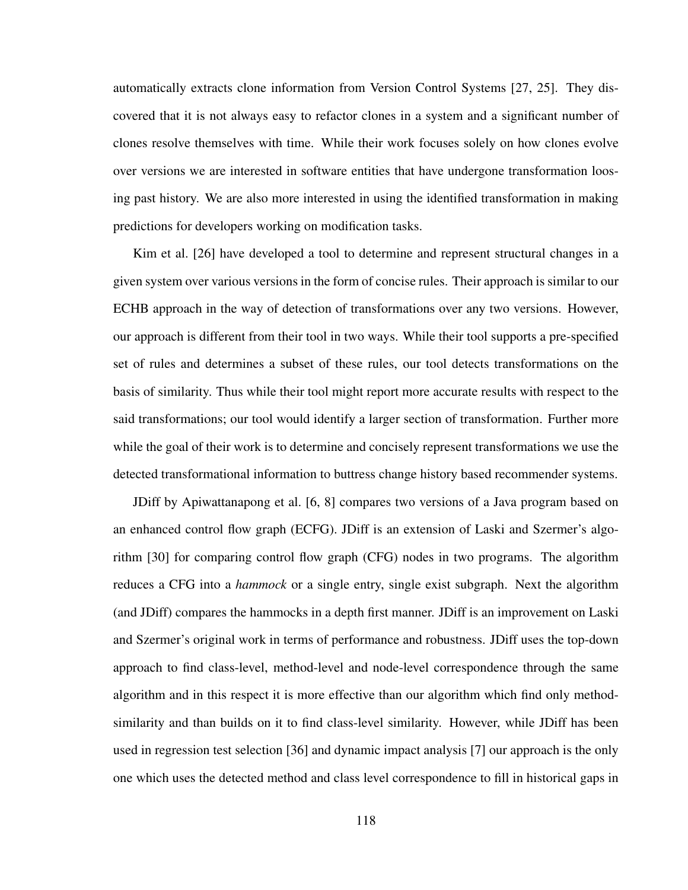automatically extracts clone information from Version Control Systems [27, 25]. They discovered that it is not always easy to refactor clones in a system and a significant number of clones resolve themselves with time. While their work focuses solely on how clones evolve over versions we are interested in software entities that have undergone transformation loosing past history. We are also more interested in using the identified transformation in making predictions for developers working on modification tasks.

Kim et al. [26] have developed a tool to determine and represent structural changes in a given system over various versions in the form of concise rules. Their approach is similar to our ECHB approach in the way of detection of transformations over any two versions. However, our approach is different from their tool in two ways. While their tool supports a pre-specified set of rules and determines a subset of these rules, our tool detects transformations on the basis of similarity. Thus while their tool might report more accurate results with respect to the said transformations; our tool would identify a larger section of transformation. Further more while the goal of their work is to determine and concisely represent transformations we use the detected transformational information to buttress change history based recommender systems.

JDiff by Apiwattanapong et al. [6, 8] compares two versions of a Java program based on an enhanced control flow graph (ECFG). JDiff is an extension of Laski and Szermer's algorithm [30] for comparing control flow graph (CFG) nodes in two programs. The algorithm reduces a CFG into a *hammock* or a single entry, single exist subgraph. Next the algorithm (and JDiff) compares the hammocks in a depth first manner. JDiff is an improvement on Laski and Szermer's original work in terms of performance and robustness. JDiff uses the top-down approach to find class-level, method-level and node-level correspondence through the same algorithm and in this respect it is more effective than our algorithm which find only methodsimilarity and than builds on it to find class-level similarity. However, while JDiff has been used in regression test selection [36] and dynamic impact analysis [7] our approach is the only one which uses the detected method and class level correspondence to fill in historical gaps in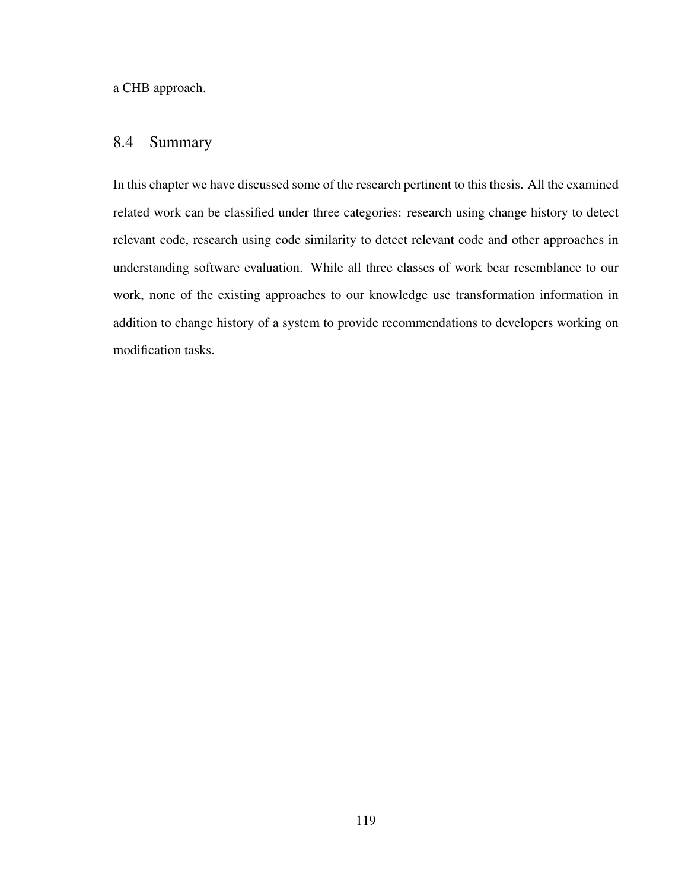a CHB approach.

## 8.4 Summary

In this chapter we have discussed some of the research pertinent to this thesis. All the examined related work can be classified under three categories: research using change history to detect relevant code, research using code similarity to detect relevant code and other approaches in understanding software evaluation. While all three classes of work bear resemblance to our work, none of the existing approaches to our knowledge use transformation information in addition to change history of a system to provide recommendations to developers working on modification tasks.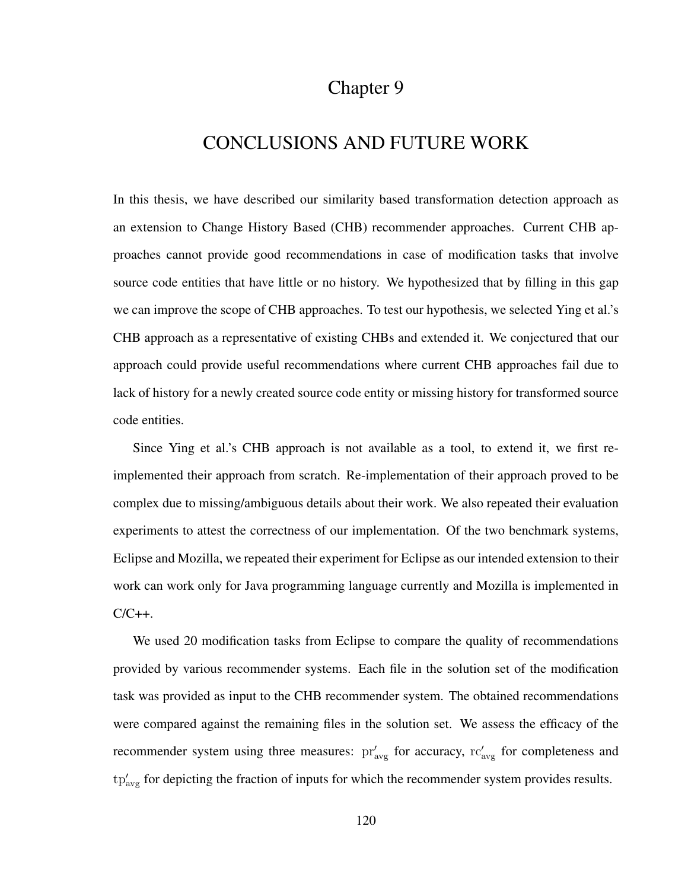## Chapter 9

## CONCLUSIONS AND FUTURE WORK

In this thesis, we have described our similarity based transformation detection approach as an extension to Change History Based (CHB) recommender approaches. Current CHB approaches cannot provide good recommendations in case of modification tasks that involve source code entities that have little or no history. We hypothesized that by filling in this gap we can improve the scope of CHB approaches. To test our hypothesis, we selected Ying et al.'s CHB approach as a representative of existing CHBs and extended it. We conjectured that our approach could provide useful recommendations where current CHB approaches fail due to lack of history for a newly created source code entity or missing history for transformed source code entities.

Since Ying et al.'s CHB approach is not available as a tool, to extend it, we first reimplemented their approach from scratch. Re-implementation of their approach proved to be complex due to missing/ambiguous details about their work. We also repeated their evaluation experiments to attest the correctness of our implementation. Of the two benchmark systems, Eclipse and Mozilla, we repeated their experiment for Eclipse as our intended extension to their work can work only for Java programming language currently and Mozilla is implemented in  $C/C++$ .

We used 20 modification tasks from Eclipse to compare the quality of recommendations provided by various recommender systems. Each file in the solution set of the modification task was provided as input to the CHB recommender system. The obtained recommendations were compared against the remaining files in the solution set. We assess the efficacy of the recommender system using three measures:  $pr'_{avg}$  for accuracy,  $rc'_{avg}$  for completeness and  $tp'_{avg}$  for depicting the fraction of inputs for which the recommender system provides results.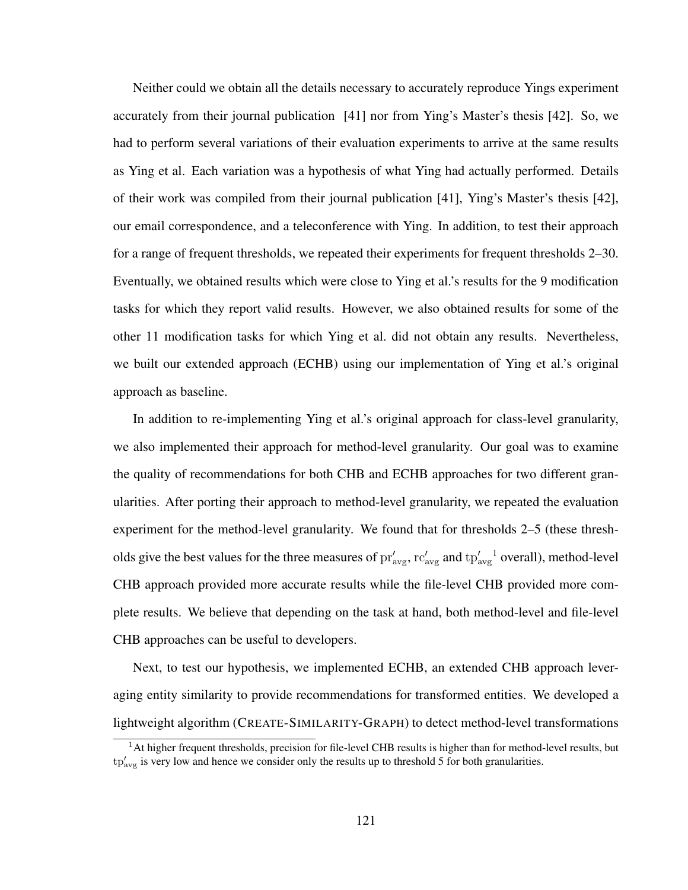Neither could we obtain all the details necessary to accurately reproduce Yings experiment accurately from their journal publication [41] nor from Ying's Master's thesis [42]. So, we had to perform several variations of their evaluation experiments to arrive at the same results as Ying et al. Each variation was a hypothesis of what Ying had actually performed. Details of their work was compiled from their journal publication [41], Ying's Master's thesis [42], our email correspondence, and a teleconference with Ying. In addition, to test their approach for a range of frequent thresholds, we repeated their experiments for frequent thresholds 2–30. Eventually, we obtained results which were close to Ying et al.'s results for the 9 modification tasks for which they report valid results. However, we also obtained results for some of the other 11 modification tasks for which Ying et al. did not obtain any results. Nevertheless, we built our extended approach (ECHB) using our implementation of Ying et al.'s original approach as baseline.

In addition to re-implementing Ying et al.'s original approach for class-level granularity, we also implemented their approach for method-level granularity. Our goal was to examine the quality of recommendations for both CHB and ECHB approaches for two different granularities. After porting their approach to method-level granularity, we repeated the evaluation experiment for the method-level granularity. We found that for thresholds 2–5 (these thresholds give the best values for the three measures of  $pr'_{avg}$ ,  $rc'_{avg}$  and  $tp'_{avg}^{-1}$  overall), method-level CHB approach provided more accurate results while the file-level CHB provided more complete results. We believe that depending on the task at hand, both method-level and file-level CHB approaches can be useful to developers.

Next, to test our hypothesis, we implemented ECHB, an extended CHB approach leveraging entity similarity to provide recommendations for transformed entities. We developed a lightweight algorithm (CREATE-SIMILARITY-GRAPH) to detect method-level transformations

 $<sup>1</sup>$ At higher frequent thresholds, precision for file-level CHB results is higher than for method-level results, but</sup>  $tp'_{\text{avg}}$  is very low and hence we consider only the results up to threshold 5 for both granularities.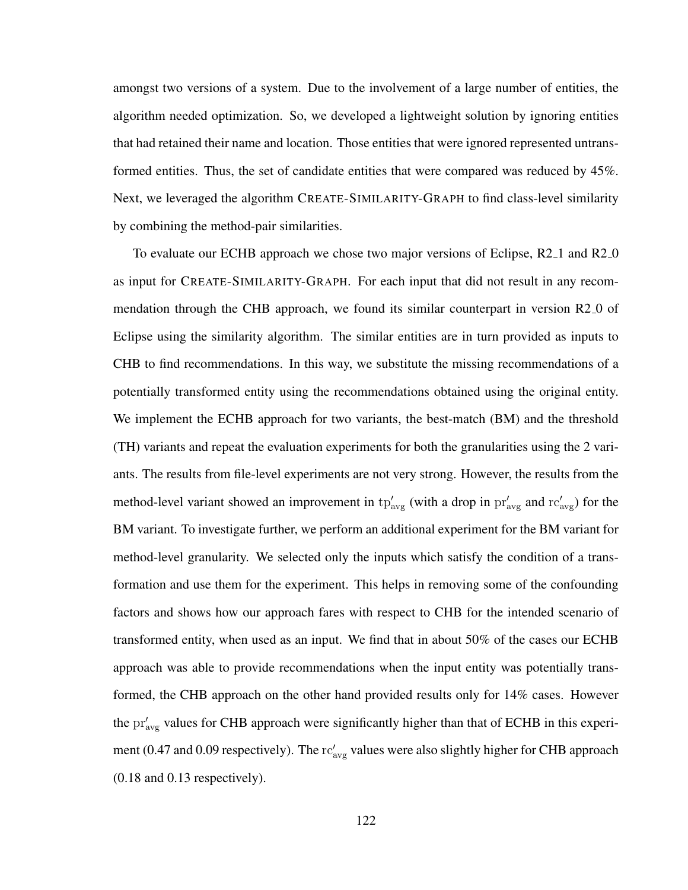amongst two versions of a system. Due to the involvement of a large number of entities, the algorithm needed optimization. So, we developed a lightweight solution by ignoring entities that had retained their name and location. Those entities that were ignored represented untransformed entities. Thus, the set of candidate entities that were compared was reduced by 45%. Next, we leveraged the algorithm CREATE-SIMILARITY-GRAPH to find class-level similarity by combining the method-pair similarities.

To evaluate our ECHB approach we chose two major versions of Eclipse, R2<sub>-1</sub> and R2<sub>-0</sub> as input for CREATE-SIMILARITY-GRAPH. For each input that did not result in any recommendation through the CHB approach, we found its similar counterpart in version R2<sub>0</sub> of Eclipse using the similarity algorithm. The similar entities are in turn provided as inputs to CHB to find recommendations. In this way, we substitute the missing recommendations of a potentially transformed entity using the recommendations obtained using the original entity. We implement the ECHB approach for two variants, the best-match (BM) and the threshold (TH) variants and repeat the evaluation experiments for both the granularities using the 2 variants. The results from file-level experiments are not very strong. However, the results from the method-level variant showed an improvement in  $tp'_{avg}$  (with a drop in  $pr'_{avg}$  and  $rc'_{avg}$ ) for the BM variant. To investigate further, we perform an additional experiment for the BM variant for method-level granularity. We selected only the inputs which satisfy the condition of a transformation and use them for the experiment. This helps in removing some of the confounding factors and shows how our approach fares with respect to CHB for the intended scenario of transformed entity, when used as an input. We find that in about 50% of the cases our ECHB approach was able to provide recommendations when the input entity was potentially transformed, the CHB approach on the other hand provided results only for 14% cases. However the  $pr'_{avg}$  values for CHB approach were significantly higher than that of ECHB in this experiment (0.47 and 0.09 respectively). The  $rc'_{avg}$  values were also slightly higher for CHB approach (0.18 and 0.13 respectively).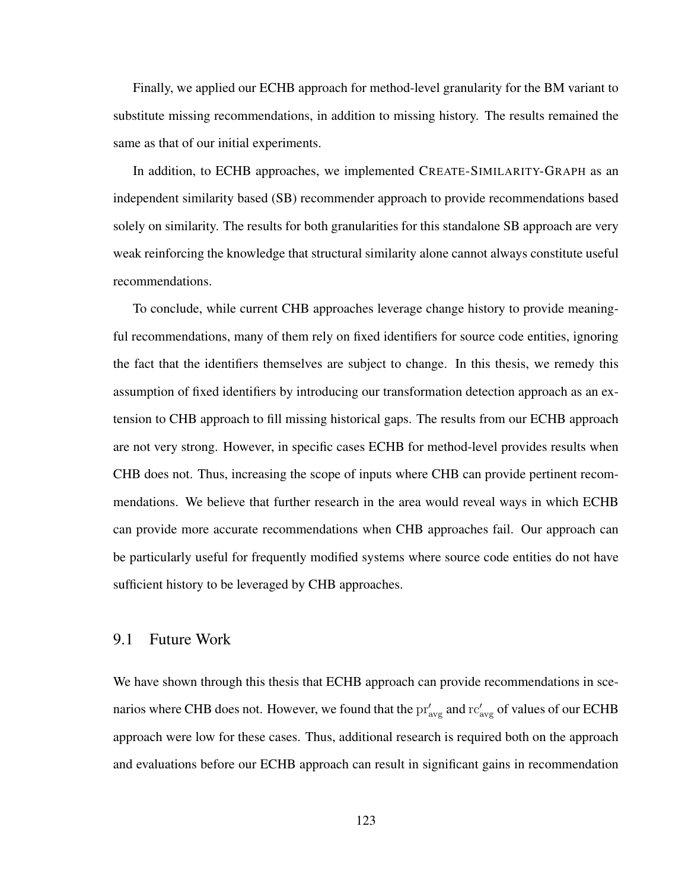Finally, we applied our ECHB approach for method-level granularity for the BM variant to substitute missing recommendations, in addition to missing history. The results remained the same as that of our initial experiments.

In addition, to ECHB approaches, we implemented CREATE-SIMILARITY-GRAPH as an independent similarity based (SB) recommender approach to provide recommendations based solely on similarity. The results for both granularities for this standalone SB approach are very weak reinforcing the knowledge that structural similarity alone cannot always constitute useful recommendations.

To conclude, while current CHB approaches leverage change history to provide meaningful recommendations, many of them rely on fixed identifiers for source code entities, ignoring the fact that the identifiers themselves are subject to change. In this thesis, we remedy this assumption of fixed identifiers by introducing our transformation detection approach as an extension to CHB approach to fill missing historical gaps. The results from our ECHB approach are not very strong. However, in specific cases ECHB for method-level provides results when CHB does not. Thus, increasing the scope of inputs where CHB can provide pertinent recommendations. We believe that further research in the area would reveal ways in which ECHB can provide more accurate recommendations when CHB approaches fail. Our approach can be particularly useful for frequently modified systems where source code entities do not have sufficient history to be leveraged by CHB approaches.

## 9.1 Future Work

We have shown through this thesis that ECHB approach can provide recommendations in scenarios where CHB does not. However, we found that the  $\text{pr}'_{\text{avg}}$  and  $\text{rc}'_{\text{avg}}$  of values of our ECHB approach were low for these cases. Thus, additional research is required both on the approach and evaluations before our ECHB approach can result in significant gains in recommendation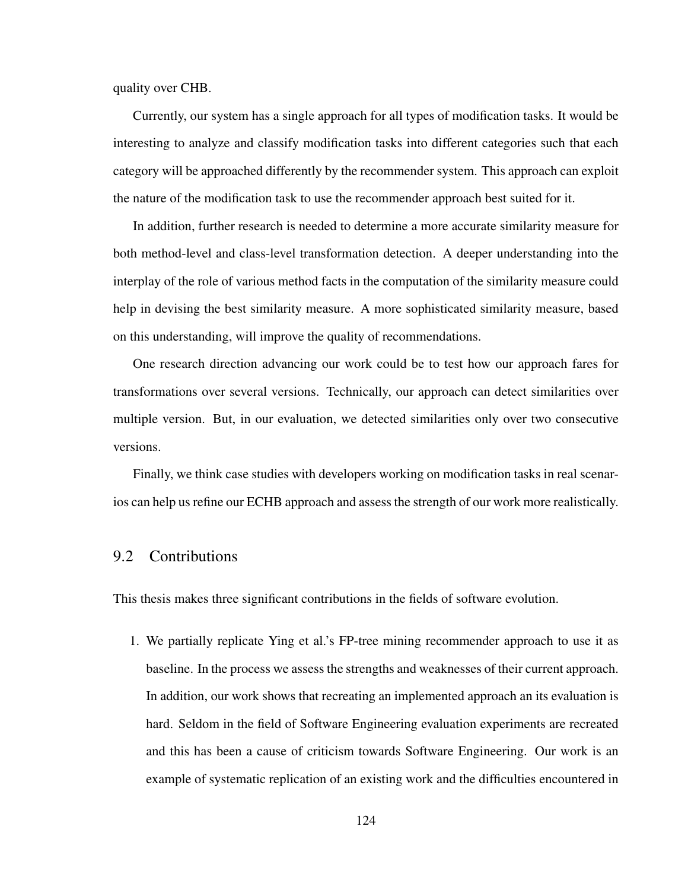quality over CHB.

Currently, our system has a single approach for all types of modification tasks. It would be interesting to analyze and classify modification tasks into different categories such that each category will be approached differently by the recommender system. This approach can exploit the nature of the modification task to use the recommender approach best suited for it.

In addition, further research is needed to determine a more accurate similarity measure for both method-level and class-level transformation detection. A deeper understanding into the interplay of the role of various method facts in the computation of the similarity measure could help in devising the best similarity measure. A more sophisticated similarity measure, based on this understanding, will improve the quality of recommendations.

One research direction advancing our work could be to test how our approach fares for transformations over several versions. Technically, our approach can detect similarities over multiple version. But, in our evaluation, we detected similarities only over two consecutive versions.

Finally, we think case studies with developers working on modification tasks in real scenarios can help us refine our ECHB approach and assess the strength of our work more realistically.

## 9.2 Contributions

This thesis makes three significant contributions in the fields of software evolution.

1. We partially replicate Ying et al.'s FP-tree mining recommender approach to use it as baseline. In the process we assess the strengths and weaknesses of their current approach. In addition, our work shows that recreating an implemented approach an its evaluation is hard. Seldom in the field of Software Engineering evaluation experiments are recreated and this has been a cause of criticism towards Software Engineering. Our work is an example of systematic replication of an existing work and the difficulties encountered in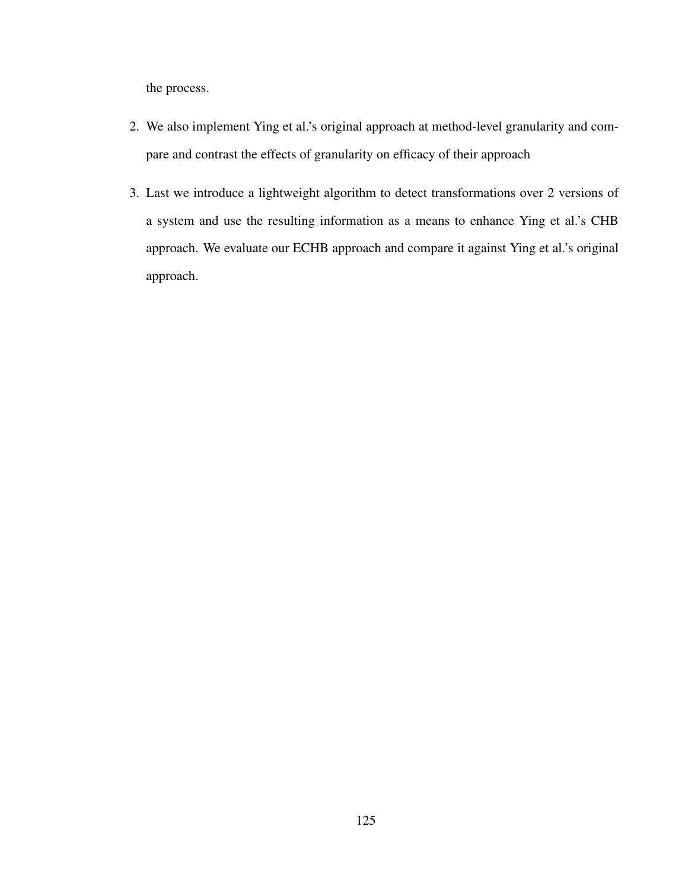the process.

- 2. We also implement Ying et al.'s original approach at method-level granularity and compare and contrast the effects of granularity on efficacy of their approach
- 3. Last we introduce a lightweight algorithm to detect transformations over 2 versions of a system and use the resulting information as a means to enhance Ying et al.'s CHB approach. We evaluate our ECHB approach and compare it against Ying et al.'s original approach.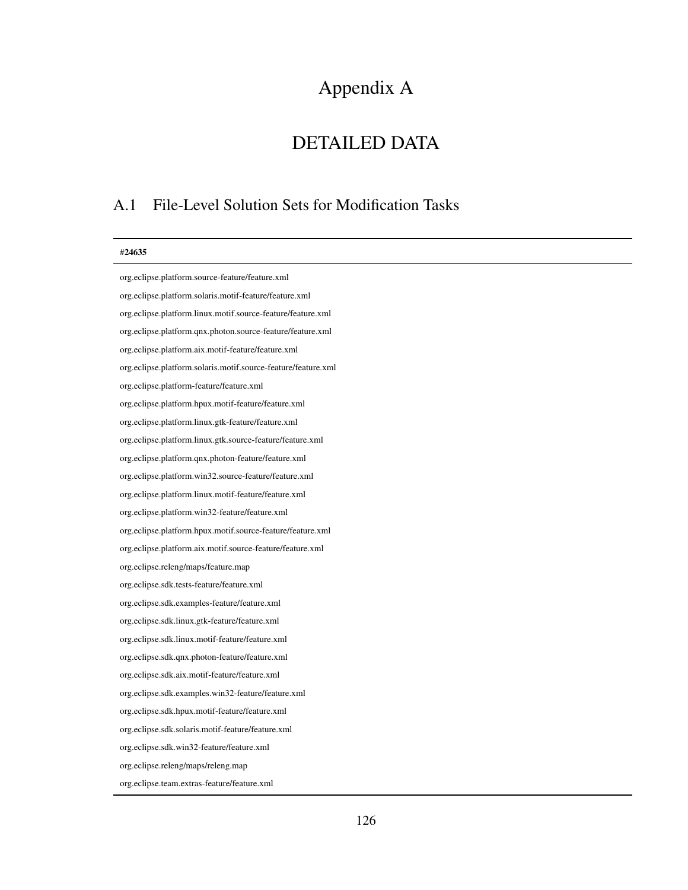# Appendix A

# DETAILED DATA

## A.1 File-Level Solution Sets for Modification Tasks

| #24635                                                        |
|---------------------------------------------------------------|
| org.eclipse.platform.source-feature/feature.xml               |
| org.eclipse.platform.solaris.motif-feature/feature.xml        |
| org.eclipse.platform.linux.motif.source-feature/feature.xml   |
| org.eclipse.platform.qnx.photon.source-feature/feature.xml    |
| org.eclipse.platform.aix.motif-feature/feature.xml            |
| org.eclipse.platform.solaris.motif.source-feature/feature.xml |
| org.eclipse.platform-feature/feature.xml                      |
| org.eclipse.platform.hpux.motif-feature/feature.xml           |
| org.eclipse.platform.linux.gtk-feature/feature.xml            |
| org.eclipse.platform.linux.gtk.source-feature/feature.xml     |
| org.eclipse.platform.qnx.photon-feature/feature.xml           |
| org.eclipse.platform.win32.source-feature/feature.xml         |
| org.eclipse.platform.linux.motif-feature/feature.xml          |
| org.eclipse.platform.win32-feature/feature.xml                |
| org.eclipse.platform.hpux.motif.source-feature/feature.xml    |
| org.eclipse.platform.aix.motif.source-feature/feature.xml     |
| org.eclipse.releng/maps/feature.map                           |
| org.eclipse.sdk.tests-feature/feature.xml                     |
| org.eclipse.sdk.examples-feature/feature.xml                  |
| org.eclipse.sdk.linux.gtk-feature/feature.xml                 |
| org.eclipse.sdk.linux.motif-feature/feature.xml               |
| org.eclipse.sdk.qnx.photon-feature/feature.xml                |
| org.eclipse.sdk.aix.motif-feature/feature.xml                 |
| org.eclipse.sdk.examples.win32-feature/feature.xml            |
| org.eclipse.sdk.hpux.motif-feature/feature.xml                |
| org.eclipse.sdk.solaris.motif-feature/feature.xml             |
| org.eclipse.sdk.win32-feature/feature.xml                     |
| org.eclipse.releng/maps/releng.map                            |
| org.eclipse.team.extras-feature/feature.xml                   |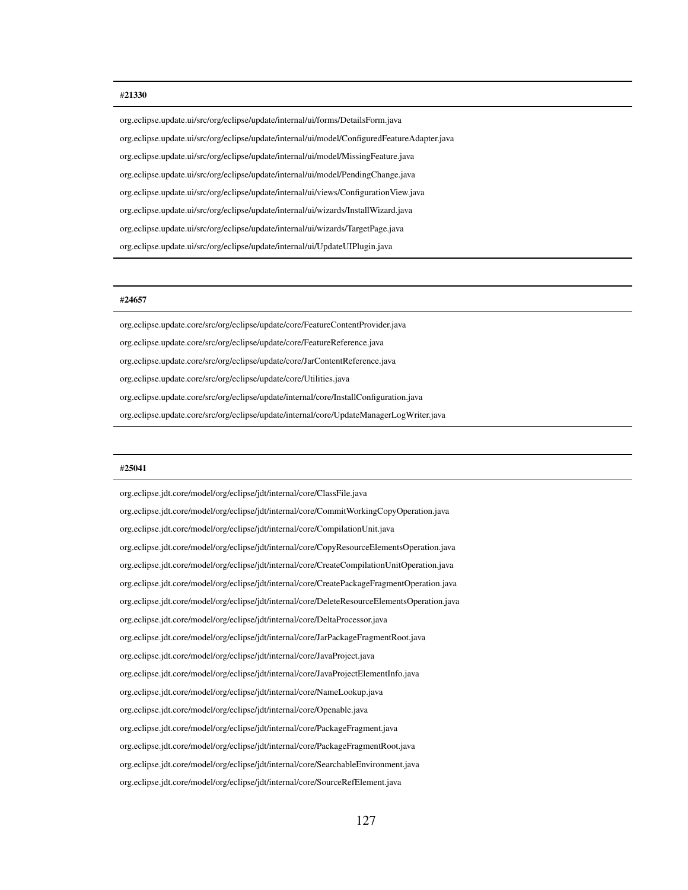#### #21330

org.eclipse.update.ui/src/org/eclipse/update/internal/ui/forms/DetailsForm.java org.eclipse.update.ui/src/org/eclipse/update/internal/ui/model/ConfiguredFeatureAdapter.java org.eclipse.update.ui/src/org/eclipse/update/internal/ui/model/MissingFeature.java org.eclipse.update.ui/src/org/eclipse/update/internal/ui/model/PendingChange.java org.eclipse.update.ui/src/org/eclipse/update/internal/ui/views/ConfigurationView.java org.eclipse.update.ui/src/org/eclipse/update/internal/ui/wizards/InstallWizard.java org.eclipse.update.ui/src/org/eclipse/update/internal/ui/wizards/TargetPage.java org.eclipse.update.ui/src/org/eclipse/update/internal/ui/UpdateUIPlugin.java

#### #24657

org.eclipse.update.core/src/org/eclipse/update/core/FeatureContentProvider.java org.eclipse.update.core/src/org/eclipse/update/core/FeatureReference.java org.eclipse.update.core/src/org/eclipse/update/core/JarContentReference.java org.eclipse.update.core/src/org/eclipse/update/core/Utilities.java org.eclipse.update.core/src/org/eclipse/update/internal/core/InstallConfiguration.java org.eclipse.update.core/src/org/eclipse/update/internal/core/UpdateManagerLogWriter.java

#### #25041

org.eclipse.jdt.core/model/org/eclipse/jdt/internal/core/ClassFile.java org.eclipse.jdt.core/model/org/eclipse/jdt/internal/core/CommitWorkingCopyOperation.java org.eclipse.jdt.core/model/org/eclipse/jdt/internal/core/CompilationUnit.java org.eclipse.jdt.core/model/org/eclipse/jdt/internal/core/CopyResourceElementsOperation.java org.eclipse.jdt.core/model/org/eclipse/jdt/internal/core/CreateCompilationUnitOperation.java org.eclipse.jdt.core/model/org/eclipse/jdt/internal/core/CreatePackageFragmentOperation.java org.eclipse.jdt.core/model/org/eclipse/jdt/internal/core/DeleteResourceElementsOperation.java org.eclipse.jdt.core/model/org/eclipse/jdt/internal/core/DeltaProcessor.java org.eclipse.jdt.core/model/org/eclipse/jdt/internal/core/JarPackageFragmentRoot.java org.eclipse.jdt.core/model/org/eclipse/jdt/internal/core/JavaProject.java org.eclipse.jdt.core/model/org/eclipse/jdt/internal/core/JavaProjectElementInfo.java org.eclipse.jdt.core/model/org/eclipse/jdt/internal/core/NameLookup.java org.eclipse.jdt.core/model/org/eclipse/jdt/internal/core/Openable.java org.eclipse.jdt.core/model/org/eclipse/jdt/internal/core/PackageFragment.java org.eclipse.jdt.core/model/org/eclipse/jdt/internal/core/PackageFragmentRoot.java org.eclipse.jdt.core/model/org/eclipse/jdt/internal/core/SearchableEnvironment.java org.eclipse.jdt.core/model/org/eclipse/jdt/internal/core/SourceRefElement.java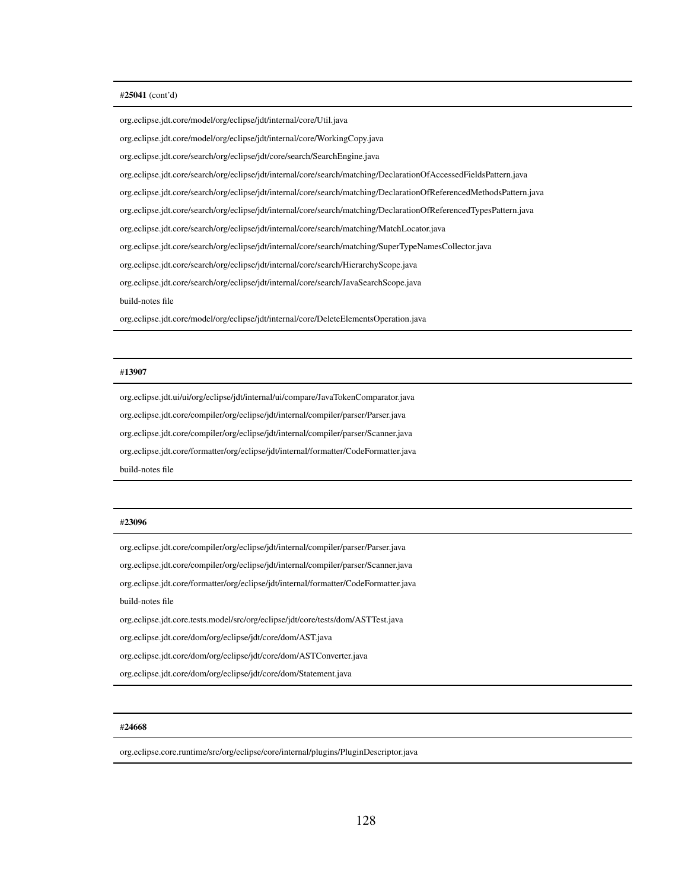#### #25041 (cont'd)

org.eclipse.jdt.core/model/org/eclipse/jdt/internal/core/Util.java

org.eclipse.jdt.core/model/org/eclipse/jdt/internal/core/WorkingCopy.java

org.eclipse.jdt.core/search/org/eclipse/jdt/core/search/SearchEngine.java

org.eclipse.jdt.core/search/org/eclipse/jdt/internal/core/search/matching/DeclarationOfAccessedFieldsPattern.java

org.eclipse.jdt.core/search/org/eclipse/jdt/internal/core/search/matching/DeclarationOfReferencedMethodsPattern.java

org.eclipse.jdt.core/search/org/eclipse/jdt/internal/core/search/matching/DeclarationOfReferencedTypesPattern.java

org.eclipse.jdt.core/search/org/eclipse/jdt/internal/core/search/matching/MatchLocator.java

org.eclipse.jdt.core/search/org/eclipse/jdt/internal/core/search/matching/SuperTypeNamesCollector.java

org.eclipse.jdt.core/search/org/eclipse/jdt/internal/core/search/HierarchyScope.java

org.eclipse.jdt.core/search/org/eclipse/jdt/internal/core/search/JavaSearchScope.java

build-notes file

org.eclipse.jdt.core/model/org/eclipse/jdt/internal/core/DeleteElementsOperation.java

#### #13907

org.eclipse.jdt.ui/ui/org/eclipse/jdt/internal/ui/compare/JavaTokenComparator.java org.eclipse.jdt.core/compiler/org/eclipse/jdt/internal/compiler/parser/Parser.java org.eclipse.jdt.core/compiler/org/eclipse/jdt/internal/compiler/parser/Scanner.java org.eclipse.jdt.core/formatter/org/eclipse/jdt/internal/formatter/CodeFormatter.java build-notes file

#### #23096

org.eclipse.jdt.core/compiler/org/eclipse/jdt/internal/compiler/parser/Parser.java

org.eclipse.jdt.core/compiler/org/eclipse/jdt/internal/compiler/parser/Scanner.java

org.eclipse.jdt.core/formatter/org/eclipse/jdt/internal/formatter/CodeFormatter.java

build-notes file

org.eclipse.jdt.core.tests.model/src/org/eclipse/jdt/core/tests/dom/ASTTest.java

org.eclipse.jdt.core/dom/org/eclipse/jdt/core/dom/AST.java

org.eclipse.jdt.core/dom/org/eclipse/jdt/core/dom/ASTConverter.java

org.eclipse.jdt.core/dom/org/eclipse/jdt/core/dom/Statement.java

#### #24668

org.eclipse.core.runtime/src/org/eclipse/core/internal/plugins/PluginDescriptor.java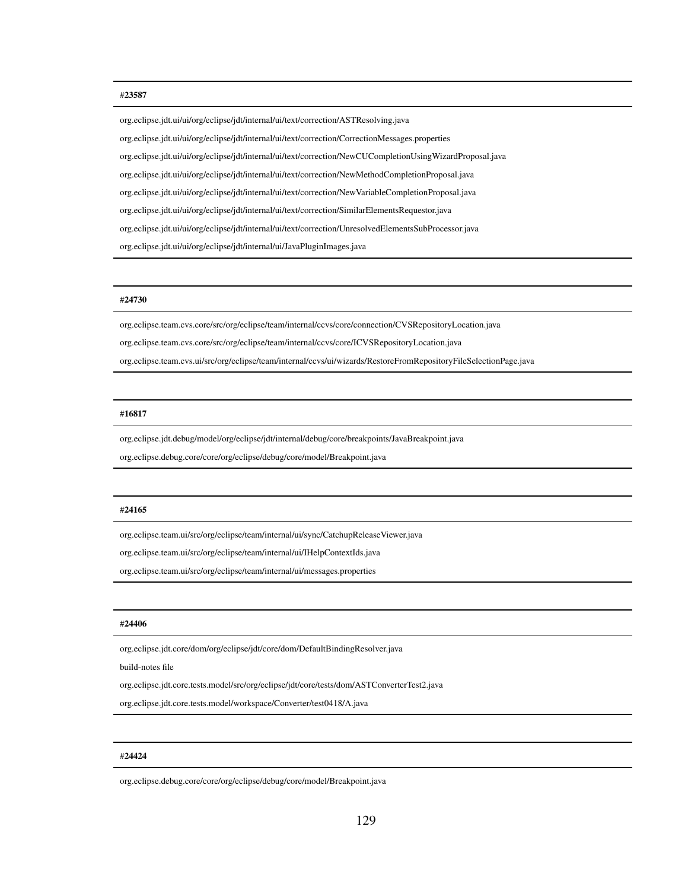#### #23587

org.eclipse.jdt.ui/ui/org/eclipse/jdt/internal/ui/text/correction/ASTResolving.java org.eclipse.jdt.ui/ui/org/eclipse/jdt/internal/ui/text/correction/CorrectionMessages.properties org.eclipse.jdt.ui/ui/org/eclipse/jdt/internal/ui/text/correction/NewCUCompletionUsingWizardProposal.java org.eclipse.jdt.ui/ui/org/eclipse/jdt/internal/ui/text/correction/NewMethodCompletionProposal.java org.eclipse.jdt.ui/ui/org/eclipse/jdt/internal/ui/text/correction/NewVariableCompletionProposal.java org.eclipse.jdt.ui/ui/org/eclipse/jdt/internal/ui/text/correction/SimilarElementsRequestor.java org.eclipse.jdt.ui/ui/org/eclipse/jdt/internal/ui/text/correction/UnresolvedElementsSubProcessor.java org.eclipse.jdt.ui/ui/org/eclipse/jdt/internal/ui/JavaPluginImages.java

#### #24730

org.eclipse.team.cvs.core/src/org/eclipse/team/internal/ccvs/core/connection/CVSRepositoryLocation.java

org.eclipse.team.cvs.core/src/org/eclipse/team/internal/ccvs/core/ICVSRepositoryLocation.java

org.eclipse.team.cvs.ui/src/org/eclipse/team/internal/ccvs/ui/wizards/RestoreFromRepositoryFileSelectionPage.java

#### #16817

org.eclipse.jdt.debug/model/org/eclipse/jdt/internal/debug/core/breakpoints/JavaBreakpoint.java

org.eclipse.debug.core/core/org/eclipse/debug/core/model/Breakpoint.java

#### #24165

org.eclipse.team.ui/src/org/eclipse/team/internal/ui/sync/CatchupReleaseViewer.java

org.eclipse.team.ui/src/org/eclipse/team/internal/ui/IHelpContextIds.java

org.eclipse.team.ui/src/org/eclipse/team/internal/ui/messages.properties

#### #24406

org.eclipse.jdt.core/dom/org/eclipse/jdt/core/dom/DefaultBindingResolver.java

build-notes file

org.eclipse.jdt.core.tests.model/src/org/eclipse/jdt/core/tests/dom/ASTConverterTest2.java

org.eclipse.jdt.core.tests.model/workspace/Converter/test0418/A.java

#### #24424

org.eclipse.debug.core/core/org/eclipse/debug/core/model/Breakpoint.java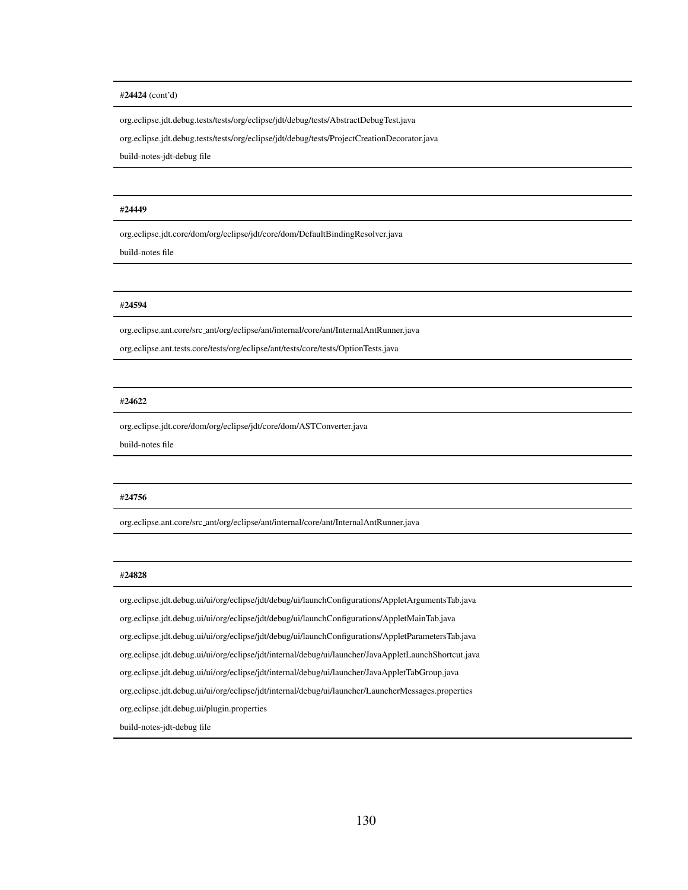#### #24424 (cont'd)

org.eclipse.jdt.debug.tests/tests/org/eclipse/jdt/debug/tests/AbstractDebugTest.java

org.eclipse.jdt.debug.tests/tests/org/eclipse/jdt/debug/tests/ProjectCreationDecorator.java

build-notes-jdt-debug file

#### #24449

org.eclipse.jdt.core/dom/org/eclipse/jdt/core/dom/DefaultBindingResolver.java

build-notes file

#### #24594

org.eclipse.ant.core/src ant/org/eclipse/ant/internal/core/ant/InternalAntRunner.java

org.eclipse.ant.tests.core/tests/org/eclipse/ant/tests/core/tests/OptionTests.java

#### #24622

org.eclipse.jdt.core/dom/org/eclipse/jdt/core/dom/ASTConverter.java

build-notes file

#### #24756

org.eclipse.ant.core/src ant/org/eclipse/ant/internal/core/ant/InternalAntRunner.java

#### #24828

org.eclipse.jdt.debug.ui/ui/org/eclipse/jdt/debug/ui/launchConfigurations/AppletArgumentsTab.java org.eclipse.jdt.debug.ui/ui/org/eclipse/jdt/debug/ui/launchConfigurations/AppletMainTab.java org.eclipse.jdt.debug.ui/ui/org/eclipse/jdt/debug/ui/launchConfigurations/AppletParametersTab.java org.eclipse.jdt.debug.ui/ui/org/eclipse/jdt/internal/debug/ui/launcher/JavaAppletLaunchShortcut.java org.eclipse.jdt.debug.ui/ui/org/eclipse/jdt/internal/debug/ui/launcher/JavaAppletTabGroup.java org.eclipse.jdt.debug.ui/ui/org/eclipse/jdt/internal/debug/ui/launcher/LauncherMessages.properties org.eclipse.jdt.debug.ui/plugin.properties build-notes-jdt-debug file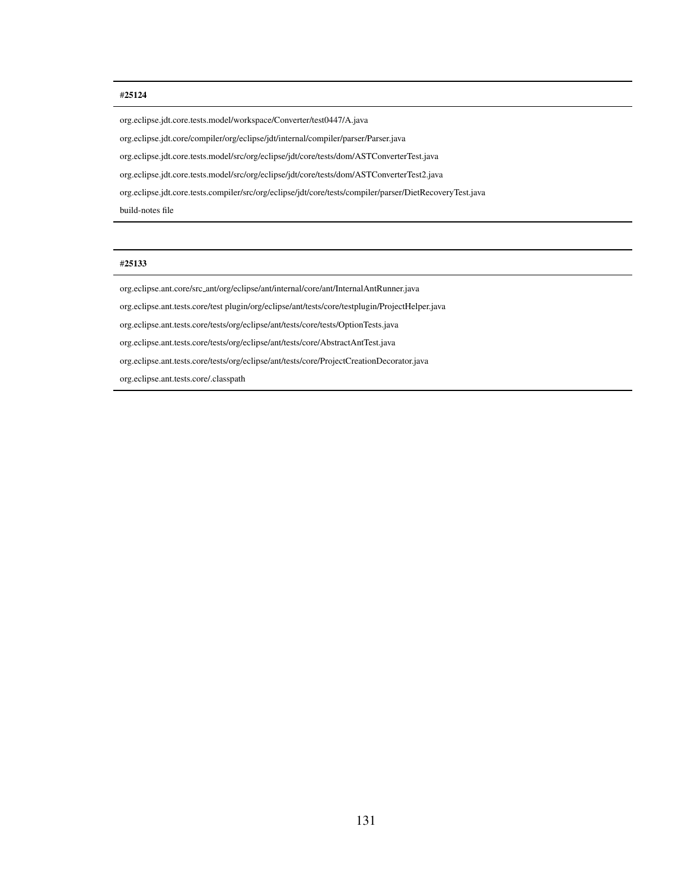#### #25124

org.eclipse.jdt.core.tests.model/workspace/Converter/test0447/A.java org.eclipse.jdt.core/compiler/org/eclipse/jdt/internal/compiler/parser/Parser.java org.eclipse.jdt.core.tests.model/src/org/eclipse/jdt/core/tests/dom/ASTConverterTest.java org.eclipse.jdt.core.tests.model/src/org/eclipse/jdt/core/tests/dom/ASTConverterTest2.java org.eclipse.jdt.core.tests.compiler/src/org/eclipse/jdt/core/tests/compiler/parser/DietRecoveryTest.java build-notes file

#### #25133

org.eclipse.ant.core/src ant/org/eclipse/ant/internal/core/ant/InternalAntRunner.java

org.eclipse.ant.tests.core/test plugin/org/eclipse/ant/tests/core/testplugin/ProjectHelper.java

org.eclipse.ant.tests.core/tests/org/eclipse/ant/tests/core/tests/OptionTests.java

org.eclipse.ant.tests.core/tests/org/eclipse/ant/tests/core/AbstractAntTest.java

org.eclipse.ant.tests.core/tests/org/eclipse/ant/tests/core/ProjectCreationDecorator.java

org.eclipse.ant.tests.core/.classpath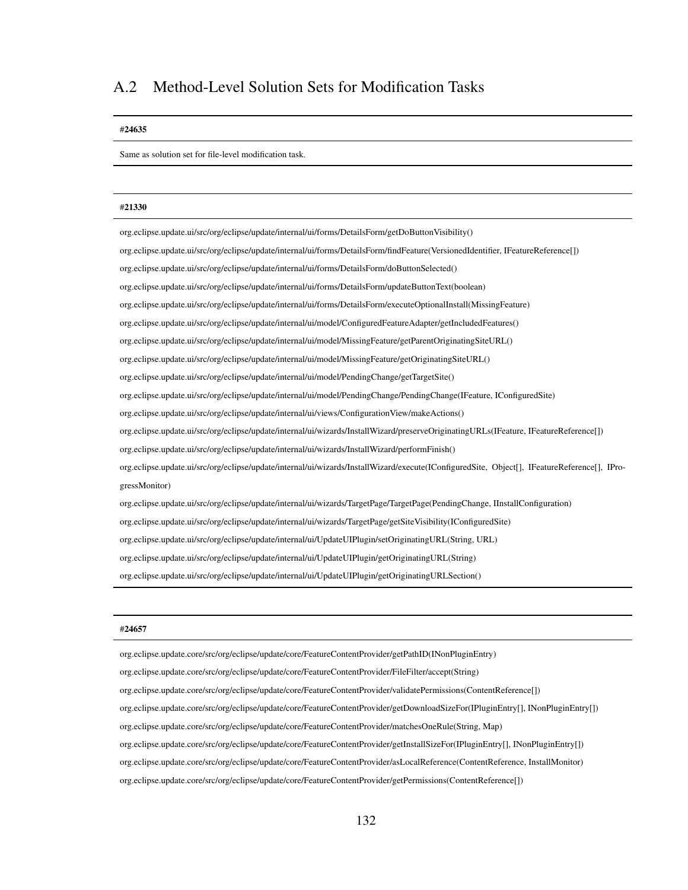## A.2 Method-Level Solution Sets for Modification Tasks

#### #24635

Same as solution set for file-level modification task.

#### #21330

org.eclipse.update.ui/src/org/eclipse/update/internal/ui/forms/DetailsForm/getDoButtonVisibility()

org.eclipse.update.ui/src/org/eclipse/update/internal/ui/forms/DetailsForm/findFeature(VersionedIdentifier, IFeatureReference[])

org.eclipse.update.ui/src/org/eclipse/update/internal/ui/forms/DetailsForm/doButtonSelected()

org.eclipse.update.ui/src/org/eclipse/update/internal/ui/forms/DetailsForm/updateButtonText(boolean)

org.eclipse.update.ui/src/org/eclipse/update/internal/ui/forms/DetailsForm/executeOptionalInstall(MissingFeature)

org.eclipse.update.ui/src/org/eclipse/update/internal/ui/model/ConfiguredFeatureAdapter/getIncludedFeatures()

org.eclipse.update.ui/src/org/eclipse/update/internal/ui/model/MissingFeature/getParentOriginatingSiteURL()

org.eclipse.update.ui/src/org/eclipse/update/internal/ui/model/MissingFeature/getOriginatingSiteURL()

org.eclipse.update.ui/src/org/eclipse/update/internal/ui/model/PendingChange/getTargetSite()

org.eclipse.update.ui/src/org/eclipse/update/internal/ui/model/PendingChange/PendingChange(IFeature, IConfiguredSite)

org.eclipse.update.ui/src/org/eclipse/update/internal/ui/views/ConfigurationView/makeActions()

org.eclipse.update.ui/src/org/eclipse/update/internal/ui/wizards/InstallWizard/preserveOriginatingURLs(IFeature, IFeatureReference[])

org.eclipse.update.ui/src/org/eclipse/update/internal/ui/wizards/InstallWizard/performFinish()

org.eclipse.update.ui/src/org/eclipse/update/internal/ui/wizards/InstallWizard/execute(IConfiguredSite, Object[], IFeatureReference[], IProgressMonitor)

org.eclipse.update.ui/src/org/eclipse/update/internal/ui/wizards/TargetPage/TargetPage(PendingChange, IInstallConfiguration)

org.eclipse.update.ui/src/org/eclipse/update/internal/ui/wizards/TargetPage/getSiteVisibility(IConfiguredSite)

org.eclipse.update.ui/src/org/eclipse/update/internal/ui/UpdateUIPlugin/setOriginatingURL(String, URL)

org.eclipse.update.ui/src/org/eclipse/update/internal/ui/UpdateUIPlugin/getOriginatingURL(String)

org.eclipse.update.ui/src/org/eclipse/update/internal/ui/UpdateUIPlugin/getOriginatingURLSection()

#### #24657

org.eclipse.update.core/src/org/eclipse/update/core/FeatureContentProvider/getPathID(INonPluginEntry) org.eclipse.update.core/src/org/eclipse/update/core/FeatureContentProvider/FileFilter/accept(String) org.eclipse.update.core/src/org/eclipse/update/core/FeatureContentProvider/validatePermissions(ContentReference[]) org.eclipse.update.core/src/org/eclipse/update/core/FeatureContentProvider/getDownloadSizeFor(IPluginEntry[], INonPluginEntry[]) org.eclipse.update.core/src/org/eclipse/update/core/FeatureContentProvider/matchesOneRule(String, Map) org.eclipse.update.core/src/org/eclipse/update/core/FeatureContentProvider/getInstallSizeFor(IPluginEntry[], INonPluginEntry[]) org.eclipse.update.core/src/org/eclipse/update/core/FeatureContentProvider/asLocalReference(ContentReference, InstallMonitor) org.eclipse.update.core/src/org/eclipse/update/core/FeatureContentProvider/getPermissions(ContentReference[])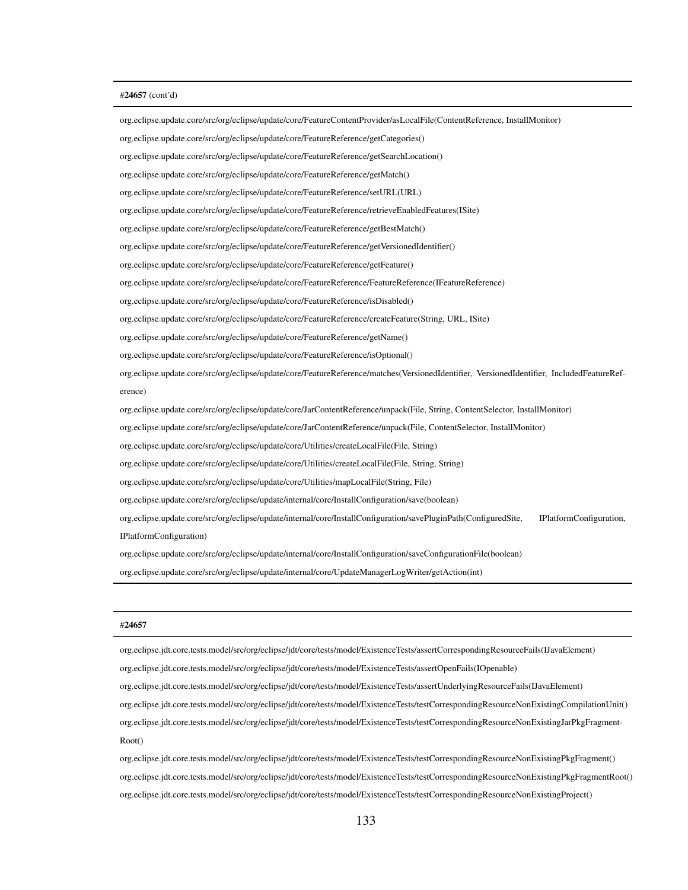#### #24657 (cont'd)

org.eclipse.update.core/src/org/eclipse/update/core/FeatureContentProvider/asLocalFile(ContentReference, InstallMonitor) org.eclipse.update.core/src/org/eclipse/update/core/FeatureReference/getCategories() org.eclipse.update.core/src/org/eclipse/update/core/FeatureReference/getSearchLocation() org.eclipse.update.core/src/org/eclipse/update/core/FeatureReference/getMatch() org.eclipse.update.core/src/org/eclipse/update/core/FeatureReference/setURL(URL) org.eclipse.update.core/src/org/eclipse/update/core/FeatureReference/retrieveEnabledFeatures(ISite) org.eclipse.update.core/src/org/eclipse/update/core/FeatureReference/getBestMatch() org.eclipse.update.core/src/org/eclipse/update/core/FeatureReference/getVersionedIdentifier() org.eclipse.update.core/src/org/eclipse/update/core/FeatureReference/getFeature() org.eclipse.update.core/src/org/eclipse/update/core/FeatureReference/FeatureReference(IFeatureReference) org.eclipse.update.core/src/org/eclipse/update/core/FeatureReference/isDisabled() org.eclipse.update.core/src/org/eclipse/update/core/FeatureReference/createFeature(String, URL, ISite) org.eclipse.update.core/src/org/eclipse/update/core/FeatureReference/getName() org.eclipse.update.core/src/org/eclipse/update/core/FeatureReference/isOptional() org.eclipse.update.core/src/org/eclipse/update/core/FeatureReference/matches(VersionedIdentifier, VersionedIdentifier, IncludedFeatureReference) org.eclipse.update.core/src/org/eclipse/update/core/JarContentReference/unpack(File, String, ContentSelector, InstallMonitor) org.eclipse.update.core/src/org/eclipse/update/core/JarContentReference/unpack(File, ContentSelector, InstallMonitor) org.eclipse.update.core/src/org/eclipse/update/core/Utilities/createLocalFile(File, String) org.eclipse.update.core/src/org/eclipse/update/core/Utilities/createLocalFile(File, String, String) org.eclipse.update.core/src/org/eclipse/update/core/Utilities/mapLocalFile(String, File) org.eclipse.update.core/src/org/eclipse/update/internal/core/InstallConfiguration/save(boolean) org.eclipse.update.core/src/org/eclipse/update/internal/core/InstallConfiguration/savePluginPath(ConfiguredSite, IPlatformConfiguration, IPlatformConfiguration) org.eclipse.update.core/src/org/eclipse/update/internal/core/InstallConfiguration/saveConfigurationFile(boolean) org.eclipse.update.core/src/org/eclipse/update/internal/core/UpdateManagerLogWriter/getAction(int)

#### #24657

org.eclipse.jdt.core.tests.model/src/org/eclipse/jdt/core/tests/model/ExistenceTests/assertCorrespondingResourceFails(IJavaElement) org.eclipse.jdt.core.tests.model/src/org/eclipse/jdt/core/tests/model/ExistenceTests/assertOpenFails(IOpenable) org.eclipse.jdt.core.tests.model/src/org/eclipse/jdt/core/tests/model/ExistenceTests/assertUnderlyingResourceFails(IJavaElement) org.eclipse.jdt.core.tests.model/src/org/eclipse/jdt/core/tests/model/ExistenceTests/testCorrespondingResourceNonExistingCompilationUnit() org.eclipse.jdt.core.tests.model/src/org/eclipse/jdt/core/tests/model/ExistenceTests/testCorrespondingResourceNonExistingJarPkgFragment-Root()

org.eclipse.jdt.core.tests.model/src/org/eclipse/jdt/core/tests/model/ExistenceTests/testCorrespondingResourceNonExistingPkgFragment() org.eclipse.jdt.core.tests.model/src/org/eclipse/jdt/core/tests/model/ExistenceTests/testCorrespondingResourceNonExistingPkgFragmentRoot() org.eclipse.jdt.core.tests.model/src/org/eclipse/jdt/core/tests/model/ExistenceTests/testCorrespondingResourceNonExistingProject()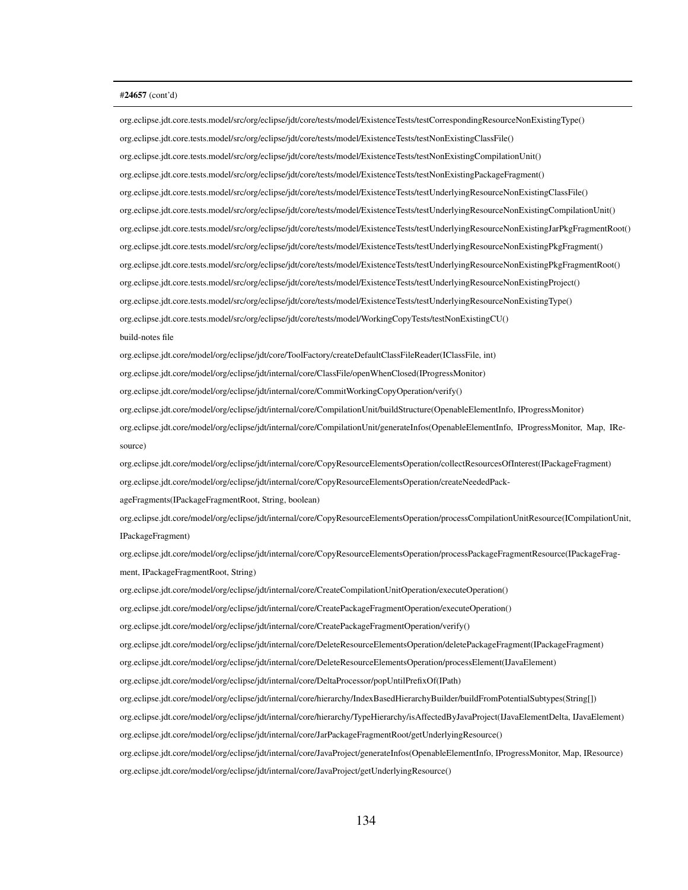#### #24657 (cont'd)

org.eclipse.jdt.core.tests.model/src/org/eclipse/jdt/core/tests/model/ExistenceTests/testNonExistingCompilationUnit() org.eclipse.jdt.core.tests.model/src/org/eclipse/jdt/core/tests/model/ExistenceTests/testNonExistingPackageFragment() org.eclipse.jdt.core.tests.model/src/org/eclipse/jdt/core/tests/model/ExistenceTests/testUnderlyingResourceNonExistingClassFile() org.eclipse.jdt.core.tests.model/src/org/eclipse/jdt/core/tests/model/ExistenceTests/testUnderlyingResourceNonExistingCompilationUnit() org.eclipse.jdt.core.tests.model/src/org/eclipse/jdt/core/tests/model/ExistenceTests/testUnderlyingResourceNonExistingJarPkgFragmentRoot() org.eclipse.jdt.core.tests.model/src/org/eclipse/jdt/core/tests/model/ExistenceTests/testUnderlyingResourceNonExistingPkgFragment() org.eclipse.jdt.core.tests.model/src/org/eclipse/jdt/core/tests/model/ExistenceTests/testUnderlyingResourceNonExistingPkgFragmentRoot() org.eclipse.jdt.core.tests.model/src/org/eclipse/jdt/core/tests/model/ExistenceTests/testUnderlyingResourceNonExistingProject() org.eclipse.jdt.core.tests.model/src/org/eclipse/jdt/core/tests/model/ExistenceTests/testUnderlyingResourceNonExistingType() org.eclipse.jdt.core.tests.model/src/org/eclipse/jdt/core/tests/model/WorkingCopyTests/testNonExistingCU() build-notes file org.eclipse.jdt.core/model/org/eclipse/jdt/core/ToolFactory/createDefaultClassFileReader(IClassFile, int) org.eclipse.jdt.core/model/org/eclipse/jdt/internal/core/ClassFile/openWhenClosed(IProgressMonitor) org.eclipse.jdt.core/model/org/eclipse/jdt/internal/core/CommitWorkingCopyOperation/verify() org.eclipse.jdt.core/model/org/eclipse/jdt/internal/core/CompilationUnit/buildStructure(OpenableElementInfo, IProgressMonitor) org.eclipse.jdt.core/model/org/eclipse/jdt/internal/core/CompilationUnit/generateInfos(OpenableElementInfo, IProgressMonitor, Map, IResource) org.eclipse.jdt.core/model/org/eclipse/jdt/internal/core/CopyResourceElementsOperation/collectResourcesOfInterest(IPackageFragment) org.eclipse.jdt.core/model/org/eclipse/jdt/internal/core/CopyResourceElementsOperation/createNeededPackageFragments(IPackageFragmentRoot, String, boolean) org.eclipse.jdt.core/model/org/eclipse/jdt/internal/core/CopyResourceElementsOperation/processCompilationUnitResource(ICompilationUnit, IPackageFragment) org.eclipse.jdt.core/model/org/eclipse/jdt/internal/core/CopyResourceElementsOperation/processPackageFragmentResource(IPackageFragment, IPackageFragmentRoot, String) org.eclipse.jdt.core/model/org/eclipse/jdt/internal/core/CreateCompilationUnitOperation/executeOperation() org.eclipse.jdt.core/model/org/eclipse/jdt/internal/core/CreatePackageFragmentOperation/executeOperation() org.eclipse.jdt.core/model/org/eclipse/jdt/internal/core/CreatePackageFragmentOperation/verify() org.eclipse.jdt.core/model/org/eclipse/jdt/internal/core/DeleteResourceElementsOperation/deletePackageFragment(IPackageFragment) org.eclipse.jdt.core/model/org/eclipse/jdt/internal/core/DeleteResourceElementsOperation/processElement(IJavaElement) org.eclipse.jdt.core/model/org/eclipse/jdt/internal/core/DeltaProcessor/popUntilPrefixOf(IPath) org.eclipse.jdt.core/model/org/eclipse/jdt/internal/core/hierarchy/IndexBasedHierarchyBuilder/buildFromPotentialSubtypes(String[]) org.eclipse.jdt.core/model/org/eclipse/jdt/internal/core/hierarchy/TypeHierarchy/isAffectedByJavaProject(IJavaElementDelta, IJavaElement) org.eclipse.jdt.core/model/org/eclipse/jdt/internal/core/JarPackageFragmentRoot/getUnderlyingResource() org.eclipse.jdt.core/model/org/eclipse/jdt/internal/core/JavaProject/generateInfos(OpenableElementInfo, IProgressMonitor, Map, IResource) org.eclipse.jdt.core/model/org/eclipse/jdt/internal/core/JavaProject/getUnderlyingResource()

org.eclipse.jdt.core.tests.model/src/org/eclipse/jdt/core/tests/model/ExistenceTests/testCorrespondingResourceNonExistingType()

org.eclipse.jdt.core.tests.model/src/org/eclipse/jdt/core/tests/model/ExistenceTests/testNonExistingClassFile()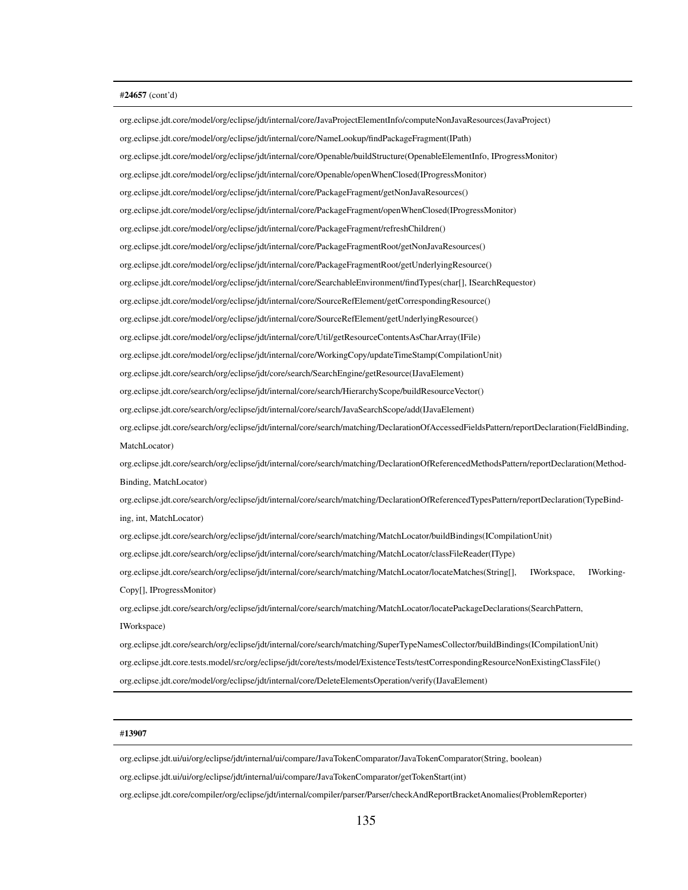#### #24657 (cont'd)

org.eclipse.jdt.core/model/org/eclipse/jdt/internal/core/JavaProjectElementInfo/computeNonJavaResources(JavaProject) org.eclipse.jdt.core/model/org/eclipse/jdt/internal/core/NameLookup/findPackageFragment(IPath) org.eclipse.jdt.core/model/org/eclipse/jdt/internal/core/Openable/buildStructure(OpenableElementInfo, IProgressMonitor) org.eclipse.jdt.core/model/org/eclipse/jdt/internal/core/Openable/openWhenClosed(IProgressMonitor) org.eclipse.jdt.core/model/org/eclipse/jdt/internal/core/PackageFragment/getNonJavaResources() org.eclipse.jdt.core/model/org/eclipse/jdt/internal/core/PackageFragment/openWhenClosed(IProgressMonitor) org.eclipse.jdt.core/model/org/eclipse/jdt/internal/core/PackageFragment/refreshChildren() org.eclipse.jdt.core/model/org/eclipse/jdt/internal/core/PackageFragmentRoot/getNonJavaResources() org.eclipse.jdt.core/model/org/eclipse/jdt/internal/core/PackageFragmentRoot/getUnderlyingResource() org.eclipse.jdt.core/model/org/eclipse/jdt/internal/core/SearchableEnvironment/findTypes(char[], ISearchRequestor) org.eclipse.jdt.core/model/org/eclipse/jdt/internal/core/SourceRefElement/getCorrespondingResource() org.eclipse.jdt.core/model/org/eclipse/jdt/internal/core/SourceRefElement/getUnderlyingResource() org.eclipse.jdt.core/model/org/eclipse/jdt/internal/core/Util/getResourceContentsAsCharArray(IFile) org.eclipse.jdt.core/model/org/eclipse/jdt/internal/core/WorkingCopy/updateTimeStamp(CompilationUnit) org.eclipse.jdt.core/search/org/eclipse/jdt/core/search/SearchEngine/getResource(IJavaElement) org.eclipse.jdt.core/search/org/eclipse/jdt/internal/core/search/HierarchyScope/buildResourceVector() org.eclipse.jdt.core/search/org/eclipse/jdt/internal/core/search/JavaSearchScope/add(IJavaElement) org.eclipse.jdt.core/search/org/eclipse/jdt/internal/core/search/matching/DeclarationOfAccessedFieldsPattern/reportDeclaration(FieldBinding, MatchLocator) org.eclipse.jdt.core/search/org/eclipse/jdt/internal/core/search/matching/DeclarationOfReferencedMethodsPattern/reportDeclaration(Method-Binding, MatchLocator) org.eclipse.jdt.core/search/org/eclipse/jdt/internal/core/search/matching/DeclarationOfReferencedTypesPattern/reportDeclaration(TypeBinding, int, MatchLocator) org.eclipse.jdt.core/search/org/eclipse/jdt/internal/core/search/matching/MatchLocator/buildBindings(ICompilationUnit) org.eclipse.jdt.core/search/org/eclipse/jdt/internal/core/search/matching/MatchLocator/classFileReader(IType) org.eclipse.jdt.core/search/org/eclipse/jdt/internal/core/search/matching/MatchLocator/locateMatches(String[], IWorkspace, IWorking-Copy[], IProgressMonitor) org.eclipse.jdt.core/search/org/eclipse/jdt/internal/core/search/matching/MatchLocator/locatePackageDeclarations(SearchPattern, IWorkspace) org.eclipse.jdt.core/search/org/eclipse/jdt/internal/core/search/matching/SuperTypeNamesCollector/buildBindings(ICompilationUnit) org.eclipse.jdt.core.tests.model/src/org/eclipse/jdt/core/tests/model/ExistenceTests/testCorrespondingResourceNonExistingClassFile() org.eclipse.jdt.core/model/org/eclipse/jdt/internal/core/DeleteElementsOperation/verify(IJavaElement)

#### #13907

org.eclipse.jdt.ui/ui/org/eclipse/jdt/internal/ui/compare/JavaTokenComparator/JavaTokenComparator(String, boolean)

org.eclipse.jdt.ui/ui/org/eclipse/jdt/internal/ui/compare/JavaTokenComparator/getTokenStart(int)

org.eclipse.jdt.core/compiler/org/eclipse/jdt/internal/compiler/parser/Parser/checkAndReportBracketAnomalies(ProblemReporter)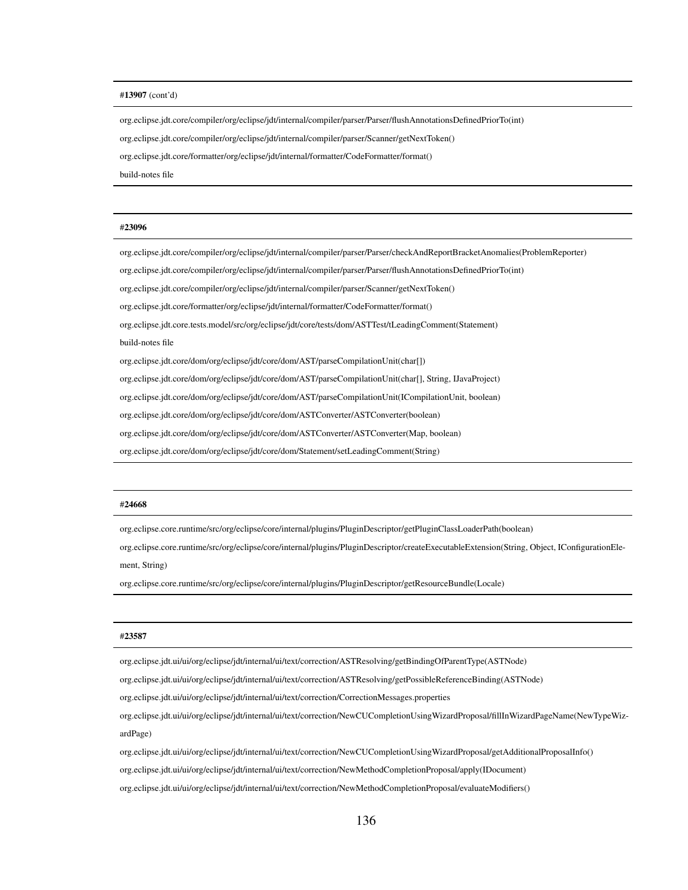#### #13907 (cont'd)

org.eclipse.jdt.core/compiler/org/eclipse/jdt/internal/compiler/parser/Parser/flushAnnotationsDefinedPriorTo(int)

org.eclipse.jdt.core/compiler/org/eclipse/jdt/internal/compiler/parser/Scanner/getNextToken()

org.eclipse.jdt.core/formatter/org/eclipse/jdt/internal/formatter/CodeFormatter/format()

build-notes file

#### #23096

org.eclipse.jdt.core/compiler/org/eclipse/jdt/internal/compiler/parser/Parser/checkAndReportBracketAnomalies(ProblemReporter)

org.eclipse.jdt.core/compiler/org/eclipse/jdt/internal/compiler/parser/Parser/flushAnnotationsDefinedPriorTo(int)

org.eclipse.jdt.core/compiler/org/eclipse/jdt/internal/compiler/parser/Scanner/getNextToken()

org.eclipse.jdt.core/formatter/org/eclipse/jdt/internal/formatter/CodeFormatter/format()

org.eclipse.jdt.core.tests.model/src/org/eclipse/jdt/core/tests/dom/ASTTest/tLeadingComment(Statement) build-notes file

org.eclipse.jdt.core/dom/org/eclipse/jdt/core/dom/AST/parseCompilationUnit(char[])

org.eclipse.jdt.core/dom/org/eclipse/jdt/core/dom/AST/parseCompilationUnit(char[], String, IJavaProject)

org.eclipse.jdt.core/dom/org/eclipse/jdt/core/dom/AST/parseCompilationUnit(ICompilationUnit, boolean)

org.eclipse.jdt.core/dom/org/eclipse/jdt/core/dom/ASTConverter/ASTConverter(boolean)

org.eclipse.jdt.core/dom/org/eclipse/jdt/core/dom/ASTConverter/ASTConverter(Map, boolean)

org.eclipse.jdt.core/dom/org/eclipse/jdt/core/dom/Statement/setLeadingComment(String)

#### #24668

org.eclipse.core.runtime/src/org/eclipse/core/internal/plugins/PluginDescriptor/getPluginClassLoaderPath(boolean)

org.eclipse.core.runtime/src/org/eclipse/core/internal/plugins/PluginDescriptor/createExecutableExtension(String, Object, IConfigurationElement, String)

org.eclipse.core.runtime/src/org/eclipse/core/internal/plugins/PluginDescriptor/getResourceBundle(Locale)

#### #23587

org.eclipse.jdt.ui/ui/org/eclipse/jdt/internal/ui/text/correction/ASTResolving/getBindingOfParentType(ASTNode)

org.eclipse.jdt.ui/ui/org/eclipse/jdt/internal/ui/text/correction/ASTResolving/getPossibleReferenceBinding(ASTNode)

org.eclipse.jdt.ui/ui/org/eclipse/jdt/internal/ui/text/correction/CorrectionMessages.properties

org.eclipse.jdt.ui/ui/org/eclipse/jdt/internal/ui/text/correction/NewCUCompletionUsingWizardProposal/fillInWizardPageName(NewTypeWizardPage)

org.eclipse.jdt.ui/ui/org/eclipse/jdt/internal/ui/text/correction/NewCUCompletionUsingWizardProposal/getAdditionalProposalInfo()

org.eclipse.jdt.ui/ui/org/eclipse/jdt/internal/ui/text/correction/NewMethodCompletionProposal/apply(IDocument)

org.eclipse.jdt.ui/ui/org/eclipse/jdt/internal/ui/text/correction/NewMethodCompletionProposal/evaluateModifiers()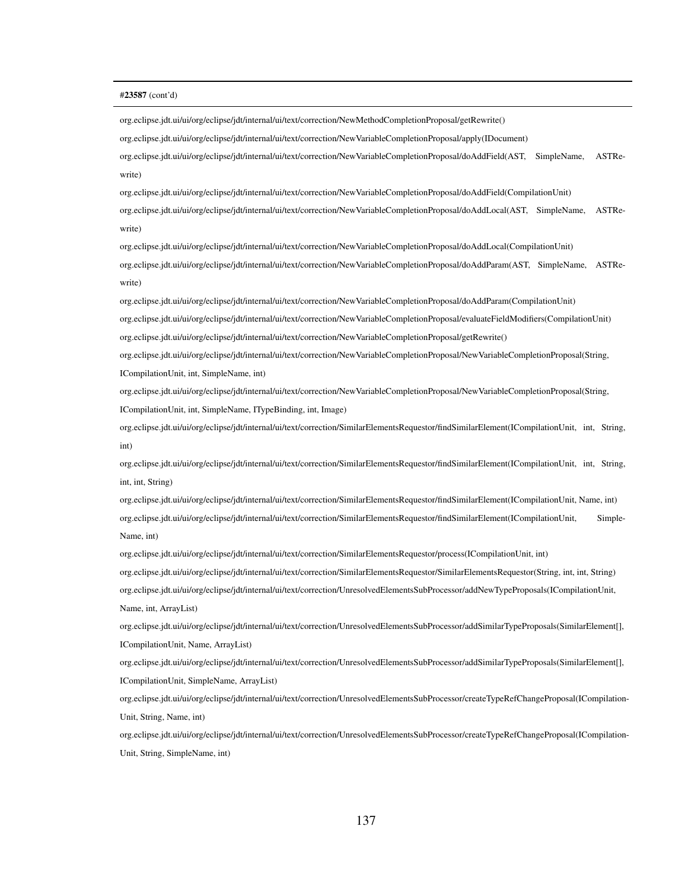#### #23587 (cont'd)

org.eclipse.jdt.ui/ui/org/eclipse/jdt/internal/ui/text/correction/NewMethodCompletionProposal/getRewrite()

org.eclipse.jdt.ui/ui/org/eclipse/jdt/internal/ui/text/correction/NewVariableCompletionProposal/apply(IDocument)

org.eclipse.jdt.ui/ui/org/eclipse/jdt/internal/ui/text/correction/NewVariableCompletionProposal/doAddField(AST, SimpleName, ASTRewrite)

org.eclipse.jdt.ui/ui/org/eclipse/jdt/internal/ui/text/correction/NewVariableCompletionProposal/doAddField(CompilationUnit) org.eclipse.jdt.ui/ui/org/eclipse/jdt/internal/ui/text/correction/NewVariableCompletionProposal/doAddLocal(AST, SimpleName, ASTRewrite)

org.eclipse.jdt.ui/ui/org/eclipse/jdt/internal/ui/text/correction/NewVariableCompletionProposal/doAddLocal(CompilationUnit) org.eclipse.jdt.ui/ui/org/eclipse/jdt/internal/ui/text/correction/NewVariableCompletionProposal/doAddParam(AST, SimpleName, ASTRewrite)

org.eclipse.jdt.ui/ui/org/eclipse/jdt/internal/ui/text/correction/NewVariableCompletionProposal/doAddParam(CompilationUnit) org.eclipse.jdt.ui/ui/org/eclipse/jdt/internal/ui/text/correction/NewVariableCompletionProposal/evaluateFieldModifiers(CompilationUnit) org.eclipse.jdt.ui/ui/org/eclipse/jdt/internal/ui/text/correction/NewVariableCompletionProposal/getRewrite()

org.eclipse.jdt.ui/ui/org/eclipse/jdt/internal/ui/text/correction/NewVariableCompletionProposal/NewVariableCompletionProposal(String, ICompilationUnit, int, SimpleName, int)

org.eclipse.jdt.ui/ui/org/eclipse/jdt/internal/ui/text/correction/NewVariableCompletionProposal/NewVariableCompletionProposal(String, ICompilationUnit, int, SimpleName, ITypeBinding, int, Image)

org.eclipse.jdt.ui/ui/org/eclipse/jdt/internal/ui/text/correction/SimilarElementsRequestor/findSimilarElement(ICompilationUnit, int, String, int)

org.eclipse.jdt.ui/ui/org/eclipse/jdt/internal/ui/text/correction/SimilarElementsRequestor/findSimilarElement(ICompilationUnit, int, String, int, int, String)

org.eclipse.jdt.ui/ui/org/eclipse/jdt/internal/ui/text/correction/SimilarElementsRequestor/findSimilarElement(ICompilationUnit, Name, int) org.eclipse.jdt.ui/ui/org/eclipse/jdt/internal/ui/text/correction/SimilarElementsRequestor/findSimilarElement(ICompilationUnit, Simple-Name, int)

org.eclipse.jdt.ui/ui/org/eclipse/jdt/internal/ui/text/correction/SimilarElementsRequestor/process(ICompilationUnit, int) org.eclipse.jdt.ui/ui/org/eclipse/jdt/internal/ui/text/correction/SimilarElementsRequestor/SimilarElementsRequestor(String, int, int, String) org.eclipse.jdt.ui/ui/org/eclipse/jdt/internal/ui/text/correction/UnresolvedElementsSubProcessor/addNewTypeProposals(ICompilationUnit, Name, int, ArrayList)

org.eclipse.jdt.ui/ui/org/eclipse/jdt/internal/ui/text/correction/UnresolvedElementsSubProcessor/addSimilarTypeProposals(SimilarElement[], ICompilationUnit, Name, ArrayList)

org.eclipse.jdt.ui/ui/org/eclipse/jdt/internal/ui/text/correction/UnresolvedElementsSubProcessor/addSimilarTypeProposals(SimilarElement[], ICompilationUnit, SimpleName, ArrayList)

org.eclipse.jdt.ui/ui/org/eclipse/jdt/internal/ui/text/correction/UnresolvedElementsSubProcessor/createTypeRefChangeProposal(ICompilation-Unit, String, Name, int)

org.eclipse.jdt.ui/ui/org/eclipse/jdt/internal/ui/text/correction/UnresolvedElementsSubProcessor/createTypeRefChangeProposal(ICompilation-Unit, String, SimpleName, int)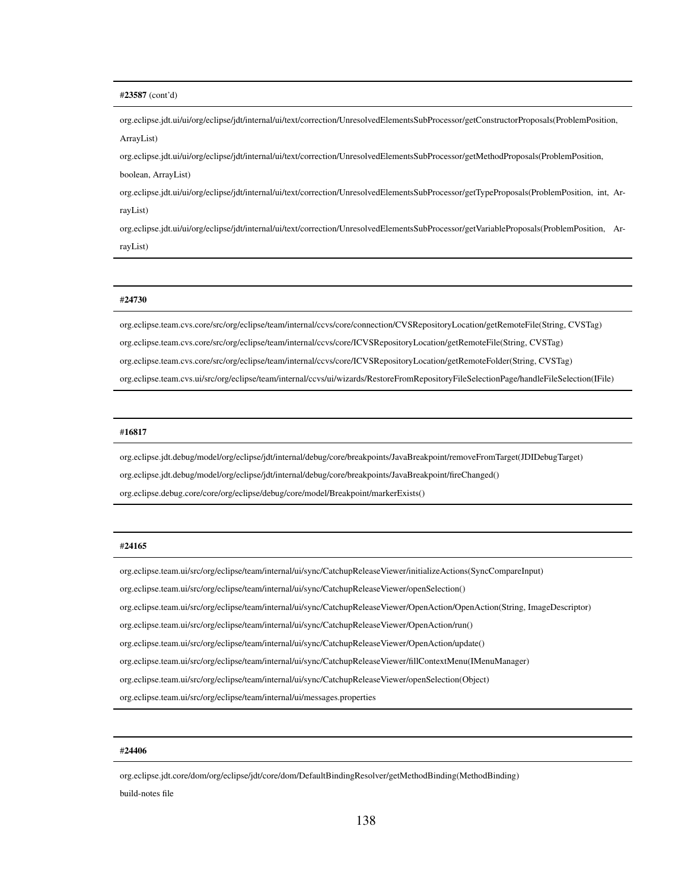## #23587 (cont'd)

org.eclipse.jdt.ui/ui/org/eclipse/jdt/internal/ui/text/correction/UnresolvedElementsSubProcessor/getConstructorProposals(ProblemPosition, ArrayList)

org.eclipse.jdt.ui/ui/org/eclipse/jdt/internal/ui/text/correction/UnresolvedElementsSubProcessor/getMethodProposals(ProblemPosition,

boolean, ArrayList)

org.eclipse.jdt.ui/ui/org/eclipse/jdt/internal/ui/text/correction/UnresolvedElementsSubProcessor/getTypeProposals(ProblemPosition, int, ArrayList)

org.eclipse.jdt.ui/ui/org/eclipse/jdt/internal/ui/text/correction/UnresolvedElementsSubProcessor/getVariableProposals(ProblemPosition, ArrayList)

## #24730

org.eclipse.team.cvs.core/src/org/eclipse/team/internal/ccvs/core/connection/CVSRepositoryLocation/getRemoteFile(String, CVSTag) org.eclipse.team.cvs.core/src/org/eclipse/team/internal/ccvs/core/ICVSRepositoryLocation/getRemoteFile(String, CVSTag) org.eclipse.team.cvs.core/src/org/eclipse/team/internal/ccvs/core/ICVSRepositoryLocation/getRemoteFolder(String, CVSTag) org.eclipse.team.cvs.ui/src/org/eclipse/team/internal/ccvs/ui/wizards/RestoreFromRepositoryFileSelectionPage/handleFileSelection(IFile)

## #16817

org.eclipse.jdt.debug/model/org/eclipse/jdt/internal/debug/core/breakpoints/JavaBreakpoint/removeFromTarget(JDIDebugTarget)

org.eclipse.jdt.debug/model/org/eclipse/jdt/internal/debug/core/breakpoints/JavaBreakpoint/fireChanged()

org.eclipse.debug.core/core/org/eclipse/debug/core/model/Breakpoint/markerExists()

## #24165

org.eclipse.team.ui/src/org/eclipse/team/internal/ui/sync/CatchupReleaseViewer/initializeActions(SyncCompareInput)

org.eclipse.team.ui/src/org/eclipse/team/internal/ui/sync/CatchupReleaseViewer/openSelection()

org.eclipse.team.ui/src/org/eclipse/team/internal/ui/sync/CatchupReleaseViewer/OpenAction/OpenAction(String, ImageDescriptor)

org.eclipse.team.ui/src/org/eclipse/team/internal/ui/sync/CatchupReleaseViewer/OpenAction/run()

org.eclipse.team.ui/src/org/eclipse/team/internal/ui/sync/CatchupReleaseViewer/OpenAction/update()

org.eclipse.team.ui/src/org/eclipse/team/internal/ui/sync/CatchupReleaseViewer/fillContextMenu(IMenuManager)

org.eclipse.team.ui/src/org/eclipse/team/internal/ui/sync/CatchupReleaseViewer/openSelection(Object)

org.eclipse.team.ui/src/org/eclipse/team/internal/ui/messages.properties

## #24406

org.eclipse.jdt.core/dom/org/eclipse/jdt/core/dom/DefaultBindingResolver/getMethodBinding(MethodBinding) build-notes file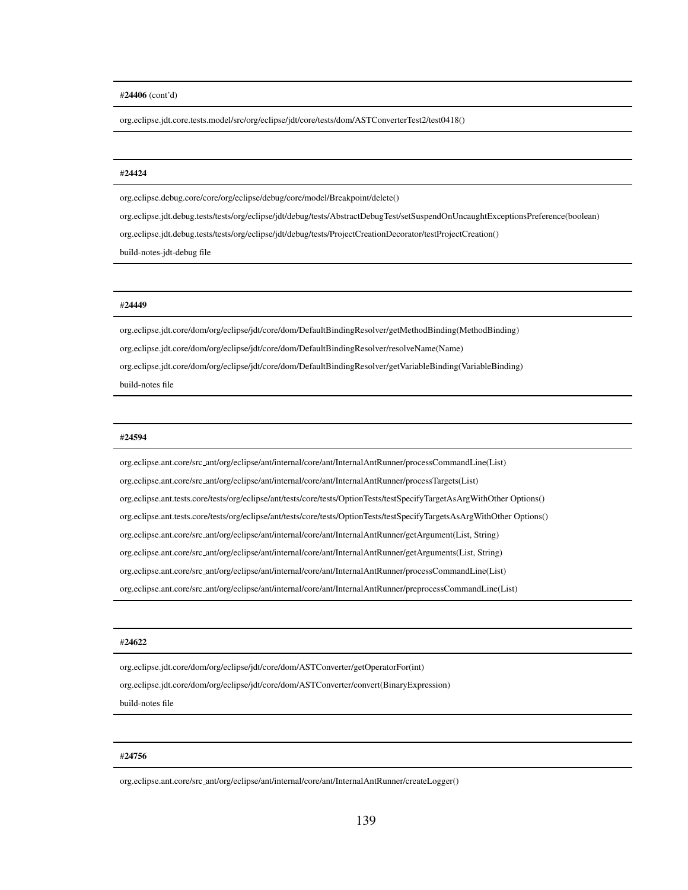## #24406 (cont'd)

org.eclipse.jdt.core.tests.model/src/org/eclipse/jdt/core/tests/dom/ASTConverterTest2/test0418()

## #24424

org.eclipse.debug.core/core/org/eclipse/debug/core/model/Breakpoint/delete()

org.eclipse.jdt.debug.tests/tests/org/eclipse/jdt/debug/tests/AbstractDebugTest/setSuspendOnUncaughtExceptionsPreference(boolean)

org.eclipse.jdt.debug.tests/tests/org/eclipse/jdt/debug/tests/ProjectCreationDecorator/testProjectCreation()

build-notes-jdt-debug file

## #24449

org.eclipse.jdt.core/dom/org/eclipse/jdt/core/dom/DefaultBindingResolver/getMethodBinding(MethodBinding) org.eclipse.jdt.core/dom/org/eclipse/jdt/core/dom/DefaultBindingResolver/resolveName(Name)

org.eclipse.jdt.core/dom/org/eclipse/jdt/core/dom/DefaultBindingResolver/getVariableBinding(VariableBinding)

build-notes file

## #24594

org.eclipse.ant.core/src ant/org/eclipse/ant/internal/core/ant/InternalAntRunner/processCommandLine(List) org.eclipse.ant.core/src ant/org/eclipse/ant/internal/core/ant/InternalAntRunner/processTargets(List) org.eclipse.ant.tests.core/tests/org/eclipse/ant/tests/core/tests/OptionTests/testSpecifyTargetAsArgWithOther Options() org.eclipse.ant.tests.core/tests/org/eclipse/ant/tests/core/tests/OptionTests/testSpecifyTargetsAsArgWithOther Options() org.eclipse.ant.core/src ant/org/eclipse/ant/internal/core/ant/InternalAntRunner/getArgument(List, String) org.eclipse.ant.core/src ant/org/eclipse/ant/internal/core/ant/InternalAntRunner/getArguments(List, String) org.eclipse.ant.core/src ant/org/eclipse/ant/internal/core/ant/InternalAntRunner/processCommandLine(List) org.eclipse.ant.core/src ant/org/eclipse/ant/internal/core/ant/InternalAntRunner/preprocessCommandLine(List)

## #24622

org.eclipse.jdt.core/dom/org/eclipse/jdt/core/dom/ASTConverter/getOperatorFor(int)

org.eclipse.jdt.core/dom/org/eclipse/jdt/core/dom/ASTConverter/convert(BinaryExpression)

build-notes file

## #24756

org.eclipse.ant.core/src ant/org/eclipse/ant/internal/core/ant/InternalAntRunner/createLogger()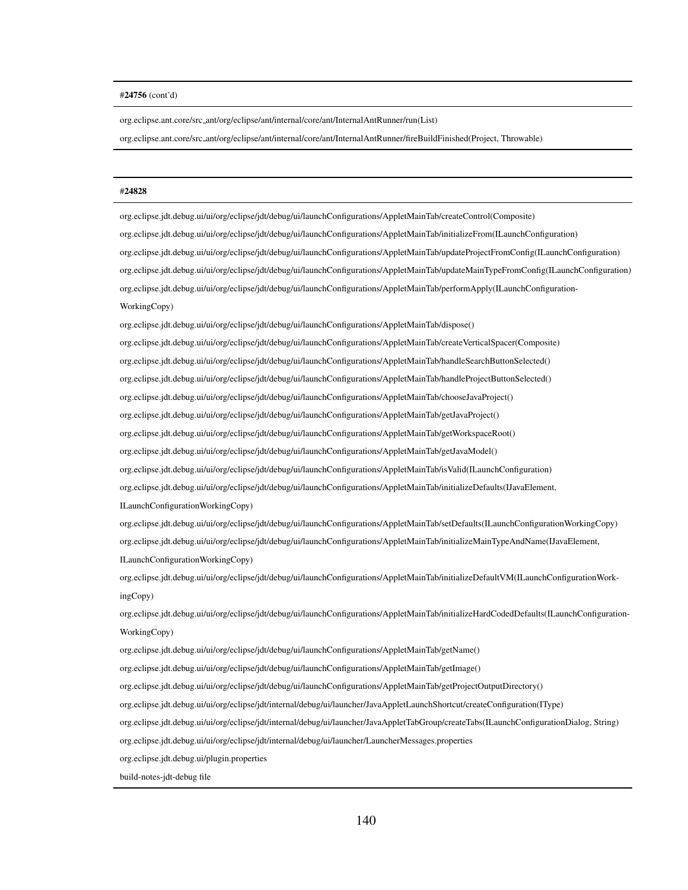## #24756 (cont'd)

org.eclipse.ant.core/src ant/org/eclipse/ant/internal/core/ant/InternalAntRunner/run(List)

org.eclipse.ant.core/src ant/org/eclipse/ant/internal/core/ant/InternalAntRunner/fireBuildFinished(Project, Throwable)

## #24828

org.eclipse.jdt.debug.ui/ui/org/eclipse/jdt/debug/ui/launchConfigurations/AppletMainTab/createControl(Composite) org.eclipse.jdt.debug.ui/ui/org/eclipse/jdt/debug/ui/launchConfigurations/AppletMainTab/initializeFrom(ILaunchConfiguration) org.eclipse.jdt.debug.ui/ui/org/eclipse/jdt/debug/ui/launchConfigurations/AppletMainTab/updateProjectFromConfig(ILaunchConfiguration) org.eclipse.jdt.debug.ui/ui/org/eclipse/jdt/debug/ui/launchConfigurations/AppletMainTab/updateMainTypeFromConfig(ILaunchConfiguration) org.eclipse.jdt.debug.ui/ui/org/eclipse/jdt/debug/ui/launchConfigurations/AppletMainTab/performApply(ILaunchConfiguration-WorkingCopy)

org.eclipse.jdt.debug.ui/ui/org/eclipse/jdt/debug/ui/launchConfigurations/AppletMainTab/dispose()

org.eclipse.jdt.debug.ui/ui/org/eclipse/jdt/debug/ui/launchConfigurations/AppletMainTab/createVerticalSpacer(Composite)

org.eclipse.jdt.debug.ui/ui/org/eclipse/jdt/debug/ui/launchConfigurations/AppletMainTab/handleSearchButtonSelected()

org.eclipse.jdt.debug.ui/ui/org/eclipse/jdt/debug/ui/launchConfigurations/AppletMainTab/handleProjectButtonSelected()

org.eclipse.jdt.debug.ui/ui/org/eclipse/jdt/debug/ui/launchConfigurations/AppletMainTab/chooseJavaProject()

org.eclipse.jdt.debug.ui/ui/org/eclipse/jdt/debug/ui/launchConfigurations/AppletMainTab/getJavaProject()

org.eclipse.jdt.debug.ui/ui/org/eclipse/jdt/debug/ui/launchConfigurations/AppletMainTab/getWorkspaceRoot()

org.eclipse.jdt.debug.ui/ui/org/eclipse/jdt/debug/ui/launchConfigurations/AppletMainTab/getJavaModel()

org.eclipse.jdt.debug.ui/ui/org/eclipse/jdt/debug/ui/launchConfigurations/AppletMainTab/isValid(ILaunchConfiguration)

org.eclipse.jdt.debug.ui/ui/org/eclipse/jdt/debug/ui/launchConfigurations/AppletMainTab/initializeDefaults(IJavaElement,

ILaunchConfigurationWorkingCopy)

org.eclipse.jdt.debug.ui/ui/org/eclipse/jdt/debug/ui/launchConfigurations/AppletMainTab/setDefaults(ILaunchConfigurationWorkingCopy) org.eclipse.jdt.debug.ui/ui/org/eclipse/jdt/debug/ui/launchConfigurations/AppletMainTab/initializeMainTypeAndName(IJavaElement, ILaunchConfigurationWorkingCopy)

org.eclipse.jdt.debug.ui/ui/org/eclipse/jdt/debug/ui/launchConfigurations/AppletMainTab/initializeDefaultVM(ILaunchConfigurationWorkingCopy)

org.eclipse.jdt.debug.ui/ui/org/eclipse/jdt/debug/ui/launchConfigurations/AppletMainTab/initializeHardCodedDefaults(ILaunchConfiguration-WorkingCopy)

org.eclipse.jdt.debug.ui/ui/org/eclipse/jdt/debug/ui/launchConfigurations/AppletMainTab/getName()

org.eclipse.jdt.debug.ui/ui/org/eclipse/jdt/debug/ui/launchConfigurations/AppletMainTab/getImage()

org.eclipse.jdt.debug.ui/ui/org/eclipse/jdt/debug/ui/launchConfigurations/AppletMainTab/getProjectOutputDirectory()

org.eclipse.jdt.debug.ui/ui/org/eclipse/jdt/internal/debug/ui/launcher/JavaAppletLaunchShortcut/createConfiguration(IType)

org.eclipse.jdt.debug.ui/ui/org/eclipse/jdt/internal/debug/ui/launcher/JavaAppletTabGroup/createTabs(ILaunchConfigurationDialog, String)

org.eclipse.jdt.debug.ui/ui/org/eclipse/jdt/internal/debug/ui/launcher/LauncherMessages.properties

org.eclipse.jdt.debug.ui/plugin.properties

build-notes-jdt-debug file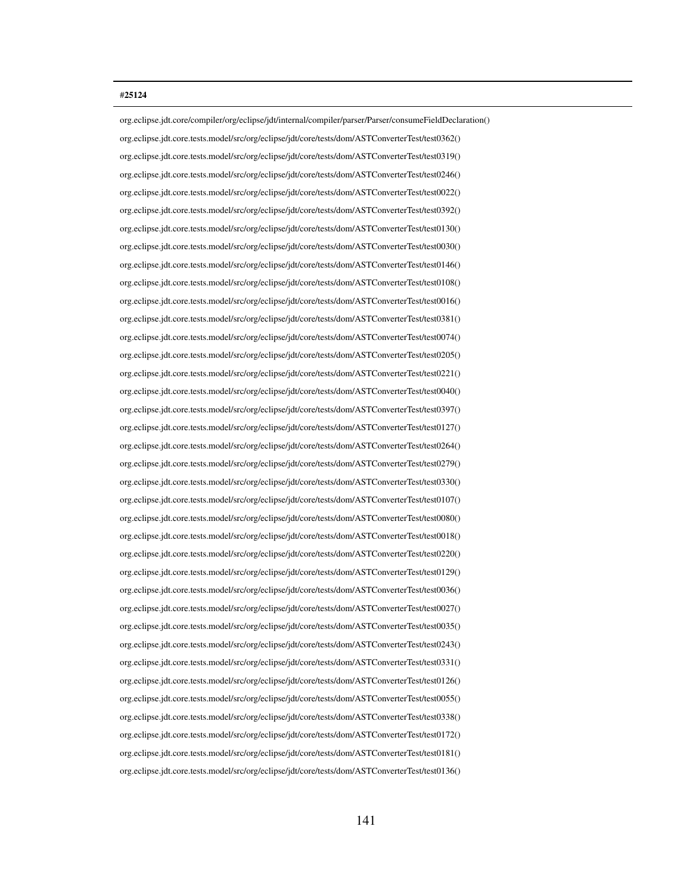## #25124

org.eclipse.jdt.core/compiler/org/eclipse/jdt/internal/compiler/parser/Parser/consumeFieldDeclaration() org.eclipse.jdt.core.tests.model/src/org/eclipse/jdt/core/tests/dom/ASTConverterTest/test0362() org.eclipse.jdt.core.tests.model/src/org/eclipse/jdt/core/tests/dom/ASTConverterTest/test0319() org.eclipse.jdt.core.tests.model/src/org/eclipse/jdt/core/tests/dom/ASTConverterTest/test0246() org.eclipse.jdt.core.tests.model/src/org/eclipse/jdt/core/tests/dom/ASTConverterTest/test0022() org.eclipse.jdt.core.tests.model/src/org/eclipse/jdt/core/tests/dom/ASTConverterTest/test0392() org.eclipse.jdt.core.tests.model/src/org/eclipse/jdt/core/tests/dom/ASTConverterTest/test0130() org.eclipse.jdt.core.tests.model/src/org/eclipse/jdt/core/tests/dom/ASTConverterTest/test0030() org.eclipse.jdt.core.tests.model/src/org/eclipse/jdt/core/tests/dom/ASTConverterTest/test0146() org.eclipse.jdt.core.tests.model/src/org/eclipse/jdt/core/tests/dom/ASTConverterTest/test0108() org.eclipse.jdt.core.tests.model/src/org/eclipse/jdt/core/tests/dom/ASTConverterTest/test0016() org.eclipse.jdt.core.tests.model/src/org/eclipse/jdt/core/tests/dom/ASTConverterTest/test0381() org.eclipse.jdt.core.tests.model/src/org/eclipse/jdt/core/tests/dom/ASTConverterTest/test0074() org.eclipse.jdt.core.tests.model/src/org/eclipse/jdt/core/tests/dom/ASTConverterTest/test0205() org.eclipse.jdt.core.tests.model/src/org/eclipse/jdt/core/tests/dom/ASTConverterTest/test0221() org.eclipse.jdt.core.tests.model/src/org/eclipse/jdt/core/tests/dom/ASTConverterTest/test0040() org.eclipse.jdt.core.tests.model/src/org/eclipse/jdt/core/tests/dom/ASTConverterTest/test0397() org.eclipse.jdt.core.tests.model/src/org/eclipse/jdt/core/tests/dom/ASTConverterTest/test0127() org.eclipse.jdt.core.tests.model/src/org/eclipse/jdt/core/tests/dom/ASTConverterTest/test0264() org.eclipse.jdt.core.tests.model/src/org/eclipse/jdt/core/tests/dom/ASTConverterTest/test0279() org.eclipse.jdt.core.tests.model/src/org/eclipse/jdt/core/tests/dom/ASTConverterTest/test0330() org.eclipse.jdt.core.tests.model/src/org/eclipse/jdt/core/tests/dom/ASTConverterTest/test0107() org.eclipse.jdt.core.tests.model/src/org/eclipse/jdt/core/tests/dom/ASTConverterTest/test0080() org.eclipse.jdt.core.tests.model/src/org/eclipse/jdt/core/tests/dom/ASTConverterTest/test0018() org.eclipse.jdt.core.tests.model/src/org/eclipse/jdt/core/tests/dom/ASTConverterTest/test0220() org.eclipse.jdt.core.tests.model/src/org/eclipse/jdt/core/tests/dom/ASTConverterTest/test0129() org.eclipse.jdt.core.tests.model/src/org/eclipse/jdt/core/tests/dom/ASTConverterTest/test0036() org.eclipse.jdt.core.tests.model/src/org/eclipse/jdt/core/tests/dom/ASTConverterTest/test0027() org.eclipse.jdt.core.tests.model/src/org/eclipse/jdt/core/tests/dom/ASTConverterTest/test0035() org.eclipse.jdt.core.tests.model/src/org/eclipse/jdt/core/tests/dom/ASTConverterTest/test0243() org.eclipse.jdt.core.tests.model/src/org/eclipse/jdt/core/tests/dom/ASTConverterTest/test0331() org.eclipse.jdt.core.tests.model/src/org/eclipse/jdt/core/tests/dom/ASTConverterTest/test0126() org.eclipse.jdt.core.tests.model/src/org/eclipse/jdt/core/tests/dom/ASTConverterTest/test0055() org.eclipse.jdt.core.tests.model/src/org/eclipse/jdt/core/tests/dom/ASTConverterTest/test0338() org.eclipse.jdt.core.tests.model/src/org/eclipse/jdt/core/tests/dom/ASTConverterTest/test0172() org.eclipse.jdt.core.tests.model/src/org/eclipse/jdt/core/tests/dom/ASTConverterTest/test0181() org.eclipse.jdt.core.tests.model/src/org/eclipse/jdt/core/tests/dom/ASTConverterTest/test0136()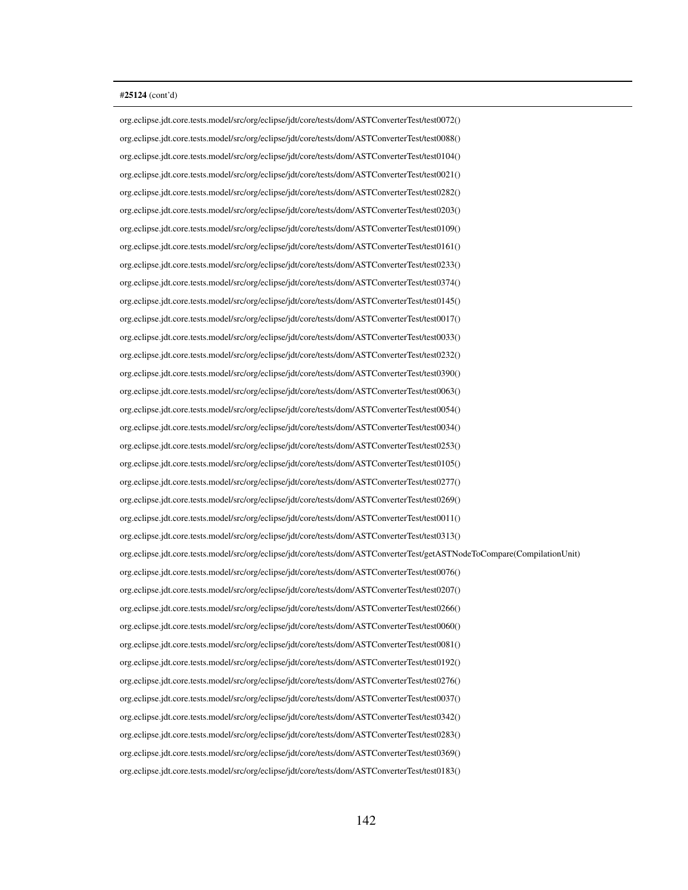org.eclipse.jdt.core.tests.model/src/org/eclipse/jdt/core/tests/dom/ASTConverterTest/test0072() org.eclipse.jdt.core.tests.model/src/org/eclipse/jdt/core/tests/dom/ASTConverterTest/test0088() org.eclipse.jdt.core.tests.model/src/org/eclipse/jdt/core/tests/dom/ASTConverterTest/test0104() org.eclipse.jdt.core.tests.model/src/org/eclipse/jdt/core/tests/dom/ASTConverterTest/test0021() org.eclipse.jdt.core.tests.model/src/org/eclipse/jdt/core/tests/dom/ASTConverterTest/test0282() org.eclipse.jdt.core.tests.model/src/org/eclipse/jdt/core/tests/dom/ASTConverterTest/test0203() org.eclipse.jdt.core.tests.model/src/org/eclipse/jdt/core/tests/dom/ASTConverterTest/test0109() org.eclipse.jdt.core.tests.model/src/org/eclipse/jdt/core/tests/dom/ASTConverterTest/test0161() org.eclipse.jdt.core.tests.model/src/org/eclipse/jdt/core/tests/dom/ASTConverterTest/test0233() org.eclipse.jdt.core.tests.model/src/org/eclipse/jdt/core/tests/dom/ASTConverterTest/test0374() org.eclipse.jdt.core.tests.model/src/org/eclipse/jdt/core/tests/dom/ASTConverterTest/test0145() org.eclipse.jdt.core.tests.model/src/org/eclipse/jdt/core/tests/dom/ASTConverterTest/test0017() org.eclipse.jdt.core.tests.model/src/org/eclipse/jdt/core/tests/dom/ASTConverterTest/test0033() org.eclipse.jdt.core.tests.model/src/org/eclipse/jdt/core/tests/dom/ASTConverterTest/test0232() org.eclipse.jdt.core.tests.model/src/org/eclipse/jdt/core/tests/dom/ASTConverterTest/test0390() org.eclipse.jdt.core.tests.model/src/org/eclipse/jdt/core/tests/dom/ASTConverterTest/test0063() org.eclipse.jdt.core.tests.model/src/org/eclipse/jdt/core/tests/dom/ASTConverterTest/test0054() org.eclipse.jdt.core.tests.model/src/org/eclipse/jdt/core/tests/dom/ASTConverterTest/test0034() org.eclipse.jdt.core.tests.model/src/org/eclipse/jdt/core/tests/dom/ASTConverterTest/test0253() org.eclipse.jdt.core.tests.model/src/org/eclipse/jdt/core/tests/dom/ASTConverterTest/test0105() org.eclipse.jdt.core.tests.model/src/org/eclipse/jdt/core/tests/dom/ASTConverterTest/test0277() org.eclipse.jdt.core.tests.model/src/org/eclipse/jdt/core/tests/dom/ASTConverterTest/test0269() org.eclipse.jdt.core.tests.model/src/org/eclipse/jdt/core/tests/dom/ASTConverterTest/test0011() org.eclipse.jdt.core.tests.model/src/org/eclipse/jdt/core/tests/dom/ASTConverterTest/test0313() org.eclipse.jdt.core.tests.model/src/org/eclipse/jdt/core/tests/dom/ASTConverterTest/getASTNodeToCompare(CompilationUnit) org.eclipse.jdt.core.tests.model/src/org/eclipse/jdt/core/tests/dom/ASTConverterTest/test0076() org.eclipse.jdt.core.tests.model/src/org/eclipse/jdt/core/tests/dom/ASTConverterTest/test0207() org.eclipse.jdt.core.tests.model/src/org/eclipse/jdt/core/tests/dom/ASTConverterTest/test0266() org.eclipse.jdt.core.tests.model/src/org/eclipse/jdt/core/tests/dom/ASTConverterTest/test0060() org.eclipse.jdt.core.tests.model/src/org/eclipse/jdt/core/tests/dom/ASTConverterTest/test0081() org.eclipse.jdt.core.tests.model/src/org/eclipse/jdt/core/tests/dom/ASTConverterTest/test0192() org.eclipse.jdt.core.tests.model/src/org/eclipse/jdt/core/tests/dom/ASTConverterTest/test0276() org.eclipse.jdt.core.tests.model/src/org/eclipse/jdt/core/tests/dom/ASTConverterTest/test0037() org.eclipse.jdt.core.tests.model/src/org/eclipse/jdt/core/tests/dom/ASTConverterTest/test0342() org.eclipse.jdt.core.tests.model/src/org/eclipse/jdt/core/tests/dom/ASTConverterTest/test0283() org.eclipse.jdt.core.tests.model/src/org/eclipse/jdt/core/tests/dom/ASTConverterTest/test0369() org.eclipse.jdt.core.tests.model/src/org/eclipse/jdt/core/tests/dom/ASTConverterTest/test0183()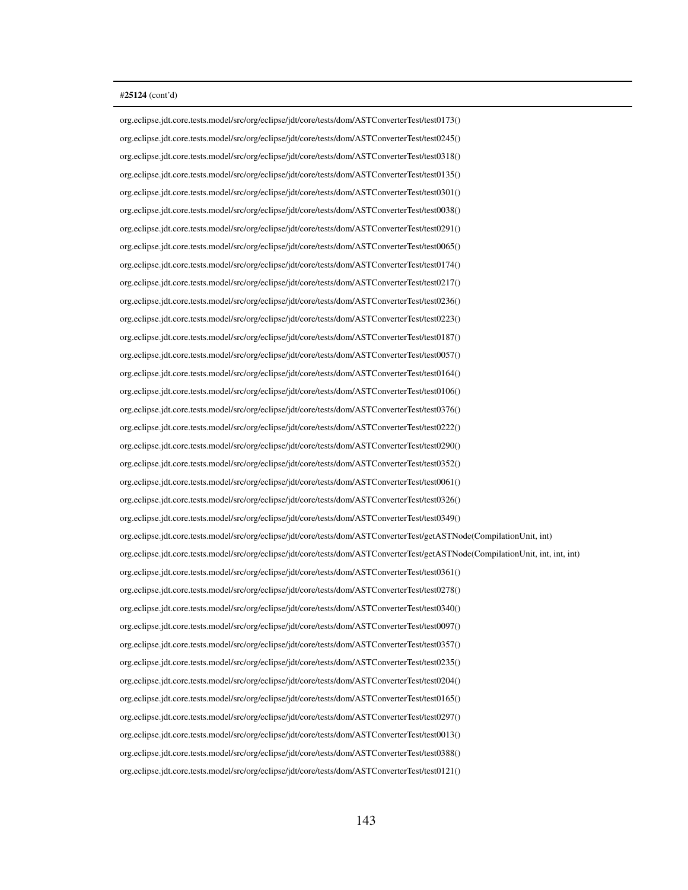org.eclipse.jdt.core.tests.model/src/org/eclipse/jdt/core/tests/dom/ASTConverterTest/test0173() org.eclipse.jdt.core.tests.model/src/org/eclipse/jdt/core/tests/dom/ASTConverterTest/test0245() org.eclipse.jdt.core.tests.model/src/org/eclipse/jdt/core/tests/dom/ASTConverterTest/test0318() org.eclipse.jdt.core.tests.model/src/org/eclipse/jdt/core/tests/dom/ASTConverterTest/test0135() org.eclipse.jdt.core.tests.model/src/org/eclipse/jdt/core/tests/dom/ASTConverterTest/test0301() org.eclipse.jdt.core.tests.model/src/org/eclipse/jdt/core/tests/dom/ASTConverterTest/test0038() org.eclipse.jdt.core.tests.model/src/org/eclipse/jdt/core/tests/dom/ASTConverterTest/test0291() org.eclipse.jdt.core.tests.model/src/org/eclipse/jdt/core/tests/dom/ASTConverterTest/test0065() org.eclipse.jdt.core.tests.model/src/org/eclipse/jdt/core/tests/dom/ASTConverterTest/test0174() org.eclipse.jdt.core.tests.model/src/org/eclipse/jdt/core/tests/dom/ASTConverterTest/test0217() org.eclipse.jdt.core.tests.model/src/org/eclipse/jdt/core/tests/dom/ASTConverterTest/test0236() org.eclipse.jdt.core.tests.model/src/org/eclipse/jdt/core/tests/dom/ASTConverterTest/test0223() org.eclipse.jdt.core.tests.model/src/org/eclipse/jdt/core/tests/dom/ASTConverterTest/test0187() org.eclipse.jdt.core.tests.model/src/org/eclipse/jdt/core/tests/dom/ASTConverterTest/test0057() org.eclipse.jdt.core.tests.model/src/org/eclipse/jdt/core/tests/dom/ASTConverterTest/test0164() org.eclipse.jdt.core.tests.model/src/org/eclipse/jdt/core/tests/dom/ASTConverterTest/test0106() org.eclipse.jdt.core.tests.model/src/org/eclipse/jdt/core/tests/dom/ASTConverterTest/test0376() org.eclipse.jdt.core.tests.model/src/org/eclipse/jdt/core/tests/dom/ASTConverterTest/test0222() org.eclipse.jdt.core.tests.model/src/org/eclipse/jdt/core/tests/dom/ASTConverterTest/test0290() org.eclipse.jdt.core.tests.model/src/org/eclipse/jdt/core/tests/dom/ASTConverterTest/test0352() org.eclipse.jdt.core.tests.model/src/org/eclipse/jdt/core/tests/dom/ASTConverterTest/test0061() org.eclipse.jdt.core.tests.model/src/org/eclipse/jdt/core/tests/dom/ASTConverterTest/test0326() org.eclipse.jdt.core.tests.model/src/org/eclipse/jdt/core/tests/dom/ASTConverterTest/test0349() org.eclipse.jdt.core.tests.model/src/org/eclipse/jdt/core/tests/dom/ASTConverterTest/getASTNode(CompilationUnit, int) org.eclipse.jdt.core.tests.model/src/org/eclipse/jdt/core/tests/dom/ASTConverterTest/getASTNode(CompilationUnit, int, int, int) org.eclipse.jdt.core.tests.model/src/org/eclipse/jdt/core/tests/dom/ASTConverterTest/test0361() org.eclipse.jdt.core.tests.model/src/org/eclipse/jdt/core/tests/dom/ASTConverterTest/test0278() org.eclipse.jdt.core.tests.model/src/org/eclipse/jdt/core/tests/dom/ASTConverterTest/test0340() org.eclipse.jdt.core.tests.model/src/org/eclipse/jdt/core/tests/dom/ASTConverterTest/test0097() org.eclipse.jdt.core.tests.model/src/org/eclipse/jdt/core/tests/dom/ASTConverterTest/test0357() org.eclipse.jdt.core.tests.model/src/org/eclipse/jdt/core/tests/dom/ASTConverterTest/test0235() org.eclipse.jdt.core.tests.model/src/org/eclipse/jdt/core/tests/dom/ASTConverterTest/test0204() org.eclipse.jdt.core.tests.model/src/org/eclipse/jdt/core/tests/dom/ASTConverterTest/test0165() org.eclipse.jdt.core.tests.model/src/org/eclipse/jdt/core/tests/dom/ASTConverterTest/test0297() org.eclipse.jdt.core.tests.model/src/org/eclipse/jdt/core/tests/dom/ASTConverterTest/test0013() org.eclipse.jdt.core.tests.model/src/org/eclipse/jdt/core/tests/dom/ASTConverterTest/test0388() org.eclipse.jdt.core.tests.model/src/org/eclipse/jdt/core/tests/dom/ASTConverterTest/test0121()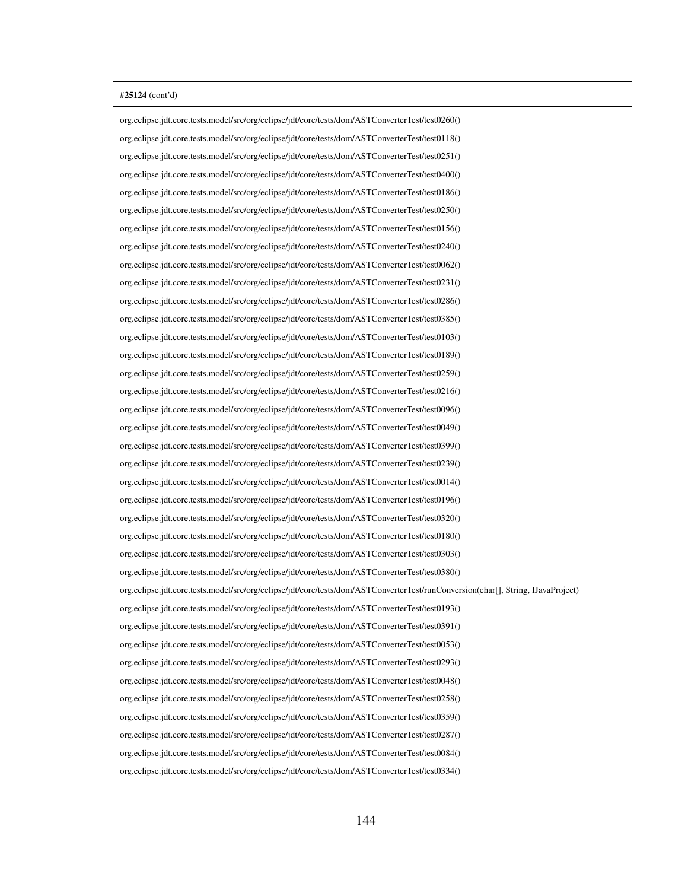org.eclipse.jdt.core.tests.model/src/org/eclipse/jdt/core/tests/dom/ASTConverterTest/test0260() org.eclipse.jdt.core.tests.model/src/org/eclipse/jdt/core/tests/dom/ASTConverterTest/test0118() org.eclipse.jdt.core.tests.model/src/org/eclipse/jdt/core/tests/dom/ASTConverterTest/test0251() org.eclipse.jdt.core.tests.model/src/org/eclipse/jdt/core/tests/dom/ASTConverterTest/test0400() org.eclipse.jdt.core.tests.model/src/org/eclipse/jdt/core/tests/dom/ASTConverterTest/test0186() org.eclipse.jdt.core.tests.model/src/org/eclipse/jdt/core/tests/dom/ASTConverterTest/test0250() org.eclipse.jdt.core.tests.model/src/org/eclipse/jdt/core/tests/dom/ASTConverterTest/test0156() org.eclipse.jdt.core.tests.model/src/org/eclipse/jdt/core/tests/dom/ASTConverterTest/test0240() org.eclipse.jdt.core.tests.model/src/org/eclipse/jdt/core/tests/dom/ASTConverterTest/test0062() org.eclipse.jdt.core.tests.model/src/org/eclipse/jdt/core/tests/dom/ASTConverterTest/test0231() org.eclipse.jdt.core.tests.model/src/org/eclipse/jdt/core/tests/dom/ASTConverterTest/test0286() org.eclipse.jdt.core.tests.model/src/org/eclipse/jdt/core/tests/dom/ASTConverterTest/test0385() org.eclipse.jdt.core.tests.model/src/org/eclipse/jdt/core/tests/dom/ASTConverterTest/test0103() org.eclipse.jdt.core.tests.model/src/org/eclipse/jdt/core/tests/dom/ASTConverterTest/test0189() org.eclipse.jdt.core.tests.model/src/org/eclipse/jdt/core/tests/dom/ASTConverterTest/test0259() org.eclipse.jdt.core.tests.model/src/org/eclipse/jdt/core/tests/dom/ASTConverterTest/test0216() org.eclipse.jdt.core.tests.model/src/org/eclipse/jdt/core/tests/dom/ASTConverterTest/test0096() org.eclipse.jdt.core.tests.model/src/org/eclipse/jdt/core/tests/dom/ASTConverterTest/test0049() org.eclipse.jdt.core.tests.model/src/org/eclipse/jdt/core/tests/dom/ASTConverterTest/test0399() org.eclipse.jdt.core.tests.model/src/org/eclipse/jdt/core/tests/dom/ASTConverterTest/test0239() org.eclipse.jdt.core.tests.model/src/org/eclipse/jdt/core/tests/dom/ASTConverterTest/test0014() org.eclipse.jdt.core.tests.model/src/org/eclipse/jdt/core/tests/dom/ASTConverterTest/test0196() org.eclipse.jdt.core.tests.model/src/org/eclipse/jdt/core/tests/dom/ASTConverterTest/test0320() org.eclipse.jdt.core.tests.model/src/org/eclipse/jdt/core/tests/dom/ASTConverterTest/test0180() org.eclipse.jdt.core.tests.model/src/org/eclipse/jdt/core/tests/dom/ASTConverterTest/test0303() org.eclipse.jdt.core.tests.model/src/org/eclipse/jdt/core/tests/dom/ASTConverterTest/test0380() org.eclipse.jdt.core.tests.model/src/org/eclipse/jdt/core/tests/dom/ASTConverterTest/runConversion(char[], String, IJavaProject) org.eclipse.jdt.core.tests.model/src/org/eclipse/jdt/core/tests/dom/ASTConverterTest/test0193() org.eclipse.jdt.core.tests.model/src/org/eclipse/jdt/core/tests/dom/ASTConverterTest/test0391() org.eclipse.jdt.core.tests.model/src/org/eclipse/jdt/core/tests/dom/ASTConverterTest/test0053() org.eclipse.jdt.core.tests.model/src/org/eclipse/jdt/core/tests/dom/ASTConverterTest/test0293() org.eclipse.jdt.core.tests.model/src/org/eclipse/jdt/core/tests/dom/ASTConverterTest/test0048() org.eclipse.jdt.core.tests.model/src/org/eclipse/jdt/core/tests/dom/ASTConverterTest/test0258() org.eclipse.jdt.core.tests.model/src/org/eclipse/jdt/core/tests/dom/ASTConverterTest/test0359() org.eclipse.jdt.core.tests.model/src/org/eclipse/jdt/core/tests/dom/ASTConverterTest/test0287() org.eclipse.jdt.core.tests.model/src/org/eclipse/jdt/core/tests/dom/ASTConverterTest/test0084() org.eclipse.jdt.core.tests.model/src/org/eclipse/jdt/core/tests/dom/ASTConverterTest/test0334()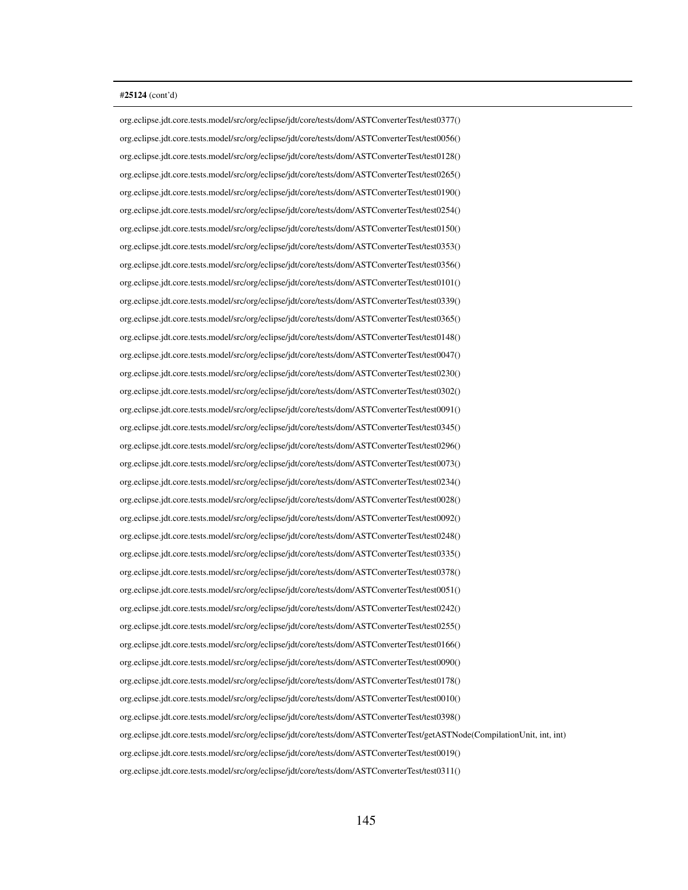org.eclipse.jdt.core.tests.model/src/org/eclipse/jdt/core/tests/dom/ASTConverterTest/test0377() org.eclipse.jdt.core.tests.model/src/org/eclipse/jdt/core/tests/dom/ASTConverterTest/test0056() org.eclipse.jdt.core.tests.model/src/org/eclipse/jdt/core/tests/dom/ASTConverterTest/test0128() org.eclipse.jdt.core.tests.model/src/org/eclipse/jdt/core/tests/dom/ASTConverterTest/test0265() org.eclipse.jdt.core.tests.model/src/org/eclipse/jdt/core/tests/dom/ASTConverterTest/test0190() org.eclipse.jdt.core.tests.model/src/org/eclipse/jdt/core/tests/dom/ASTConverterTest/test0254() org.eclipse.jdt.core.tests.model/src/org/eclipse/jdt/core/tests/dom/ASTConverterTest/test0150() org.eclipse.jdt.core.tests.model/src/org/eclipse/jdt/core/tests/dom/ASTConverterTest/test0353() org.eclipse.jdt.core.tests.model/src/org/eclipse/jdt/core/tests/dom/ASTConverterTest/test0356() org.eclipse.jdt.core.tests.model/src/org/eclipse/jdt/core/tests/dom/ASTConverterTest/test0101() org.eclipse.jdt.core.tests.model/src/org/eclipse/jdt/core/tests/dom/ASTConverterTest/test0339() org.eclipse.jdt.core.tests.model/src/org/eclipse/jdt/core/tests/dom/ASTConverterTest/test0365() org.eclipse.jdt.core.tests.model/src/org/eclipse/jdt/core/tests/dom/ASTConverterTest/test0148() org.eclipse.jdt.core.tests.model/src/org/eclipse/jdt/core/tests/dom/ASTConverterTest/test0047() org.eclipse.jdt.core.tests.model/src/org/eclipse/jdt/core/tests/dom/ASTConverterTest/test0230() org.eclipse.jdt.core.tests.model/src/org/eclipse/jdt/core/tests/dom/ASTConverterTest/test0302() org.eclipse.jdt.core.tests.model/src/org/eclipse/jdt/core/tests/dom/ASTConverterTest/test0091() org.eclipse.jdt.core.tests.model/src/org/eclipse/jdt/core/tests/dom/ASTConverterTest/test0345() org.eclipse.jdt.core.tests.model/src/org/eclipse/jdt/core/tests/dom/ASTConverterTest/test0296() org.eclipse.jdt.core.tests.model/src/org/eclipse/jdt/core/tests/dom/ASTConverterTest/test0073() org.eclipse.jdt.core.tests.model/src/org/eclipse/jdt/core/tests/dom/ASTConverterTest/test0234() org.eclipse.jdt.core.tests.model/src/org/eclipse/jdt/core/tests/dom/ASTConverterTest/test0028() org.eclipse.jdt.core.tests.model/src/org/eclipse/jdt/core/tests/dom/ASTConverterTest/test0092() org.eclipse.jdt.core.tests.model/src/org/eclipse/jdt/core/tests/dom/ASTConverterTest/test0248() org.eclipse.jdt.core.tests.model/src/org/eclipse/jdt/core/tests/dom/ASTConverterTest/test0335() org.eclipse.jdt.core.tests.model/src/org/eclipse/jdt/core/tests/dom/ASTConverterTest/test0378() org.eclipse.jdt.core.tests.model/src/org/eclipse/jdt/core/tests/dom/ASTConverterTest/test0051() org.eclipse.jdt.core.tests.model/src/org/eclipse/jdt/core/tests/dom/ASTConverterTest/test0242() org.eclipse.jdt.core.tests.model/src/org/eclipse/jdt/core/tests/dom/ASTConverterTest/test0255() org.eclipse.jdt.core.tests.model/src/org/eclipse/jdt/core/tests/dom/ASTConverterTest/test0166() org.eclipse.jdt.core.tests.model/src/org/eclipse/jdt/core/tests/dom/ASTConverterTest/test0090() org.eclipse.jdt.core.tests.model/src/org/eclipse/jdt/core/tests/dom/ASTConverterTest/test0178() org.eclipse.jdt.core.tests.model/src/org/eclipse/jdt/core/tests/dom/ASTConverterTest/test0010() org.eclipse.jdt.core.tests.model/src/org/eclipse/jdt/core/tests/dom/ASTConverterTest/test0398() org.eclipse.jdt.core.tests.model/src/org/eclipse/jdt/core/tests/dom/ASTConverterTest/getASTNode(CompilationUnit, int, int) org.eclipse.jdt.core.tests.model/src/org/eclipse/jdt/core/tests/dom/ASTConverterTest/test0019() org.eclipse.jdt.core.tests.model/src/org/eclipse/jdt/core/tests/dom/ASTConverterTest/test0311()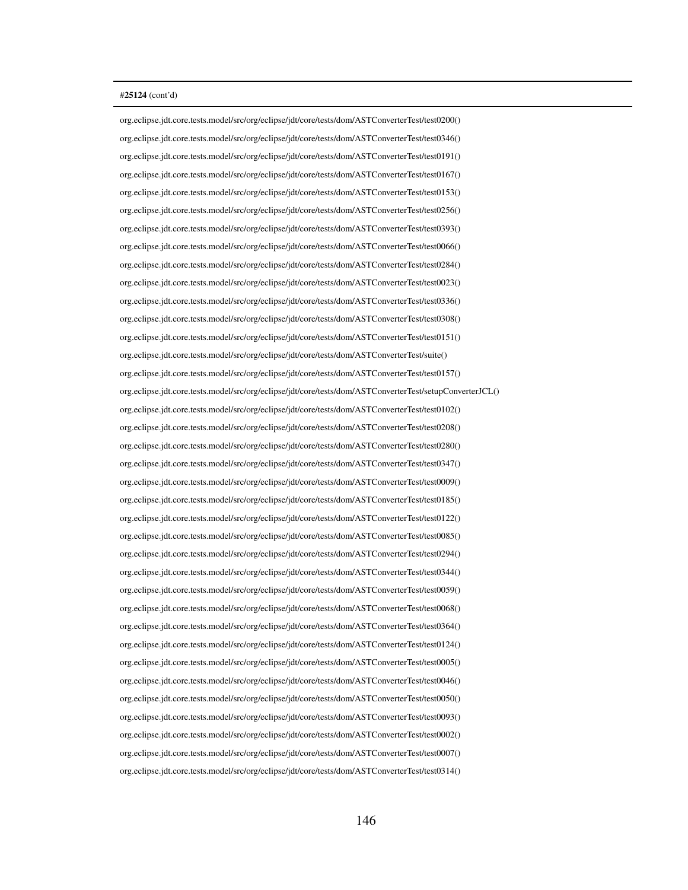org.eclipse.jdt.core.tests.model/src/org/eclipse/jdt/core/tests/dom/ASTConverterTest/test0200() org.eclipse.jdt.core.tests.model/src/org/eclipse/jdt/core/tests/dom/ASTConverterTest/test0346() org.eclipse.jdt.core.tests.model/src/org/eclipse/jdt/core/tests/dom/ASTConverterTest/test0191() org.eclipse.jdt.core.tests.model/src/org/eclipse/jdt/core/tests/dom/ASTConverterTest/test0167() org.eclipse.jdt.core.tests.model/src/org/eclipse/jdt/core/tests/dom/ASTConverterTest/test0153() org.eclipse.jdt.core.tests.model/src/org/eclipse/jdt/core/tests/dom/ASTConverterTest/test0256() org.eclipse.jdt.core.tests.model/src/org/eclipse/jdt/core/tests/dom/ASTConverterTest/test0393() org.eclipse.jdt.core.tests.model/src/org/eclipse/jdt/core/tests/dom/ASTConverterTest/test0066() org.eclipse.jdt.core.tests.model/src/org/eclipse/jdt/core/tests/dom/ASTConverterTest/test0284() org.eclipse.jdt.core.tests.model/src/org/eclipse/jdt/core/tests/dom/ASTConverterTest/test0023() org.eclipse.jdt.core.tests.model/src/org/eclipse/jdt/core/tests/dom/ASTConverterTest/test0336() org.eclipse.jdt.core.tests.model/src/org/eclipse/jdt/core/tests/dom/ASTConverterTest/test0308() org.eclipse.jdt.core.tests.model/src/org/eclipse/jdt/core/tests/dom/ASTConverterTest/test0151() org.eclipse.jdt.core.tests.model/src/org/eclipse/jdt/core/tests/dom/ASTConverterTest/suite() org.eclipse.jdt.core.tests.model/src/org/eclipse/jdt/core/tests/dom/ASTConverterTest/test0157() org.eclipse.jdt.core.tests.model/src/org/eclipse/jdt/core/tests/dom/ASTConverterTest/setupConverterJCL() org.eclipse.jdt.core.tests.model/src/org/eclipse/jdt/core/tests/dom/ASTConverterTest/test0102() org.eclipse.jdt.core.tests.model/src/org/eclipse/jdt/core/tests/dom/ASTConverterTest/test0208() org.eclipse.jdt.core.tests.model/src/org/eclipse/jdt/core/tests/dom/ASTConverterTest/test0280() org.eclipse.jdt.core.tests.model/src/org/eclipse/jdt/core/tests/dom/ASTConverterTest/test0347() org.eclipse.jdt.core.tests.model/src/org/eclipse/jdt/core/tests/dom/ASTConverterTest/test0009() org.eclipse.jdt.core.tests.model/src/org/eclipse/jdt/core/tests/dom/ASTConverterTest/test0185() org.eclipse.jdt.core.tests.model/src/org/eclipse/jdt/core/tests/dom/ASTConverterTest/test0122() org.eclipse.jdt.core.tests.model/src/org/eclipse/jdt/core/tests/dom/ASTConverterTest/test0085() org.eclipse.jdt.core.tests.model/src/org/eclipse/jdt/core/tests/dom/ASTConverterTest/test0294() org.eclipse.jdt.core.tests.model/src/org/eclipse/jdt/core/tests/dom/ASTConverterTest/test0344() org.eclipse.jdt.core.tests.model/src/org/eclipse/jdt/core/tests/dom/ASTConverterTest/test0059() org.eclipse.jdt.core.tests.model/src/org/eclipse/jdt/core/tests/dom/ASTConverterTest/test0068() org.eclipse.jdt.core.tests.model/src/org/eclipse/jdt/core/tests/dom/ASTConverterTest/test0364() org.eclipse.jdt.core.tests.model/src/org/eclipse/jdt/core/tests/dom/ASTConverterTest/test0124() org.eclipse.jdt.core.tests.model/src/org/eclipse/jdt/core/tests/dom/ASTConverterTest/test0005() org.eclipse.jdt.core.tests.model/src/org/eclipse/jdt/core/tests/dom/ASTConverterTest/test0046() org.eclipse.jdt.core.tests.model/src/org/eclipse/jdt/core/tests/dom/ASTConverterTest/test0050() org.eclipse.jdt.core.tests.model/src/org/eclipse/jdt/core/tests/dom/ASTConverterTest/test0093() org.eclipse.jdt.core.tests.model/src/org/eclipse/jdt/core/tests/dom/ASTConverterTest/test0002() org.eclipse.jdt.core.tests.model/src/org/eclipse/jdt/core/tests/dom/ASTConverterTest/test0007() org.eclipse.jdt.core.tests.model/src/org/eclipse/jdt/core/tests/dom/ASTConverterTest/test0314()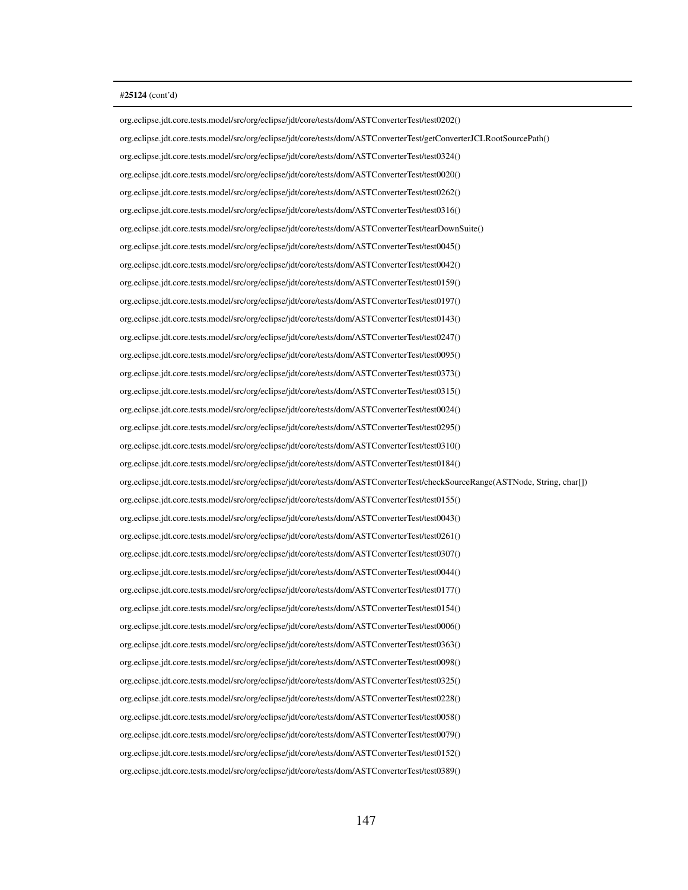org.eclipse.jdt.core.tests.model/src/org/eclipse/jdt/core/tests/dom/ASTConverterTest/test0202() org.eclipse.jdt.core.tests.model/src/org/eclipse/jdt/core/tests/dom/ASTConverterTest/getConverterJCLRootSourcePath() org.eclipse.jdt.core.tests.model/src/org/eclipse/jdt/core/tests/dom/ASTConverterTest/test0324() org.eclipse.jdt.core.tests.model/src/org/eclipse/jdt/core/tests/dom/ASTConverterTest/test0020() org.eclipse.jdt.core.tests.model/src/org/eclipse/jdt/core/tests/dom/ASTConverterTest/test0262() org.eclipse.jdt.core.tests.model/src/org/eclipse/jdt/core/tests/dom/ASTConverterTest/test0316() org.eclipse.jdt.core.tests.model/src/org/eclipse/jdt/core/tests/dom/ASTConverterTest/tearDownSuite() org.eclipse.jdt.core.tests.model/src/org/eclipse/jdt/core/tests/dom/ASTConverterTest/test0045() org.eclipse.jdt.core.tests.model/src/org/eclipse/jdt/core/tests/dom/ASTConverterTest/test0042() org.eclipse.jdt.core.tests.model/src/org/eclipse/jdt/core/tests/dom/ASTConverterTest/test0159() org.eclipse.jdt.core.tests.model/src/org/eclipse/jdt/core/tests/dom/ASTConverterTest/test0197() org.eclipse.jdt.core.tests.model/src/org/eclipse/jdt/core/tests/dom/ASTConverterTest/test0143() org.eclipse.jdt.core.tests.model/src/org/eclipse/jdt/core/tests/dom/ASTConverterTest/test0247() org.eclipse.jdt.core.tests.model/src/org/eclipse/jdt/core/tests/dom/ASTConverterTest/test0095() org.eclipse.jdt.core.tests.model/src/org/eclipse/jdt/core/tests/dom/ASTConverterTest/test0373() org.eclipse.jdt.core.tests.model/src/org/eclipse/jdt/core/tests/dom/ASTConverterTest/test0315() org.eclipse.jdt.core.tests.model/src/org/eclipse/jdt/core/tests/dom/ASTConverterTest/test0024() org.eclipse.jdt.core.tests.model/src/org/eclipse/jdt/core/tests/dom/ASTConverterTest/test0295() org.eclipse.jdt.core.tests.model/src/org/eclipse/jdt/core/tests/dom/ASTConverterTest/test0310() org.eclipse.jdt.core.tests.model/src/org/eclipse/jdt/core/tests/dom/ASTConverterTest/test0184() org.eclipse.jdt.core.tests.model/src/org/eclipse/jdt/core/tests/dom/ASTConverterTest/checkSourceRange(ASTNode, String, char[]) org.eclipse.jdt.core.tests.model/src/org/eclipse/jdt/core/tests/dom/ASTConverterTest/test0155() org.eclipse.jdt.core.tests.model/src/org/eclipse/jdt/core/tests/dom/ASTConverterTest/test0043() org.eclipse.jdt.core.tests.model/src/org/eclipse/jdt/core/tests/dom/ASTConverterTest/test0261() org.eclipse.jdt.core.tests.model/src/org/eclipse/jdt/core/tests/dom/ASTConverterTest/test0307() org.eclipse.jdt.core.tests.model/src/org/eclipse/jdt/core/tests/dom/ASTConverterTest/test0044() org.eclipse.jdt.core.tests.model/src/org/eclipse/jdt/core/tests/dom/ASTConverterTest/test0177() org.eclipse.jdt.core.tests.model/src/org/eclipse/jdt/core/tests/dom/ASTConverterTest/test0154() org.eclipse.jdt.core.tests.model/src/org/eclipse/jdt/core/tests/dom/ASTConverterTest/test0006() org.eclipse.jdt.core.tests.model/src/org/eclipse/jdt/core/tests/dom/ASTConverterTest/test0363() org.eclipse.jdt.core.tests.model/src/org/eclipse/jdt/core/tests/dom/ASTConverterTest/test0098() org.eclipse.jdt.core.tests.model/src/org/eclipse/jdt/core/tests/dom/ASTConverterTest/test0325() org.eclipse.jdt.core.tests.model/src/org/eclipse/jdt/core/tests/dom/ASTConverterTest/test0228() org.eclipse.jdt.core.tests.model/src/org/eclipse/jdt/core/tests/dom/ASTConverterTest/test0058() org.eclipse.jdt.core.tests.model/src/org/eclipse/jdt/core/tests/dom/ASTConverterTest/test0079() org.eclipse.jdt.core.tests.model/src/org/eclipse/jdt/core/tests/dom/ASTConverterTest/test0152() org.eclipse.jdt.core.tests.model/src/org/eclipse/jdt/core/tests/dom/ASTConverterTest/test0389()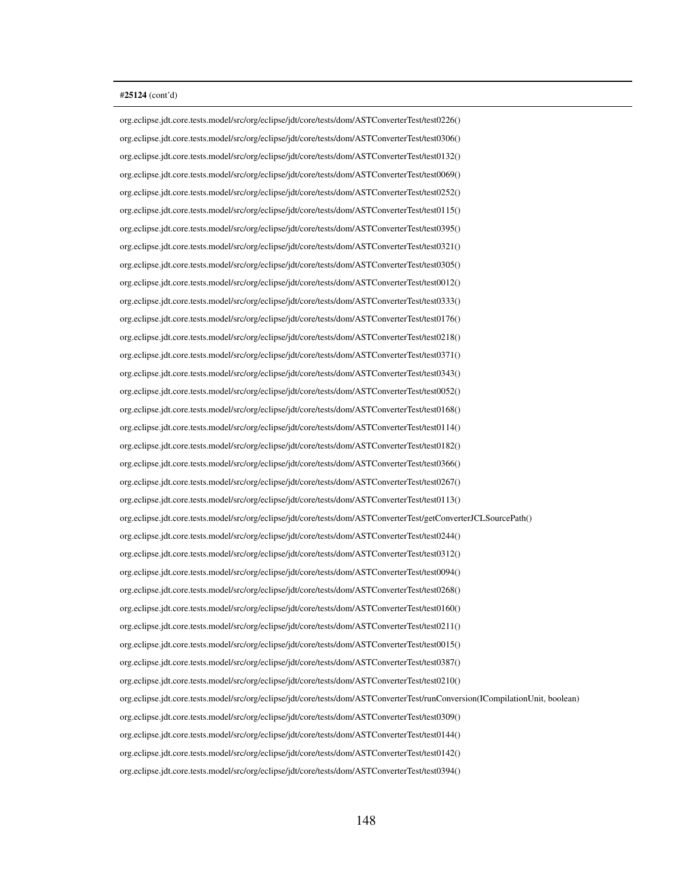org.eclipse.jdt.core.tests.model/src/org/eclipse/jdt/core/tests/dom/ASTConverterTest/test0226() org.eclipse.jdt.core.tests.model/src/org/eclipse/jdt/core/tests/dom/ASTConverterTest/test0306() org.eclipse.jdt.core.tests.model/src/org/eclipse/jdt/core/tests/dom/ASTConverterTest/test0132() org.eclipse.jdt.core.tests.model/src/org/eclipse/jdt/core/tests/dom/ASTConverterTest/test0069() org.eclipse.jdt.core.tests.model/src/org/eclipse/jdt/core/tests/dom/ASTConverterTest/test0252() org.eclipse.jdt.core.tests.model/src/org/eclipse/jdt/core/tests/dom/ASTConverterTest/test0115() org.eclipse.jdt.core.tests.model/src/org/eclipse/jdt/core/tests/dom/ASTConverterTest/test0395() org.eclipse.jdt.core.tests.model/src/org/eclipse/jdt/core/tests/dom/ASTConverterTest/test0321() org.eclipse.jdt.core.tests.model/src/org/eclipse/jdt/core/tests/dom/ASTConverterTest/test0305() org.eclipse.jdt.core.tests.model/src/org/eclipse/jdt/core/tests/dom/ASTConverterTest/test0012() org.eclipse.jdt.core.tests.model/src/org/eclipse/jdt/core/tests/dom/ASTConverterTest/test0333() org.eclipse.jdt.core.tests.model/src/org/eclipse/jdt/core/tests/dom/ASTConverterTest/test0176() org.eclipse.jdt.core.tests.model/src/org/eclipse/jdt/core/tests/dom/ASTConverterTest/test0218() org.eclipse.jdt.core.tests.model/src/org/eclipse/jdt/core/tests/dom/ASTConverterTest/test0371() org.eclipse.jdt.core.tests.model/src/org/eclipse/jdt/core/tests/dom/ASTConverterTest/test0343() org.eclipse.jdt.core.tests.model/src/org/eclipse/jdt/core/tests/dom/ASTConverterTest/test0052() org.eclipse.jdt.core.tests.model/src/org/eclipse/jdt/core/tests/dom/ASTConverterTest/test0168() org.eclipse.jdt.core.tests.model/src/org/eclipse/jdt/core/tests/dom/ASTConverterTest/test0114() org.eclipse.jdt.core.tests.model/src/org/eclipse/jdt/core/tests/dom/ASTConverterTest/test0182() org.eclipse.jdt.core.tests.model/src/org/eclipse/jdt/core/tests/dom/ASTConverterTest/test0366() org.eclipse.jdt.core.tests.model/src/org/eclipse/jdt/core/tests/dom/ASTConverterTest/test0267() org.eclipse.jdt.core.tests.model/src/org/eclipse/jdt/core/tests/dom/ASTConverterTest/test0113() org.eclipse.jdt.core.tests.model/src/org/eclipse/jdt/core/tests/dom/ASTConverterTest/getConverterJCLSourcePath() org.eclipse.jdt.core.tests.model/src/org/eclipse/jdt/core/tests/dom/ASTConverterTest/test0244() org.eclipse.jdt.core.tests.model/src/org/eclipse/jdt/core/tests/dom/ASTConverterTest/test0312() org.eclipse.jdt.core.tests.model/src/org/eclipse/jdt/core/tests/dom/ASTConverterTest/test0094() org.eclipse.jdt.core.tests.model/src/org/eclipse/jdt/core/tests/dom/ASTConverterTest/test0268() org.eclipse.jdt.core.tests.model/src/org/eclipse/jdt/core/tests/dom/ASTConverterTest/test0160() org.eclipse.jdt.core.tests.model/src/org/eclipse/jdt/core/tests/dom/ASTConverterTest/test0211() org.eclipse.jdt.core.tests.model/src/org/eclipse/jdt/core/tests/dom/ASTConverterTest/test0015() org.eclipse.jdt.core.tests.model/src/org/eclipse/jdt/core/tests/dom/ASTConverterTest/test0387() org.eclipse.jdt.core.tests.model/src/org/eclipse/jdt/core/tests/dom/ASTConverterTest/test0210() org.eclipse.jdt.core.tests.model/src/org/eclipse/jdt/core/tests/dom/ASTConverterTest/runConversion(ICompilationUnit, boolean) org.eclipse.jdt.core.tests.model/src/org/eclipse/jdt/core/tests/dom/ASTConverterTest/test0309() org.eclipse.jdt.core.tests.model/src/org/eclipse/jdt/core/tests/dom/ASTConverterTest/test0144() org.eclipse.jdt.core.tests.model/src/org/eclipse/jdt/core/tests/dom/ASTConverterTest/test0142() org.eclipse.jdt.core.tests.model/src/org/eclipse/jdt/core/tests/dom/ASTConverterTest/test0394()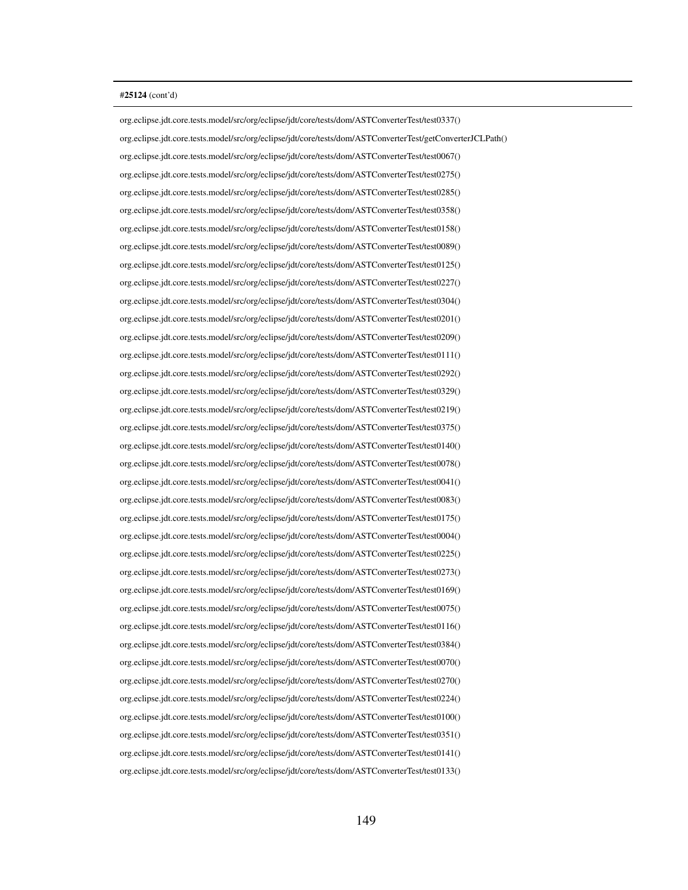org.eclipse.jdt.core.tests.model/src/org/eclipse/jdt/core/tests/dom/ASTConverterTest/test0337() org.eclipse.jdt.core.tests.model/src/org/eclipse/jdt/core/tests/dom/ASTConverterTest/getConverterJCLPath() org.eclipse.jdt.core.tests.model/src/org/eclipse/jdt/core/tests/dom/ASTConverterTest/test0067() org.eclipse.jdt.core.tests.model/src/org/eclipse/jdt/core/tests/dom/ASTConverterTest/test0275() org.eclipse.jdt.core.tests.model/src/org/eclipse/jdt/core/tests/dom/ASTConverterTest/test0285() org.eclipse.jdt.core.tests.model/src/org/eclipse/jdt/core/tests/dom/ASTConverterTest/test0358() org.eclipse.jdt.core.tests.model/src/org/eclipse/jdt/core/tests/dom/ASTConverterTest/test0158() org.eclipse.jdt.core.tests.model/src/org/eclipse/jdt/core/tests/dom/ASTConverterTest/test0089() org.eclipse.jdt.core.tests.model/src/org/eclipse/jdt/core/tests/dom/ASTConverterTest/test0125() org.eclipse.jdt.core.tests.model/src/org/eclipse/jdt/core/tests/dom/ASTConverterTest/test0227() org.eclipse.jdt.core.tests.model/src/org/eclipse/jdt/core/tests/dom/ASTConverterTest/test0304() org.eclipse.jdt.core.tests.model/src/org/eclipse/jdt/core/tests/dom/ASTConverterTest/test0201() org.eclipse.jdt.core.tests.model/src/org/eclipse/jdt/core/tests/dom/ASTConverterTest/test0209() org.eclipse.jdt.core.tests.model/src/org/eclipse/jdt/core/tests/dom/ASTConverterTest/test0111() org.eclipse.jdt.core.tests.model/src/org/eclipse/jdt/core/tests/dom/ASTConverterTest/test0292() org.eclipse.jdt.core.tests.model/src/org/eclipse/jdt/core/tests/dom/ASTConverterTest/test0329() org.eclipse.jdt.core.tests.model/src/org/eclipse/jdt/core/tests/dom/ASTConverterTest/test0219() org.eclipse.jdt.core.tests.model/src/org/eclipse/jdt/core/tests/dom/ASTConverterTest/test0375() org.eclipse.jdt.core.tests.model/src/org/eclipse/jdt/core/tests/dom/ASTConverterTest/test0140() org.eclipse.jdt.core.tests.model/src/org/eclipse/jdt/core/tests/dom/ASTConverterTest/test0078() org.eclipse.jdt.core.tests.model/src/org/eclipse/jdt/core/tests/dom/ASTConverterTest/test0041() org.eclipse.jdt.core.tests.model/src/org/eclipse/jdt/core/tests/dom/ASTConverterTest/test0083() org.eclipse.jdt.core.tests.model/src/org/eclipse/jdt/core/tests/dom/ASTConverterTest/test0175() org.eclipse.jdt.core.tests.model/src/org/eclipse/jdt/core/tests/dom/ASTConverterTest/test0004() org.eclipse.jdt.core.tests.model/src/org/eclipse/jdt/core/tests/dom/ASTConverterTest/test0225() org.eclipse.jdt.core.tests.model/src/org/eclipse/jdt/core/tests/dom/ASTConverterTest/test0273() org.eclipse.jdt.core.tests.model/src/org/eclipse/jdt/core/tests/dom/ASTConverterTest/test0169() org.eclipse.jdt.core.tests.model/src/org/eclipse/jdt/core/tests/dom/ASTConverterTest/test0075() org.eclipse.jdt.core.tests.model/src/org/eclipse/jdt/core/tests/dom/ASTConverterTest/test0116() org.eclipse.jdt.core.tests.model/src/org/eclipse/jdt/core/tests/dom/ASTConverterTest/test0384() org.eclipse.jdt.core.tests.model/src/org/eclipse/jdt/core/tests/dom/ASTConverterTest/test0070() org.eclipse.jdt.core.tests.model/src/org/eclipse/jdt/core/tests/dom/ASTConverterTest/test0270() org.eclipse.jdt.core.tests.model/src/org/eclipse/jdt/core/tests/dom/ASTConverterTest/test0224() org.eclipse.jdt.core.tests.model/src/org/eclipse/jdt/core/tests/dom/ASTConverterTest/test0100() org.eclipse.jdt.core.tests.model/src/org/eclipse/jdt/core/tests/dom/ASTConverterTest/test0351() org.eclipse.jdt.core.tests.model/src/org/eclipse/jdt/core/tests/dom/ASTConverterTest/test0141() org.eclipse.jdt.core.tests.model/src/org/eclipse/jdt/core/tests/dom/ASTConverterTest/test0133()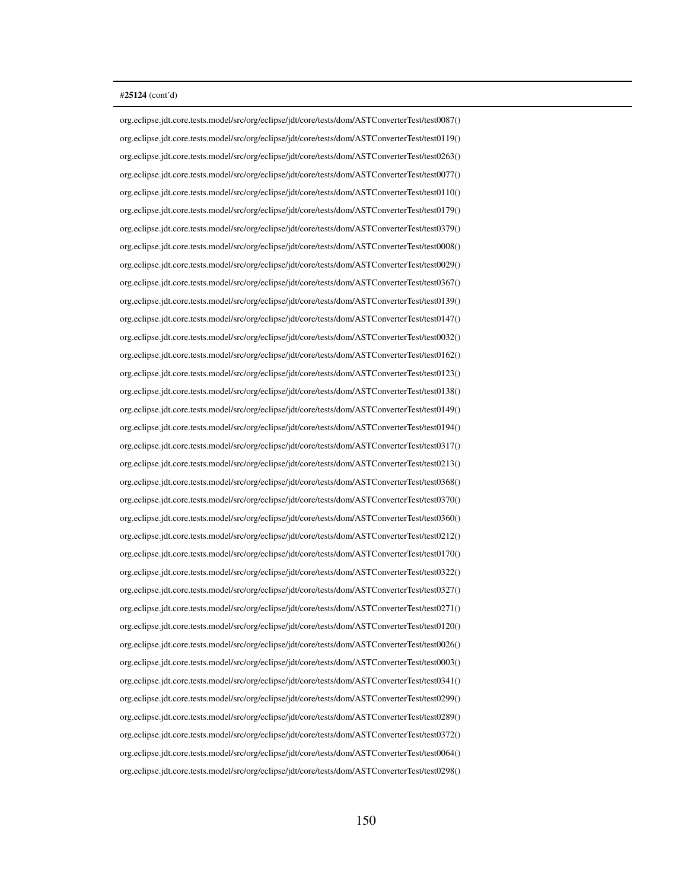org.eclipse.jdt.core.tests.model/src/org/eclipse/jdt/core/tests/dom/ASTConverterTest/test0087() org.eclipse.jdt.core.tests.model/src/org/eclipse/jdt/core/tests/dom/ASTConverterTest/test0119() org.eclipse.jdt.core.tests.model/src/org/eclipse/jdt/core/tests/dom/ASTConverterTest/test0263() org.eclipse.jdt.core.tests.model/src/org/eclipse/jdt/core/tests/dom/ASTConverterTest/test0077() org.eclipse.jdt.core.tests.model/src/org/eclipse/jdt/core/tests/dom/ASTConverterTest/test0110() org.eclipse.jdt.core.tests.model/src/org/eclipse/jdt/core/tests/dom/ASTConverterTest/test0179() org.eclipse.jdt.core.tests.model/src/org/eclipse/jdt/core/tests/dom/ASTConverterTest/test0379() org.eclipse.jdt.core.tests.model/src/org/eclipse/jdt/core/tests/dom/ASTConverterTest/test0008() org.eclipse.jdt.core.tests.model/src/org/eclipse/jdt/core/tests/dom/ASTConverterTest/test0029() org.eclipse.jdt.core.tests.model/src/org/eclipse/jdt/core/tests/dom/ASTConverterTest/test0367() org.eclipse.jdt.core.tests.model/src/org/eclipse/jdt/core/tests/dom/ASTConverterTest/test0139() org.eclipse.jdt.core.tests.model/src/org/eclipse/jdt/core/tests/dom/ASTConverterTest/test0147() org.eclipse.jdt.core.tests.model/src/org/eclipse/jdt/core/tests/dom/ASTConverterTest/test0032() org.eclipse.jdt.core.tests.model/src/org/eclipse/jdt/core/tests/dom/ASTConverterTest/test0162() org.eclipse.jdt.core.tests.model/src/org/eclipse/jdt/core/tests/dom/ASTConverterTest/test0123() org.eclipse.jdt.core.tests.model/src/org/eclipse/jdt/core/tests/dom/ASTConverterTest/test0138() org.eclipse.jdt.core.tests.model/src/org/eclipse/jdt/core/tests/dom/ASTConverterTest/test0149() org.eclipse.jdt.core.tests.model/src/org/eclipse/jdt/core/tests/dom/ASTConverterTest/test0194() org.eclipse.jdt.core.tests.model/src/org/eclipse/jdt/core/tests/dom/ASTConverterTest/test0317() org.eclipse.jdt.core.tests.model/src/org/eclipse/jdt/core/tests/dom/ASTConverterTest/test0213() org.eclipse.jdt.core.tests.model/src/org/eclipse/jdt/core/tests/dom/ASTConverterTest/test0368() org.eclipse.jdt.core.tests.model/src/org/eclipse/jdt/core/tests/dom/ASTConverterTest/test0370() org.eclipse.jdt.core.tests.model/src/org/eclipse/jdt/core/tests/dom/ASTConverterTest/test0360() org.eclipse.jdt.core.tests.model/src/org/eclipse/jdt/core/tests/dom/ASTConverterTest/test0212() org.eclipse.jdt.core.tests.model/src/org/eclipse/jdt/core/tests/dom/ASTConverterTest/test0170() org.eclipse.jdt.core.tests.model/src/org/eclipse/jdt/core/tests/dom/ASTConverterTest/test0322() org.eclipse.jdt.core.tests.model/src/org/eclipse/jdt/core/tests/dom/ASTConverterTest/test0327() org.eclipse.jdt.core.tests.model/src/org/eclipse/jdt/core/tests/dom/ASTConverterTest/test0271() org.eclipse.jdt.core.tests.model/src/org/eclipse/jdt/core/tests/dom/ASTConverterTest/test0120() org.eclipse.jdt.core.tests.model/src/org/eclipse/jdt/core/tests/dom/ASTConverterTest/test0026() org.eclipse.jdt.core.tests.model/src/org/eclipse/jdt/core/tests/dom/ASTConverterTest/test0003() org.eclipse.jdt.core.tests.model/src/org/eclipse/jdt/core/tests/dom/ASTConverterTest/test0341() org.eclipse.jdt.core.tests.model/src/org/eclipse/jdt/core/tests/dom/ASTConverterTest/test0299() org.eclipse.jdt.core.tests.model/src/org/eclipse/jdt/core/tests/dom/ASTConverterTest/test0289() org.eclipse.jdt.core.tests.model/src/org/eclipse/jdt/core/tests/dom/ASTConverterTest/test0372() org.eclipse.jdt.core.tests.model/src/org/eclipse/jdt/core/tests/dom/ASTConverterTest/test0064() org.eclipse.jdt.core.tests.model/src/org/eclipse/jdt/core/tests/dom/ASTConverterTest/test0298()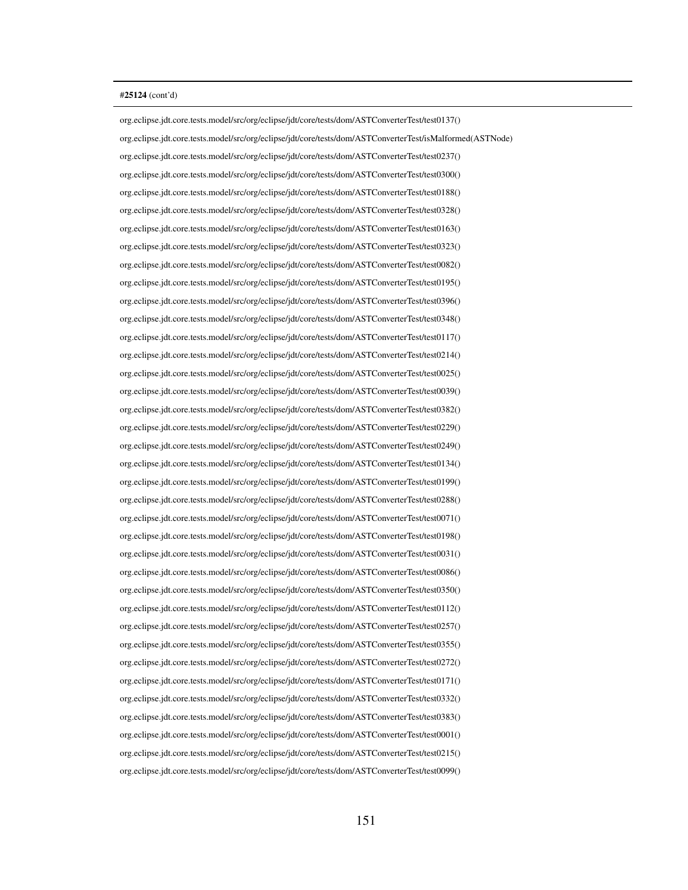org.eclipse.jdt.core.tests.model/src/org/eclipse/jdt/core/tests/dom/ASTConverterTest/test0137() org.eclipse.jdt.core.tests.model/src/org/eclipse/jdt/core/tests/dom/ASTConverterTest/isMalformed(ASTNode) org.eclipse.jdt.core.tests.model/src/org/eclipse/jdt/core/tests/dom/ASTConverterTest/test0237() org.eclipse.jdt.core.tests.model/src/org/eclipse/jdt/core/tests/dom/ASTConverterTest/test0300() org.eclipse.jdt.core.tests.model/src/org/eclipse/jdt/core/tests/dom/ASTConverterTest/test0188() org.eclipse.jdt.core.tests.model/src/org/eclipse/jdt/core/tests/dom/ASTConverterTest/test0328() org.eclipse.jdt.core.tests.model/src/org/eclipse/jdt/core/tests/dom/ASTConverterTest/test0163() org.eclipse.jdt.core.tests.model/src/org/eclipse/jdt/core/tests/dom/ASTConverterTest/test0323() org.eclipse.jdt.core.tests.model/src/org/eclipse/jdt/core/tests/dom/ASTConverterTest/test0082() org.eclipse.jdt.core.tests.model/src/org/eclipse/jdt/core/tests/dom/ASTConverterTest/test0195() org.eclipse.jdt.core.tests.model/src/org/eclipse/jdt/core/tests/dom/ASTConverterTest/test0396() org.eclipse.jdt.core.tests.model/src/org/eclipse/jdt/core/tests/dom/ASTConverterTest/test0348() org.eclipse.jdt.core.tests.model/src/org/eclipse/jdt/core/tests/dom/ASTConverterTest/test0117() org.eclipse.jdt.core.tests.model/src/org/eclipse/jdt/core/tests/dom/ASTConverterTest/test0214() org.eclipse.jdt.core.tests.model/src/org/eclipse/jdt/core/tests/dom/ASTConverterTest/test0025() org.eclipse.jdt.core.tests.model/src/org/eclipse/jdt/core/tests/dom/ASTConverterTest/test0039() org.eclipse.jdt.core.tests.model/src/org/eclipse/jdt/core/tests/dom/ASTConverterTest/test0382() org.eclipse.jdt.core.tests.model/src/org/eclipse/jdt/core/tests/dom/ASTConverterTest/test0229() org.eclipse.jdt.core.tests.model/src/org/eclipse/jdt/core/tests/dom/ASTConverterTest/test0249() org.eclipse.jdt.core.tests.model/src/org/eclipse/jdt/core/tests/dom/ASTConverterTest/test0134() org.eclipse.jdt.core.tests.model/src/org/eclipse/jdt/core/tests/dom/ASTConverterTest/test0199() org.eclipse.jdt.core.tests.model/src/org/eclipse/jdt/core/tests/dom/ASTConverterTest/test0288() org.eclipse.jdt.core.tests.model/src/org/eclipse/jdt/core/tests/dom/ASTConverterTest/test0071() org.eclipse.jdt.core.tests.model/src/org/eclipse/jdt/core/tests/dom/ASTConverterTest/test0198() org.eclipse.jdt.core.tests.model/src/org/eclipse/jdt/core/tests/dom/ASTConverterTest/test0031() org.eclipse.jdt.core.tests.model/src/org/eclipse/jdt/core/tests/dom/ASTConverterTest/test0086() org.eclipse.jdt.core.tests.model/src/org/eclipse/jdt/core/tests/dom/ASTConverterTest/test0350() org.eclipse.jdt.core.tests.model/src/org/eclipse/jdt/core/tests/dom/ASTConverterTest/test0112() org.eclipse.jdt.core.tests.model/src/org/eclipse/jdt/core/tests/dom/ASTConverterTest/test0257() org.eclipse.jdt.core.tests.model/src/org/eclipse/jdt/core/tests/dom/ASTConverterTest/test0355() org.eclipse.jdt.core.tests.model/src/org/eclipse/jdt/core/tests/dom/ASTConverterTest/test0272() org.eclipse.jdt.core.tests.model/src/org/eclipse/jdt/core/tests/dom/ASTConverterTest/test0171() org.eclipse.jdt.core.tests.model/src/org/eclipse/jdt/core/tests/dom/ASTConverterTest/test0332() org.eclipse.jdt.core.tests.model/src/org/eclipse/jdt/core/tests/dom/ASTConverterTest/test0383() org.eclipse.jdt.core.tests.model/src/org/eclipse/jdt/core/tests/dom/ASTConverterTest/test0001() org.eclipse.jdt.core.tests.model/src/org/eclipse/jdt/core/tests/dom/ASTConverterTest/test0215() org.eclipse.jdt.core.tests.model/src/org/eclipse/jdt/core/tests/dom/ASTConverterTest/test0099()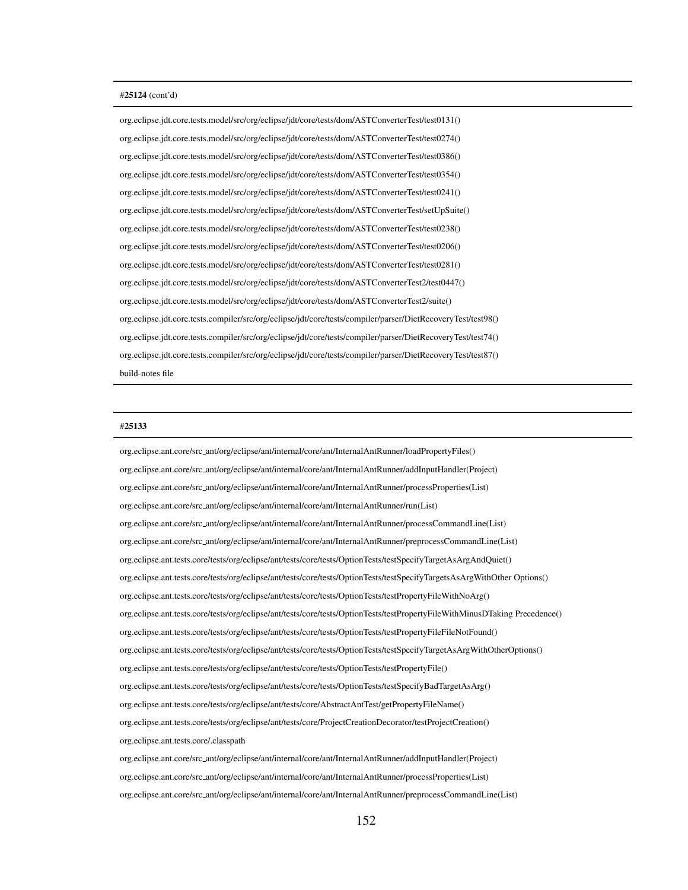org.eclipse.jdt.core.tests.model/src/org/eclipse/jdt/core/tests/dom/ASTConverterTest/test0131() org.eclipse.jdt.core.tests.model/src/org/eclipse/jdt/core/tests/dom/ASTConverterTest/test0274() org.eclipse.jdt.core.tests.model/src/org/eclipse/jdt/core/tests/dom/ASTConverterTest/test0386() org.eclipse.jdt.core.tests.model/src/org/eclipse/jdt/core/tests/dom/ASTConverterTest/test0354() org.eclipse.jdt.core.tests.model/src/org/eclipse/jdt/core/tests/dom/ASTConverterTest/test0241() org.eclipse.jdt.core.tests.model/src/org/eclipse/jdt/core/tests/dom/ASTConverterTest/setUpSuite() org.eclipse.jdt.core.tests.model/src/org/eclipse/jdt/core/tests/dom/ASTConverterTest/test0238() org.eclipse.jdt.core.tests.model/src/org/eclipse/jdt/core/tests/dom/ASTConverterTest/test0206() org.eclipse.jdt.core.tests.model/src/org/eclipse/jdt/core/tests/dom/ASTConverterTest/test0281() org.eclipse.jdt.core.tests.model/src/org/eclipse/jdt/core/tests/dom/ASTConverterTest2/test0447() org.eclipse.jdt.core.tests.model/src/org/eclipse/jdt/core/tests/dom/ASTConverterTest2/suite() org.eclipse.jdt.core.tests.compiler/src/org/eclipse/jdt/core/tests/compiler/parser/DietRecoveryTest/test98() org.eclipse.jdt.core.tests.compiler/src/org/eclipse/jdt/core/tests/compiler/parser/DietRecoveryTest/test74() org.eclipse.jdt.core.tests.compiler/src/org/eclipse/jdt/core/tests/compiler/parser/DietRecoveryTest/test87() build-notes file

## #25133

org.eclipse.ant.core/src ant/org/eclipse/ant/internal/core/ant/InternalAntRunner/loadPropertyFiles() org.eclipse.ant.core/src ant/org/eclipse/ant/internal/core/ant/InternalAntRunner/addInputHandler(Project) org.eclipse.ant.core/src ant/org/eclipse/ant/internal/core/ant/InternalAntRunner/processProperties(List) org.eclipse.ant.core/src ant/org/eclipse/ant/internal/core/ant/InternalAntRunner/run(List) org.eclipse.ant.core/src ant/org/eclipse/ant/internal/core/ant/InternalAntRunner/processCommandLine(List) org.eclipse.ant.core/src ant/org/eclipse/ant/internal/core/ant/InternalAntRunner/preprocessCommandLine(List) org.eclipse.ant.tests.core/tests/org/eclipse/ant/tests/core/tests/OptionTests/testSpecifyTargetAsArgAndQuiet() org.eclipse.ant.tests.core/tests/org/eclipse/ant/tests/core/tests/OptionTests/testSpecifyTargetsAsArgWithOther Options() org.eclipse.ant.tests.core/tests/org/eclipse/ant/tests/core/tests/OptionTests/testPropertyFileWithNoArg() org.eclipse.ant.tests.core/tests/org/eclipse/ant/tests/core/tests/OptionTests/testPropertyFileWithMinusDTaking Precedence() org.eclipse.ant.tests.core/tests/org/eclipse/ant/tests/core/tests/OptionTests/testPropertyFileFileNotFound() org.eclipse.ant.tests.core/tests/org/eclipse/ant/tests/core/tests/OptionTests/testSpecifyTargetAsArgWithOtherOptions() org.eclipse.ant.tests.core/tests/org/eclipse/ant/tests/core/tests/OptionTests/testPropertyFile() org.eclipse.ant.tests.core/tests/org/eclipse/ant/tests/core/tests/OptionTests/testSpecifyBadTargetAsArg() org.eclipse.ant.tests.core/tests/org/eclipse/ant/tests/core/AbstractAntTest/getPropertyFileName() org.eclipse.ant.tests.core/tests/org/eclipse/ant/tests/core/ProjectCreationDecorator/testProjectCreation() org.eclipse.ant.tests.core/.classpath org.eclipse.ant.core/src ant/org/eclipse/ant/internal/core/ant/InternalAntRunner/addInputHandler(Project)

org.eclipse.ant.core/src ant/org/eclipse/ant/internal/core/ant/InternalAntRunner/processProperties(List) org.eclipse.ant.core/src ant/org/eclipse/ant/internal/core/ant/InternalAntRunner/preprocessCommandLine(List)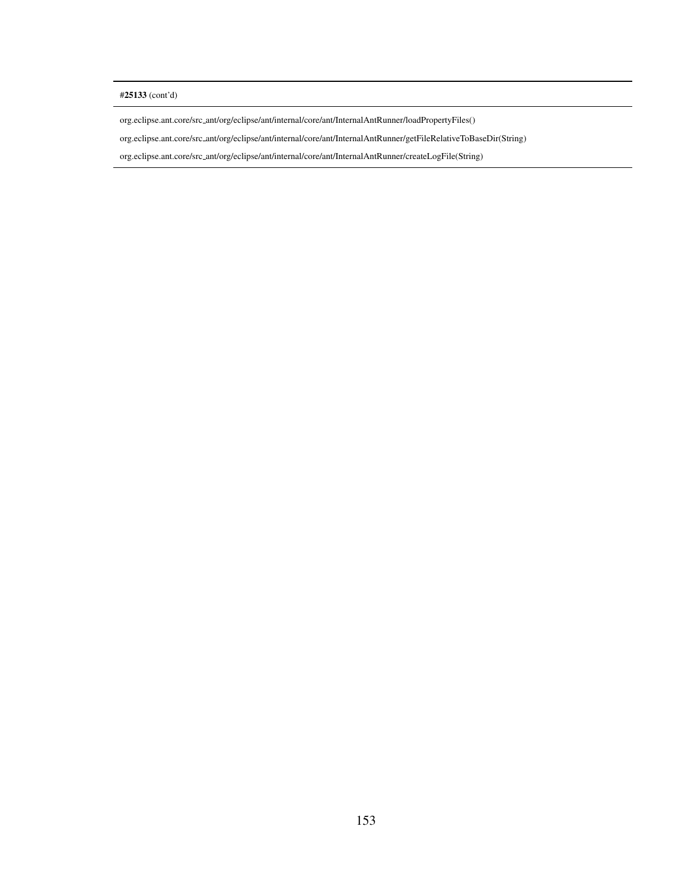# #25133 (cont'd)

org.eclipse.ant.core/src ant/org/eclipse/ant/internal/core/ant/InternalAntRunner/loadPropertyFiles()

org.eclipse.ant.core/src ant/org/eclipse/ant/internal/core/ant/InternalAntRunner/getFileRelativeToBaseDir(String)

org.eclipse.ant.core/src ant/org/eclipse/ant/internal/core/ant/InternalAntRunner/createLogFile(String)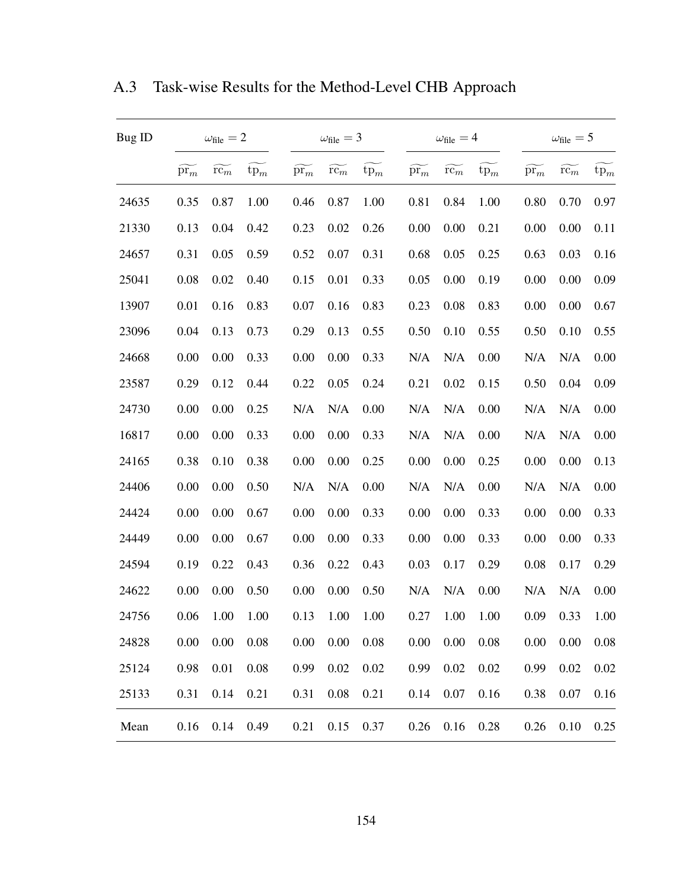| Bug ID |                 | $\omega_{\text{file}} = 2$ |        |                             | $\omega_{\text{file}} = 3$ |        |                 | $\omega_{\rm file}=4$ |        |                 | $\omega_{\text{file}} = 5$ |        |
|--------|-----------------|----------------------------|--------|-----------------------------|----------------------------|--------|-----------------|-----------------------|--------|-----------------|----------------------------|--------|
|        | $\mathrm{pr}_m$ | $rc_m$                     | $tp_m$ | $\widetilde{\mathrm{pr}_m}$ | $rc_m$                     | $tp_m$ | $\mathrm{pr}_m$ | $rc_m$                | $tp_m$ | $\mathrm{pr}_m$ | $rc_m$                     | $tp_m$ |
| 24635  | 0.35            | 0.87                       | 1.00   | 0.46                        | 0.87                       | 1.00   | 0.81            | 0.84                  | 1.00   | 0.80            | 0.70                       | 0.97   |
| 21330  | 0.13            | 0.04                       | 0.42   | 0.23                        | 0.02                       | 0.26   | 0.00            | 0.00                  | 0.21   | 0.00            | 0.00                       | 0.11   |
| 24657  | 0.31            | 0.05                       | 0.59   | 0.52                        | 0.07                       | 0.31   | 0.68            | 0.05                  | 0.25   | 0.63            | 0.03                       | 0.16   |
| 25041  | 0.08            | 0.02                       | 0.40   | 0.15                        | 0.01                       | 0.33   | 0.05            | 0.00                  | 0.19   | 0.00            | 0.00                       | 0.09   |
| 13907  | 0.01            | 0.16                       | 0.83   | 0.07                        | 0.16                       | 0.83   | 0.23            | 0.08                  | 0.83   | 0.00            | 0.00                       | 0.67   |
| 23096  | 0.04            | 0.13                       | 0.73   | 0.29                        | 0.13                       | 0.55   | 0.50            | 0.10                  | 0.55   | 0.50            | 0.10                       | 0.55   |
| 24668  | 0.00            | 0.00                       | 0.33   | 0.00                        | 0.00                       | 0.33   | N/A             | N/A                   | 0.00   | N/A             | N/A                        | 0.00   |
| 23587  | 0.29            | 0.12                       | 0.44   | 0.22                        | 0.05                       | 0.24   | 0.21            | 0.02                  | 0.15   | 0.50            | 0.04                       | 0.09   |
| 24730  | 0.00            | 0.00                       | 0.25   | N/A                         | N/A                        | 0.00   | N/A             | N/A                   | 0.00   | N/A             | N/A                        | 0.00   |
| 16817  | 0.00            | 0.00                       | 0.33   | 0.00                        | 0.00                       | 0.33   | N/A             | N/A                   | 0.00   | N/A             | N/A                        | 0.00   |
| 24165  | 0.38            | 0.10                       | 0.38   | 0.00                        | 0.00                       | 0.25   | 0.00            | 0.00                  | 0.25   | 0.00            | 0.00                       | 0.13   |
| 24406  | 0.00            | 0.00                       | 0.50   | N/A                         | N/A                        | 0.00   | N/A             | N/A                   | 0.00   | N/A             | N/A                        | 0.00   |
| 24424  | 0.00            | 0.00                       | 0.67   | 0.00                        | 0.00                       | 0.33   | 0.00            | 0.00                  | 0.33   | 0.00            | 0.00                       | 0.33   |
| 24449  | 0.00            | 0.00                       | 0.67   | 0.00                        | 0.00                       | 0.33   | 0.00            | 0.00                  | 0.33   | 0.00            | 0.00                       | 0.33   |
| 24594  | 0.19            | 0.22                       | 0.43   | 0.36                        | 0.22                       | 0.43   | 0.03            | 0.17                  | 0.29   | 0.08            | 0.17                       | 0.29   |
| 24622  | 0.00            | 0.00                       | 0.50   | 0.00                        | 0.00                       | 0.50   | N/A             | N/A                   | 0.00   | N/A             | N/A                        | 0.00   |
| 24756  | 0.06            | 1.00                       | 1.00   | 0.13                        | 1.00                       | 1.00   | 0.27            | 1.00                  | 1.00   | 0.09            | 0.33                       | 1.00   |
| 24828  | 0.00            | 0.00                       | 0.08   | 0.00                        | 0.00                       | 0.08   | 0.00            | 0.00                  | 0.08   | 0.00            | 0.00                       | 0.08   |
| 25124  | 0.98            | 0.01                       | 0.08   | 0.99                        | 0.02                       | 0.02   | 0.99            | 0.02                  | 0.02   | 0.99            | 0.02                       | 0.02   |
| 25133  | 0.31            | 0.14                       | 0.21   | 0.31                        | 0.08                       | 0.21   | 0.14            | 0.07                  | 0.16   | 0.38            | 0.07                       | 0.16   |
| Mean   | 0.16            | 0.14                       | 0.49   | 0.21                        | 0.15                       | 0.37   | 0.26            | 0.16                  | 0.28   | 0.26            | 0.10                       | 0.25   |

A.3 Task-wise Results for the Method-Level CHB Approach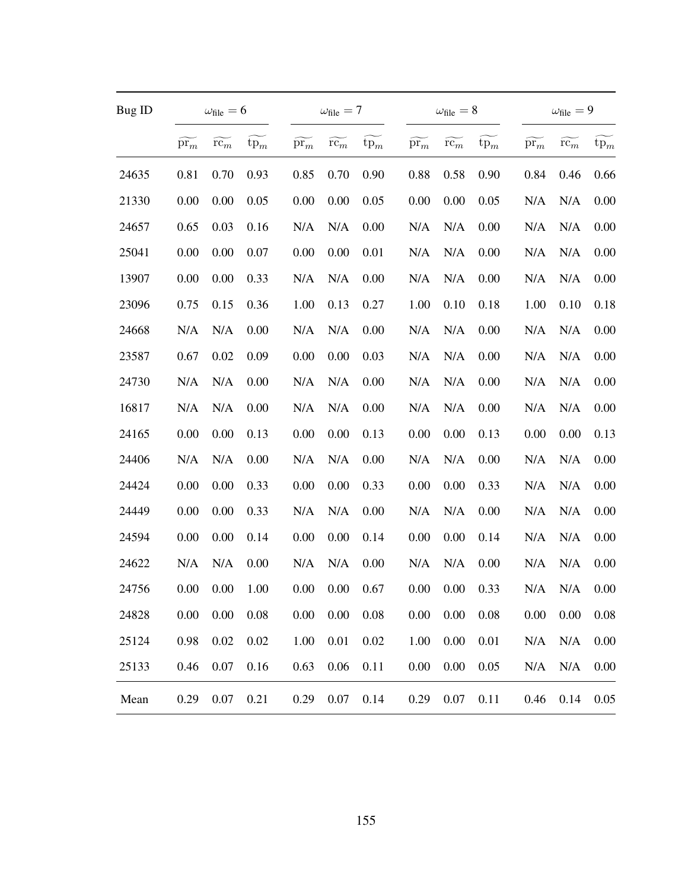| Bug ID |               | $\omega_{\text{file}} = 6$  |        |                         | $\omega_{\text{file}} = 7$ |        |                 | $\omega_{\rm file}=8$ |        |                         | $\omega_{\text{file}} = 9$ |                 |
|--------|---------------|-----------------------------|--------|-------------------------|----------------------------|--------|-----------------|-----------------------|--------|-------------------------|----------------------------|-----------------|
|        | $\text{pr}_m$ | $\widetilde{\mathrm{rc}_m}$ | $tp_m$ | $\tilde{\mathrm{pr}_m}$ | $rc_m$                     | $tp_m$ | $\mathrm{pr}_m$ | $rc_m$                | $tp_m$ | $\tilde{\mathrm{pr}}_m$ | $rc_m$                     | $\mathrm{tp}_m$ |
| 24635  | 0.81          | 0.70                        | 0.93   | 0.85                    | 0.70                       | 0.90   | 0.88            | 0.58                  | 0.90   | 0.84                    | 0.46                       | 0.66            |
| 21330  | 0.00          | 0.00                        | 0.05   | 0.00                    | 0.00                       | 0.05   | 0.00            | 0.00                  | 0.05   | N/A                     | N/A                        | 0.00            |
| 24657  | 0.65          | 0.03                        | 0.16   | N/A                     | N/A                        | 0.00   | N/A             | N/A                   | 0.00   | N/A                     | N/A                        | 0.00            |
| 25041  | 0.00          | 0.00                        | 0.07   | 0.00                    | 0.00                       | 0.01   | N/A             | N/A                   | 0.00   | N/A                     | N/A                        | 0.00            |
| 13907  | 0.00          | 0.00                        | 0.33   | N/A                     | N/A                        | 0.00   | N/A             | N/A                   | 0.00   | N/A                     | N/A                        | 0.00            |
| 23096  | 0.75          | 0.15                        | 0.36   | 1.00                    | 0.13                       | 0.27   | 1.00            | 0.10                  | 0.18   | 1.00                    | 0.10                       | 0.18            |
| 24668  | N/A           | N/A                         | 0.00   | N/A                     | N/A                        | 0.00   | N/A             | N/A                   | 0.00   | N/A                     | N/A                        | 0.00            |
| 23587  | 0.67          | 0.02                        | 0.09   | 0.00                    | 0.00                       | 0.03   | N/A             | N/A                   | 0.00   | N/A                     | N/A                        | 0.00            |
| 24730  | N/A           | N/A                         | 0.00   | N/A                     | N/A                        | 0.00   | N/A             | N/A                   | 0.00   | N/A                     | N/A                        | 0.00            |
| 16817  | N/A           | N/A                         | 0.00   | N/A                     | N/A                        | 0.00   | N/A             | N/A                   | 0.00   | N/A                     | N/A                        | 0.00            |
| 24165  | 0.00          | 0.00                        | 0.13   | 0.00                    | 0.00                       | 0.13   | 0.00            | 0.00                  | 0.13   | 0.00                    | 0.00                       | 0.13            |
| 24406  | N/A           | N/A                         | 0.00   | N/A                     | N/A                        | 0.00   | N/A             | N/A                   | 0.00   | N/A                     | N/A                        | 0.00            |
| 24424  | 0.00          | 0.00                        | 0.33   | 0.00                    | 0.00                       | 0.33   | 0.00            | 0.00                  | 0.33   | N/A                     | N/A                        | 0.00            |
| 24449  | 0.00          | 0.00                        | 0.33   | N/A                     | N/A                        | 0.00   | N/A             | N/A                   | 0.00   | N/A                     | N/A                        | 0.00            |
| 24594  | 0.00          | 0.00                        | 0.14   | 0.00                    | 0.00                       | 0.14   | 0.00            | 0.00                  | 0.14   | N/A                     | N/A                        | 0.00            |
| 24622  | N/A           | N/A                         | 0.00   | N/A                     | N/A                        | 0.00   | N/A             | N/A                   | 0.00   | N/A                     | N/A                        | 0.00            |
| 24756  | 0.00          | 0.00                        | 1.00   | 0.00                    | 0.00                       | 0.67   | 0.00            | 0.00                  | 0.33   | N/A                     | N/A                        | 0.00            |
| 24828  | 0.00          | 0.00                        | 0.08   | 0.00                    | 0.00                       | 0.08   | 0.00            | 0.00                  | 0.08   | 0.00                    | 0.00                       | 0.08            |
| 25124  | 0.98          | 0.02                        | 0.02   | 1.00                    | 0.01                       | 0.02   | 1.00            | 0.00                  | 0.01   | N/A                     | N/A                        | 0.00            |
| 25133  | 0.46          | 0.07                        | 0.16   | 0.63                    | 0.06                       | 0.11   | 0.00            | 0.00                  | 0.05   | N/A                     | N/A                        | 0.00            |
| Mean   | 0.29          | 0.07                        | 0.21   | 0.29                    | 0.07                       | 0.14   | 0.29            | 0.07                  | 0.11   | 0.46                    | 0.14                       | 0.05            |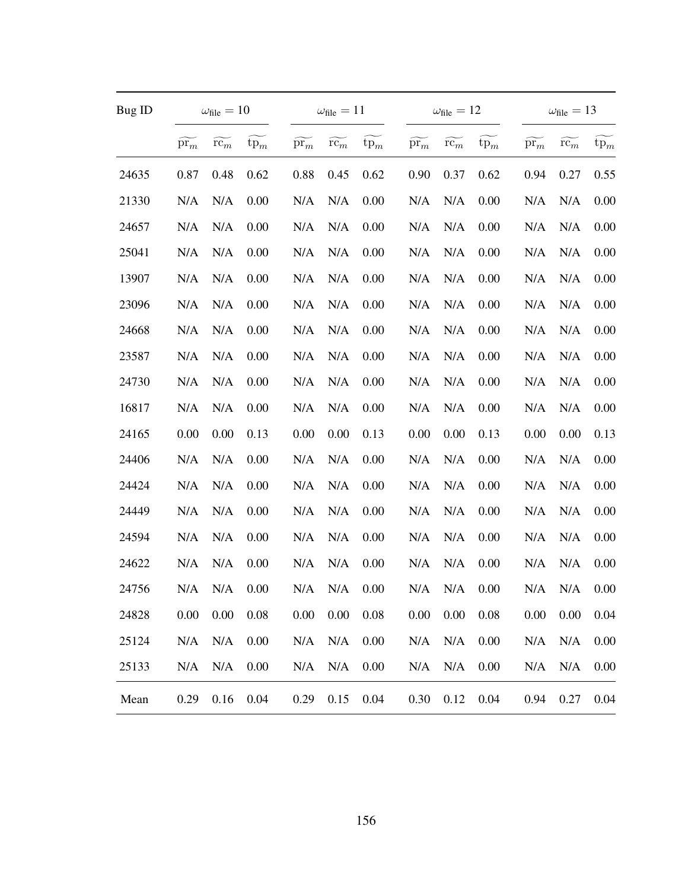| Bug ID |                       | $\omega_{\text{file}} = 10$ |        |                 | $\omega_{\text{file}} = 11$ |        |                 | $\omega_{\rm file}=12$ |        |               | $\omega_{\text{file}} = 13$ |        |
|--------|-----------------------|-----------------------------|--------|-----------------|-----------------------------|--------|-----------------|------------------------|--------|---------------|-----------------------------|--------|
|        | $\bar{\mathrm{pr}}_m$ | $\widetilde{\mathrm{rc}_m}$ | $tp_m$ | $\mathrm{pr}_m$ | $rc_m$                      | $tp_m$ | $\mathrm{pr}_m$ | $rc_m$                 | $tp_m$ | $\text{pr}_m$ | $rc_m$                      | $tp_m$ |
| 24635  | 0.87                  | 0.48                        | 0.62   | 0.88            | 0.45                        | 0.62   | 0.90            | 0.37                   | 0.62   | 0.94          | 0.27                        | 0.55   |
| 21330  | N/A                   | N/A                         | 0.00   | N/A             | N/A                         | 0.00   | N/A             | N/A                    | 0.00   | N/A           | N/A                         | 0.00   |
| 24657  | N/A                   | N/A                         | 0.00   | N/A             | N/A                         | 0.00   | N/A             | N/A                    | 0.00   | N/A           | N/A                         | 0.00   |
| 25041  | N/A                   | N/A                         | 0.00   | N/A             | N/A                         | 0.00   | N/A             | N/A                    | 0.00   | N/A           | N/A                         | 0.00   |
| 13907  | N/A                   | N/A                         | 0.00   | N/A             | N/A                         | 0.00   | N/A             | N/A                    | 0.00   | N/A           | N/A                         | 0.00   |
| 23096  | N/A                   | N/A                         | 0.00   | N/A             | N/A                         | 0.00   | N/A             | N/A                    | 0.00   | N/A           | N/A                         | 0.00   |
| 24668  | N/A                   | N/A                         | 0.00   | N/A             | N/A                         | 0.00   | N/A             | N/A                    | 0.00   | N/A           | N/A                         | 0.00   |
| 23587  | N/A                   | N/A                         | 0.00   | N/A             | N/A                         | 0.00   | N/A             | N/A                    | 0.00   | N/A           | N/A                         | 0.00   |
| 24730  | N/A                   | N/A                         | 0.00   | N/A             | N/A                         | 0.00   | N/A             | N/A                    | 0.00   | N/A           | N/A                         | 0.00   |
| 16817  | N/A                   | N/A                         | 0.00   | N/A             | N/A                         | 0.00   | N/A             | N/A                    | 0.00   | N/A           | N/A                         | 0.00   |
| 24165  | 0.00                  | 0.00                        | 0.13   | 0.00            | 0.00                        | 0.13   | 0.00            | 0.00                   | 0.13   | 0.00          | 0.00                        | 0.13   |
| 24406  | N/A                   | N/A                         | 0.00   | N/A             | N/A                         | 0.00   | N/A             | N/A                    | 0.00   | N/A           | N/A                         | 0.00   |
| 24424  | N/A                   | N/A                         | 0.00   | N/A             | N/A                         | 0.00   | N/A             | N/A                    | 0.00   | N/A           | N/A                         | 0.00   |
| 24449  | N/A                   | N/A                         | 0.00   | N/A             | N/A                         | 0.00   | N/A             | N/A                    | 0.00   | N/A           | N/A                         | 0.00   |
| 24594  | N/A                   | N/A                         | 0.00   | N/A             | N/A                         | 0.00   | N/A             | N/A                    | 0.00   | N/A           | N/A                         | 0.00   |
| 24622  | N/A                   | N/A                         | 0.00   | N/A             | N/A                         | 0.00   | N/A             | N/A                    | 0.00   | N/A           | N/A                         | 0.00   |
| 24756  | N/A                   | N/A                         | 0.00   | N/A             | N/A                         | 0.00   | N/A             | N/A                    | 0.00   | N/A           | N/A                         | 0.00   |
| 24828  | 0.00                  | 0.00                        | 0.08   | 0.00            | 0.00                        | 0.08   | 0.00            | 0.00                   | 0.08   | 0.00          | 0.00                        | 0.04   |
| 25124  | N/A                   | N/A                         | 0.00   | N/A             | N/A                         | 0.00   | N/A             | N/A                    | 0.00   | N/A           | N/A                         | 0.00   |
| 25133  | N/A                   | N/A                         | 0.00   | N/A             | N/A                         | 0.00   | N/A             | N/A                    | 0.00   | N/A           | N/A                         | 0.00   |
| Mean   | 0.29                  | 0.16                        | 0.04   | 0.29            | 0.15                        | 0.04   | 0.30            | 0.12                   | 0.04   | 0.94          | 0.27                        | 0.04   |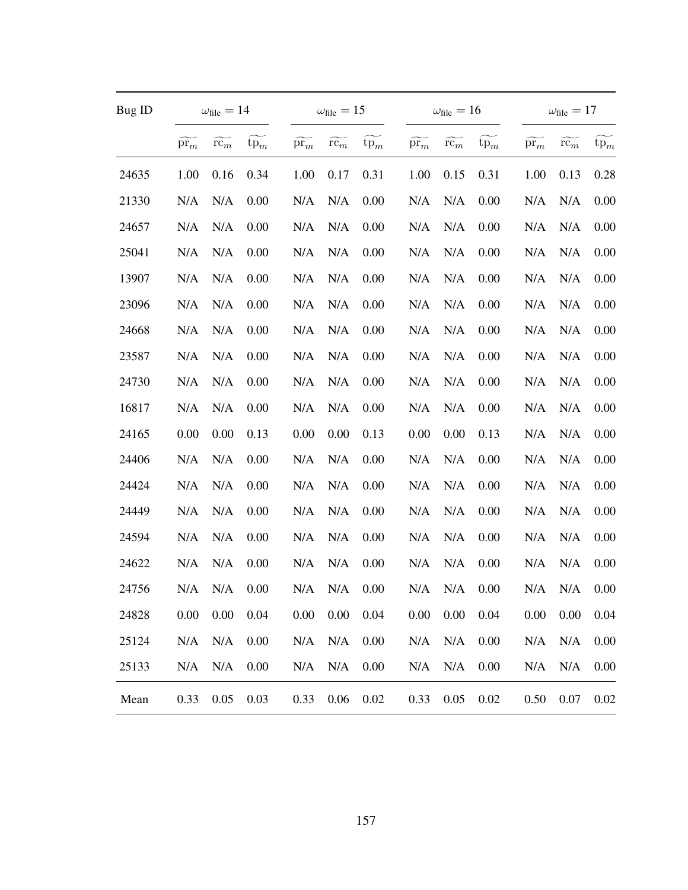| Bug ID |                 | $\omega_{\text{file}} = 14$ |        |                 | $\omega_{\text{file}} = 15$ |          |                 | $\omega_{\rm file}=16$ |        |               | $\omega_{\rm file}=17$ |        |
|--------|-----------------|-----------------------------|--------|-----------------|-----------------------------|----------|-----------------|------------------------|--------|---------------|------------------------|--------|
|        | $\mathrm{pr}_m$ | $\widetilde{\mathrm{rc}_m}$ | $tp_m$ | $\mathrm{pr}_m$ | $rc_m$                      | $tp_m$   | $\mathrm{pr}_m$ | $rc_m$                 | $tp_m$ | $\text{pr}_m$ | $rc_m$                 | $tp_m$ |
| 24635  | 1.00            | 0.16                        | 0.34   | 1.00            | 0.17                        | 0.31     | 1.00            | 0.15                   | 0.31   | 1.00          | 0.13                   | 0.28   |
| 21330  | N/A             | N/A                         | 0.00   | N/A             | N/A                         | 0.00     | N/A             | N/A                    | 0.00   | N/A           | N/A                    | 0.00   |
| 24657  | N/A             | N/A                         | 0.00   | N/A             | N/A                         | 0.00     | N/A             | N/A                    | 0.00   | N/A           | N/A                    | 0.00   |
| 25041  | N/A             | N/A                         | 0.00   | N/A             | N/A                         | 0.00     | N/A             | N/A                    | 0.00   | N/A           | N/A                    | 0.00   |
| 13907  | N/A             | N/A                         | 0.00   | N/A             | N/A                         | 0.00     | N/A             | N/A                    | 0.00   | N/A           | N/A                    | 0.00   |
| 23096  | N/A             | N/A                         | 0.00   | N/A             | N/A                         | 0.00     | N/A             | N/A                    | 0.00   | N/A           | N/A                    | 0.00   |
| 24668  | N/A             | N/A                         | 0.00   | N/A             | N/A                         | 0.00     | N/A             | N/A                    | 0.00   | N/A           | N/A                    | 0.00   |
| 23587  | N/A             | N/A                         | 0.00   | N/A             | N/A                         | 0.00     | N/A             | N/A                    | 0.00   | N/A           | N/A                    | 0.00   |
| 24730  | N/A             | N/A                         | 0.00   | N/A             | N/A                         | 0.00     | N/A             | N/A                    | 0.00   | N/A           | N/A                    | 0.00   |
| 16817  | N/A             | N/A                         | 0.00   | N/A             | N/A                         | 0.00     | N/A             | N/A                    | 0.00   | N/A           | N/A                    | 0.00   |
| 24165  | 0.00            | 0.00                        | 0.13   | 0.00            | 0.00                        | 0.13     | 0.00            | 0.00                   | 0.13   | N/A           | N/A                    | 0.00   |
| 24406  | N/A             | N/A                         | 0.00   | N/A             | N/A                         | 0.00     | N/A             | N/A                    | 0.00   | N/A           | N/A                    | 0.00   |
| 24424  | N/A             | N/A                         | 0.00   | N/A             | N/A                         | 0.00     | N/A             | N/A                    | 0.00   | N/A           | N/A                    | 0.00   |
| 24449  | N/A             | N/A                         | 0.00   | N/A             | N/A                         | 0.00     | N/A             | N/A                    | 0.00   | N/A           | N/A                    | 0.00   |
| 24594  | N/A             | N/A                         | 0.00   | N/A             | N/A                         | 0.00     | N/A             | N/A                    | 0.00   | N/A           | N/A                    | 0.00   |
| 24622  | N/A             | N/A                         | 0.00   | N/A             | N/A                         | 0.00     | N/A             | N/A                    | 0.00   | N/A           | N/A                    | 0.00   |
| 24756  | N/A             | N/A                         | 0.00   | N/A             | N/A                         | 0.00     | N/A             | N/A                    | 0.00   | N/A           | N/A                    | 0.00   |
| 24828  | 0.00            | 0.00                        | 0.04   | 0.00            | 0.00                        | 0.04     | 0.00            | 0.00                   | 0.04   | 0.00          | 0.00                   | 0.04   |
| 25124  | N/A             | N/A                         | 0.00   | N/A             | N/A                         | 0.00     | N/A             | N/A                    | 0.00   | N/A           | N/A                    | 0.00   |
| 25133  | N/A             | N/A                         | 0.00   | N/A             | N/A                         | 0.00     | N/A             | N/A                    | 0.00   | N/A           | N/A                    | 0.00   |
| Mean   | 0.33            | 0.05                        | 0.03   | 0.33            | 0.06                        | $0.02\,$ | 0.33            | 0.05                   | 0.02   | 0.50          | 0.07                   | 0.02   |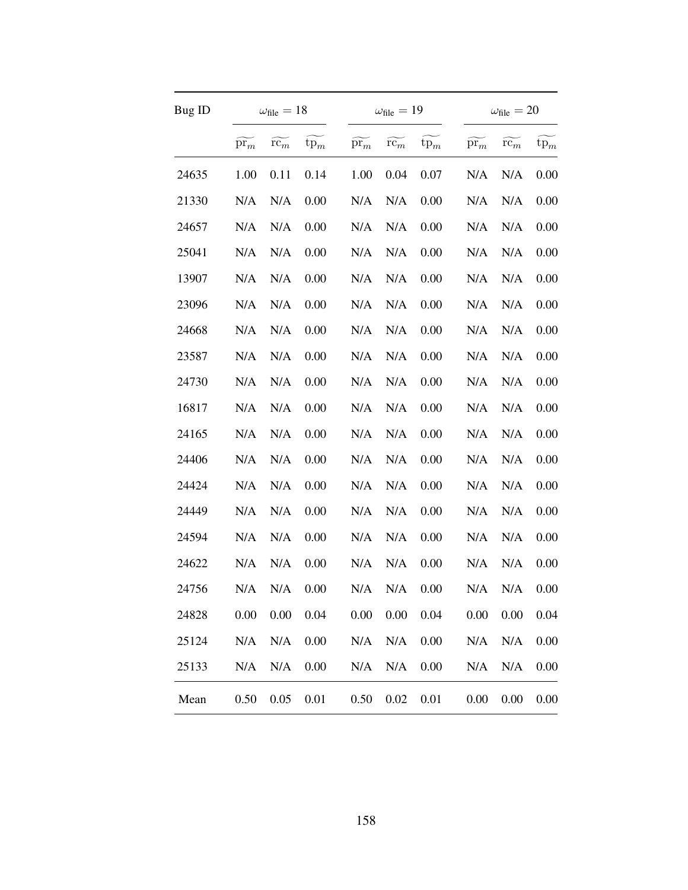| Bug ID |                             | $\omega_{\text{file}} = 18$ |        |                             | $\omega_{\text{file}} = 19$ |        |                             | $\omega_{\text{file}} = 20$ |        |
|--------|-----------------------------|-----------------------------|--------|-----------------------------|-----------------------------|--------|-----------------------------|-----------------------------|--------|
|        | $\widetilde{\mathrm{pr}_m}$ | $r\widetilde{c_m}$          | $tp_m$ | $\widetilde{\mathrm{pr}_m}$ | $\widetilde{\mathrm{rc}_m}$ | $tp_m$ | $\widetilde{\mathrm{pr}_m}$ | $rc_m$                      | $tp_m$ |
| 24635  | 1.00                        | 0.11                        | 0.14   | 1.00                        | 0.04                        | 0.07   | N/A                         | N/A                         | 0.00   |
| 21330  | N/A                         | N/A                         | 0.00   | N/A                         | N/A                         | 0.00   | N/A                         | N/A                         | 0.00   |
| 24657  | N/A                         | N/A                         | 0.00   | N/A                         | N/A                         | 0.00   | N/A                         | N/A                         | 0.00   |
| 25041  | N/A                         | N/A                         | 0.00   | N/A                         | N/A                         | 0.00   | N/A                         | N/A                         | 0.00   |
| 13907  | N/A                         | N/A                         | 0.00   | N/A                         | N/A                         | 0.00   | N/A                         | N/A                         | 0.00   |
| 23096  | N/A                         | N/A                         | 0.00   | N/A                         | N/A                         | 0.00   | N/A                         | N/A                         | 0.00   |
| 24668  | N/A                         | N/A                         | 0.00   | N/A                         | N/A                         | 0.00   | N/A                         | N/A                         | 0.00   |
| 23587  | N/A                         | N/A                         | 0.00   | N/A                         | N/A                         | 0.00   | N/A                         | N/A                         | 0.00   |
| 24730  | N/A                         | N/A                         | 0.00   | N/A                         | N/A                         | 0.00   | N/A                         | N/A                         | 0.00   |
| 16817  | N/A                         | N/A                         | 0.00   | N/A                         | N/A                         | 0.00   | N/A                         | N/A                         | 0.00   |
| 24165  | N/A                         | N/A                         | 0.00   | N/A                         | N/A                         | 0.00   | N/A                         | N/A                         | 0.00   |
| 24406  | N/A                         | N/A                         | 0.00   | N/A                         | N/A                         | 0.00   | N/A                         | N/A                         | 0.00   |
| 24424  | N/A                         | N/A                         | 0.00   | N/A                         | N/A                         | 0.00   | N/A                         | N/A                         | 0.00   |
| 24449  | N/A                         | N/A                         | 0.00   | N/A                         | N/A                         | 0.00   | N/A                         | N/A                         | 0.00   |
| 24594  | N/A                         | N/A                         | 0.00   | N/A                         | N/A                         | 0.00   | N/A                         | N/A                         | 0.00   |
| 24622  | N/A                         | N/A                         | 0.00   | N/A                         | N/A                         | 0.00   | N/A                         | N/A                         | 0.00   |
| 24756  | N/A                         | N/A                         | 0.00   | N/A                         | N/A                         | 0.00   | N/A                         | N/A                         | 0.00   |
| 24828  | 0.00                        | 0.00                        | 0.04   | 0.00                        | 0.00                        | 0.04   | 0.00                        | 0.00                        | 0.04   |
| 25124  | N/A                         | N/A                         | 0.00   | N/A                         | N/A                         | 0.00   | N/A                         | N/A                         | 0.00   |
| 25133  | N/A                         | N/A                         | 0.00   | N/A                         | N/A                         | 0.00   | N/A                         | N/A                         | 0.00   |
| Mean   | 0.50                        | 0.05                        | 0.01   | 0.50                        | $0.02\,$                    | 0.01   | 0.00                        | 0.00                        | 0.00   |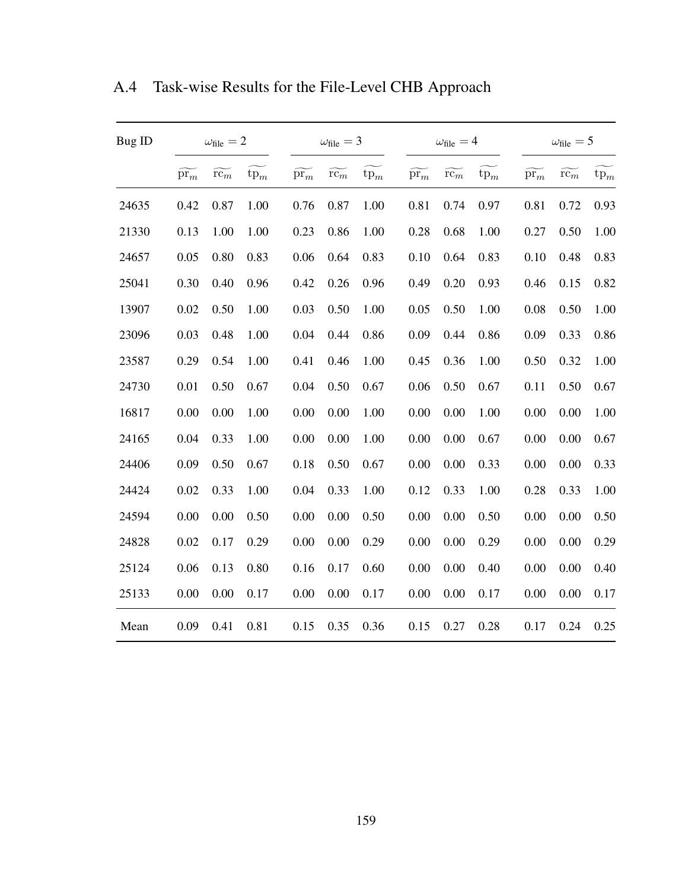| Bug ID |                             | $\omega_{\text{file}} = 2$ |        |                             | $\omega_{\text{file}} = 3$ |        |                 | $\omega_{\text{file}} = 4$ |        |                 | $\omega_{\text{file}} = 5$ |        |
|--------|-----------------------------|----------------------------|--------|-----------------------------|----------------------------|--------|-----------------|----------------------------|--------|-----------------|----------------------------|--------|
|        | $\widetilde{\mathrm{pr}_m}$ | $r\bar{c_m}$               | $tp_m$ | $\widetilde{\mathrm{pr}_m}$ | $r\bar{c_m}$               | $tp_m$ | $\mathrm{pr}_m$ | $r\bar{c_m}$               | $tp_m$ | $\mathrm{pr}_m$ | $r\bar{c_m}$               | $tp_m$ |
| 24635  | 0.42                        | 0.87                       | 1.00   | 0.76                        | 0.87                       | 1.00   | 0.81            | 0.74                       | 0.97   | 0.81            | 0.72                       | 0.93   |
| 21330  | 0.13                        | 1.00                       | 1.00   | 0.23                        | 0.86                       | 1.00   | 0.28            | 0.68                       | 1.00   | 0.27            | 0.50                       | 1.00   |
| 24657  | 0.05                        | 0.80                       | 0.83   | 0.06                        | 0.64                       | 0.83   | 0.10            | 0.64                       | 0.83   | 0.10            | 0.48                       | 0.83   |
| 25041  | 0.30                        | 0.40                       | 0.96   | 0.42                        | 0.26                       | 0.96   | 0.49            | 0.20                       | 0.93   | 0.46            | 0.15                       | 0.82   |
| 13907  | 0.02                        | 0.50                       | 1.00   | 0.03                        | 0.50                       | 1.00   | 0.05            | 0.50                       | 1.00   | 0.08            | 0.50                       | 1.00   |
| 23096  | 0.03                        | 0.48                       | 1.00   | 0.04                        | 0.44                       | 0.86   | 0.09            | 0.44                       | 0.86   | 0.09            | 0.33                       | 0.86   |
| 23587  | 0.29                        | 0.54                       | 1.00   | 0.41                        | 0.46                       | 1.00   | 0.45            | 0.36                       | 1.00   | 0.50            | 0.32                       | 1.00   |
| 24730  | 0.01                        | 0.50                       | 0.67   | 0.04                        | 0.50                       | 0.67   | 0.06            | 0.50                       | 0.67   | 0.11            | 0.50                       | 0.67   |
| 16817  | 0.00                        | 0.00                       | 1.00   | 0.00                        | 0.00                       | 1.00   | 0.00            | 0.00                       | 1.00   | 0.00            | 0.00                       | 1.00   |
| 24165  | 0.04                        | 0.33                       | 1.00   | 0.00                        | 0.00                       | 1.00   | 0.00            | 0.00                       | 0.67   | 0.00            | 0.00                       | 0.67   |
| 24406  | 0.09                        | 0.50                       | 0.67   | 0.18                        | 0.50                       | 0.67   | 0.00            | 0.00                       | 0.33   | 0.00            | 0.00                       | 0.33   |
| 24424  | 0.02                        | 0.33                       | 1.00   | 0.04                        | 0.33                       | 1.00   | 0.12            | 0.33                       | 1.00   | 0.28            | 0.33                       | 1.00   |
| 24594  | 0.00                        | 0.00                       | 0.50   | 0.00                        | 0.00                       | 0.50   | 0.00            | 0.00                       | 0.50   | 0.00            | 0.00                       | 0.50   |
| 24828  | 0.02                        | 0.17                       | 0.29   | 0.00                        | 0.00                       | 0.29   | 0.00            | 0.00                       | 0.29   | 0.00            | 0.00                       | 0.29   |
| 25124  | 0.06                        | 0.13                       | 0.80   | 0.16                        | 0.17                       | 0.60   | 0.00            | 0.00                       | 0.40   | 0.00            | 0.00                       | 0.40   |
| 25133  | 0.00                        | 0.00                       | 0.17   | 0.00                        | 0.00                       | 0.17   | 0.00            | 0.00                       | 0.17   | 0.00            | 0.00                       | 0.17   |
| Mean   | 0.09                        | 0.41                       | 0.81   | 0.15                        | 0.35                       | 0.36   | 0.15            | 0.27                       | 0.28   | 0.17            | 0.24                       | 0.25   |

A.4 Task-wise Results for the File-Level CHB Approach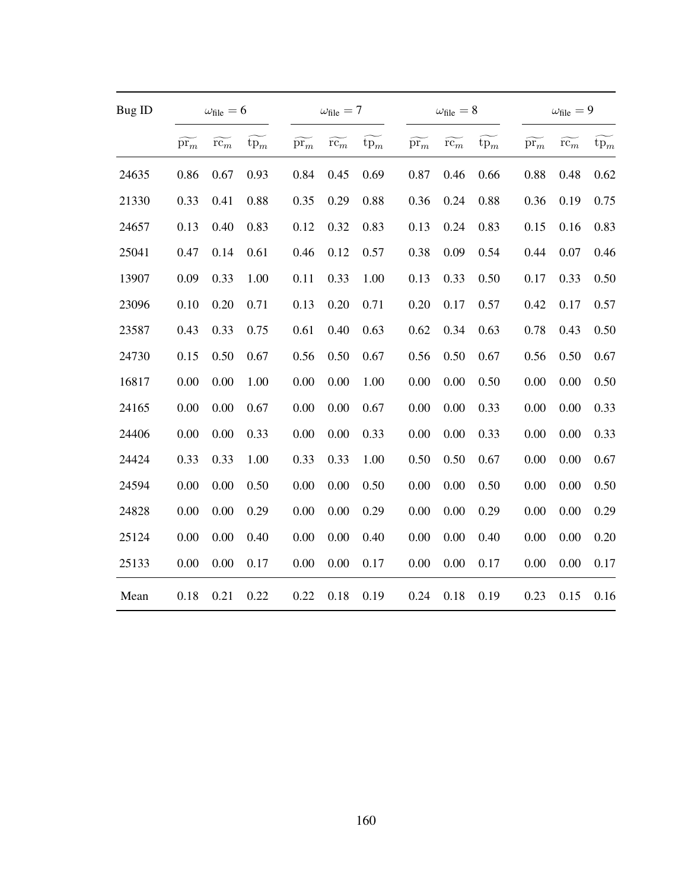| Bug ID |                             | $\omega_{\text{file}} = 6$  |        |                             | $\omega_{\text{file}} = 7$  |        |                             | $\omega_{\text{file}} = 8$  |        |                             | $\omega_{\text{file}} = 9$  |                 |
|--------|-----------------------------|-----------------------------|--------|-----------------------------|-----------------------------|--------|-----------------------------|-----------------------------|--------|-----------------------------|-----------------------------|-----------------|
|        | $\widetilde{\mathrm{pr}_m}$ | $\widetilde{\mathrm{rc}}_m$ | $tp_m$ | $\widetilde{\mathrm{pr}_m}$ | $\widetilde{\mathrm{rc}}_m$ | $tp_m$ | $\widetilde{\mathrm{pr}_m}$ | $\widetilde{\mathrm{rc}_m}$ | $tp_m$ | $\widetilde{\mathrm{pr}_m}$ | $\widetilde{\mathrm{rc}}_m$ | $\mathrm{tp}_m$ |
| 24635  | 0.86                        | 0.67                        | 0.93   | 0.84                        | 0.45                        | 0.69   | 0.87                        | 0.46                        | 0.66   | 0.88                        | 0.48                        | 0.62            |
| 21330  | 0.33                        | 0.41                        | 0.88   | 0.35                        | 0.29                        | 0.88   | 0.36                        | 0.24                        | 0.88   | 0.36                        | 0.19                        | 0.75            |
| 24657  | 0.13                        | 0.40                        | 0.83   | 0.12                        | 0.32                        | 0.83   | 0.13                        | 0.24                        | 0.83   | 0.15                        | 0.16                        | 0.83            |
| 25041  | 0.47                        | 0.14                        | 0.61   | 0.46                        | 0.12                        | 0.57   | 0.38                        | 0.09                        | 0.54   | 0.44                        | 0.07                        | 0.46            |
| 13907  | 0.09                        | 0.33                        | 1.00   | 0.11                        | 0.33                        | 1.00   | 0.13                        | 0.33                        | 0.50   | 0.17                        | 0.33                        | 0.50            |
| 23096  | 0.10                        | 0.20                        | 0.71   | 0.13                        | 0.20                        | 0.71   | 0.20                        | 0.17                        | 0.57   | 0.42                        | 0.17                        | 0.57            |
| 23587  | 0.43                        | 0.33                        | 0.75   | 0.61                        | 0.40                        | 0.63   | 0.62                        | 0.34                        | 0.63   | 0.78                        | 0.43                        | 0.50            |
| 24730  | 0.15                        | 0.50                        | 0.67   | 0.56                        | 0.50                        | 0.67   | 0.56                        | 0.50                        | 0.67   | 0.56                        | 0.50                        | 0.67            |
| 16817  | 0.00                        | 0.00                        | 1.00   | 0.00                        | 0.00                        | 1.00   | 0.00                        | 0.00                        | 0.50   | 0.00                        | 0.00                        | 0.50            |
| 24165  | 0.00                        | 0.00                        | 0.67   | 0.00                        | 0.00                        | 0.67   | 0.00                        | 0.00                        | 0.33   | 0.00                        | 0.00                        | 0.33            |
| 24406  | 0.00                        | 0.00                        | 0.33   | 0.00                        | 0.00                        | 0.33   | 0.00                        | 0.00                        | 0.33   | 0.00                        | 0.00                        | 0.33            |
| 24424  | 0.33                        | 0.33                        | 1.00   | 0.33                        | 0.33                        | 1.00   | 0.50                        | 0.50                        | 0.67   | 0.00                        | 0.00                        | 0.67            |
| 24594  | 0.00                        | 0.00                        | 0.50   | 0.00                        | 0.00                        | 0.50   | 0.00                        | 0.00                        | 0.50   | 0.00                        | 0.00                        | 0.50            |
| 24828  | 0.00                        | 0.00                        | 0.29   | 0.00                        | 0.00                        | 0.29   | 0.00                        | 0.00                        | 0.29   | 0.00                        | 0.00                        | 0.29            |
| 25124  | 0.00                        | 0.00                        | 0.40   | 0.00                        | 0.00                        | 0.40   | 0.00                        | 0.00                        | 0.40   | 0.00                        | 0.00                        | 0.20            |
| 25133  | 0.00                        | 0.00                        | 0.17   | 0.00                        | 0.00                        | 0.17   | 0.00                        | 0.00                        | 0.17   | 0.00                        | 0.00                        | 0.17            |
| Mean   | 0.18                        | 0.21                        | 0.22   | 0.22                        | 0.18                        | 0.19   | 0.24                        | 0.18                        | 0.19   | 0.23                        | 0.15                        | 0.16            |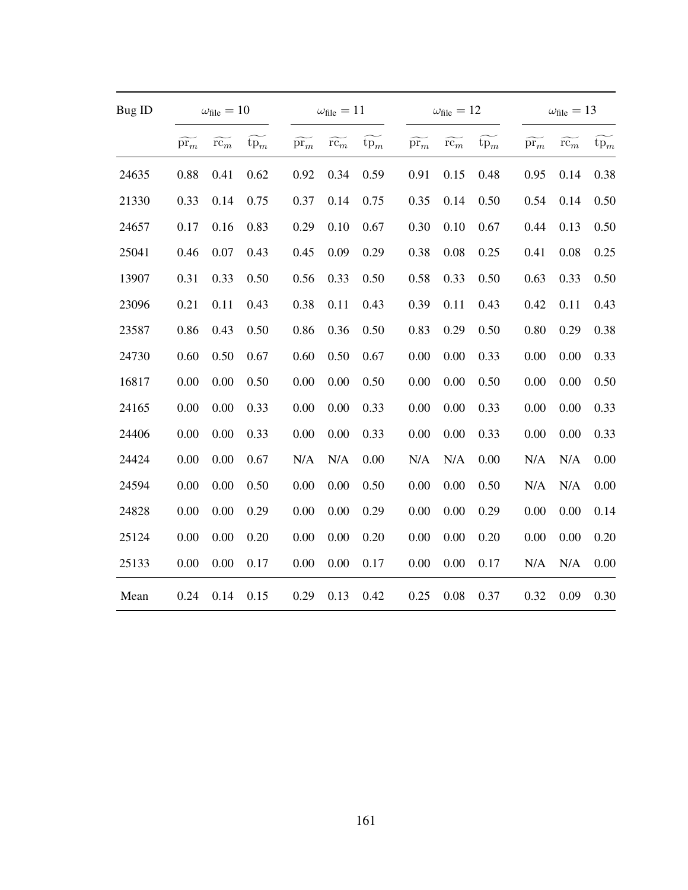| Bug ID |                             | $\omega_{\text{file}} = 10$ |        |                             | $\omega_{\text{file}} = 11$ |        |                             | $\omega_{\text{file}} = 12$ |        |                             | $\omega_{\text{file}} = 13$ |                 |
|--------|-----------------------------|-----------------------------|--------|-----------------------------|-----------------------------|--------|-----------------------------|-----------------------------|--------|-----------------------------|-----------------------------|-----------------|
|        | $\widetilde{\mathrm{pr}_m}$ | $\widetilde{\mathrm{rc}}_m$ | $tp_m$ | $\widetilde{\mathrm{pr}_m}$ | $\widetilde{\mathrm{rc}}_m$ | $tp_m$ | $\widetilde{\mathrm{pr}_m}$ | $\widetilde{\mathrm{rc}_m}$ | $tp_m$ | $\widetilde{\mathrm{pr}_m}$ | $\widetilde{\mathrm{rc}}_m$ | $\mathrm{tp}_m$ |
| 24635  | 0.88                        | 0.41                        | 0.62   | 0.92                        | 0.34                        | 0.59   | 0.91                        | 0.15                        | 0.48   | 0.95                        | 0.14                        | 0.38            |
| 21330  | 0.33                        | 0.14                        | 0.75   | 0.37                        | 0.14                        | 0.75   | 0.35                        | 0.14                        | 0.50   | 0.54                        | 0.14                        | 0.50            |
| 24657  | 0.17                        | 0.16                        | 0.83   | 0.29                        | 0.10                        | 0.67   | 0.30                        | 0.10                        | 0.67   | 0.44                        | 0.13                        | 0.50            |
| 25041  | 0.46                        | 0.07                        | 0.43   | 0.45                        | 0.09                        | 0.29   | 0.38                        | 0.08                        | 0.25   | 0.41                        | 0.08                        | 0.25            |
| 13907  | 0.31                        | 0.33                        | 0.50   | 0.56                        | 0.33                        | 0.50   | 0.58                        | 0.33                        | 0.50   | 0.63                        | 0.33                        | 0.50            |
| 23096  | 0.21                        | 0.11                        | 0.43   | 0.38                        | 0.11                        | 0.43   | 0.39                        | 0.11                        | 0.43   | 0.42                        | 0.11                        | 0.43            |
| 23587  | 0.86                        | 0.43                        | 0.50   | 0.86                        | 0.36                        | 0.50   | 0.83                        | 0.29                        | 0.50   | 0.80                        | 0.29                        | 0.38            |
| 24730  | 0.60                        | 0.50                        | 0.67   | 0.60                        | 0.50                        | 0.67   | 0.00                        | 0.00                        | 0.33   | 0.00                        | 0.00                        | 0.33            |
| 16817  | 0.00                        | 0.00                        | 0.50   | 0.00                        | 0.00                        | 0.50   | 0.00                        | 0.00                        | 0.50   | 0.00                        | 0.00                        | 0.50            |
| 24165  | 0.00                        | 0.00                        | 0.33   | 0.00                        | 0.00                        | 0.33   | 0.00                        | 0.00                        | 0.33   | 0.00                        | 0.00                        | 0.33            |
| 24406  | 0.00                        | 0.00                        | 0.33   | 0.00                        | 0.00                        | 0.33   | 0.00                        | 0.00                        | 0.33   | 0.00                        | 0.00                        | 0.33            |
| 24424  | 0.00                        | 0.00                        | 0.67   | N/A                         | N/A                         | 0.00   | N/A                         | N/A                         | 0.00   | N/A                         | N/A                         | 0.00            |
| 24594  | 0.00                        | 0.00                        | 0.50   | 0.00                        | 0.00                        | 0.50   | 0.00                        | 0.00                        | 0.50   | N/A                         | N/A                         | 0.00            |
| 24828  | 0.00                        | 0.00                        | 0.29   | 0.00                        | 0.00                        | 0.29   | 0.00                        | 0.00                        | 0.29   | 0.00                        | 0.00                        | 0.14            |
| 25124  | 0.00                        | 0.00                        | 0.20   | 0.00                        | 0.00                        | 0.20   | 0.00                        | 0.00                        | 0.20   | 0.00                        | 0.00                        | 0.20            |
| 25133  | 0.00                        | 0.00                        | 0.17   | 0.00                        | 0.00                        | 0.17   | 0.00                        | 0.00                        | 0.17   | N/A                         | N/A                         | 0.00            |
| Mean   | 0.24                        | 0.14                        | 0.15   | 0.29                        | 0.13                        | 0.42   | 0.25                        | 0.08                        | 0.37   | 0.32                        | 0.09                        | 0.30            |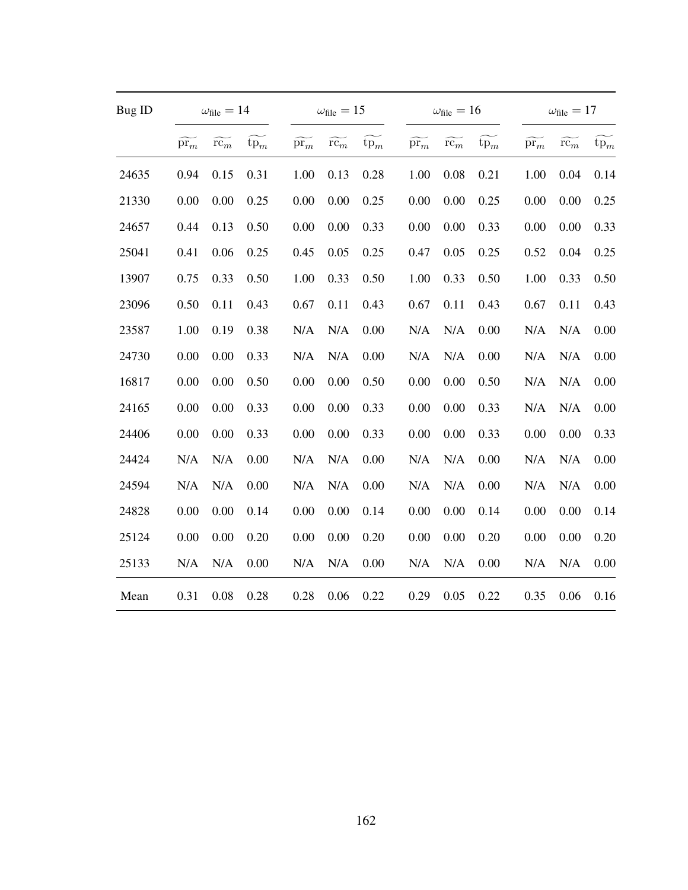| Bug ID |                             | $\omega_{\text{file}} = 14$ |        |                             | $\omega_{\text{file}} = 15$ |        |                             | $\omega_{\text{file}} = 16$ |        |                             | $\omega_{\text{file}} = 17$ |                 |
|--------|-----------------------------|-----------------------------|--------|-----------------------------|-----------------------------|--------|-----------------------------|-----------------------------|--------|-----------------------------|-----------------------------|-----------------|
|        | $\widetilde{\mathrm{pr}_m}$ | $\widetilde{\mathrm{rc}}_m$ | $tp_m$ | $\widetilde{\mathrm{pr}_m}$ | $\widetilde{\mathrm{rc}_m}$ | $tp_m$ | $\widetilde{\mathrm{pr}_m}$ | $\widetilde{\mathrm{rc}_m}$ | $tp_m$ | $\widetilde{\mathrm{pr}_m}$ | $\widetilde{\mathrm{rc}}_m$ | $\mathrm{tp}_m$ |
| 24635  | 0.94                        | 0.15                        | 0.31   | 1.00                        | 0.13                        | 0.28   | 1.00                        | 0.08                        | 0.21   | 1.00                        | 0.04                        | 0.14            |
| 21330  | 0.00                        | 0.00                        | 0.25   | 0.00                        | 0.00                        | 0.25   | 0.00                        | 0.00                        | 0.25   | 0.00                        | 0.00                        | 0.25            |
| 24657  | 0.44                        | 0.13                        | 0.50   | 0.00                        | 0.00                        | 0.33   | 0.00                        | 0.00                        | 0.33   | 0.00                        | 0.00                        | 0.33            |
| 25041  | 0.41                        | 0.06                        | 0.25   | 0.45                        | 0.05                        | 0.25   | 0.47                        | 0.05                        | 0.25   | 0.52                        | 0.04                        | 0.25            |
| 13907  | 0.75                        | 0.33                        | 0.50   | 1.00                        | 0.33                        | 0.50   | 1.00                        | 0.33                        | 0.50   | 1.00                        | 0.33                        | 0.50            |
| 23096  | 0.50                        | 0.11                        | 0.43   | 0.67                        | 0.11                        | 0.43   | 0.67                        | 0.11                        | 0.43   | 0.67                        | 0.11                        | 0.43            |
| 23587  | 1.00                        | 0.19                        | 0.38   | N/A                         | N/A                         | 0.00   | N/A                         | N/A                         | 0.00   | N/A                         | N/A                         | 0.00            |
| 24730  | 0.00                        | 0.00                        | 0.33   | N/A                         | N/A                         | 0.00   | N/A                         | N/A                         | 0.00   | N/A                         | N/A                         | 0.00            |
| 16817  | 0.00                        | 0.00                        | 0.50   | 0.00                        | 0.00                        | 0.50   | 0.00                        | 0.00                        | 0.50   | N/A                         | N/A                         | 0.00            |
| 24165  | 0.00                        | 0.00                        | 0.33   | 0.00                        | 0.00                        | 0.33   | 0.00                        | 0.00                        | 0.33   | N/A                         | N/A                         | 0.00            |
| 24406  | 0.00                        | 0.00                        | 0.33   | 0.00                        | 0.00                        | 0.33   | 0.00                        | 0.00                        | 0.33   | 0.00                        | 0.00                        | 0.33            |
| 24424  | N/A                         | N/A                         | 0.00   | N/A                         | N/A                         | 0.00   | N/A                         | N/A                         | 0.00   | N/A                         | N/A                         | 0.00            |
| 24594  | N/A                         | N/A                         | 0.00   | N/A                         | N/A                         | 0.00   | N/A                         | N/A                         | 0.00   | N/A                         | N/A                         | 0.00            |
| 24828  | 0.00                        | 0.00                        | 0.14   | 0.00                        | 0.00                        | 0.14   | 0.00                        | 0.00                        | 0.14   | 0.00                        | 0.00                        | 0.14            |
| 25124  | 0.00                        | 0.00                        | 0.20   | 0.00                        | 0.00                        | 0.20   | 0.00                        | 0.00                        | 0.20   | 0.00                        | 0.00                        | 0.20            |
| 25133  | N/A                         | N/A                         | 0.00   | N/A                         | N/A                         | 0.00   | N/A                         | N/A                         | 0.00   | N/A                         | N/A                         | 0.00            |
| Mean   | 0.31                        | 0.08                        | 0.28   | 0.28                        | 0.06                        | 0.22   | 0.29                        | 0.05                        | 0.22   | 0.35                        | 0.06                        | 0.16            |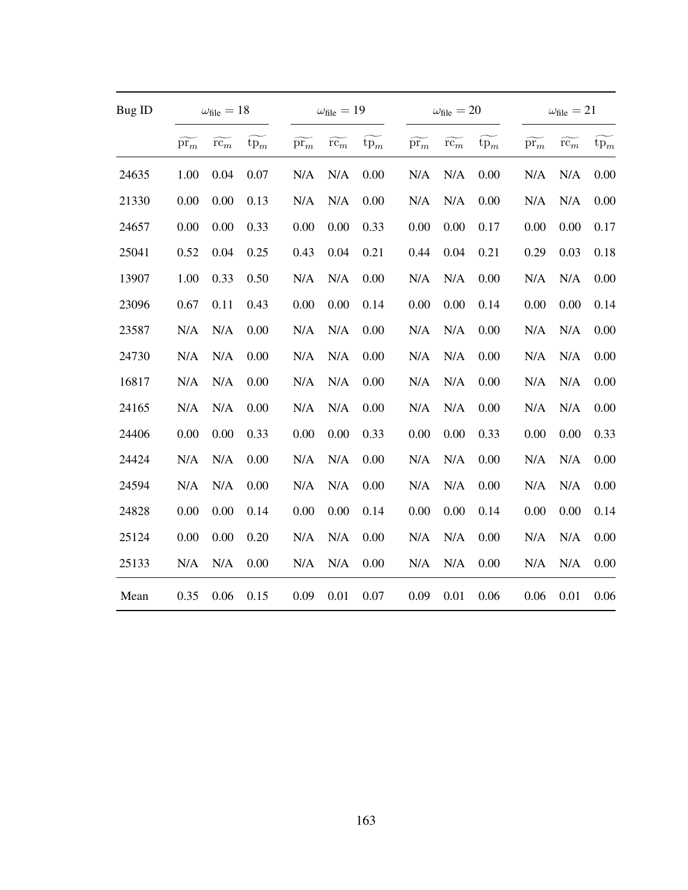| Bug ID |                             | $\omega_{\text{file}} = 18$ |        |                             | $\omega_{\text{file}} = 19$ |        |                             | $\omega_{\rm file}=20$      |        |                             | $\omega_{\text{file}} = 21$ |                 |
|--------|-----------------------------|-----------------------------|--------|-----------------------------|-----------------------------|--------|-----------------------------|-----------------------------|--------|-----------------------------|-----------------------------|-----------------|
|        | $\widetilde{\mathrm{pr}_m}$ | $\widetilde{\mathrm{rc}_m}$ | $tp_m$ | $\widetilde{\mathrm{pr}_m}$ | $\widetilde{\mathrm{rc}_m}$ | $tp_m$ | $\widetilde{\mathrm{pr}_m}$ | $\widetilde{\mathrm{rc}_m}$ | $tp_m$ | $\widetilde{\mathrm{pr}_m}$ | $\widetilde{\mathrm{rc}}_m$ | $\textrm{tp}_m$ |
| 24635  | 1.00                        | 0.04                        | 0.07   | N/A                         | N/A                         | 0.00   | N/A                         | N/A                         | 0.00   | N/A                         | N/A                         | 0.00            |
| 21330  | 0.00                        | 0.00                        | 0.13   | N/A                         | N/A                         | 0.00   | N/A                         | N/A                         | 0.00   | N/A                         | N/A                         | 0.00            |
| 24657  | 0.00                        | 0.00                        | 0.33   | 0.00                        | 0.00                        | 0.33   | 0.00                        | 0.00                        | 0.17   | 0.00                        | 0.00                        | 0.17            |
| 25041  | 0.52                        | 0.04                        | 0.25   | 0.43                        | 0.04                        | 0.21   | 0.44                        | 0.04                        | 0.21   | 0.29                        | 0.03                        | 0.18            |
| 13907  | 1.00                        | 0.33                        | 0.50   | N/A                         | N/A                         | 0.00   | N/A                         | N/A                         | 0.00   | N/A                         | N/A                         | 0.00            |
| 23096  | 0.67                        | 0.11                        | 0.43   | 0.00                        | 0.00                        | 0.14   | 0.00                        | 0.00                        | 0.14   | 0.00                        | 0.00                        | 0.14            |
| 23587  | N/A                         | N/A                         | 0.00   | N/A                         | N/A                         | 0.00   | N/A                         | N/A                         | 0.00   | N/A                         | N/A                         | 0.00            |
| 24730  | N/A                         | N/A                         | 0.00   | N/A                         | N/A                         | 0.00   | N/A                         | N/A                         | 0.00   | N/A                         | N/A                         | 0.00            |
| 16817  | N/A                         | N/A                         | 0.00   | N/A                         | N/A                         | 0.00   | N/A                         | N/A                         | 0.00   | N/A                         | N/A                         | 0.00            |
| 24165  | N/A                         | N/A                         | 0.00   | N/A                         | N/A                         | 0.00   | N/A                         | N/A                         | 0.00   | N/A                         | N/A                         | 0.00            |
| 24406  | 0.00                        | 0.00                        | 0.33   | 0.00                        | 0.00                        | 0.33   | 0.00                        | 0.00                        | 0.33   | 0.00                        | 0.00                        | 0.33            |
| 24424  | N/A                         | N/A                         | 0.00   | N/A                         | N/A                         | 0.00   | N/A                         | N/A                         | 0.00   | N/A                         | N/A                         | 0.00            |
| 24594  | N/A                         | N/A                         | 0.00   | N/A                         | N/A                         | 0.00   | N/A                         | N/A                         | 0.00   | N/A                         | N/A                         | 0.00            |
| 24828  | 0.00                        | 0.00                        | 0.14   | 0.00                        | 0.00                        | 0.14   | 0.00                        | 0.00                        | 0.14   | 0.00                        | 0.00                        | 0.14            |
| 25124  | 0.00                        | 0.00                        | 0.20   | N/A                         | N/A                         | 0.00   | N/A                         | N/A                         | 0.00   | N/A                         | N/A                         | 0.00            |
| 25133  | N/A                         | N/A                         | 0.00   | N/A                         | N/A                         | 0.00   | N/A                         | N/A                         | 0.00   | N/A                         | N/A                         | 0.00            |
| Mean   | 0.35                        | 0.06                        | 0.15   | 0.09                        | 0.01                        | 0.07   | 0.09                        | 0.01                        | 0.06   | 0.06                        | 0.01                        | 0.06            |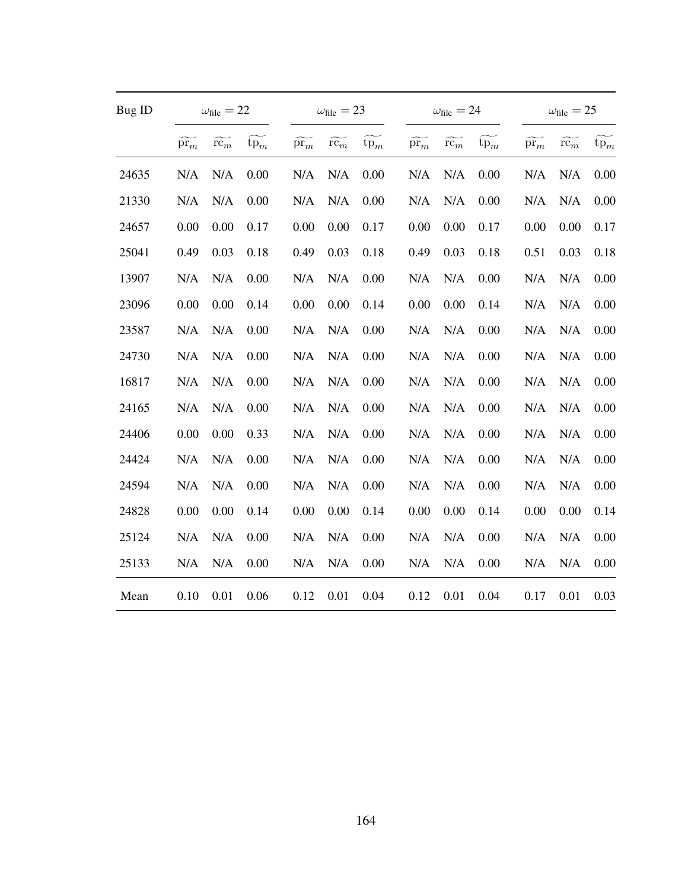| <b>Bug ID</b> |                             | $\omega_{\text{file}} = 22$ |        |                             | $\omega_{\text{file}} = 23$ |        |                             | $\omega_{\rm file}=24$ |        |                             | $\omega_{\text{file}} = 25$ |        |
|---------------|-----------------------------|-----------------------------|--------|-----------------------------|-----------------------------|--------|-----------------------------|------------------------|--------|-----------------------------|-----------------------------|--------|
|               | $\widetilde{\mathrm{pr}_m}$ | $\widetilde{\mathrm{rc}_m}$ | $tp_m$ | $\widetilde{\mathrm{pr}_m}$ | $\widetilde{\mathrm{rc}_m}$ | $tp_m$ | $\widetilde{\mathrm{pr}_m}$ | $r\bar{c_m}$           | $tp_m$ | $\widetilde{\mathrm{pr}_m}$ | $\widetilde{\mathrm{rc}_m}$ | $tp_m$ |
| 24635         | N/A                         | N/A                         | 0.00   | N/A                         | N/A                         | 0.00   | N/A                         | N/A                    | 0.00   | N/A                         | N/A                         | 0.00   |
| 21330         | N/A                         | N/A                         | 0.00   | N/A                         | N/A                         | 0.00   | N/A                         | N/A                    | 0.00   | N/A                         | N/A                         | 0.00   |
| 24657         | 0.00                        | 0.00                        | 0.17   | 0.00                        | 0.00                        | 0.17   | 0.00                        | 0.00                   | 0.17   | 0.00                        | 0.00                        | 0.17   |
| 25041         | 0.49                        | 0.03                        | 0.18   | 0.49                        | 0.03                        | 0.18   | 0.49                        | 0.03                   | 0.18   | 0.51                        | 0.03                        | 0.18   |
| 13907         | N/A                         | N/A                         | 0.00   | N/A                         | N/A                         | 0.00   | N/A                         | N/A                    | 0.00   | N/A                         | N/A                         | 0.00   |
| 23096         | 0.00                        | 0.00                        | 0.14   | 0.00                        | 0.00                        | 0.14   | 0.00                        | 0.00                   | 0.14   | N/A                         | N/A                         | 0.00   |
| 23587         | N/A                         | N/A                         | 0.00   | N/A                         | N/A                         | 0.00   | N/A                         | N/A                    | 0.00   | N/A                         | N/A                         | 0.00   |
| 24730         | N/A                         | N/A                         | 0.00   | N/A                         | N/A                         | 0.00   | N/A                         | N/A                    | 0.00   | N/A                         | N/A                         | 0.00   |
| 16817         | N/A                         | N/A                         | 0.00   | N/A                         | N/A                         | 0.00   | N/A                         | N/A                    | 0.00   | N/A                         | N/A                         | 0.00   |
| 24165         | N/A                         | N/A                         | 0.00   | N/A                         | N/A                         | 0.00   | N/A                         | N/A                    | 0.00   | N/A                         | N/A                         | 0.00   |
| 24406         | 0.00                        | 0.00                        | 0.33   | N/A                         | N/A                         | 0.00   | N/A                         | N/A                    | 0.00   | N/A                         | N/A                         | 0.00   |
| 24424         | N/A                         | N/A                         | 0.00   | N/A                         | N/A                         | 0.00   | N/A                         | N/A                    | 0.00   | N/A                         | N/A                         | 0.00   |
| 24594         | N/A                         | N/A                         | 0.00   | N/A                         | N/A                         | 0.00   | N/A                         | N/A                    | 0.00   | N/A                         | N/A                         | 0.00   |
| 24828         | 0.00                        | 0.00                        | 0.14   | 0.00                        | 0.00                        | 0.14   | 0.00                        | 0.00                   | 0.14   | 0.00                        | 0.00                        | 0.14   |
| 25124         | N/A                         | N/A                         | 0.00   | N/A                         | N/A                         | 0.00   | N/A                         | N/A                    | 0.00   | N/A                         | N/A                         | 0.00   |
| 25133         | N/A                         | N/A                         | 0.00   | N/A                         | N/A                         | 0.00   | N/A                         | N/A                    | 0.00   | N/A                         | N/A                         | 0.00   |
| Mean          | 0.10                        | 0.01                        | 0.06   | 0.12                        | 0.01                        | 0.04   | 0.12                        | 0.01                   | 0.04   | 0.17                        | 0.01                        | 0.03   |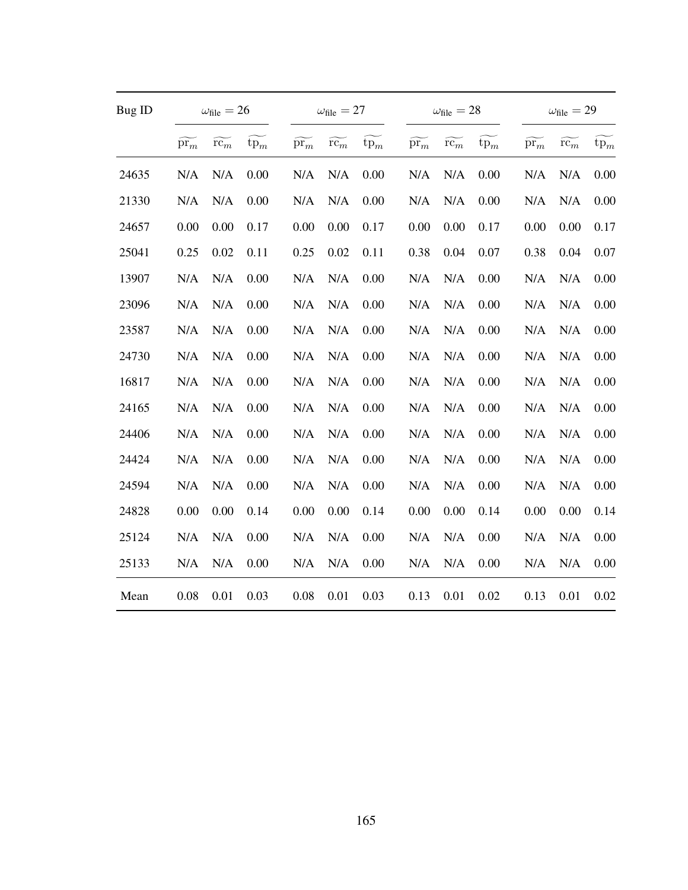| Bug ID |                             | $\omega_{\text{file}} = 26$ |        |                             | $\omega_{\text{file}} = 27$ |        |                             | $\omega_{\rm file}=28$      |        |                             | $\omega_{\rm file}=29$      |                 |
|--------|-----------------------------|-----------------------------|--------|-----------------------------|-----------------------------|--------|-----------------------------|-----------------------------|--------|-----------------------------|-----------------------------|-----------------|
|        | $\widetilde{\mathrm{pr}_m}$ | $\widetilde{\mathrm{rc}_m}$ | $tp_m$ | $\widetilde{\mathrm{pr}_m}$ | $\widetilde{\mathrm{rc}}_m$ | $tp_m$ | $\widetilde{\mathrm{pr}_m}$ | $\widetilde{\mathrm{rc}_m}$ | $tp_m$ | $\widetilde{\mathrm{pr}_m}$ | $\widetilde{\mathrm{rc}}_m$ | $\mathrm{tp}_m$ |
| 24635  | N/A                         | N/A                         | 0.00   | N/A                         | N/A                         | 0.00   | N/A                         | N/A                         | 0.00   | N/A                         | N/A                         | 0.00            |
| 21330  | N/A                         | N/A                         | 0.00   | N/A                         | N/A                         | 0.00   | N/A                         | N/A                         | 0.00   | N/A                         | N/A                         | 0.00            |
| 24657  | 0.00                        | 0.00                        | 0.17   | 0.00                        | 0.00                        | 0.17   | 0.00                        | 0.00                        | 0.17   | 0.00                        | 0.00                        | 0.17            |
| 25041  | 0.25                        | 0.02                        | 0.11   | 0.25                        | 0.02                        | 0.11   | 0.38                        | 0.04                        | 0.07   | 0.38                        | 0.04                        | 0.07            |
| 13907  | N/A                         | N/A                         | 0.00   | N/A                         | N/A                         | 0.00   | N/A                         | N/A                         | 0.00   | N/A                         | N/A                         | 0.00            |
| 23096  | N/A                         | N/A                         | 0.00   | N/A                         | N/A                         | 0.00   | N/A                         | N/A                         | 0.00   | N/A                         | N/A                         | 0.00            |
| 23587  | N/A                         | N/A                         | 0.00   | N/A                         | N/A                         | 0.00   | N/A                         | N/A                         | 0.00   | N/A                         | N/A                         | 0.00            |
| 24730  | N/A                         | N/A                         | 0.00   | N/A                         | N/A                         | 0.00   | N/A                         | N/A                         | 0.00   | N/A                         | N/A                         | 0.00            |
| 16817  | N/A                         | N/A                         | 0.00   | N/A                         | N/A                         | 0.00   | N/A                         | N/A                         | 0.00   | N/A                         | N/A                         | 0.00            |
| 24165  | N/A                         | N/A                         | 0.00   | N/A                         | N/A                         | 0.00   | N/A                         | N/A                         | 0.00   | N/A                         | N/A                         | 0.00            |
| 24406  | N/A                         | N/A                         | 0.00   | N/A                         | N/A                         | 0.00   | N/A                         | N/A                         | 0.00   | N/A                         | N/A                         | 0.00            |
| 24424  | N/A                         | N/A                         | 0.00   | N/A                         | N/A                         | 0.00   | N/A                         | N/A                         | 0.00   | N/A                         | N/A                         | 0.00            |
| 24594  | N/A                         | N/A                         | 0.00   | N/A                         | N/A                         | 0.00   | N/A                         | N/A                         | 0.00   | N/A                         | N/A                         | 0.00            |
| 24828  | 0.00                        | 0.00                        | 0.14   | 0.00                        | 0.00                        | 0.14   | 0.00                        | 0.00                        | 0.14   | 0.00                        | 0.00                        | 0.14            |
| 25124  | N/A                         | N/A                         | 0.00   | N/A                         | N/A                         | 0.00   | N/A                         | N/A                         | 0.00   | N/A                         | N/A                         | 0.00            |
| 25133  | N/A                         | N/A                         | 0.00   | N/A                         | N/A                         | 0.00   | N/A                         | N/A                         | 0.00   | N/A                         | N/A                         | 0.00            |
| Mean   | 0.08                        | 0.01                        | 0.03   | 0.08                        | 0.01                        | 0.03   | 0.13                        | 0.01                        | 0.02   | 0.13                        | 0.01                        | 0.02            |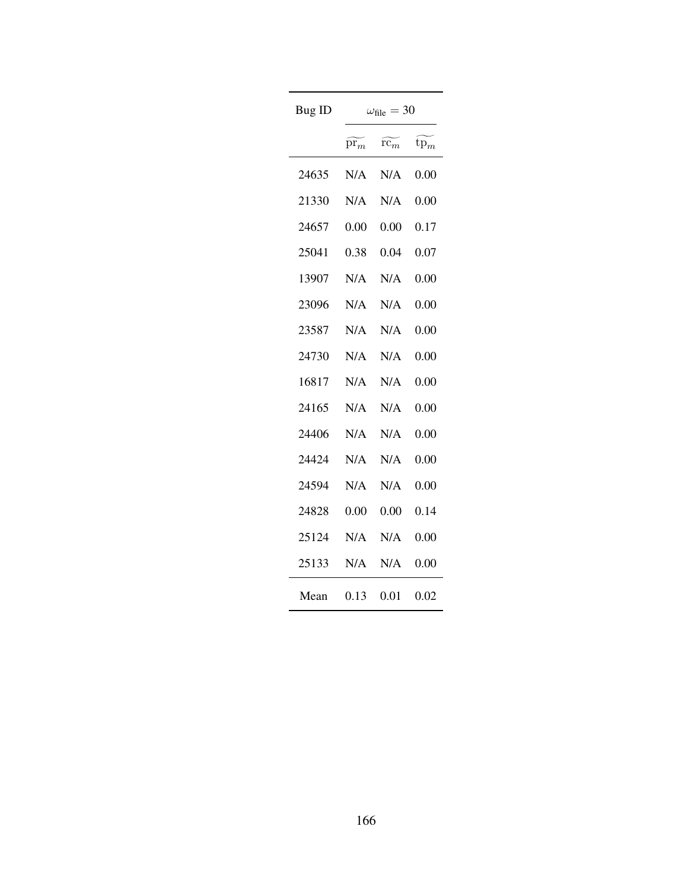| Bug ID | $=$ 30<br>$\omega_{\rm file}$ |                             |          |  |  |
|--------|-------------------------------|-----------------------------|----------|--|--|
|        | $\mathrm{pr}_m$               | $\widetilde{\mathrm{rc}_m}$ | $tp_m$   |  |  |
| 24635  | N/A                           | N/A                         | 0.00     |  |  |
| 21330  | N/A                           | N/A                         | 0.00     |  |  |
| 24657  | 0.00                          | 0.00                        | 0.17     |  |  |
| 25041  | 0.38                          | 0.04                        | 0.07     |  |  |
| 13907  | N/A                           | N/A                         | 0.00     |  |  |
| 23096  | N/A                           | N/A                         | 0.00     |  |  |
| 23587  | N/A                           | N/A                         | 0.00     |  |  |
| 24730  | N/A                           | N/A                         | 0.00     |  |  |
| 16817  | N/A                           | N/A                         | 0.00     |  |  |
| 24165  | N/A                           | N/A                         | 0.00     |  |  |
| 24406  | N/A                           | N/A                         | 0.00     |  |  |
| 24424  | N/A                           | N/A                         | $0.00\,$ |  |  |
| 24594  | N/A                           | N/A                         | $0.00\,$ |  |  |
| 24828  | 0.00                          | 0.00                        | 0.14     |  |  |
| 25124  | N/A                           | N/A                         | 0.00     |  |  |
| 25133  | N/A                           | N/A                         | 0.00     |  |  |
| Mean   | 0.13                          | 0.01                        | 0.02     |  |  |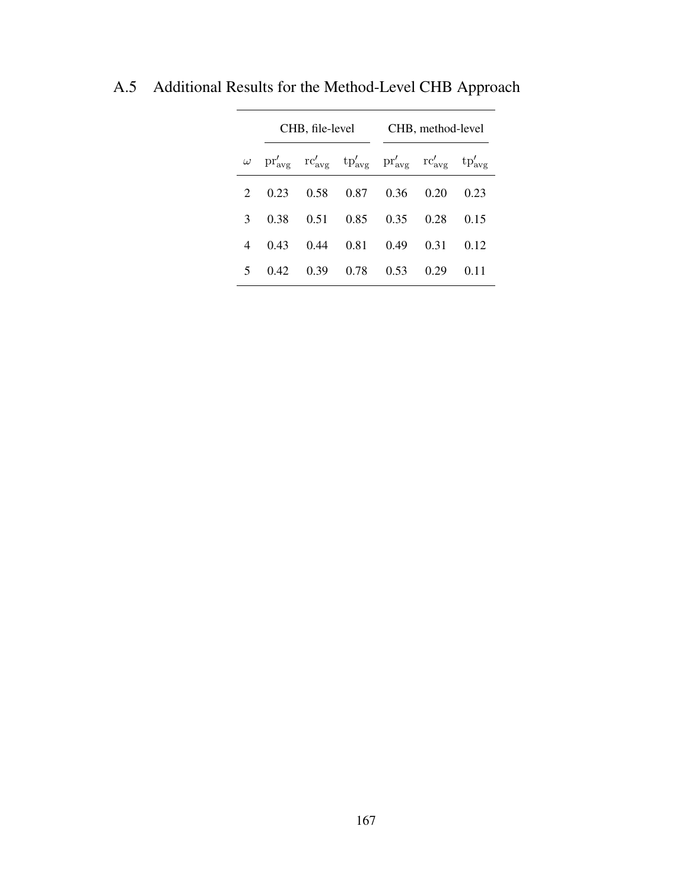|               | CHB, file-level                                                                                                            |      |             | CHB, method-level  |      |      |
|---------------|----------------------------------------------------------------------------------------------------------------------------|------|-------------|--------------------|------|------|
|               | $\omega$ pr' <sub>avg</sub> rc' <sub>avg</sub> tp' <sub>avg</sub> pr' <sub>avg</sub> rc' <sub>avg</sub> tp' <sub>avg</sub> |      |             |                    |      |      |
| $2^{\circ}$   | 0.23                                                                                                                       |      |             | 0.58 0.87 0.36     | 0.20 | 0.23 |
| $\mathcal{E}$ | 0.38                                                                                                                       | 0.51 | $0.85$ 0.35 |                    | 0.28 | 0.15 |
| 4             | 0.43                                                                                                                       | 0.44 |             | $0.81 \qquad 0.49$ | 0.31 | 0.12 |
| $\mathcal{F}$ | 0.42                                                                                                                       | 0.39 |             | $0.78$ 0.53        | 0.29 | 0.11 |

A.5 Additional Results for the Method-Level CHB Approach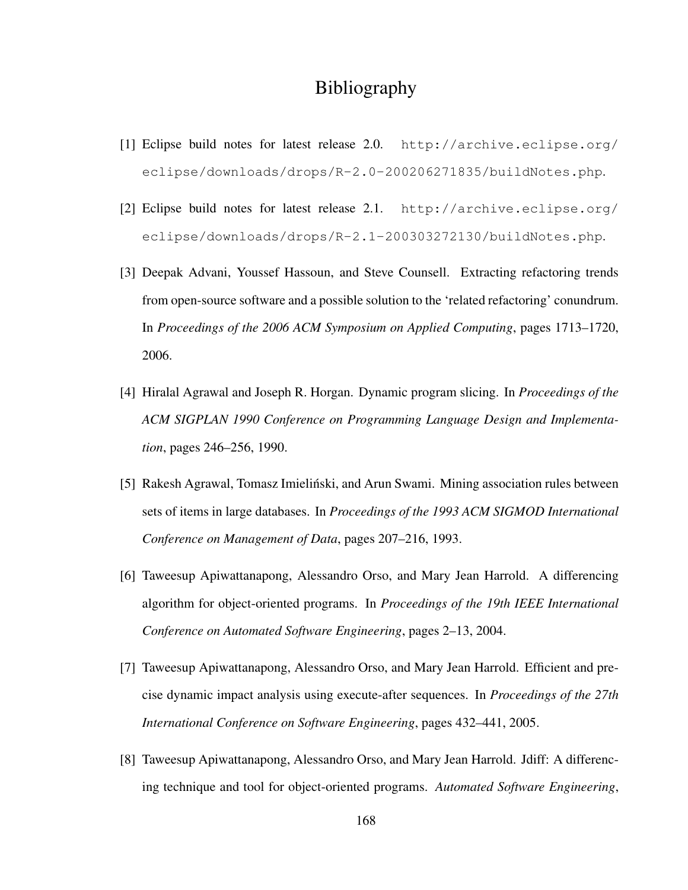# Bibliography

- [1] Eclipse build notes for latest release 2.0. http://archive.eclipse.org/ eclipse/downloads/drops/R-2.0-200206271835/buildNotes.php.
- [2] Eclipse build notes for latest release 2.1. http://archive.eclipse.org/ eclipse/downloads/drops/R-2.1-200303272130/buildNotes.php.
- [3] Deepak Advani, Youssef Hassoun, and Steve Counsell. Extracting refactoring trends from open-source software and a possible solution to the 'related refactoring' conundrum. In *Proceedings of the 2006 ACM Symposium on Applied Computing*, pages 1713–1720, 2006.
- [4] Hiralal Agrawal and Joseph R. Horgan. Dynamic program slicing. In *Proceedings of the ACM SIGPLAN 1990 Conference on Programming Language Design and Implementation*, pages 246–256, 1990.
- [5] Rakesh Agrawal, Tomasz Imielinski, and Arun Swami. Mining association rules between ´ sets of items in large databases. In *Proceedings of the 1993 ACM SIGMOD International Conference on Management of Data*, pages 207–216, 1993.
- [6] Taweesup Apiwattanapong, Alessandro Orso, and Mary Jean Harrold. A differencing algorithm for object-oriented programs. In *Proceedings of the 19th IEEE International Conference on Automated Software Engineering*, pages 2–13, 2004.
- [7] Taweesup Apiwattanapong, Alessandro Orso, and Mary Jean Harrold. Efficient and precise dynamic impact analysis using execute-after sequences. In *Proceedings of the 27th International Conference on Software Engineering*, pages 432–441, 2005.
- [8] Taweesup Apiwattanapong, Alessandro Orso, and Mary Jean Harrold. Jdiff: A differencing technique and tool for object-oriented programs. *Automated Software Engineering*,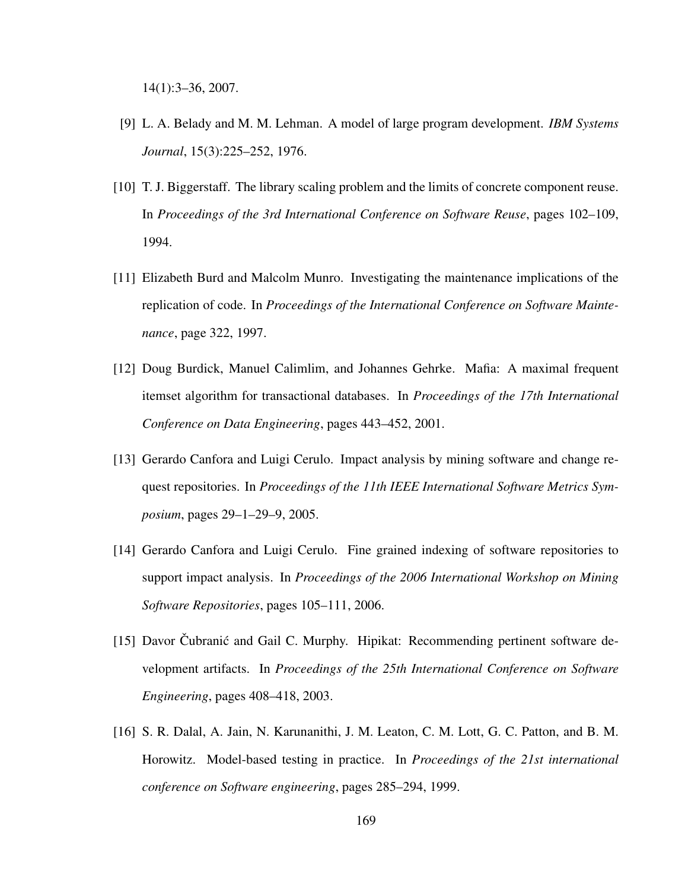14(1):3–36, 2007.

- [9] L. A. Belady and M. M. Lehman. A model of large program development. *IBM Systems Journal*, 15(3):225–252, 1976.
- [10] T. J. Biggerstaff. The library scaling problem and the limits of concrete component reuse. In *Proceedings of the 3rd International Conference on Software Reuse*, pages 102–109, 1994.
- [11] Elizabeth Burd and Malcolm Munro. Investigating the maintenance implications of the replication of code. In *Proceedings of the International Conference on Software Maintenance*, page 322, 1997.
- [12] Doug Burdick, Manuel Calimlim, and Johannes Gehrke. Mafia: A maximal frequent itemset algorithm for transactional databases. In *Proceedings of the 17th International Conference on Data Engineering*, pages 443–452, 2001.
- [13] Gerardo Canfora and Luigi Cerulo. Impact analysis by mining software and change request repositories. In *Proceedings of the 11th IEEE International Software Metrics Symposium*, pages 29–1–29–9, 2005.
- [14] Gerardo Canfora and Luigi Cerulo. Fine grained indexing of software repositories to support impact analysis. In *Proceedings of the 2006 International Workshop on Mining Software Repositories*, pages 105–111, 2006.
- [15] Davor Cubranić and Gail C. Murphy. Hipikat: Recommending pertinent software development artifacts. In *Proceedings of the 25th International Conference on Software Engineering*, pages 408–418, 2003.
- [16] S. R. Dalal, A. Jain, N. Karunanithi, J. M. Leaton, C. M. Lott, G. C. Patton, and B. M. Horowitz. Model-based testing in practice. In *Proceedings of the 21st international conference on Software engineering*, pages 285–294, 1999.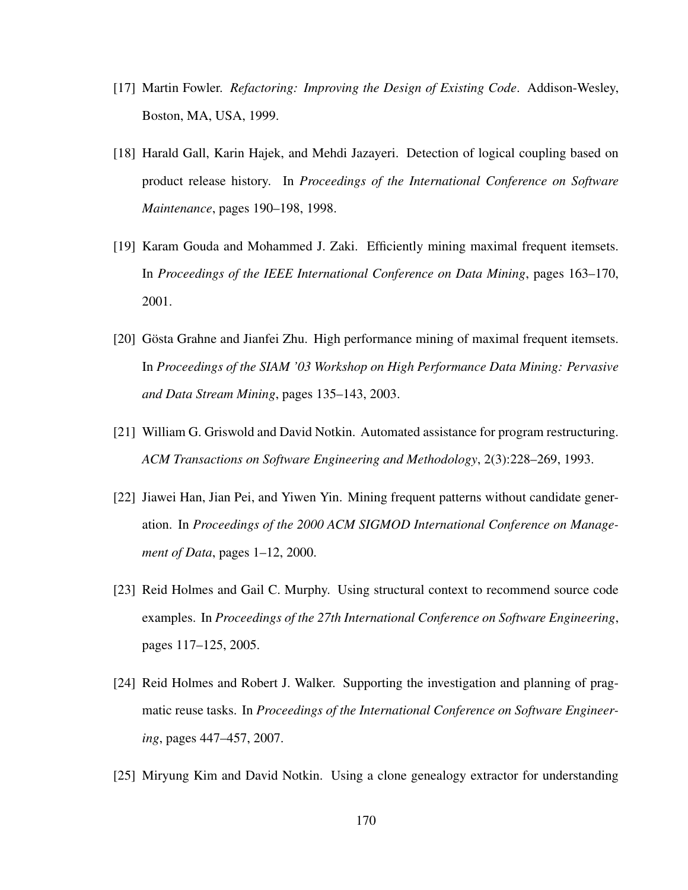- [17] Martin Fowler. *Refactoring: Improving the Design of Existing Code*. Addison-Wesley, Boston, MA, USA, 1999.
- [18] Harald Gall, Karin Hajek, and Mehdi Jazayeri. Detection of logical coupling based on product release history. In *Proceedings of the International Conference on Software Maintenance*, pages 190–198, 1998.
- [19] Karam Gouda and Mohammed J. Zaki. Efficiently mining maximal frequent itemsets. In *Proceedings of the IEEE International Conference on Data Mining*, pages 163–170, 2001.
- [20] Gösta Grahne and Jianfei Zhu. High performance mining of maximal frequent itemsets. In *Proceedings of the SIAM '03 Workshop on High Performance Data Mining: Pervasive and Data Stream Mining*, pages 135–143, 2003.
- [21] William G. Griswold and David Notkin. Automated assistance for program restructuring. *ACM Transactions on Software Engineering and Methodology*, 2(3):228–269, 1993.
- [22] Jiawei Han, Jian Pei, and Yiwen Yin. Mining frequent patterns without candidate generation. In *Proceedings of the 2000 ACM SIGMOD International Conference on Management of Data*, pages 1–12, 2000.
- [23] Reid Holmes and Gail C. Murphy. Using structural context to recommend source code examples. In *Proceedings of the 27th International Conference on Software Engineering*, pages 117–125, 2005.
- [24] Reid Holmes and Robert J. Walker. Supporting the investigation and planning of pragmatic reuse tasks. In *Proceedings of the International Conference on Software Engineering*, pages 447–457, 2007.
- [25] Miryung Kim and David Notkin. Using a clone genealogy extractor for understanding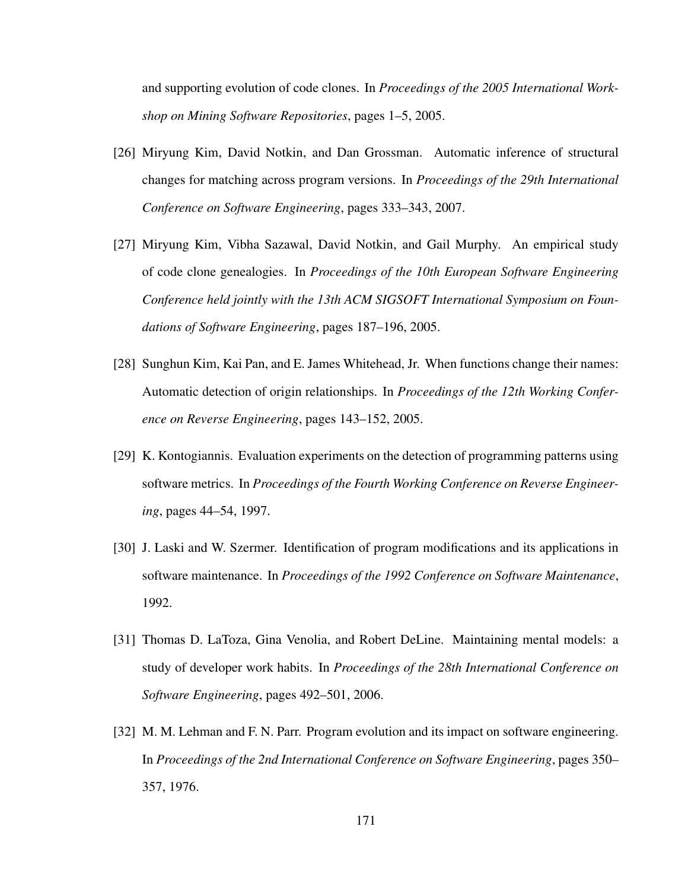and supporting evolution of code clones. In *Proceedings of the 2005 International Workshop on Mining Software Repositories*, pages 1–5, 2005.

- [26] Miryung Kim, David Notkin, and Dan Grossman. Automatic inference of structural changes for matching across program versions. In *Proceedings of the 29th International Conference on Software Engineering*, pages 333–343, 2007.
- [27] Miryung Kim, Vibha Sazawal, David Notkin, and Gail Murphy. An empirical study of code clone genealogies. In *Proceedings of the 10th European Software Engineering Conference held jointly with the 13th ACM SIGSOFT International Symposium on Foundations of Software Engineering*, pages 187–196, 2005.
- [28] Sunghun Kim, Kai Pan, and E. James Whitehead, Jr. When functions change their names: Automatic detection of origin relationships. In *Proceedings of the 12th Working Conference on Reverse Engineering*, pages 143–152, 2005.
- [29] K. Kontogiannis. Evaluation experiments on the detection of programming patterns using software metrics. In *Proceedings of the Fourth Working Conference on Reverse Engineering*, pages 44–54, 1997.
- [30] J. Laski and W. Szermer. Identification of program modifications and its applications in software maintenance. In *Proceedings of the 1992 Conference on Software Maintenance*, 1992.
- [31] Thomas D. LaToza, Gina Venolia, and Robert DeLine. Maintaining mental models: a study of developer work habits. In *Proceedings of the 28th International Conference on Software Engineering*, pages 492–501, 2006.
- [32] M. M. Lehman and F. N. Parr. Program evolution and its impact on software engineering. In *Proceedings of the 2nd International Conference on Software Engineering*, pages 350– 357, 1976.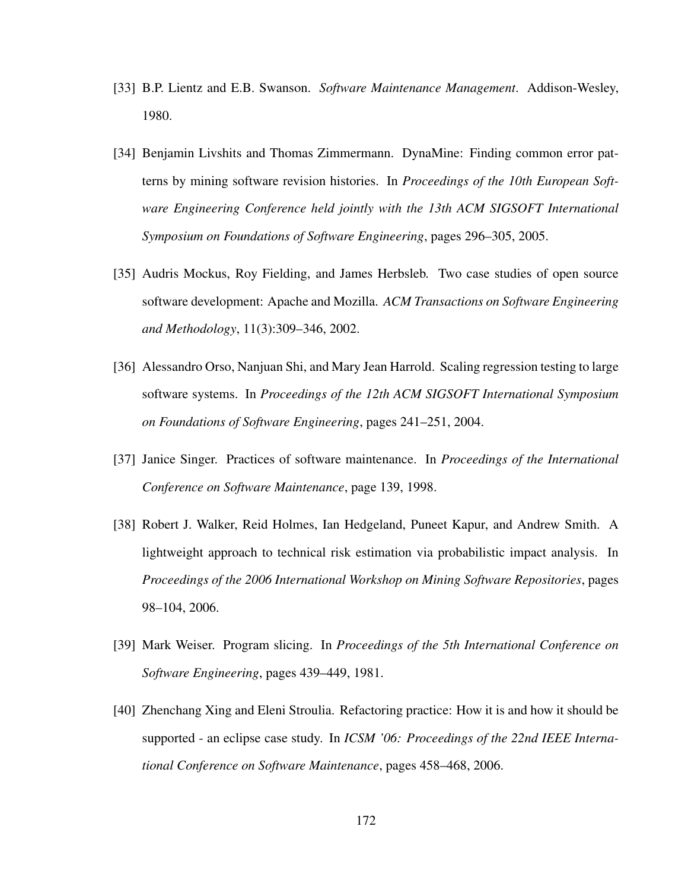- [33] B.P. Lientz and E.B. Swanson. *Software Maintenance Management*. Addison-Wesley, 1980.
- [34] Benjamin Livshits and Thomas Zimmermann. DynaMine: Finding common error patterns by mining software revision histories. In *Proceedings of the 10th European Software Engineering Conference held jointly with the 13th ACM SIGSOFT International Symposium on Foundations of Software Engineering*, pages 296–305, 2005.
- [35] Audris Mockus, Roy Fielding, and James Herbsleb. Two case studies of open source software development: Apache and Mozilla. *ACM Transactions on Software Engineering and Methodology*, 11(3):309–346, 2002.
- [36] Alessandro Orso, Nanjuan Shi, and Mary Jean Harrold. Scaling regression testing to large software systems. In *Proceedings of the 12th ACM SIGSOFT International Symposium on Foundations of Software Engineering*, pages 241–251, 2004.
- [37] Janice Singer. Practices of software maintenance. In *Proceedings of the International Conference on Software Maintenance*, page 139, 1998.
- [38] Robert J. Walker, Reid Holmes, Ian Hedgeland, Puneet Kapur, and Andrew Smith. A lightweight approach to technical risk estimation via probabilistic impact analysis. In *Proceedings of the 2006 International Workshop on Mining Software Repositories*, pages 98–104, 2006.
- [39] Mark Weiser. Program slicing. In *Proceedings of the 5th International Conference on Software Engineering*, pages 439–449, 1981.
- [40] Zhenchang Xing and Eleni Stroulia. Refactoring practice: How it is and how it should be supported - an eclipse case study. In *ICSM '06: Proceedings of the 22nd IEEE International Conference on Software Maintenance*, pages 458–468, 2006.